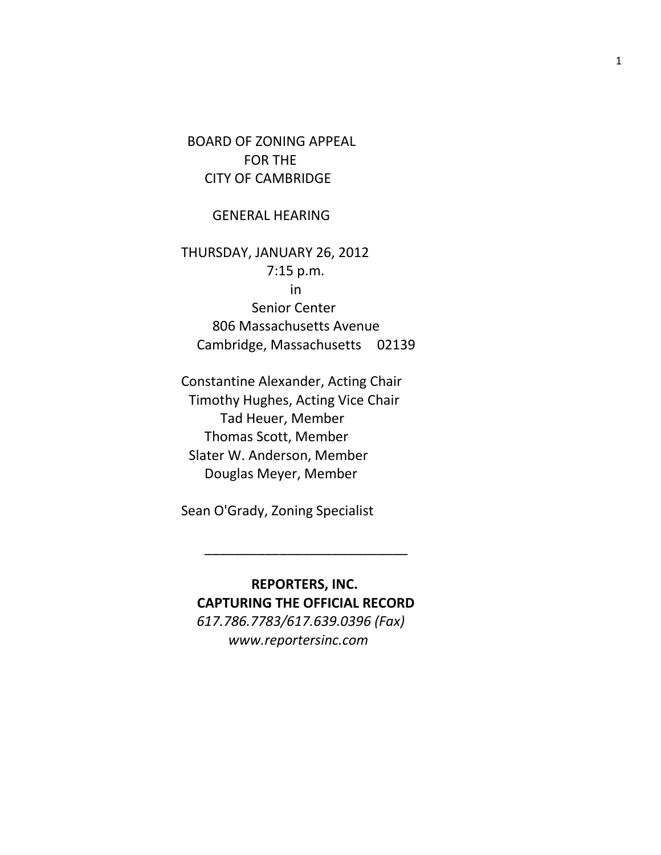BOARD OF ZONING APPEAL FOR THE CITY OF CAMBRIDGE

GENERAL HEARING

THURSDAY, JANUARY 26, 2012 7:15 p.m. in Senior Center 806 Massachusetts Avenue Cambridge, Massachusetts 02139

Constantine Alexander, Acting Chair Timothy Hughes, Acting Vice Chair Tad Heuer, Member Thomas Scott, Member Slater W. Anderson, Member Douglas Meyer, Member

Sean O'Grady, Zoning Specialist

 **REPORTERS, INC. CAPTURING THE OFFICIAL RECORD** *617.786.7783/617.639.0396 (Fax) www.reportersinc.com*

\_\_\_\_\_\_\_\_\_\_\_\_\_\_\_\_\_\_\_\_\_\_\_\_\_\_\_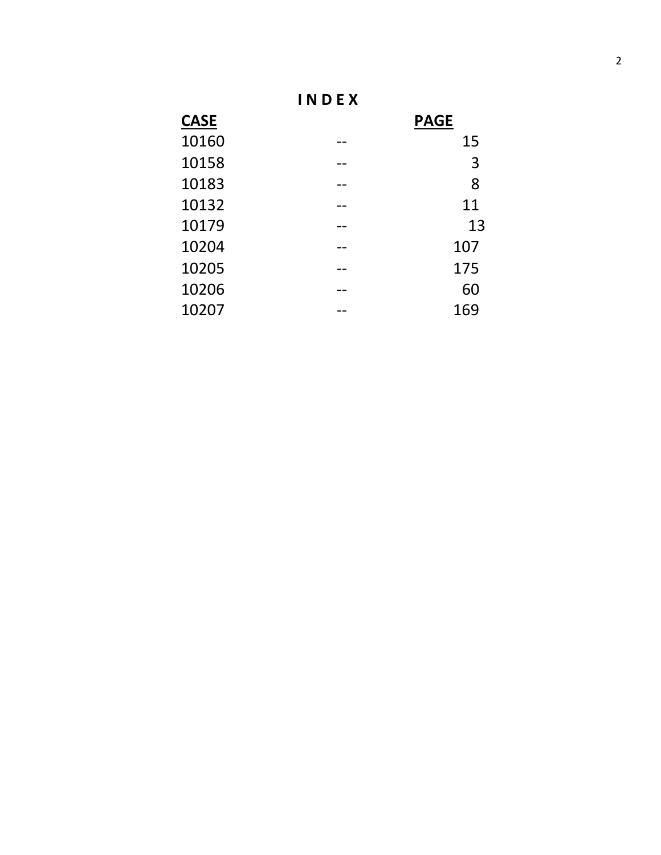**I N D E X**

| <b>CASE</b> |    | <b>PAGE</b> |
|-------------|----|-------------|
| 10160       | -- | 15          |
| 10158       | -- | 3           |
| 10183       |    | 8           |
| 10132       |    | 11          |
| 10179       | -- | 13          |
| 10204       | -- | 107         |
| 10205       |    | 175         |
| 10206       |    | 60          |
| 10207       |    | 169         |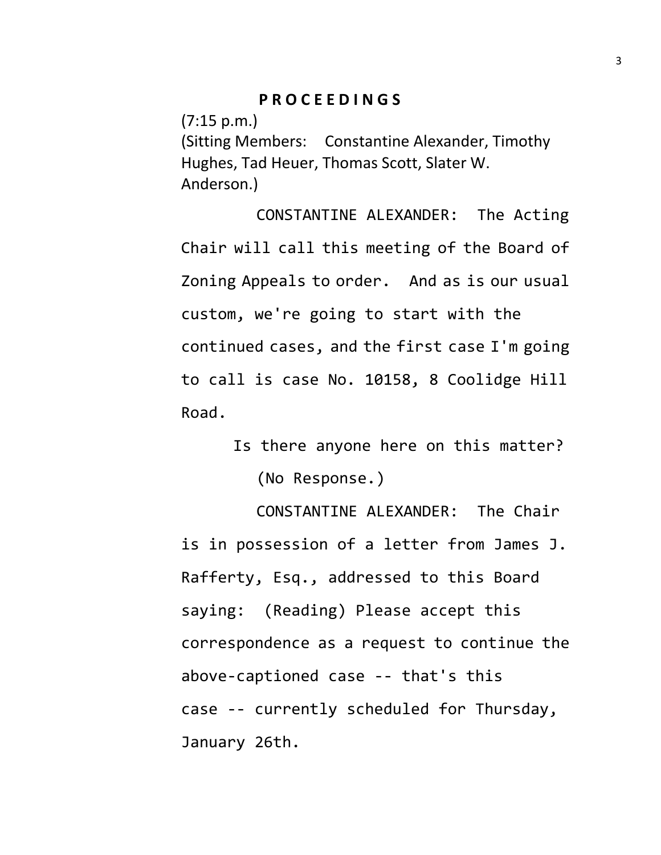## **P R O C E E D I N G S**

(7:15 p.m.)

(Sitting Members: Constantine Alexander, Timothy Hughes, Tad Heuer, Thomas Scott, Slater W. Anderson.)

CONSTANTINE ALEXANDER: The Acting Chair will call this meeting of the Board of Zoning Appeals to order. And as is our usual custom, we're going to start with the continued cases, and the first case I'm going to call is case No. 10158, 8 Coolidge Hill Road.

> Is there anyone here on this matter? (No Response.)

CONSTANTINE ALEXANDER: The Chair is in possession of a letter from James J. Rafferty, Esq., addressed to this Board saying: (Reading) Please accept this correspondence as a request to continue the above-captioned case -- that's this case -- currently scheduled for Thursday, January 26th.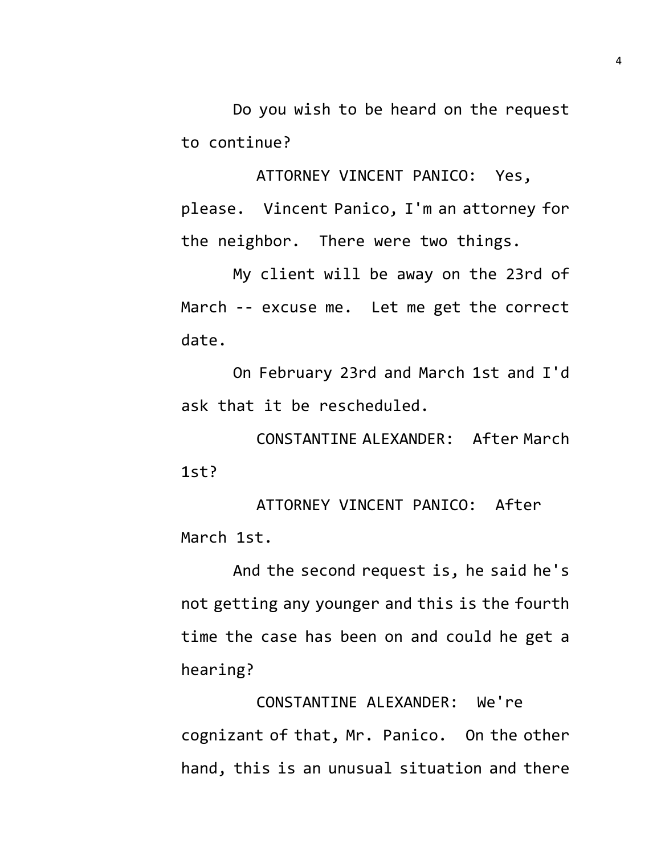Do you wish to be heard on the request to continue?

ATTORNEY VINCENT PANICO: Yes, please. Vincent Panico, I'm an attorney for the neighbor. There were two things.

My client will be away on the 23rd of March -- excuse me. Let me get the correct date.

On February 23rd and March 1st and I'd ask that it be rescheduled.

CONSTANTINE ALEXANDER: After March 1st?

ATTORNEY VINCENT PANICO: After March 1st.

And the second request is, he said he's not getting any younger and this is the fourth time the case has been on and could he get a hearing?

CONSTANTINE ALEXANDER: We're cognizant of that, Mr. Panico. On the other hand, this is an unusual situation and there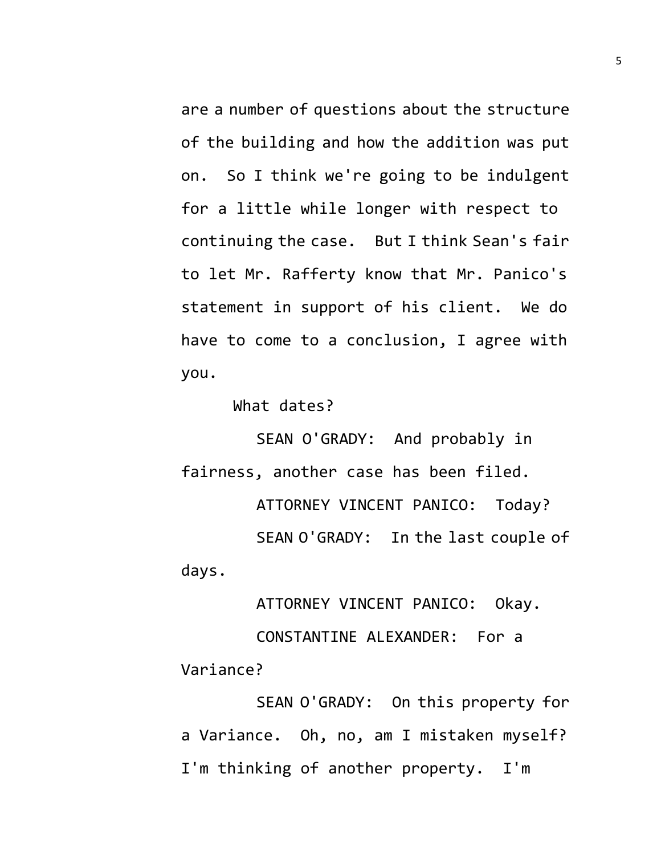are a number of questions about the structure of the building and how the addition was put on. So I think we're going to be indulgent for a little while longer with respect to continuing the case. But I think Sean's fair to let Mr. Rafferty know that Mr. Panico's statement in support of his client. We do have to come to a conclusion, I agree with you.

What dates?

SEAN O'GRADY: And probably in fairness, another case has been filed. ATTORNEY VINCENT PANICO: Today? SEAN O'GRADY: In the last couple of days.

ATTORNEY VINCENT PANICO: Okay. CONSTANTINE ALEXANDER: For a Variance?

SEAN O'GRADY: On this property for a Variance. Oh, no, am I mistaken myself? I'm thinking of another property. I'm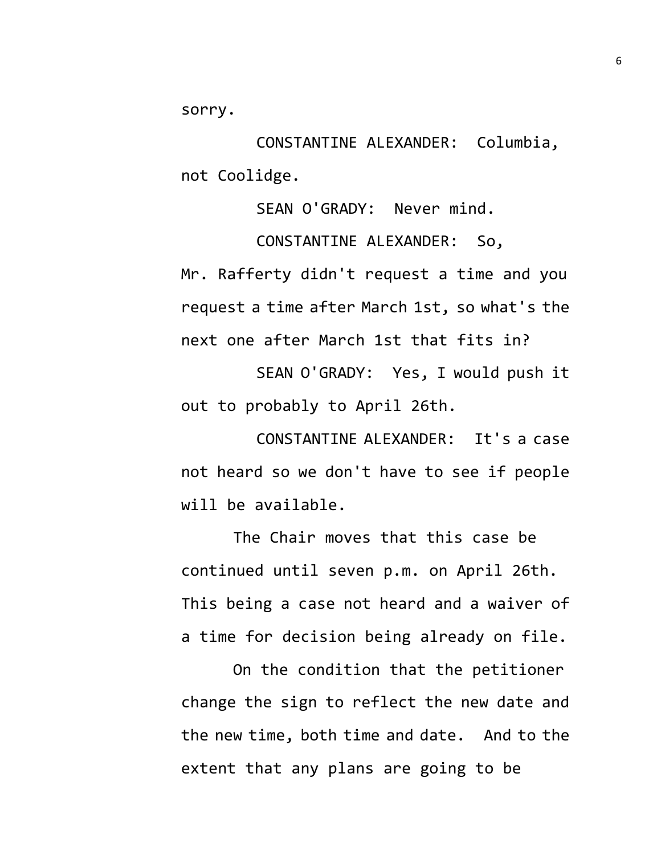sorry.

CONSTANTINE ALEXANDER: Columbia, not Coolidge.

SEAN O'GRADY: Never mind.

CONSTANTINE ALEXANDER: So, Mr. Rafferty didn't request a time and you request a time after March 1st, so what's the next one after March 1st that fits in?

SEAN O'GRADY: Yes, I would push it out to probably to April 26th.

CONSTANTINE ALEXANDER: It's a case not heard so we don't have to see if people will be available.

The Chair moves that this case be continued until seven p.m. on April 26th. This being a case not heard and a waiver of a time for decision being already on file.

On the condition that the petitioner change the sign to reflect the new date and the new time, both time and date. And to the extent that any plans are going to be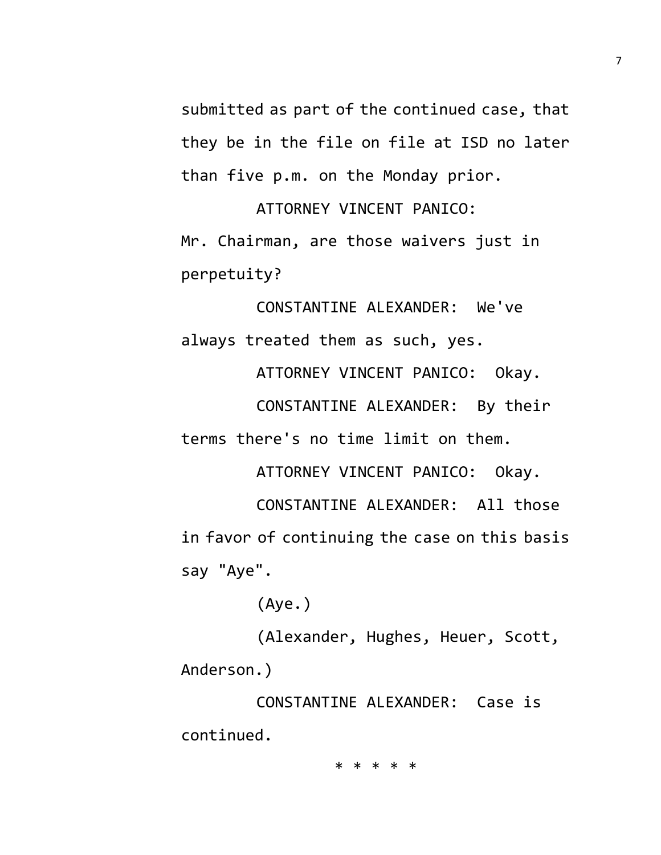submitted as part of the continued case, that they be in the file on file at ISD no later than five p.m. on the Monday prior.

ATTORNEY VINCENT PANICO: Mr. Chairman, are those waivers just in perpetuity?

CONSTANTINE ALEXANDER: We've always treated them as such, yes.

ATTORNEY VINCENT PANICO: Okay.

CONSTANTINE ALEXANDER: By their terms there's no time limit on them.

ATTORNEY VINCENT PANICO: Okay. CONSTANTINE ALEXANDER: All those in favor of continuing the case on this basis say "Aye".

(Aye.)

(Alexander, Hughes, Heuer, Scott, Anderson.)

CONSTANTINE ALEXANDER: Case is continued.

\* \* \* \* \*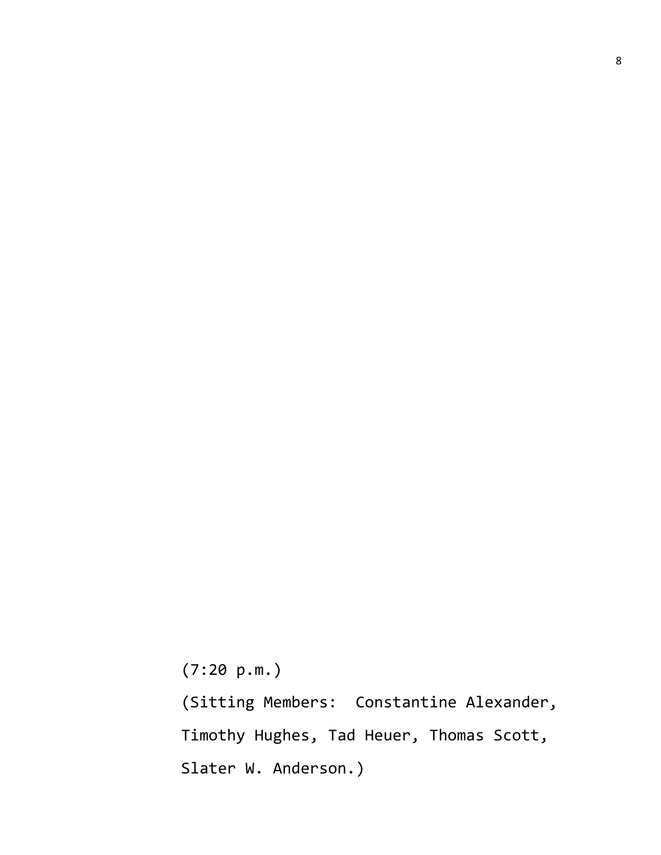(7:20 p.m.)

(Sitting Members: Constantine Alexander, Timothy Hughes, Tad Heuer, Thomas Scott, Slater W. Anderson.)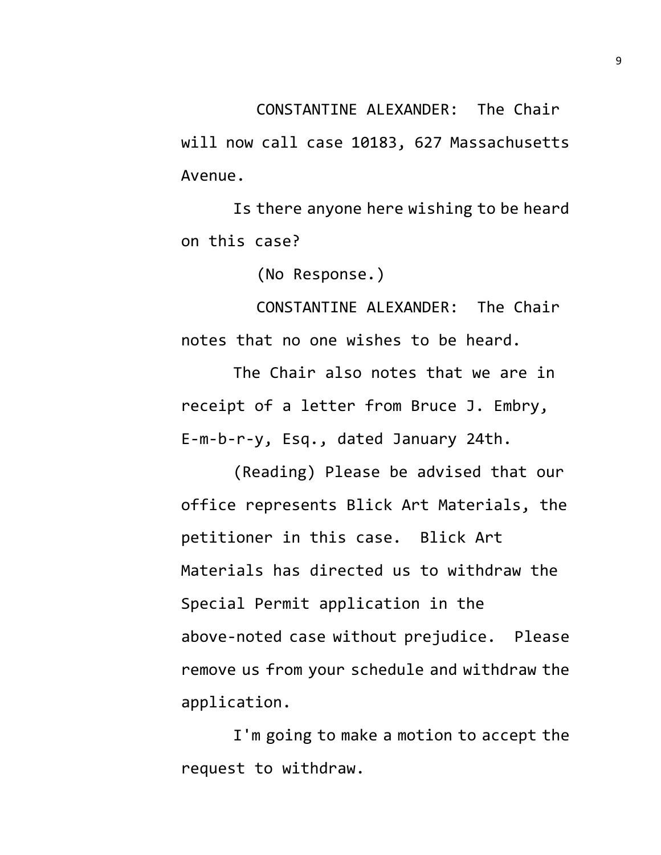CONSTANTINE ALEXANDER: The Chair will now call case 10183, 627 Massachusetts Avenue.

Is there anyone here wishing to be heard on this case?

(No Response.)

CONSTANTINE ALEXANDER: The Chair notes that no one wishes to be heard.

The Chair also notes that we are in receipt of a letter from Bruce J. Embry, E-m-b-r-y, Esq., dated January 24th.

(Reading) Please be advised that our office represents Blick Art Materials, the petitioner in this case. Blick Art Materials has directed us to withdraw the Special Permit application in the above-noted case without prejudice. Please remove us from your schedule and withdraw the application.

I'm going to make a motion to accept the request to withdraw.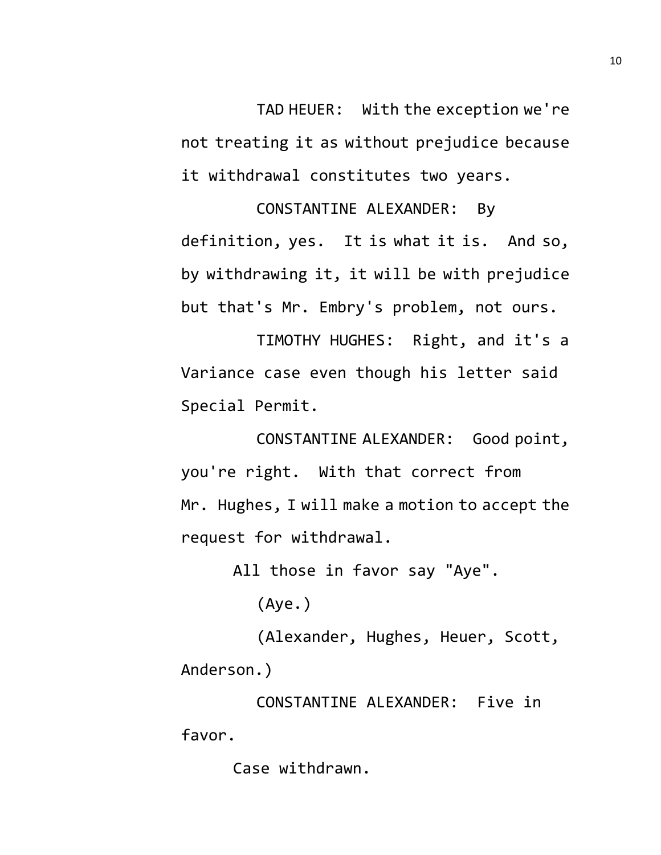TAD HEUER: With the exception we're not treating it as without prejudice because it withdrawal constitutes two years.

CONSTANTINE ALEXANDER: By definition, yes. It is what it is. And so, by withdrawing it, it will be with prejudice but that's Mr. Embry's problem, not ours.

TIMOTHY HUGHES: Right, and it's a Variance case even though his letter said Special Permit.

CONSTANTINE ALEXANDER: Good point, you're right. With that correct from Mr. Hughes, I will make a motion to accept the request for withdrawal.

All those in favor say "Aye".

(Aye.)

(Alexander, Hughes, Heuer, Scott, Anderson.)

CONSTANTINE ALEXANDER: Five in favor.

Case withdrawn.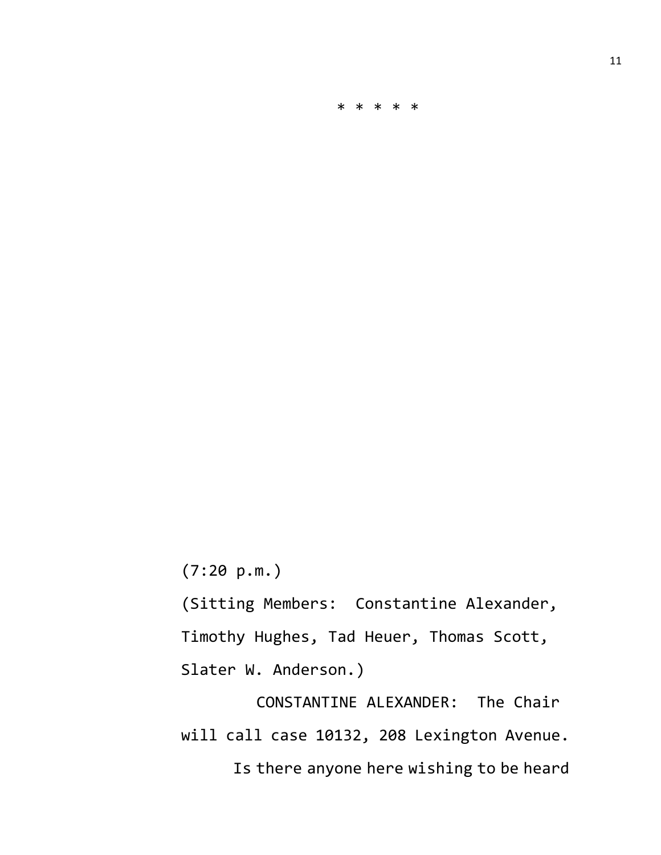\* \* \* \* \*

(7:20 p.m.)

(Sitting Members: Constantine Alexander, Timothy Hughes, Tad Heuer, Thomas Scott, Slater W. Anderson.)

CONSTANTINE ALEXANDER: The Chair will call case 10132, 208 Lexington Avenue. Is there anyone here wishing to be heard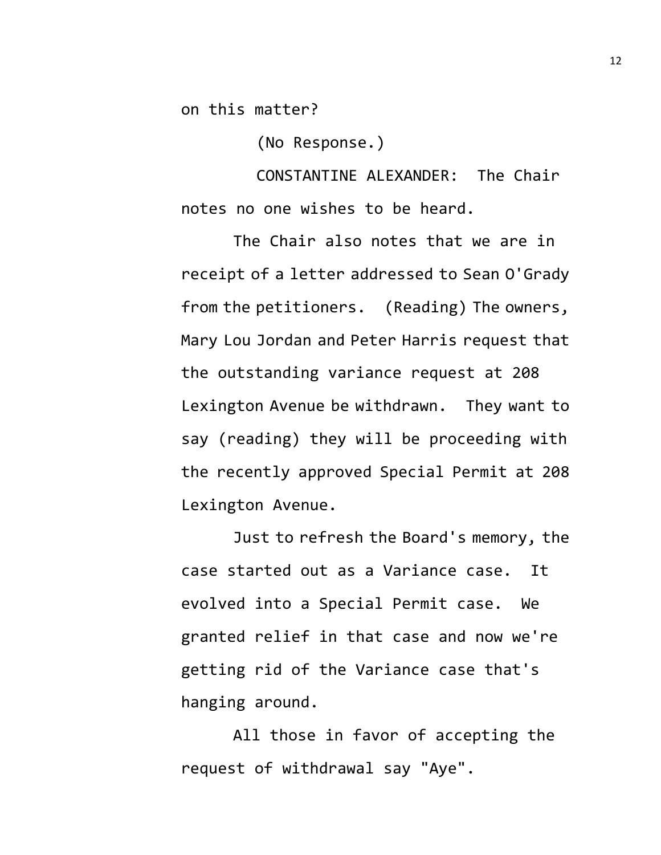on this matter?

(No Response.)

CONSTANTINE ALEXANDER: The Chair notes no one wishes to be heard.

The Chair also notes that we are in receipt of a letter addressed to Sean O'Grady from the petitioners. (Reading) The owners, Mary Lou Jordan and Peter Harris request that the outstanding variance request at 208 Lexington Avenue be withdrawn. They want to say (reading) they will be proceeding with the recently approved Special Permit at 208 Lexington Avenue.

Just to refresh the Board's memory, the case started out as a Variance case. It evolved into a Special Permit case. We granted relief in that case and now we're getting rid of the Variance case that's hanging around.

All those in favor of accepting the request of withdrawal say "Aye".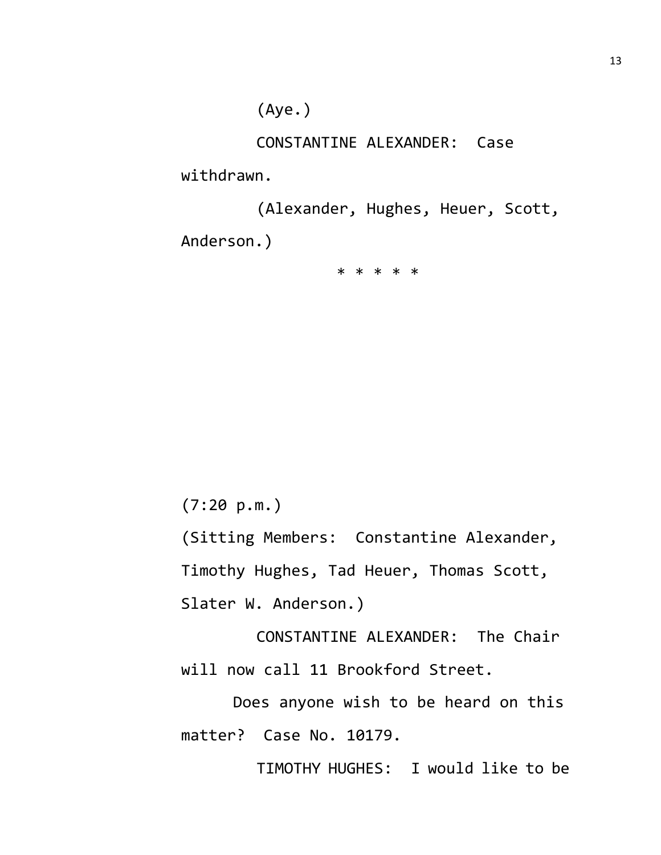(Aye.)

CONSTANTINE ALEXANDER: Case

withdrawn.

(Alexander, Hughes, Heuer, Scott, Anderson.)

\* \* \* \* \*

(7:20 p.m.)

(Sitting Members: Constantine Alexander, Timothy Hughes, Tad Heuer, Thomas Scott, Slater W. Anderson.)

CONSTANTINE ALEXANDER: The Chair will now call 11 Brookford Street.

Does anyone wish to be heard on this matter? Case No. 10179.

TIMOTHY HUGHES: I would like to be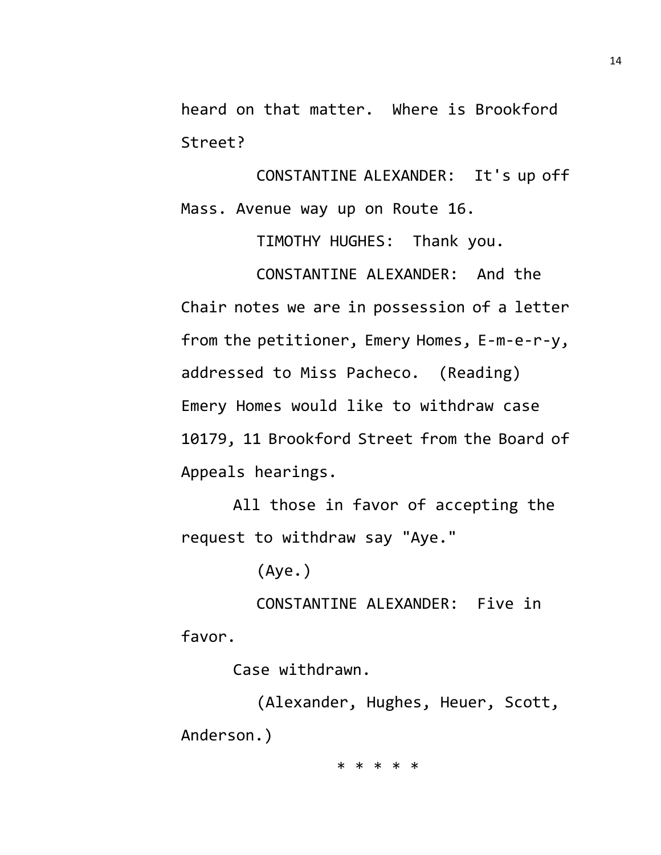heard on that matter. Where is Brookford Street?

CONSTANTINE ALEXANDER: It's up off Mass. Avenue way up on Route 16.

TIMOTHY HUGHES: Thank you.

CONSTANTINE ALEXANDER: And the Chair notes we are in possession of a letter from the petitioner, Emery Homes, E-m-e-r-y, addressed to Miss Pacheco. (Reading) Emery Homes would like to withdraw case 10179, 11 Brookford Street from the Board of Appeals hearings.

All those in favor of accepting the request to withdraw say "Aye."

(Aye.)

CONSTANTINE ALEXANDER: Five in favor.

Case withdrawn.

(Alexander, Hughes, Heuer, Scott, Anderson.)

\* \* \* \* \*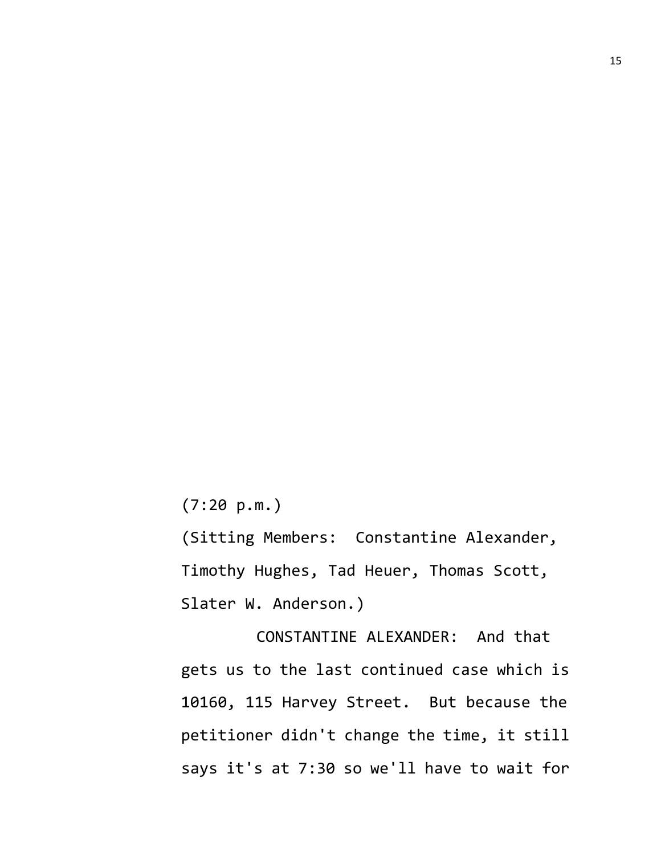(7:20 p.m.)

(Sitting Members: Constantine Alexander, Timothy Hughes, Tad Heuer, Thomas Scott, Slater W. Anderson.)

CONSTANTINE ALEXANDER: And that gets us to the last continued case which is 10160, 115 Harvey Street. But because the petitioner didn't change the time, it still says it's at 7:30 so we'll have to wait for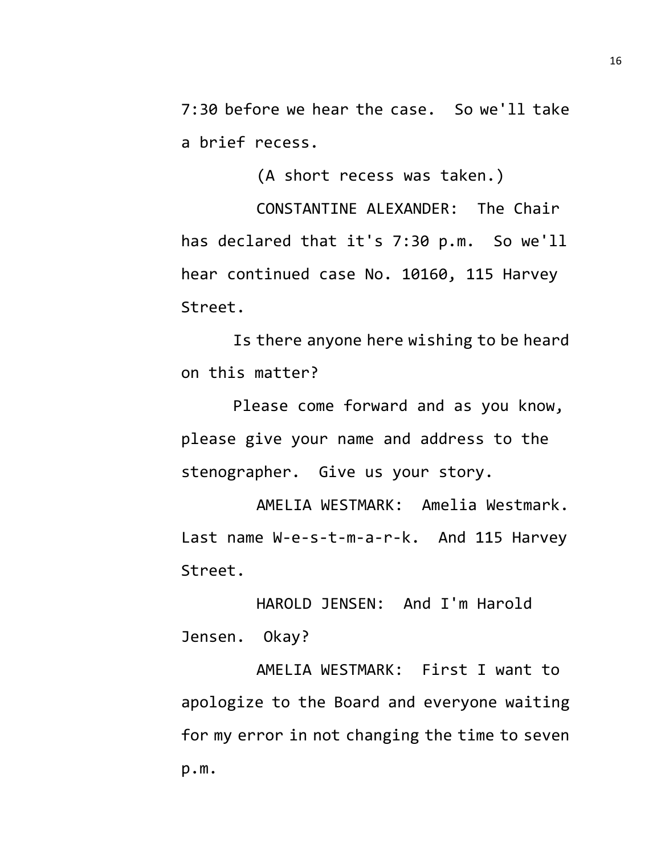7:30 before we hear the case. So we'll take a brief recess.

(A short recess was taken.)

CONSTANTINE ALEXANDER: The Chair has declared that it's 7:30 p.m. So we'll hear continued case No. 10160, 115 Harvey Street.

Is there anyone here wishing to be heard on this matter?

Please come forward and as you know, please give your name and address to the stenographer. Give us your story.

AMELIA WESTMARK: Amelia Westmark. Last name W-e-s-t-m-a-r-k. And 115 Harvey Street.

HAROLD JENSEN: And I'm Harold Jensen. Okay?

AMELIA WESTMARK: First I want to apologize to the Board and everyone waiting for my error in not changing the time to seven p.m.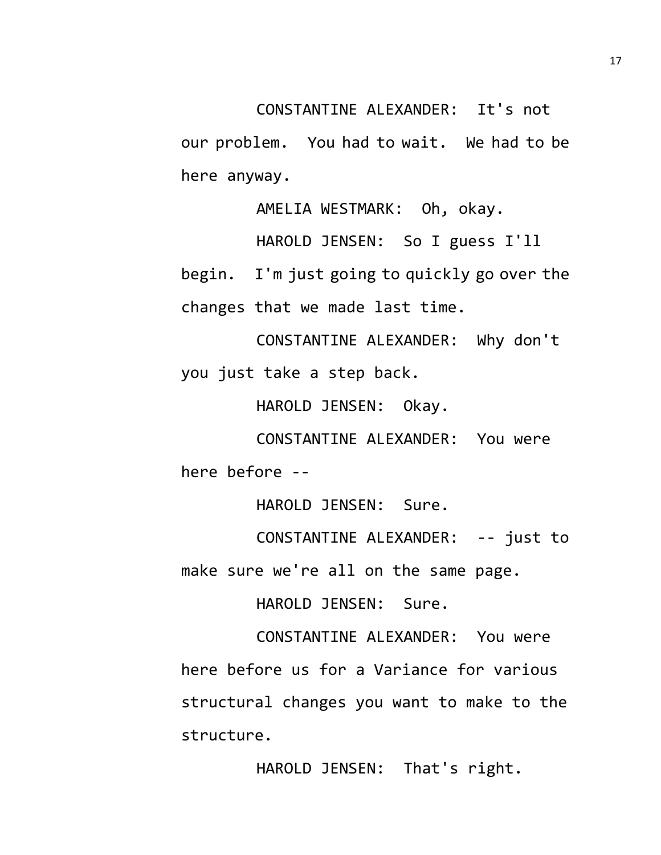our problem. You had to wait. We had to be here anyway.

AMELIA WESTMARK: Oh, okay.

HAROLD JENSEN: So I guess I'll

begin. I'm just going to quickly go over the changes that we made last time.

CONSTANTINE ALEXANDER: Why don't you just take a step back.

HAROLD JENSEN: Okay.

CONSTANTINE ALEXANDER: You were here before --

HAROLD JENSEN: Sure.

CONSTANTINE ALEXANDER: -- just to make sure we're all on the same page.

HAROLD JENSEN: Sure.

CONSTANTINE ALEXANDER: You were here before us for a Variance for various structural changes you want to make to the structure.

HAROLD JENSEN: That's right.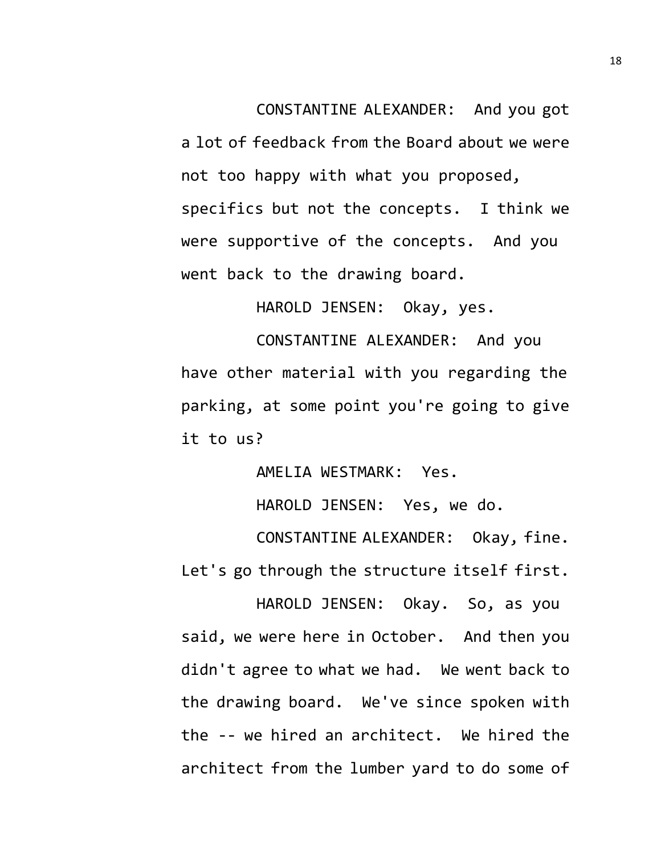CONSTANTINE ALEXANDER: And you got a lot of feedback from the Board about we were not too happy with what you proposed, specifics but not the concepts. I think we were supportive of the concepts. And you went back to the drawing board.

HAROLD JENSEN: Okay, yes.

CONSTANTINE ALEXANDER: And you have other material with you regarding the parking, at some point you're going to give it to us?

AMELIA WESTMARK: Yes.

HAROLD JENSEN: Yes, we do.

CONSTANTINE ALEXANDER: Okay, fine. Let's go through the structure itself first.

HAROLD JENSEN: Okay. So, as you said, we were here in October. And then you didn't agree to what we had. We went back to the drawing board. We've since spoken with the -- we hired an architect. We hired the architect from the lumber yard to do some of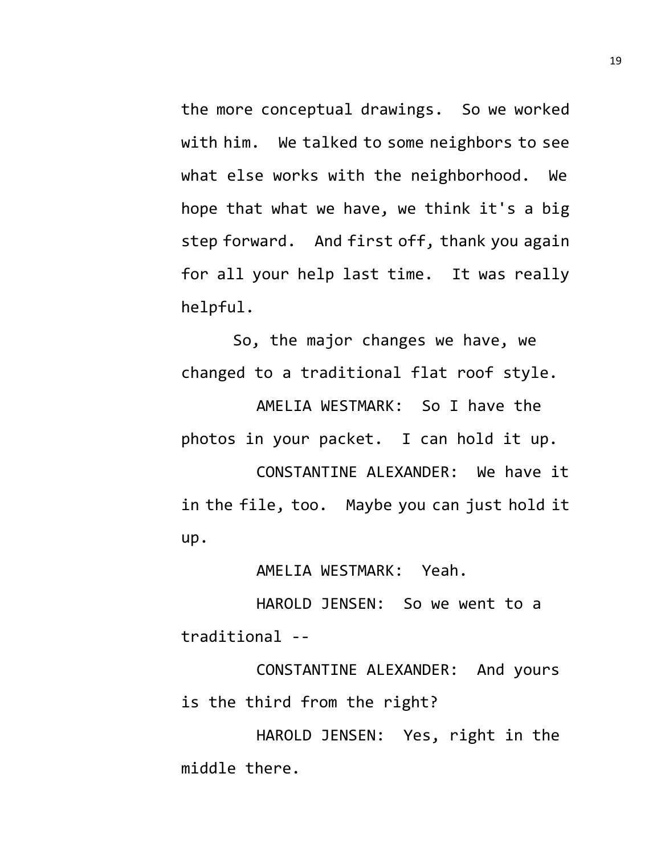the more conceptual drawings. So we worked with him. We talked to some neighbors to see what else works with the neighborhood. We hope that what we have, we think it's a big step forward. And first off, thank you again for all your help last time. It was really helpful.

So, the major changes we have, we changed to a traditional flat roof style.

AMELIA WESTMARK: So I have the photos in your packet. I can hold it up.

CONSTANTINE ALEXANDER: We have it in the file, too. Maybe you can just hold it up.

AMELIA WESTMARK: Yeah.

HAROLD JENSEN: So we went to a traditional --

CONSTANTINE ALEXANDER: And yours is the third from the right?

HAROLD JENSEN: Yes, right in the middle there.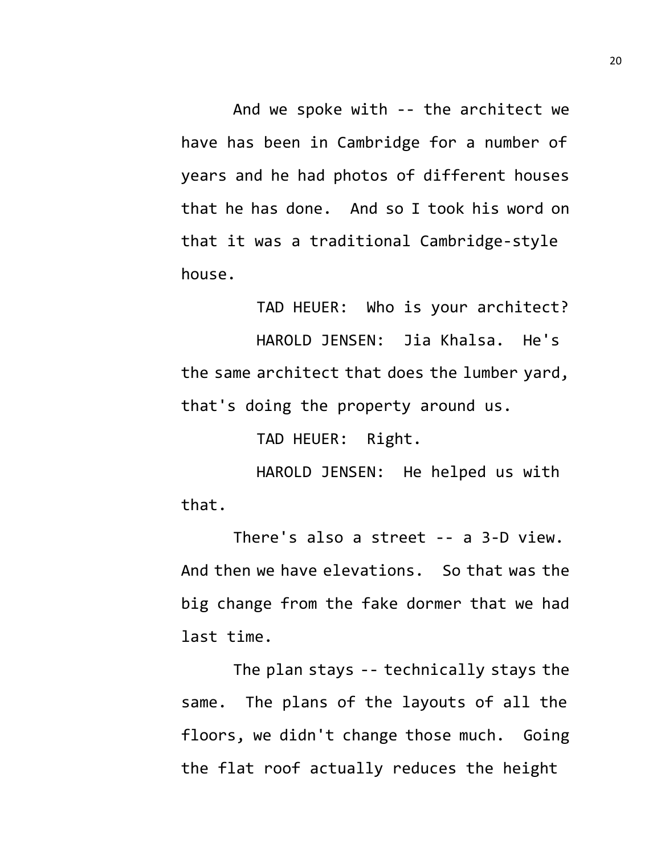And we spoke with -- the architect we have has been in Cambridge for a number of years and he had photos of different houses that he has done. And so I took his word on that it was a traditional Cambridge-style house.

TAD HEUER: Who is your architect? HAROLD JENSEN: Jia Khalsa. He's the same architect that does the lumber yard, that's doing the property around us.

TAD HEUER: Right.

HAROLD JENSEN: He helped us with that.

There's also a street -- a 3-D view. And then we have elevations. So that was the big change from the fake dormer that we had last time.

The plan stays -- technically stays the same. The plans of the layouts of all the floors, we didn't change those much. Going the flat roof actually reduces the height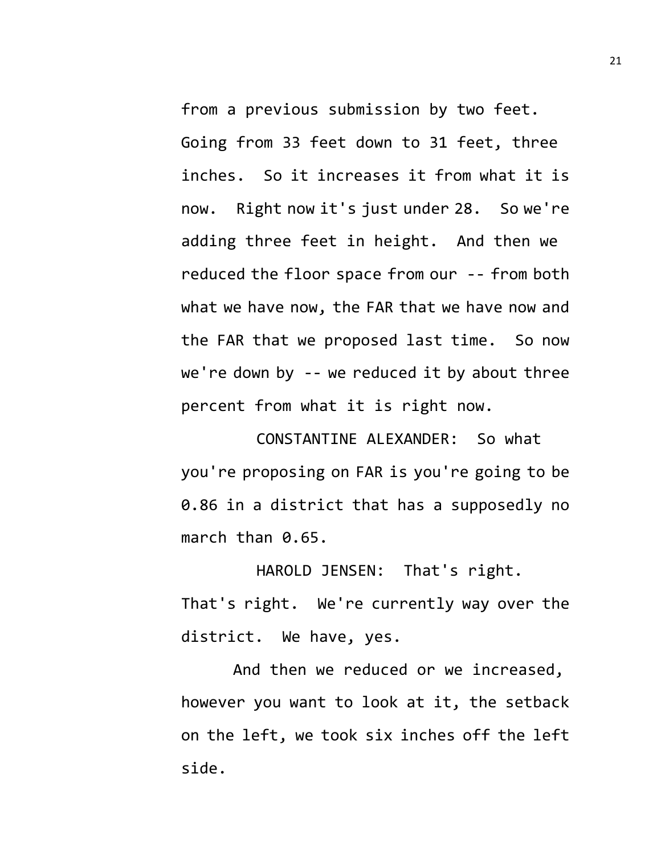from a previous submission by two feet. Going from 33 feet down to 31 feet, three inches. So it increases it from what it is now. Right now it's just under 28. So we're adding three feet in height. And then we reduced the floor space from our -- from both what we have now, the FAR that we have now and the FAR that we proposed last time. So now we're down by -- we reduced it by about three percent from what it is right now.

CONSTANTINE ALEXANDER: So what you're proposing on FAR is you're going to be 0.86 in a district that has a supposedly no march than 0.65.

HAROLD JENSEN: That's right. That's right. We're currently way over the district. We have, yes.

And then we reduced or we increased, however you want to look at it, the setback on the left, we took six inches off the left side.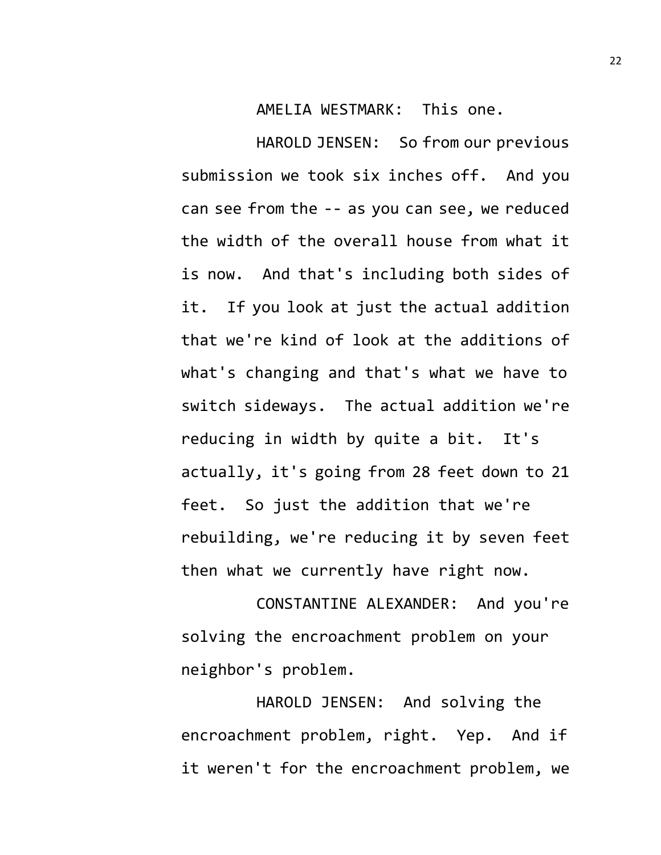AMELIA WESTMARK: This one.

HAROLD JENSEN: So from our previous submission we took six inches off. And you can see from the -- as you can see, we reduced the width of the overall house from what it is now. And that's including both sides of it. If you look at just the actual addition that we're kind of look at the additions of what's changing and that's what we have to switch sideways. The actual addition we're reducing in width by quite a bit. It's actually, it's going from 28 feet down to 21 feet. So just the addition that we're rebuilding, we're reducing it by seven feet then what we currently have right now.

CONSTANTINE ALEXANDER: And you're solving the encroachment problem on your neighbor's problem.

HAROLD JENSEN: And solving the encroachment problem, right. Yep. And if it weren't for the encroachment problem, we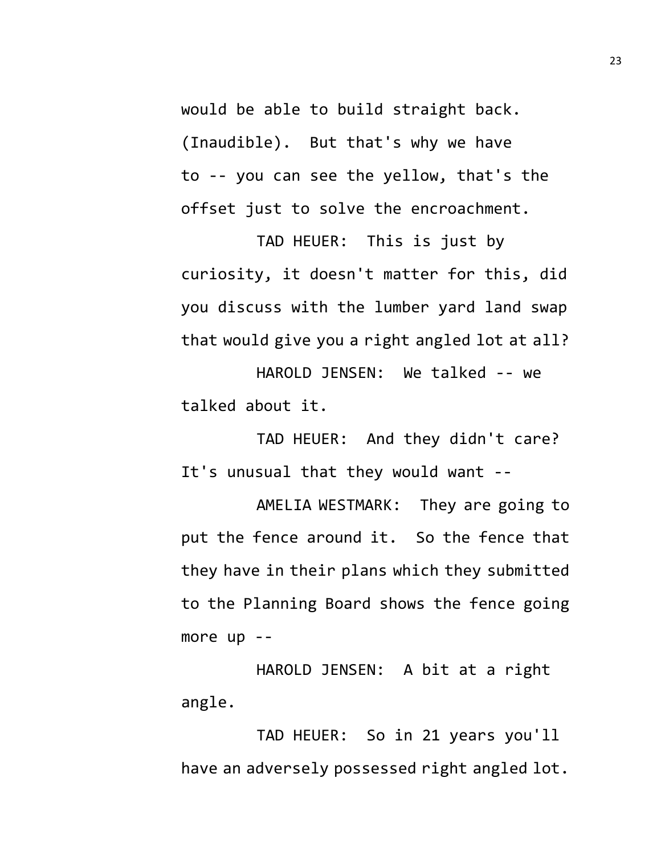would be able to build straight back. (Inaudible). But that's why we have to -- you can see the yellow, that's the offset just to solve the encroachment.

TAD HEUER: This is just by curiosity, it doesn't matter for this, did you discuss with the lumber yard land swap that would give you a right angled lot at all?

HAROLD JENSEN: We talked -- we talked about it.

TAD HEUER: And they didn't care? It's unusual that they would want --

AMELIA WESTMARK: They are going to put the fence around it. So the fence that they have in their plans which they submitted to the Planning Board shows the fence going more up --

HAROLD JENSEN: A bit at a right angle.

TAD HEUER: So in 21 years you'll have an adversely possessed right angled lot.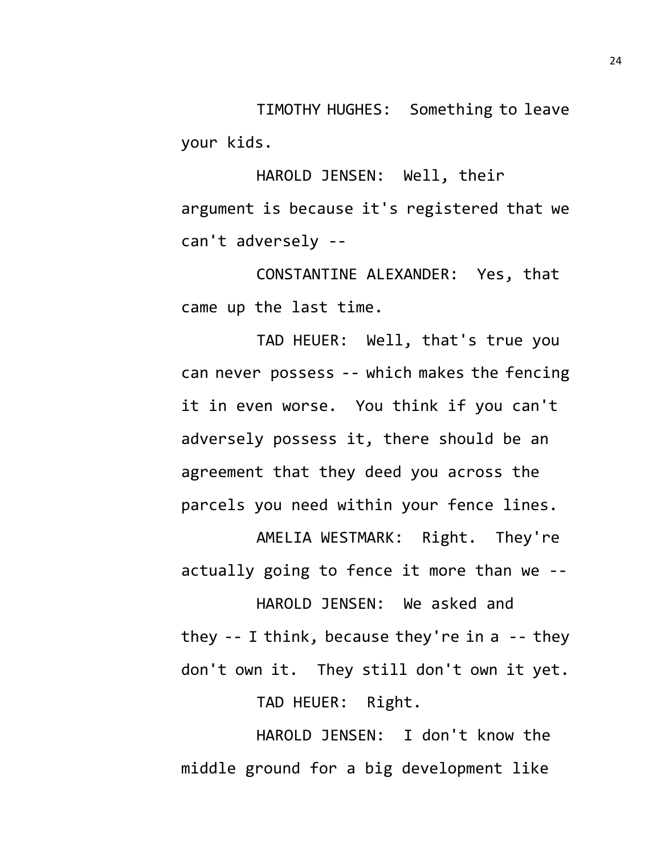TIMOTHY HUGHES: Something to leave your kids.

HAROLD JENSEN: Well, their argument is because it's registered that we can't adversely --

CONSTANTINE ALEXANDER: Yes, that came up the last time.

TAD HEUER: Well, that's true you can never possess -- which makes the fencing it in even worse. You think if you can't adversely possess it, there should be an agreement that they deed you across the parcels you need within your fence lines.

AMELIA WESTMARK: Right. They're actually going to fence it more than we --

HAROLD JENSEN: We asked and they  $-$  I think, because they're in a  $-$ - they don't own it. They still don't own it yet. TAD HEUER: Right.

HAROLD JENSEN: I don't know the middle ground for a big development like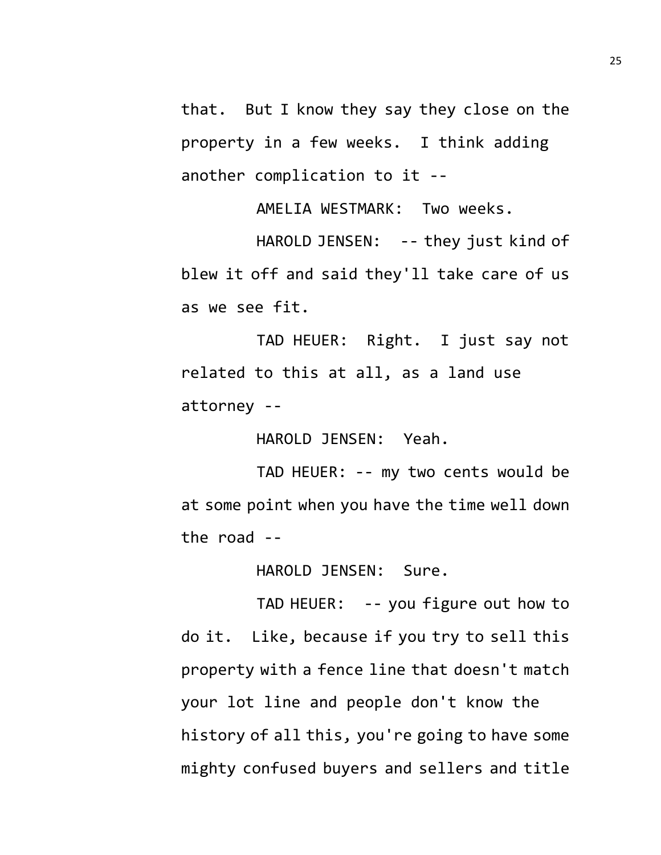that. But I know they say they close on the property in a few weeks. I think adding another complication to it --

AMELIA WESTMARK: Two weeks.

HAROLD JENSEN: -- they just kind of blew it off and said they'll take care of us as we see fit.

TAD HEUER: Right. I just say not related to this at all, as a land use attorney --

HAROLD JENSEN: Yeah.

TAD HEUER: -- my two cents would be at some point when you have the time well down the road --

HAROLD JENSEN: Sure.

TAD HEUER: -- you figure out how to do it. Like, because if you try to sell this property with a fence line that doesn't match your lot line and people don't know the history of all this, you're going to have some mighty confused buyers and sellers and title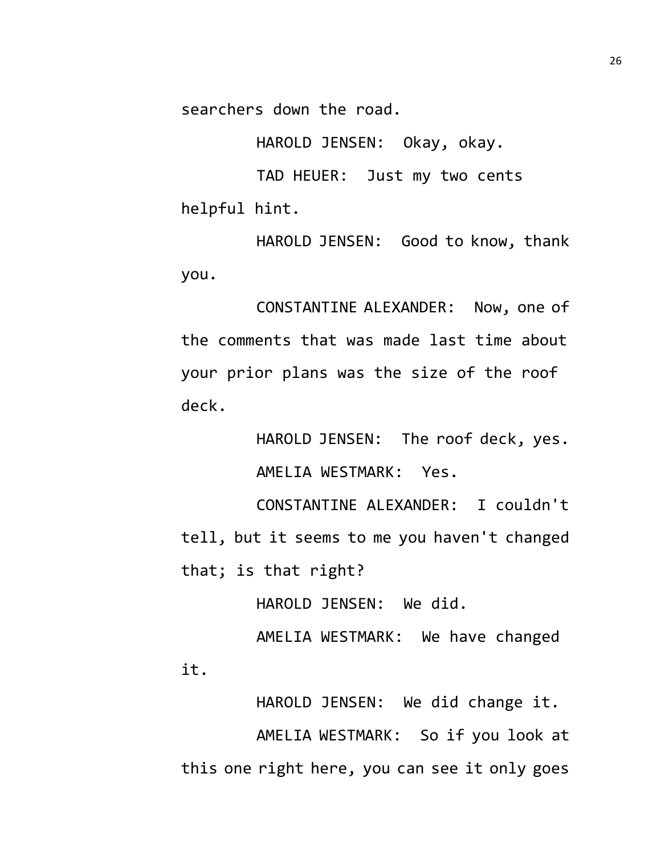searchers down the road.

HAROLD JENSEN: Okay, okay.

TAD HEUER: Just my two cents helpful hint.

HAROLD JENSEN: Good to know, thank you.

CONSTANTINE ALEXANDER: Now, one of the comments that was made last time about your prior plans was the size of the roof deck.

> HAROLD JENSEN: The roof deck, yes. AMELIA WESTMARK: Yes.

CONSTANTINE ALEXANDER: I couldn't tell, but it seems to me you haven't changed that; is that right?

HAROLD JENSEN: We did.

AMELIA WESTMARK: We have changed it.

HAROLD JENSEN: We did change it. AMELIA WESTMARK: So if you look at this one right here, you can see it only goes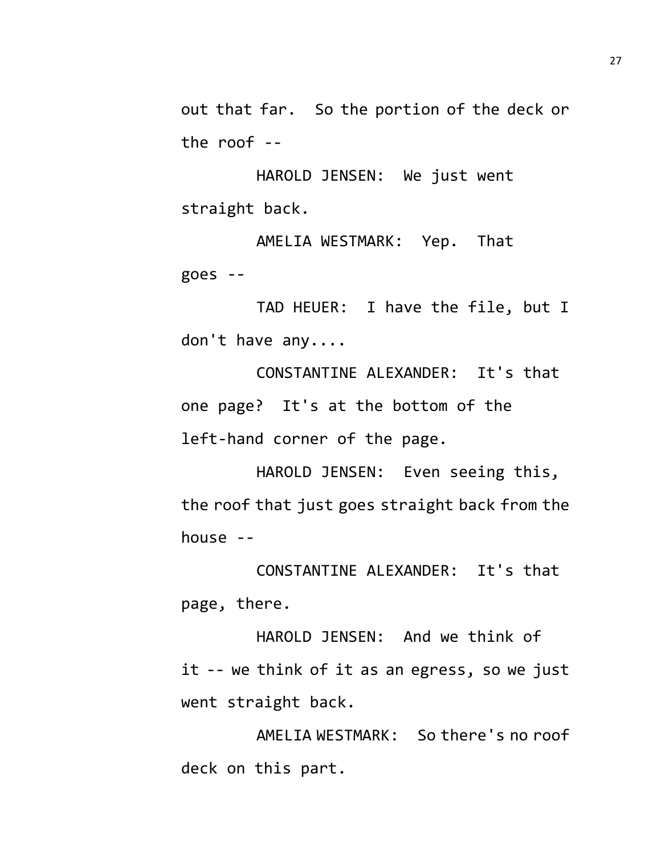out that far. So the portion of the deck or the roof --

HAROLD JENSEN: We just went straight back.

AMELIA WESTMARK: Yep. That goes --

TAD HEUER: I have the file, but I don't have any....

CONSTANTINE ALEXANDER: It's that one page? It's at the bottom of the left-hand corner of the page.

HAROLD JENSEN: Even seeing this, the roof that just goes straight back from the house --

CONSTANTINE ALEXANDER: It's that page, there.

HAROLD JENSEN: And we think of it -- we think of it as an egress, so we just went straight back.

AMELIA WESTMARK: So there's no roof deck on this part.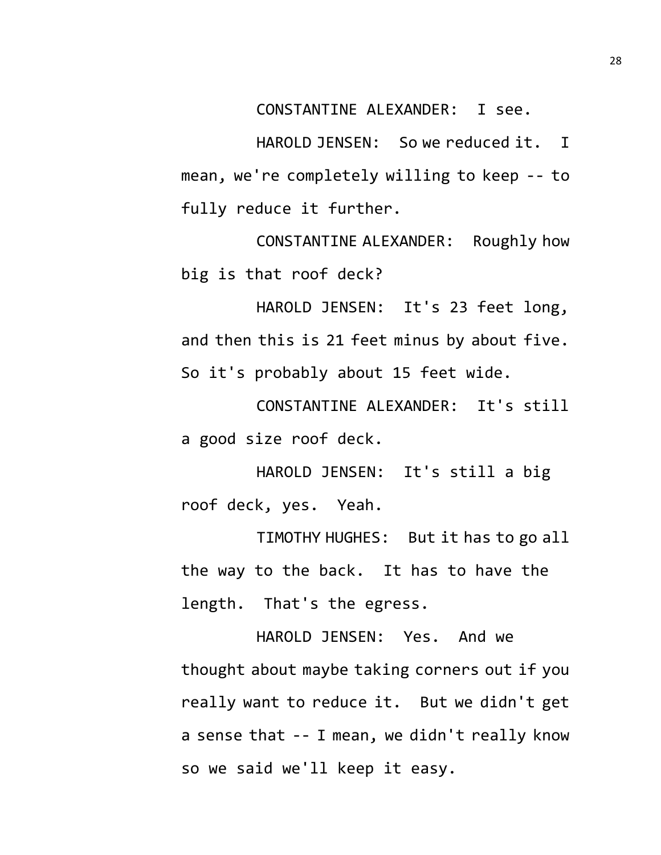CONSTANTINE ALEXANDER: I see.

HAROLD JENSEN: So we reduced it. I mean, we're completely willing to keep -- to fully reduce it further.

CONSTANTINE ALEXANDER: Roughly how big is that roof deck?

HAROLD JENSEN: It's 23 feet long, and then this is 21 feet minus by about five. So it's probably about 15 feet wide.

CONSTANTINE ALEXANDER: It's still a good size roof deck.

HAROLD JENSEN: It's still a big roof deck, yes. Yeah.

TIMOTHY HUGHES: But it has to go all the way to the back. It has to have the length. That's the egress.

HAROLD JENSEN: Yes. And we thought about maybe taking corners out if you really want to reduce it. But we didn't get a sense that -- I mean, we didn't really know so we said we'll keep it easy.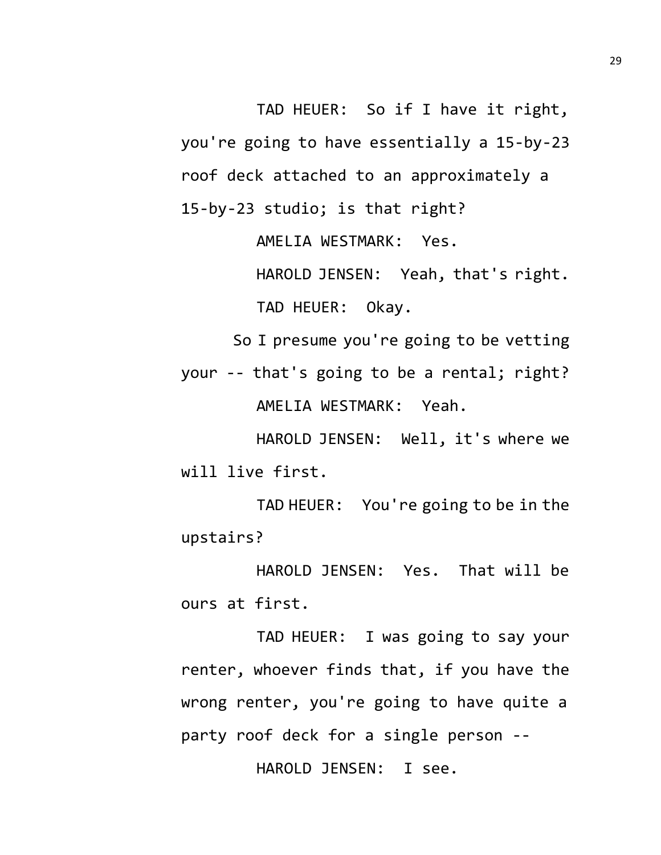TAD HEUER: So if I have it right, you're going to have essentially a 15-by-23 roof deck attached to an approximately a 15-by-23 studio; is that right?

AMELIA WESTMARK: Yes.

HAROLD JENSEN: Yeah, that's right. TAD HEUER: Okay.

So I presume you're going to be vetting

your -- that's going to be a rental; right? AMELIA WESTMARK: Yeah.

HAROLD JENSEN: Well, it's where we will live first.

TAD HEUER: You're going to be in the upstairs?

HAROLD JENSEN: Yes. That will be ours at first.

TAD HEUER: I was going to say your renter, whoever finds that, if you have the wrong renter, you're going to have quite a party roof deck for a single person --

HAROLD JENSEN: I see.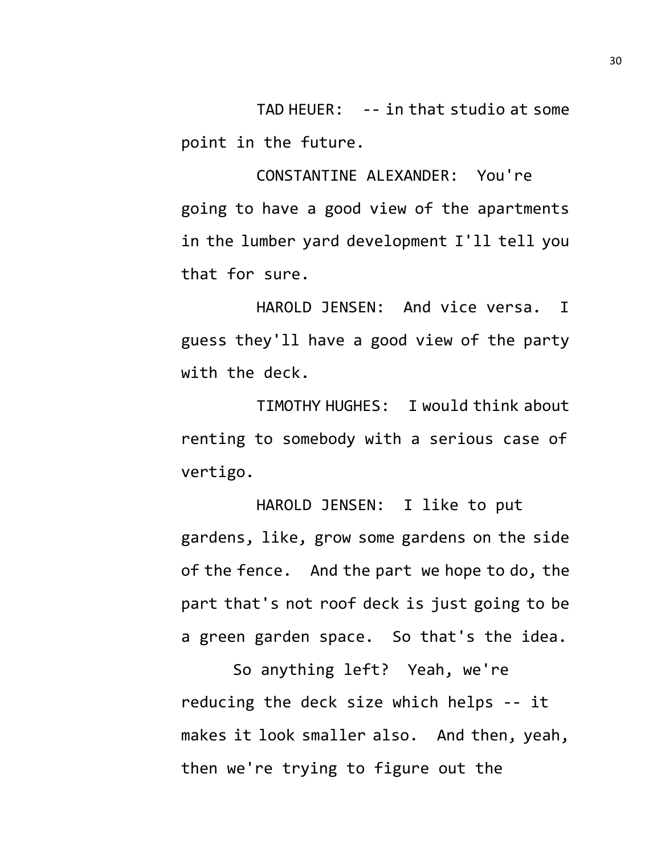TAD HEUER: -- in that studio at some point in the future.

CONSTANTINE ALEXANDER: You're going to have a good view of the apartments in the lumber yard development I'll tell you that for sure.

HAROLD JENSEN: And vice versa. I guess they'll have a good view of the party with the deck.

TIMOTHY HUGHES: I would think about renting to somebody with a serious case of vertigo.

HAROLD JENSEN: I like to put gardens, like, grow some gardens on the side of the fence. And the part we hope to do, the part that's not roof deck is just going to be a green garden space. So that's the idea.

So anything left? Yeah, we're reducing the deck size which helps -- it makes it look smaller also. And then, yeah, then we're trying to figure out the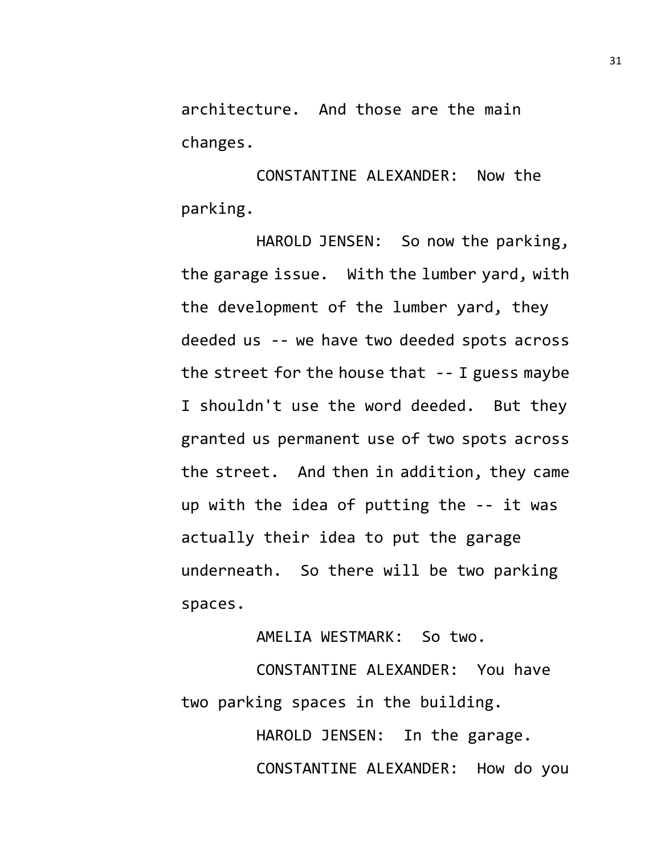architecture. And those are the main changes.

CONSTANTINE ALEXANDER: Now the parking.

HAROLD JENSEN: So now the parking, the garage issue. With the lumber yard, with the development of the lumber yard, they deeded us -- we have two deeded spots across the street for the house that  $-$ - I guess maybe I shouldn't use the word deeded. But they granted us permanent use of two spots across the street. And then in addition, they came up with the idea of putting the -- it was actually their idea to put the garage underneath. So there will be two parking spaces.

AMELIA WESTMARK: So two.

CONSTANTINE ALEXANDER: You have two parking spaces in the building.

> HAROLD JENSEN: In the garage. CONSTANTINE ALEXANDER: How do you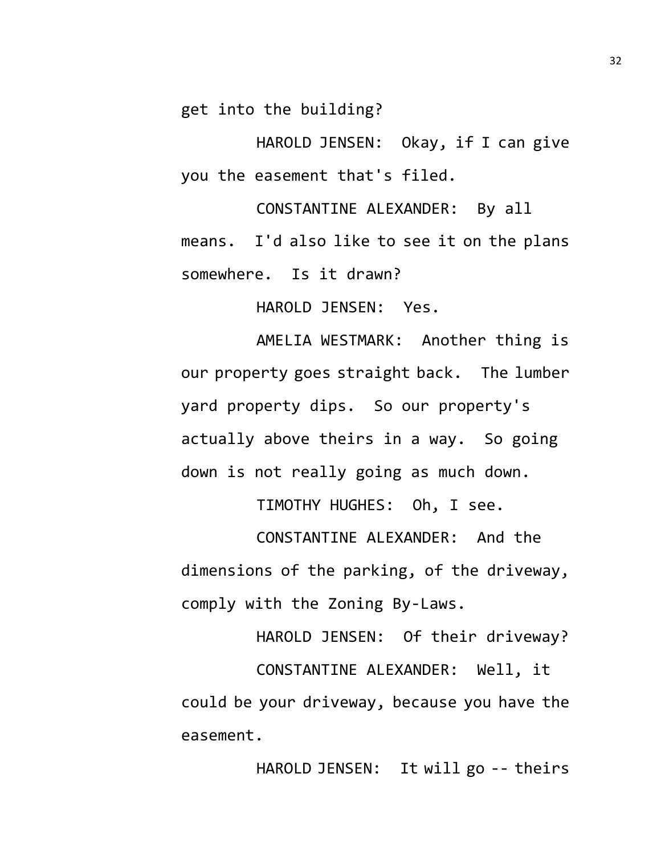get into the building?

HAROLD JENSEN: Okay, if I can give you the easement that's filed.

CONSTANTINE ALEXANDER: By all means. I'd also like to see it on the plans somewhere. Is it drawn?

HAROLD JENSEN: Yes.

AMELIA WESTMARK: Another thing is our property goes straight back. The lumber yard property dips. So our property's actually above theirs in a way. So going down is not really going as much down.

TIMOTHY HUGHES: Oh, I see.

CONSTANTINE ALEXANDER: And the dimensions of the parking, of the driveway, comply with the Zoning By-Laws.

HAROLD JENSEN: Of their driveway? CONSTANTINE ALEXANDER: Well, it could be your driveway, because you have the easement.

HAROLD JENSEN: It will go -- theirs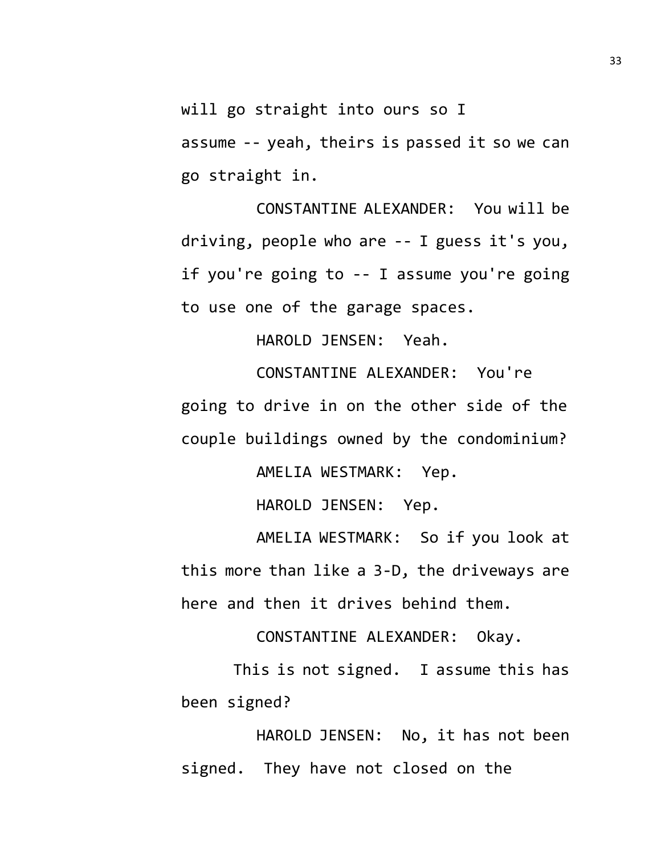will go straight into ours so I

assume -- yeah, theirs is passed it so we can go straight in.

CONSTANTINE ALEXANDER: You will be driving, people who are -- I guess it's you, if you're going to -- I assume you're going to use one of the garage spaces.

HAROLD JENSEN: Yeah.

CONSTANTINE ALEXANDER: You're going to drive in on the other side of the couple buildings owned by the condominium?

AMELIA WESTMARK: Yep.

HAROLD JENSEN: Yep.

AMELIA WESTMARK: So if you look at this more than like a 3-D, the driveways are here and then it drives behind them.

CONSTANTINE ALEXANDER: Okay.

This is not signed. I assume this has been signed?

HAROLD JENSEN: No, it has not been signed. They have not closed on the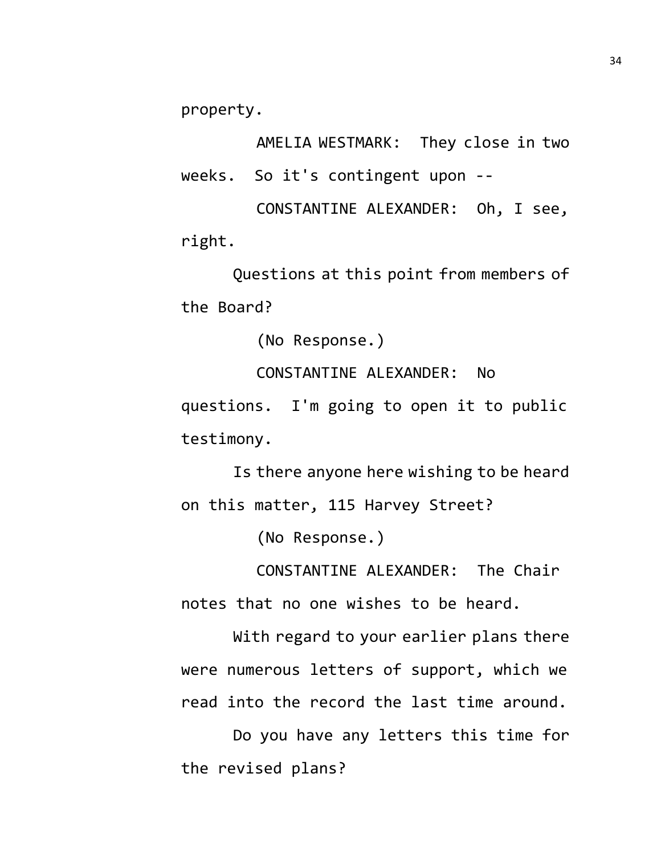property.

AMELIA WESTMARK: They close in two weeks. So it's contingent upon --

CONSTANTINE ALEXANDER: Oh, I see, right.

Questions at this point from members of the Board?

(No Response.)

CONSTANTINE ALEXANDER: No questions. I'm going to open it to public testimony.

Is there anyone here wishing to be heard on this matter, 115 Harvey Street?

(No Response.)

CONSTANTINE ALEXANDER: The Chair notes that no one wishes to be heard.

With regard to your earlier plans there were numerous letters of support, which we read into the record the last time around.

Do you have any letters this time for the revised plans?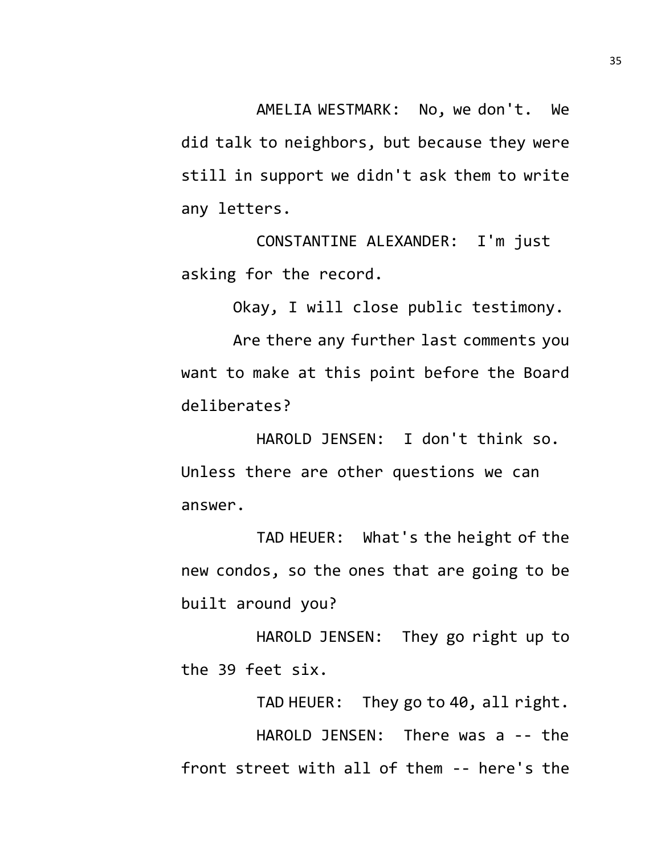AMELIA WESTMARK: No, we don't. We did talk to neighbors, but because they were still in support we didn't ask them to write any letters.

CONSTANTINE ALEXANDER: I'm just asking for the record.

Okay, I will close public testimony.

Are there any further last comments you want to make at this point before the Board deliberates?

HAROLD JENSEN: I don't think so. Unless there are other questions we can answer.

TAD HEUER: What's the height of the new condos, so the ones that are going to be built around you?

HAROLD JENSEN: They go right up to the 39 feet six.

TAD HEUER: They go to 40, all right. HAROLD JENSEN: There was a -- the front street with all of them -- here's the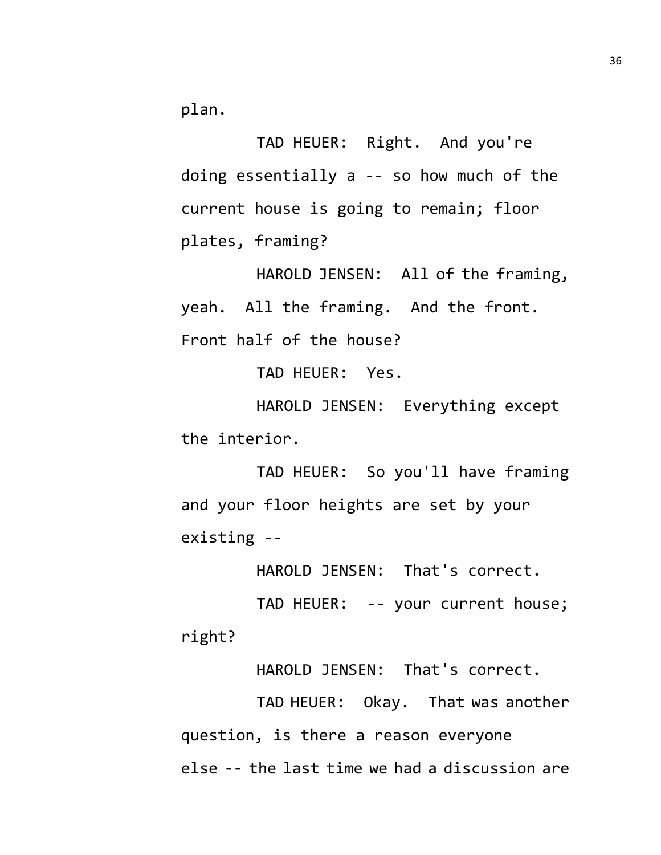plan.

TAD HEUER: Right. And you're doing essentially a -- so how much of the current house is going to remain; floor plates, framing?

HAROLD JENSEN: All of the framing, yeah. All the framing. And the front. Front half of the house?

TAD HEUER: Yes.

HAROLD JENSEN: Everything except the interior.

TAD HEUER: So you'll have framing and your floor heights are set by your existing --

HAROLD JENSEN: That's correct.

TAD HEUER: -- your current house; right?

HAROLD JENSEN: That's correct.

TAD HEUER: Okay. That was another question, is there a reason everyone else -- the last time we had a discussion are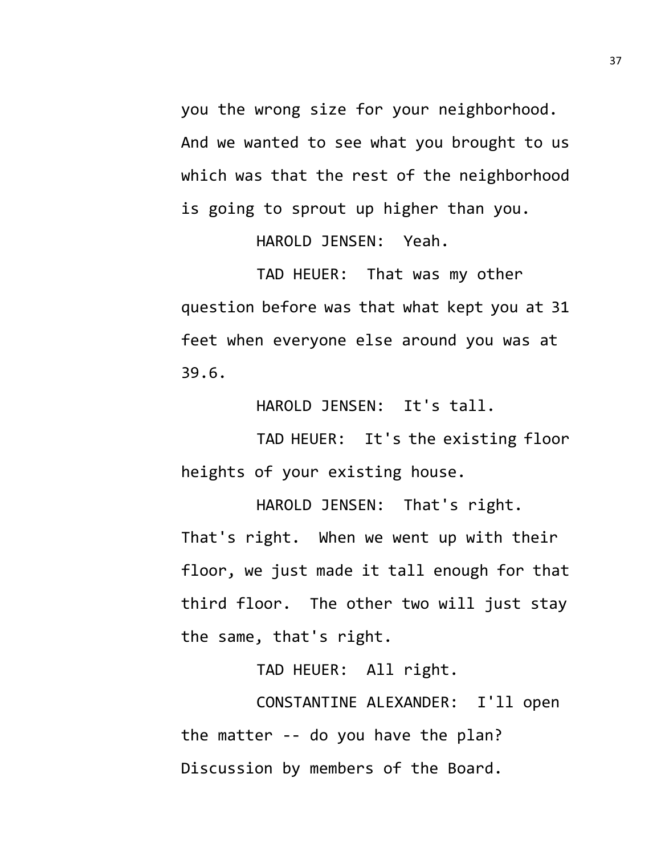you the wrong size for your neighborhood. And we wanted to see what you brought to us which was that the rest of the neighborhood is going to sprout up higher than you.

HAROLD JENSEN: Yeah.

TAD HEUER: That was my other question before was that what kept you at 31 feet when everyone else around you was at 39.6.

HAROLD JENSEN: It's tall.

TAD HEUER: It's the existing floor heights of your existing house.

HAROLD JENSEN: That's right. That's right. When we went up with their floor, we just made it tall enough for that third floor. The other two will just stay the same, that's right.

TAD HEUER: All right.

CONSTANTINE ALEXANDER: I'll open the matter -- do you have the plan? Discussion by members of the Board.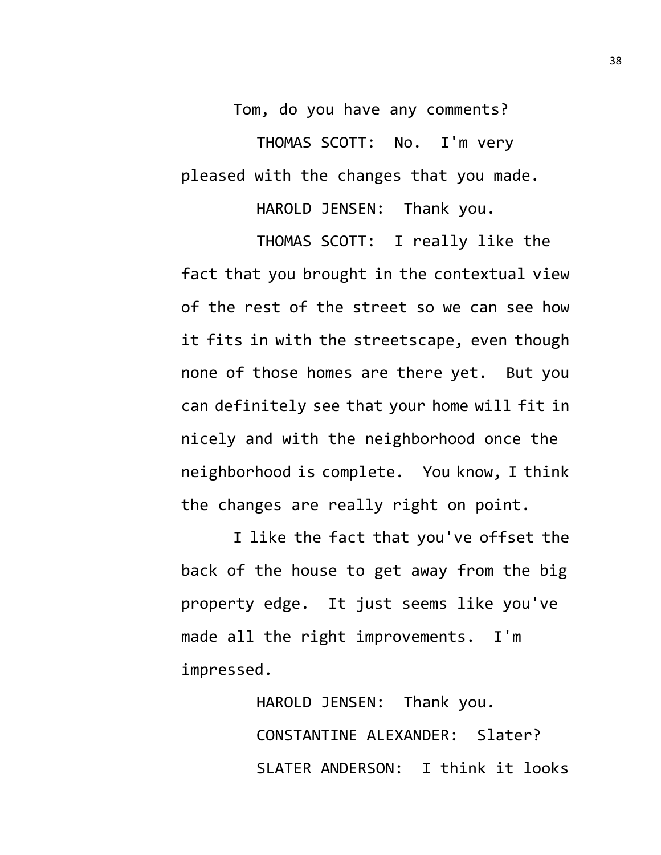Tom, do you have any comments? THOMAS SCOTT: No. I'm very pleased with the changes that you made.

HAROLD JENSEN: Thank you.

THOMAS SCOTT: I really like the fact that you brought in the contextual view of the rest of the street so we can see how it fits in with the streetscape, even though none of those homes are there yet. But you can definitely see that your home will fit in nicely and with the neighborhood once the neighborhood is complete. You know, I think the changes are really right on point.

I like the fact that you've offset the back of the house to get away from the big property edge. It just seems like you've made all the right improvements. I'm impressed.

> HAROLD JENSEN: Thank you. CONSTANTINE ALEXANDER: Slater? SLATER ANDERSON: I think it looks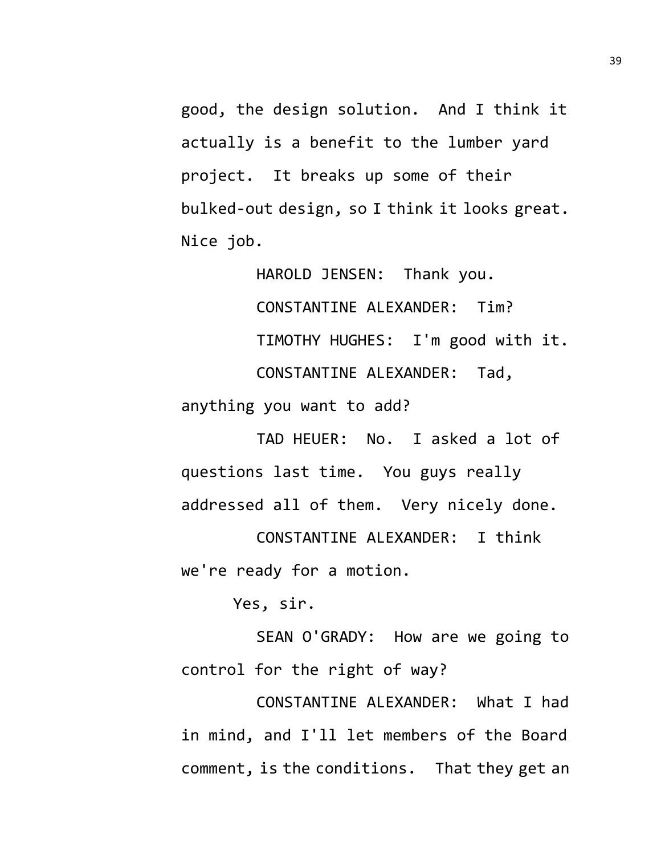good, the design solution. And I think it actually is a benefit to the lumber yard project. It breaks up some of their bulked-out design, so I think it looks great. Nice job.

HAROLD JENSEN: Thank you. CONSTANTINE ALEXANDER: Tim? TIMOTHY HUGHES: I'm good with it. CONSTANTINE ALEXANDER: Tad, anything you want to add?

TAD HEUER: No. I asked a lot of questions last time. You guys really addressed all of them. Very nicely done.

CONSTANTINE ALEXANDER: I think we're ready for a motion.

Yes, sir.

SEAN O'GRADY: How are we going to control for the right of way?

CONSTANTINE ALEXANDER: What I had in mind, and I'll let members of the Board comment, is the conditions. That they get an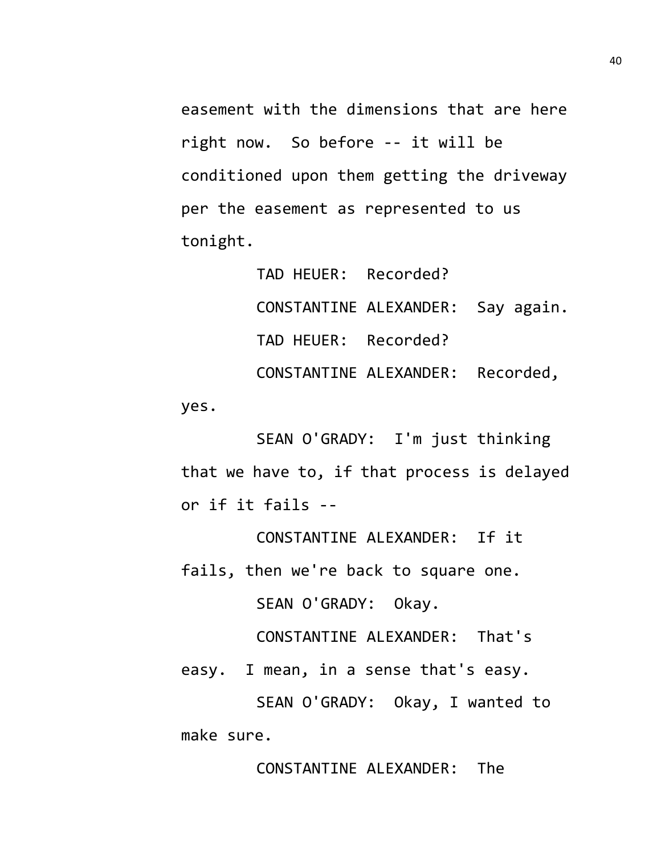easement with the dimensions that are here right now. So before -- it will be conditioned upon them getting the driveway per the easement as represented to us tonight.

TAD HEUER: Recorded? CONSTANTINE ALEXANDER: Say again. TAD HEUER: Recorded? CONSTANTINE ALEXANDER: Recorded, yes.

SEAN O'GRADY: I'm just thinking that we have to, if that process is delayed or if it fails --

CONSTANTINE ALEXANDER: If it fails, then we're back to square one.

SEAN O'GRADY: Okay.

CONSTANTINE ALEXANDER: That's

easy. I mean, in a sense that's easy.

SEAN O'GRADY: Okay, I wanted to make sure.

CONSTANTINE ALEXANDER: The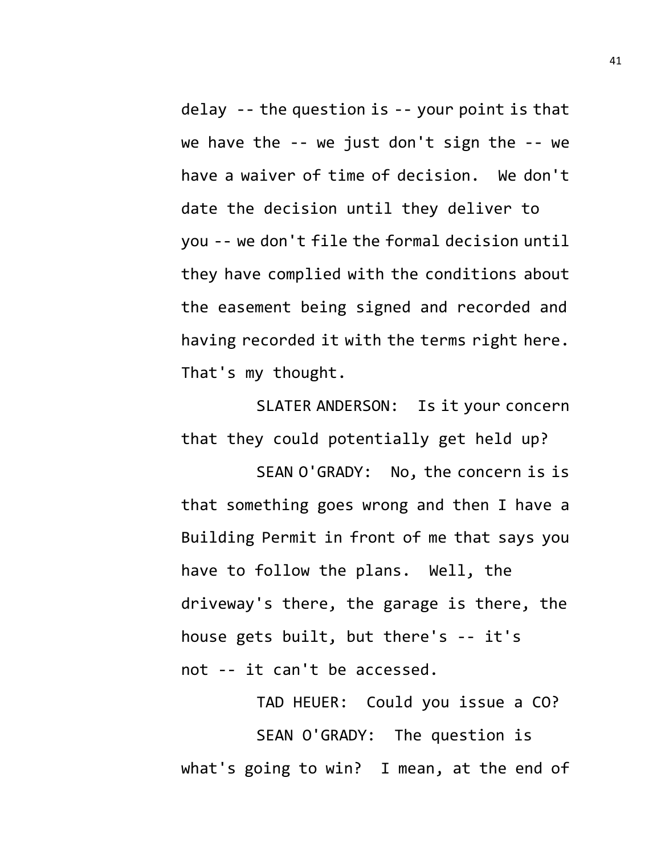delay -- the question is -- your point is that we have the -- we just don't sign the -- we have a waiver of time of decision. We don't date the decision until they deliver to you -- we don't file the formal decision until they have complied with the conditions about the easement being signed and recorded and having recorded it with the terms right here. That's my thought.

SLATER ANDERSON: Is it your concern that they could potentially get held up?

SEAN O'GRADY: No, the concern is is that something goes wrong and then I have a Building Permit in front of me that says you have to follow the plans. Well, the driveway's there, the garage is there, the house gets built, but there's -- it's not -- it can't be accessed.

TAD HEUER: Could you issue a CO? SEAN O'GRADY: The question is what's going to win? I mean, at the end of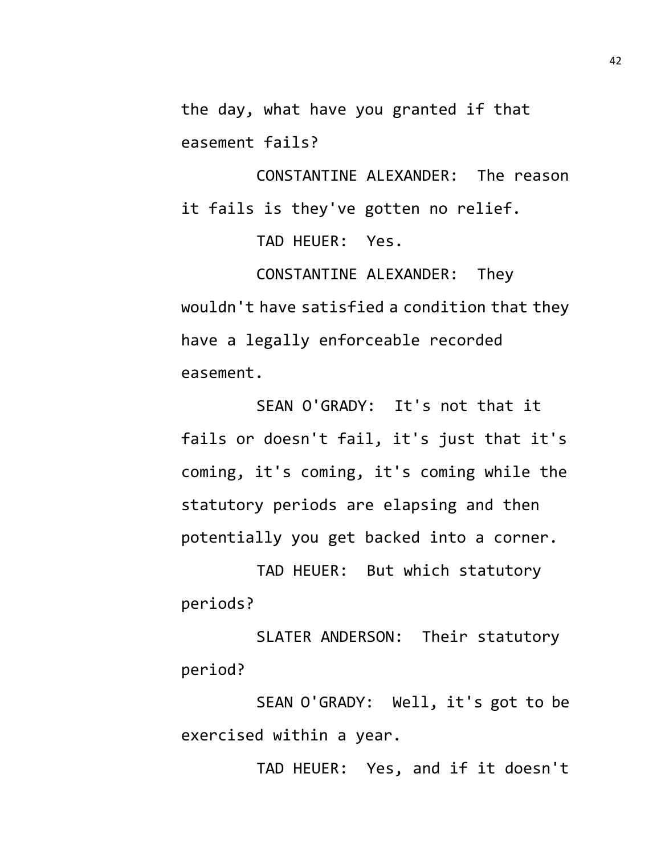the day, what have you granted if that easement fails?

CONSTANTINE ALEXANDER: The reason it fails is they've gotten no relief.

TAD HEUER: Yes.

CONSTANTINE ALEXANDER: They wouldn't have satisfied a condition that they have a legally enforceable recorded easement.

SEAN O'GRADY: It's not that it fails or doesn't fail, it's just that it's coming, it's coming, it's coming while the statutory periods are elapsing and then potentially you get backed into a corner.

TAD HEUER: But which statutory periods?

SLATER ANDERSON: Their statutory period?

SEAN O'GRADY: Well, it's got to be exercised within a year.

TAD HEUER: Yes, and if it doesn't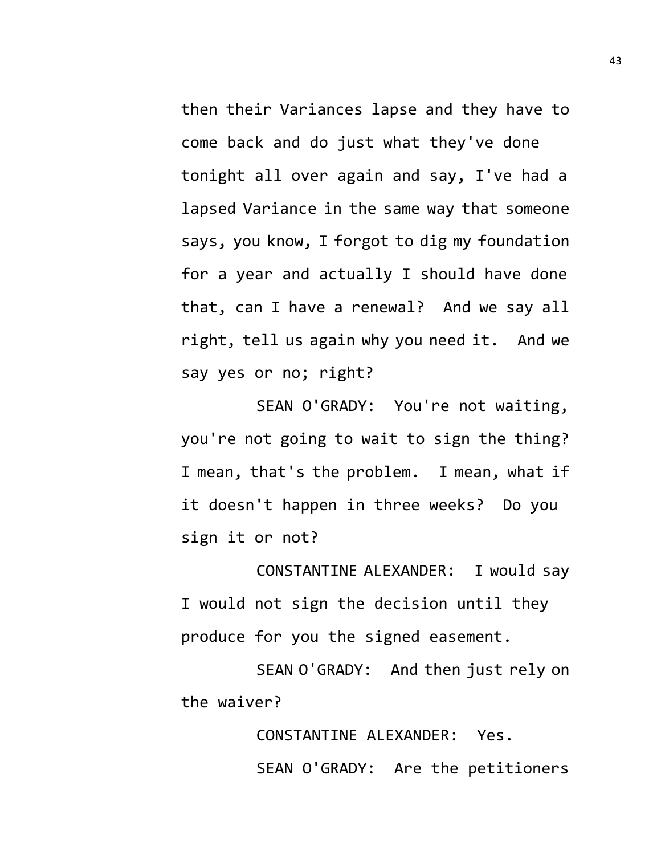then their Variances lapse and they have to come back and do just what they've done tonight all over again and say, I've had a lapsed Variance in the same way that someone says, you know, I forgot to dig my foundation for a year and actually I should have done that, can I have a renewal? And we say all right, tell us again why you need it. And we say yes or no; right?

SEAN O'GRADY: You're not waiting, you're not going to wait to sign the thing? I mean, that's the problem. I mean, what if it doesn't happen in three weeks? Do you sign it or not?

CONSTANTINE ALEXANDER: I would say I would not sign the decision until they produce for you the signed easement.

SEAN O'GRADY: And then just rely on the waiver?

> CONSTANTINE ALEXANDER: Yes. SEAN O'GRADY: Are the petitioners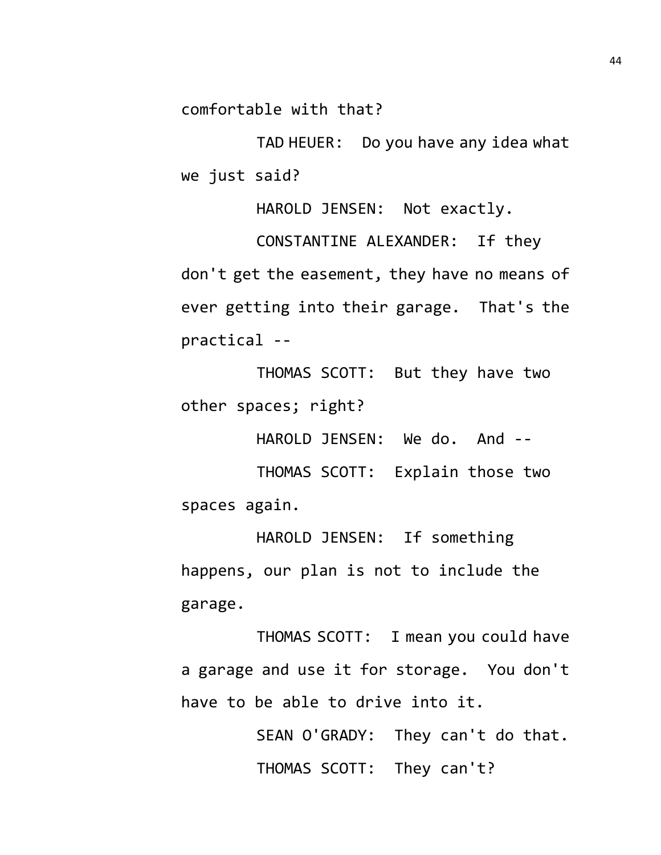comfortable with that?

TAD HEUER: Do you have any idea what we just said?

HAROLD JENSEN: Not exactly.

CONSTANTINE ALEXANDER: If they don't get the easement, they have no means of ever getting into their garage. That's the practical --

THOMAS SCOTT: But they have two other spaces; right?

HAROLD JENSEN: We do. And --

THOMAS SCOTT: Explain those two spaces again.

HAROLD JENSEN: If something happens, our plan is not to include the garage.

THOMAS SCOTT: I mean you could have a garage and use it for storage. You don't have to be able to drive into it.

> SEAN O'GRADY: They can't do that. THOMAS SCOTT: They can't?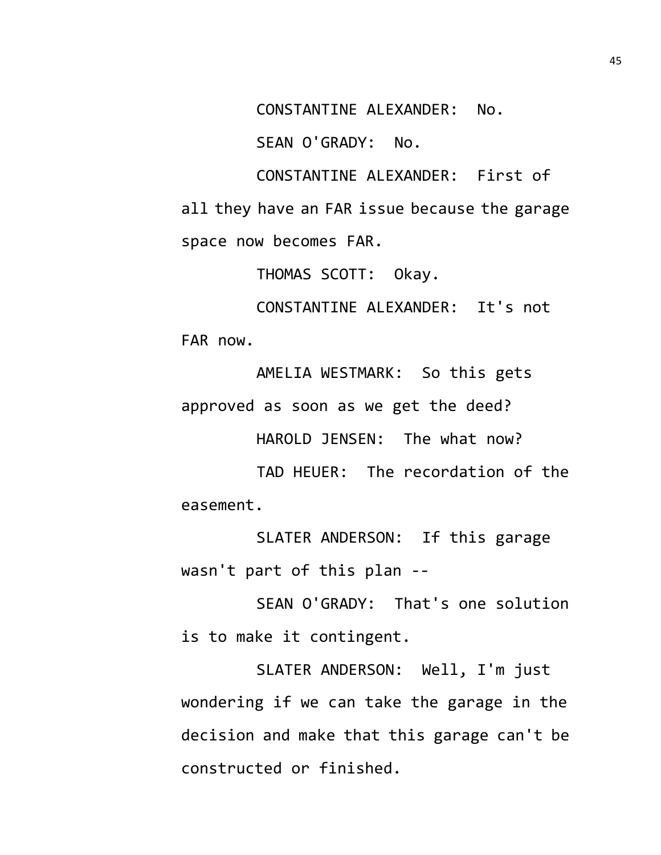CONSTANTINE ALEXANDER: No.

SEAN O'GRADY: No.

CONSTANTINE ALEXANDER: First of all they have an FAR issue because the garage space now becomes FAR.

THOMAS SCOTT: Okay.

CONSTANTINE ALEXANDER: It's not FAR now.

AMELIA WESTMARK: So this gets approved as soon as we get the deed?

HAROLD JENSEN: The what now?

TAD HEUER: The recordation of the easement.

SLATER ANDERSON: If this garage wasn't part of this plan --

SEAN O'GRADY: That's one solution is to make it contingent.

SLATER ANDERSON: Well, I'm just wondering if we can take the garage in the decision and make that this garage can't be constructed or finished.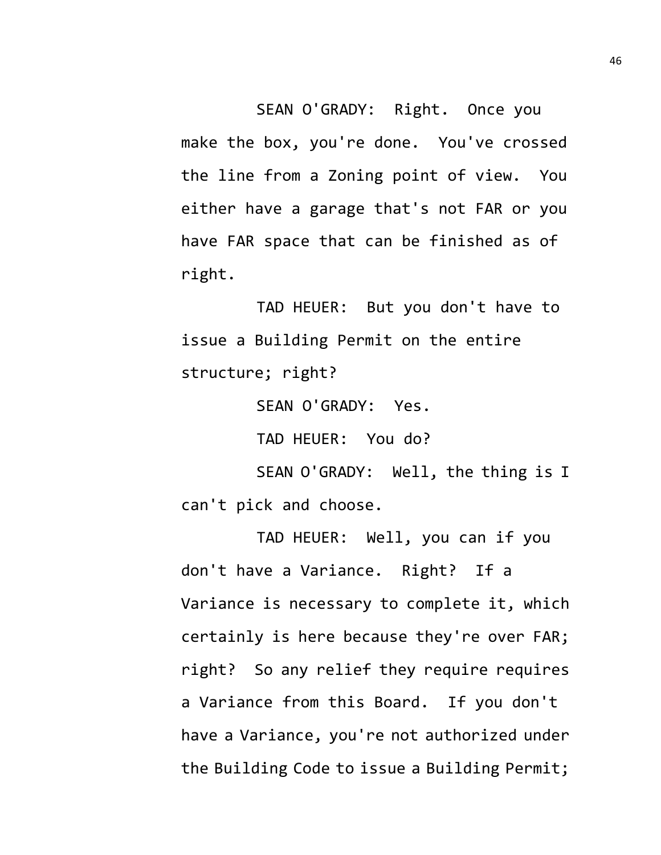SEAN O'GRADY: Right. Once you make the box, you're done. You've crossed the line from a Zoning point of view. You either have a garage that's not FAR or you have FAR space that can be finished as of right.

TAD HEUER: But you don't have to issue a Building Permit on the entire structure; right?

SEAN O'GRADY: Yes.

TAD HEUER: You do?

SEAN O'GRADY: Well, the thing is I can't pick and choose.

TAD HEUER: Well, you can if you don't have a Variance. Right? If a Variance is necessary to complete it, which certainly is here because they're over FAR; right? So any relief they require requires a Variance from this Board. If you don't have a Variance, you're not authorized under the Building Code to issue a Building Permit;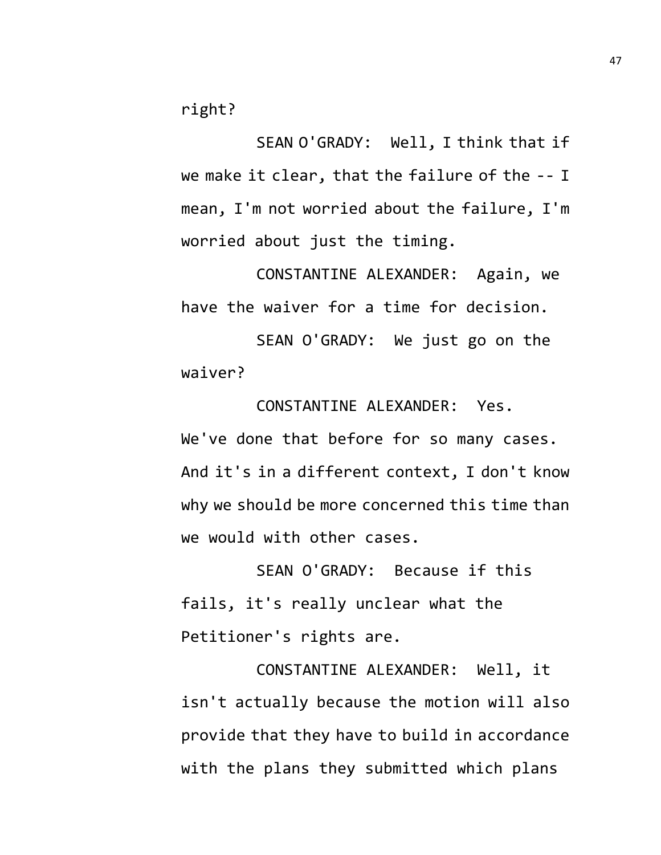right?

SEAN O'GRADY: Well, I think that if we make it clear, that the failure of the -- I mean, I'm not worried about the failure, I'm worried about just the timing.

CONSTANTINE ALEXANDER: Again, we have the waiver for a time for decision.

SEAN O'GRADY: We just go on the waiver?

CONSTANTINE ALEXANDER: Yes. We've done that before for so many cases. And it's in a different context, I don't know why we should be more concerned this time than we would with other cases.

SEAN O'GRADY: Because if this fails, it's really unclear what the Petitioner's rights are.

CONSTANTINE ALEXANDER: Well, it isn't actually because the motion will also provide that they have to build in accordance with the plans they submitted which plans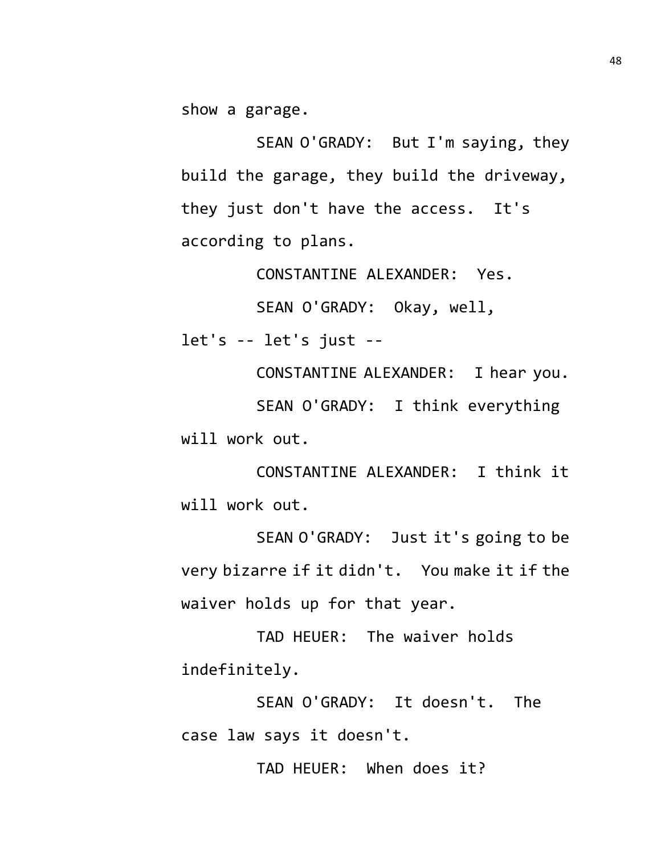show a garage.

SEAN O'GRADY: But I'm saying, they build the garage, they build the driveway, they just don't have the access. It's according to plans.

CONSTANTINE ALEXANDER: Yes.

SEAN O'GRADY: Okay, well,

let's -- let's just --

CONSTANTINE ALEXANDER: I hear you. SEAN O'GRADY: I think everything will work out.

CONSTANTINE ALEXANDER: I think it will work out.

SEAN O'GRADY: Just it's going to be very bizarre if it didn't. You make it if the waiver holds up for that year.

TAD HEUER: The waiver holds indefinitely.

SEAN O'GRADY: It doesn't. The case law says it doesn't.

TAD HEUER: When does it?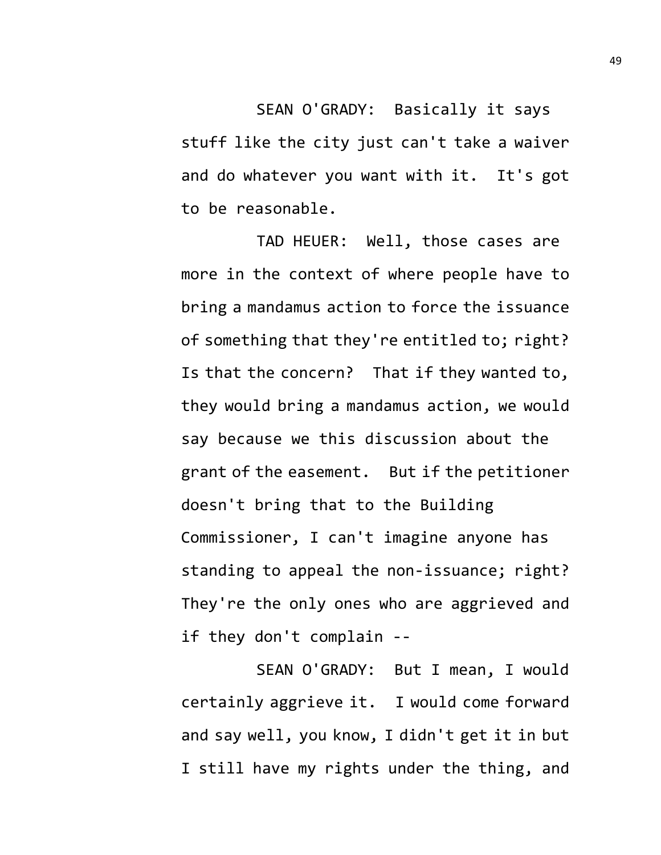SEAN O'GRADY: Basically it says stuff like the city just can't take a waiver and do whatever you want with it. It's got to be reasonable.

TAD HEUER: Well, those cases are more in the context of where people have to bring a mandamus action to force the issuance of something that they're entitled to; right? Is that the concern? That if they wanted to, they would bring a mandamus action, we would say because we this discussion about the grant of the easement. But if the petitioner doesn't bring that to the Building Commissioner, I can't imagine anyone has standing to appeal the non-issuance; right? They're the only ones who are aggrieved and if they don't complain --

SEAN O'GRADY: But I mean, I would certainly aggrieve it. I would come forward and say well, you know, I didn't get it in but I still have my rights under the thing, and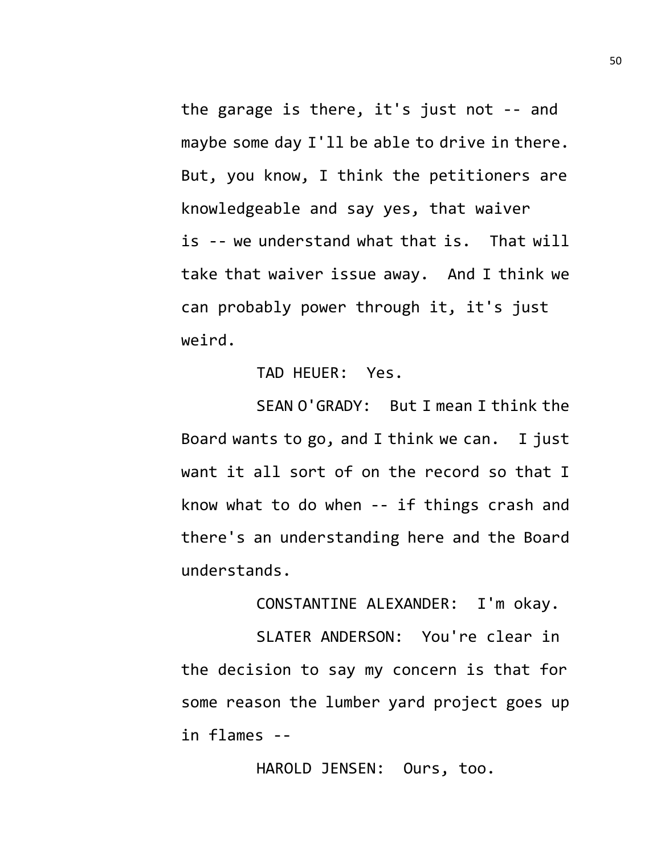the garage is there, it's just not -- and maybe some day I'll be able to drive in there. But, you know, I think the petitioners are knowledgeable and say yes, that waiver is -- we understand what that is. That will take that waiver issue away. And I think we can probably power through it, it's just weird.

TAD HEUER: Yes.

SEAN O'GRADY: But I mean I think the Board wants to go, and I think we can. I just want it all sort of on the record so that I know what to do when -- if things crash and there's an understanding here and the Board understands.

CONSTANTINE ALEXANDER: I'm okay.

SLATER ANDERSON: You're clear in the decision to say my concern is that for some reason the lumber yard project goes up in flames --

HAROLD JENSEN: Ours, too.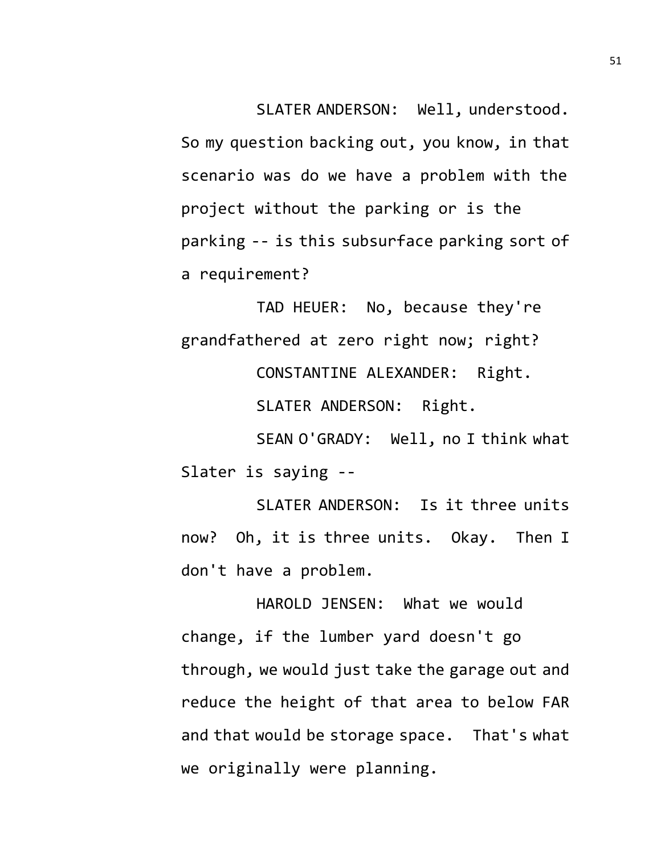SLATER ANDERSON: Well, understood. So my question backing out, you know, in that scenario was do we have a problem with the project without the parking or is the parking -- is this subsurface parking sort of a requirement?

TAD HEUER: No, because they're grandfathered at zero right now; right? CONSTANTINE ALEXANDER: Right. SLATER ANDERSON: Right. SEAN O'GRADY: Well, no I think what

Slater is saying --

SLATER ANDERSON: Is it three units now? Oh, it is three units. Okay. Then I don't have a problem.

HAROLD JENSEN: What we would change, if the lumber yard doesn't go through, we would just take the garage out and reduce the height of that area to below FAR and that would be storage space. That's what we originally were planning.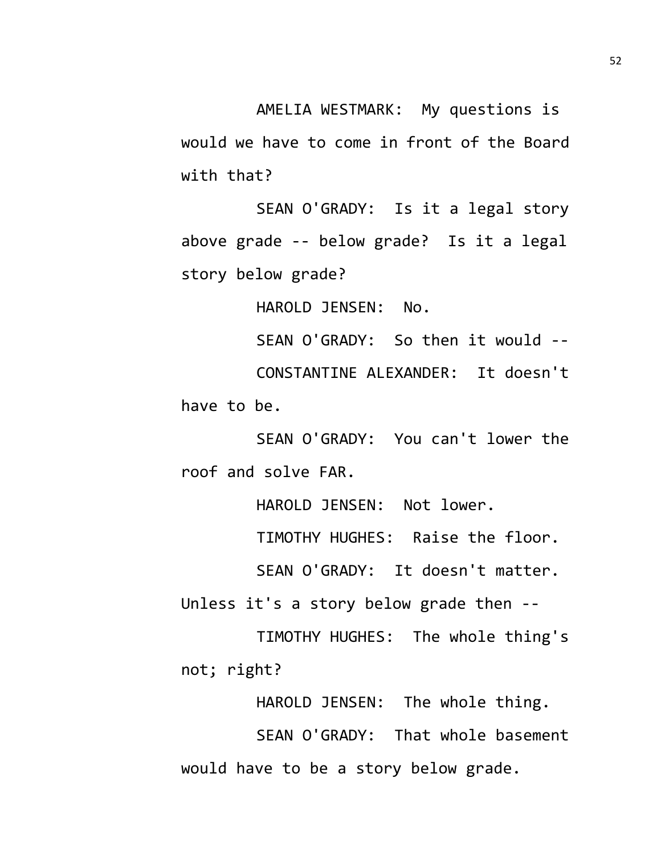AMELIA WESTMARK: My questions is would we have to come in front of the Board with that?

SEAN O'GRADY: Is it a legal story above grade -- below grade? Is it a legal story below grade?

HAROLD JENSEN: No.

SEAN O'GRADY: So then it would -- CONSTANTINE ALEXANDER: It doesn't have to be.

SEAN O'GRADY: You can't lower the roof and solve FAR.

HAROLD JENSEN: Not lower.

TIMOTHY HUGHES: Raise the floor.

SEAN O'GRADY: It doesn't matter.

Unless it's a story below grade then --

TIMOTHY HUGHES: The whole thing's not; right?

HAROLD JENSEN: The whole thing.

SEAN O'GRADY: That whole basement would have to be a story below grade.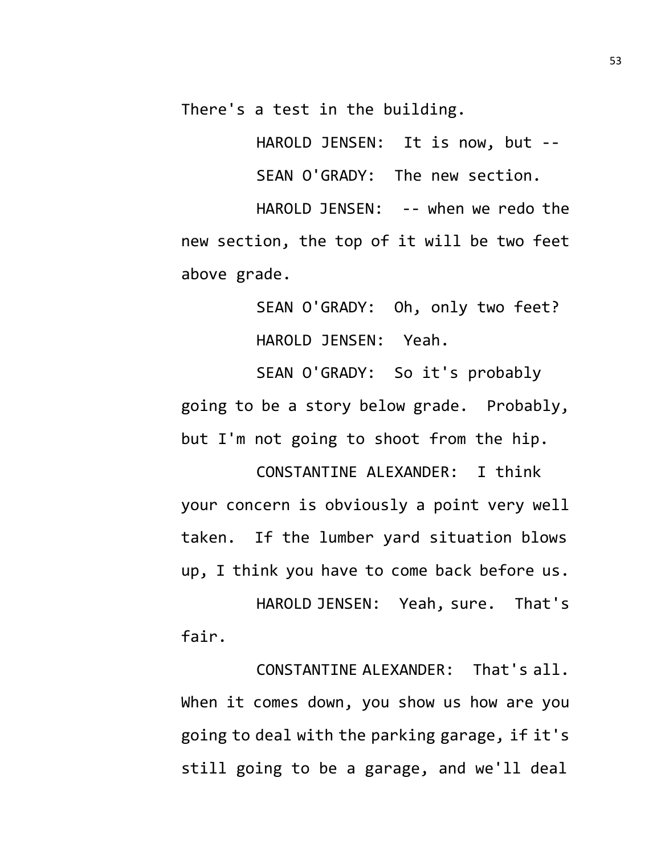There's a test in the building.

HAROLD JENSEN: It is now, but --

SEAN O'GRADY: The new section.

HAROLD JENSEN: -- when we redo the new section, the top of it will be two feet above grade.

> SEAN O'GRADY: Oh, only two feet? HAROLD JENSEN: Yeah.

SEAN O'GRADY: So it's probably going to be a story below grade. Probably, but I'm not going to shoot from the hip.

CONSTANTINE ALEXANDER: I think your concern is obviously a point very well taken. If the lumber yard situation blows up, I think you have to come back before us.

HAROLD JENSEN: Yeah, sure. That's fair.

CONSTANTINE ALEXANDER: That's all. When it comes down, you show us how are you going to deal with the parking garage, if it's still going to be a garage, and we'll deal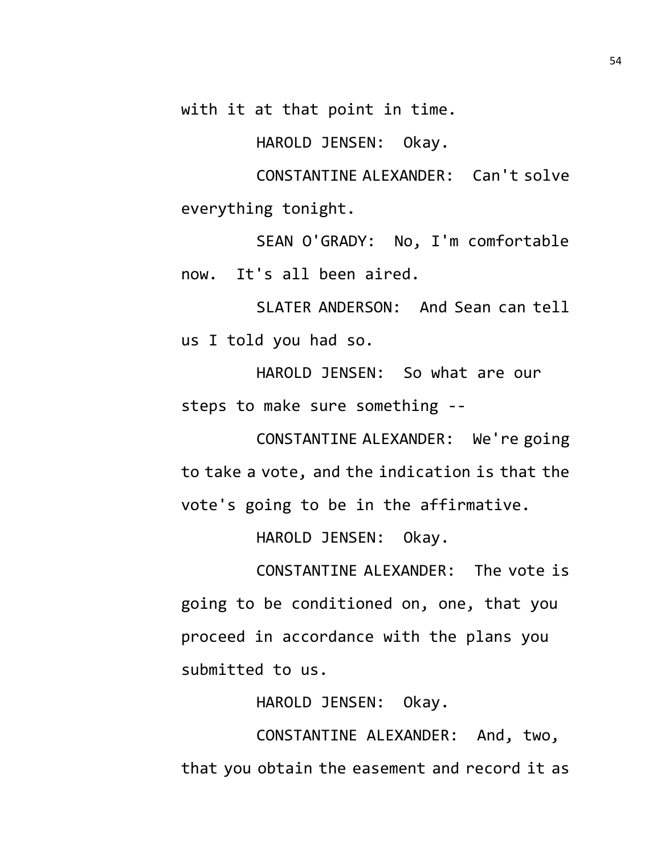with it at that point in time.

HAROLD JENSEN: Okay.

CONSTANTINE ALEXANDER: Can't solve everything tonight.

SEAN O'GRADY: No, I'm comfortable now. It's all been aired.

SLATER ANDERSON: And Sean can tell us I told you had so.

HAROLD JENSEN: So what are our steps to make sure something --

CONSTANTINE ALEXANDER: We're going to take a vote, and the indication is that the vote's going to be in the affirmative.

HAROLD JENSEN: Okay.

CONSTANTINE ALEXANDER: The vote is going to be conditioned on, one, that you proceed in accordance with the plans you submitted to us.

HAROLD JENSEN: Okay.

CONSTANTINE ALEXANDER: And, two, that you obtain the easement and record it as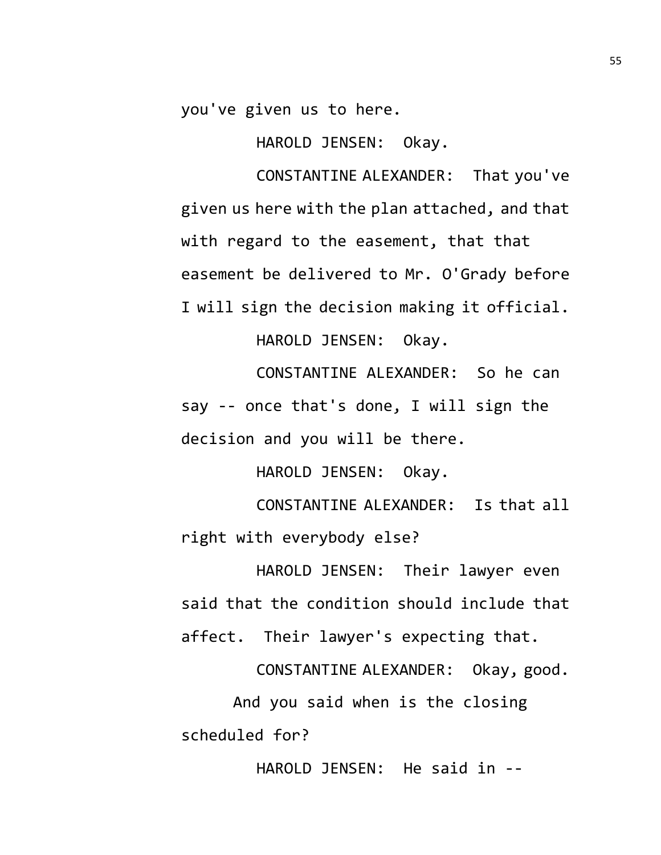you've given us to here.

HAROLD JENSEN: Okay.

CONSTANTINE ALEXANDER: That you've given us here with the plan attached, and that with regard to the easement, that that easement be delivered to Mr. O'Grady before I will sign the decision making it official.

HAROLD JENSEN: Okay.

CONSTANTINE ALEXANDER: So he can say -- once that's done, I will sign the decision and you will be there.

HAROLD JENSEN: Okay.

CONSTANTINE ALEXANDER: Is that all right with everybody else?

HAROLD JENSEN: Their lawyer even said that the condition should include that affect. Their lawyer's expecting that.

CONSTANTINE ALEXANDER: Okay, good. And you said when is the closing scheduled for?

HAROLD JENSEN: He said in --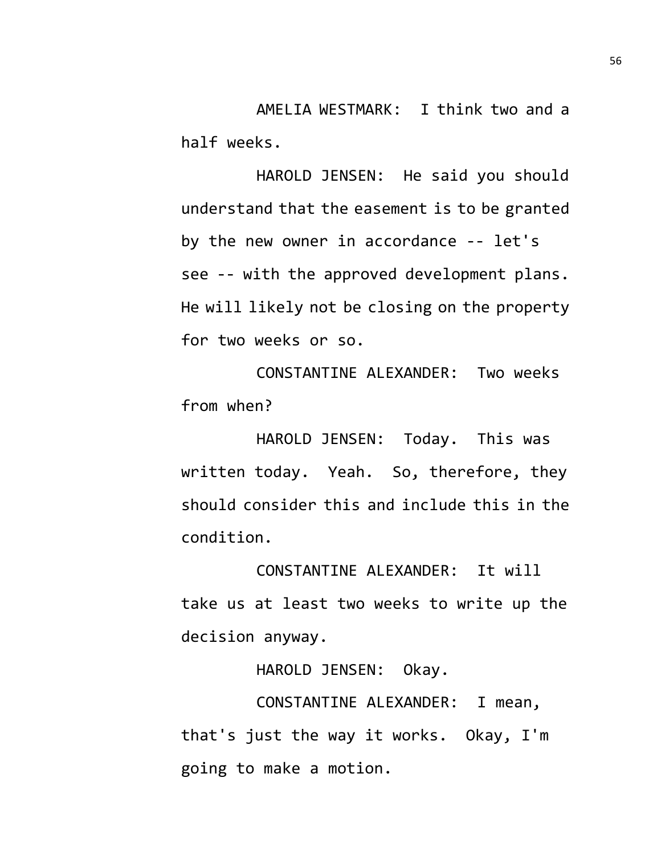AMELIA WESTMARK: I think two and a half weeks.

HAROLD JENSEN: He said you should understand that the easement is to be granted by the new owner in accordance -- let's see -- with the approved development plans. He will likely not be closing on the property for two weeks or so.

CONSTANTINE ALEXANDER: Two weeks from when?

HAROLD JENSEN: Today. This was written today. Yeah. So, therefore, they should consider this and include this in the condition.

CONSTANTINE ALEXANDER: It will take us at least two weeks to write up the decision anyway.

HAROLD JENSEN: Okay.

CONSTANTINE ALEXANDER: I mean, that's just the way it works. Okay, I'm going to make a motion.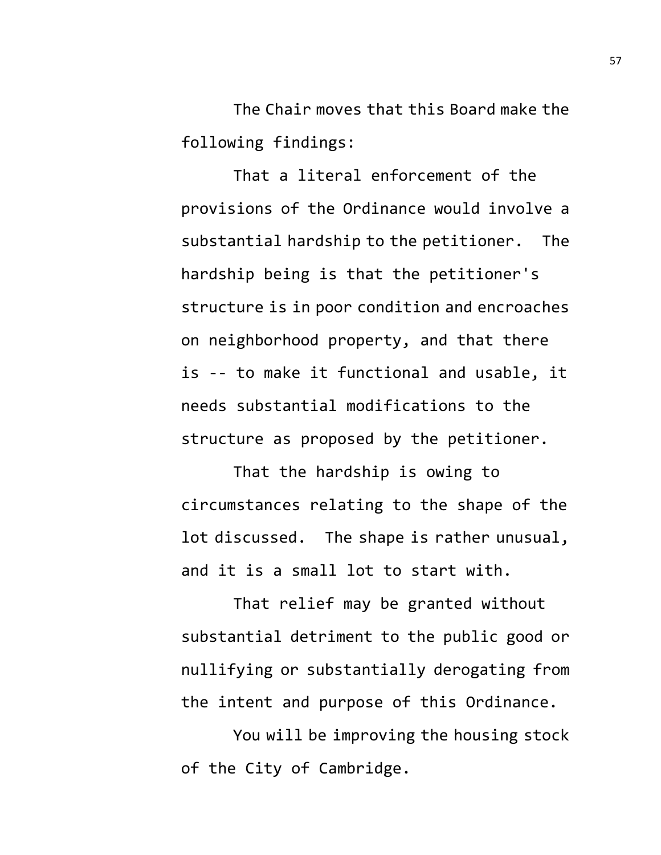The Chair moves that this Board make the following findings:

That a literal enforcement of the provisions of the Ordinance would involve a substantial hardship to the petitioner. The hardship being is that the petitioner's structure is in poor condition and encroaches on neighborhood property, and that there is -- to make it functional and usable, it needs substantial modifications to the structure as proposed by the petitioner.

That the hardship is owing to circumstances relating to the shape of the lot discussed. The shape is rather unusual, and it is a small lot to start with.

That relief may be granted without substantial detriment to the public good or nullifying or substantially derogating from the intent and purpose of this Ordinance.

You will be improving the housing stock of the City of Cambridge.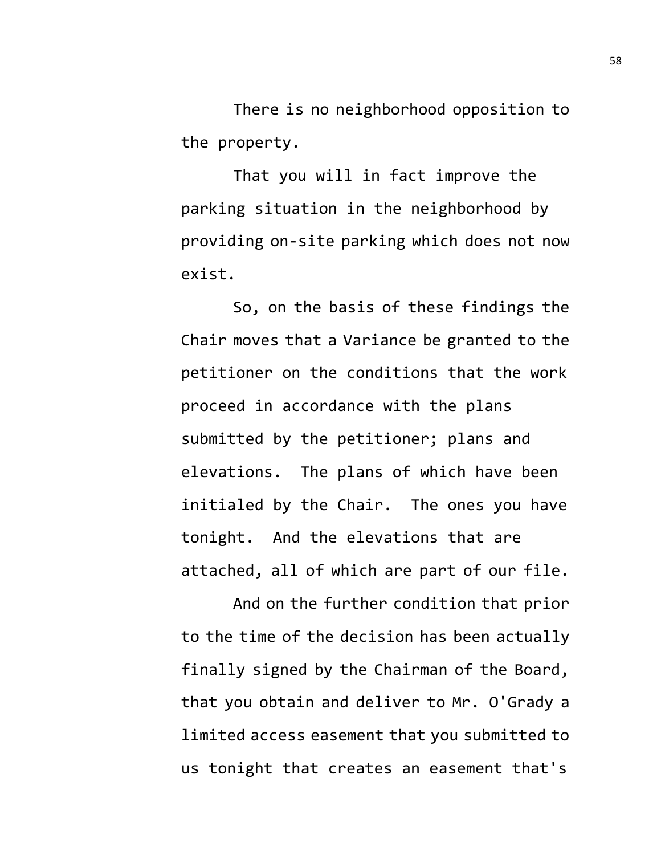There is no neighborhood opposition to the property.

That you will in fact improve the parking situation in the neighborhood by providing on-site parking which does not now exist.

So, on the basis of these findings the Chair moves that a Variance be granted to the petitioner on the conditions that the work proceed in accordance with the plans submitted by the petitioner; plans and elevations. The plans of which have been initialed by the Chair. The ones you have tonight. And the elevations that are attached, all of which are part of our file.

And on the further condition that prior to the time of the decision has been actually finally signed by the Chairman of the Board, that you obtain and deliver to Mr. O'Grady a limited access easement that you submitted to us tonight that creates an easement that's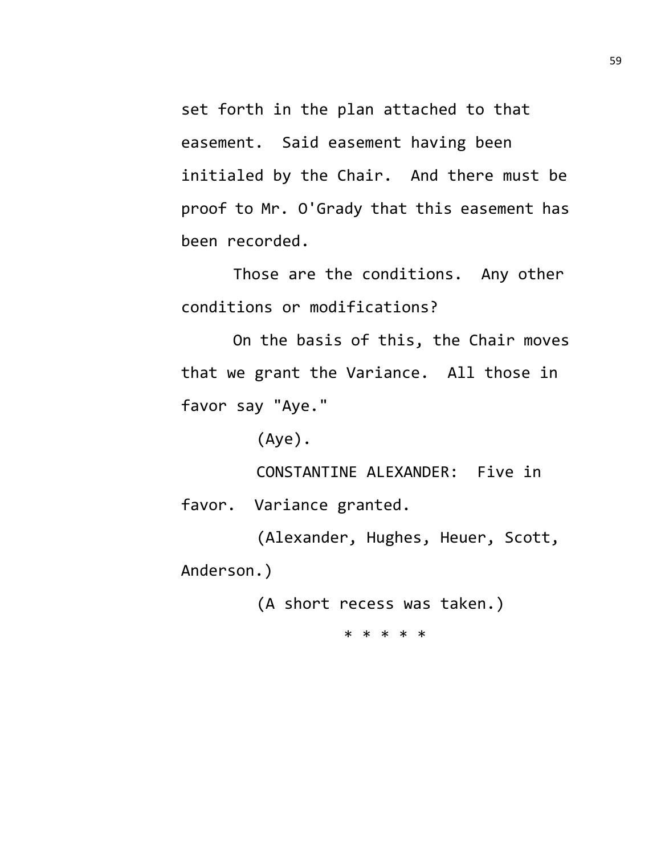set forth in the plan attached to that easement. Said easement having been initialed by the Chair. And there must be proof to Mr. O'Grady that this easement has been recorded.

Those are the conditions. Any other conditions or modifications?

On the basis of this, the Chair moves that we grant the Variance. All those in favor say "Aye."

(Aye).

CONSTANTINE ALEXANDER: Five in favor. Variance granted.

(Alexander, Hughes, Heuer, Scott, Anderson.)

(A short recess was taken.)

\* \* \* \* \*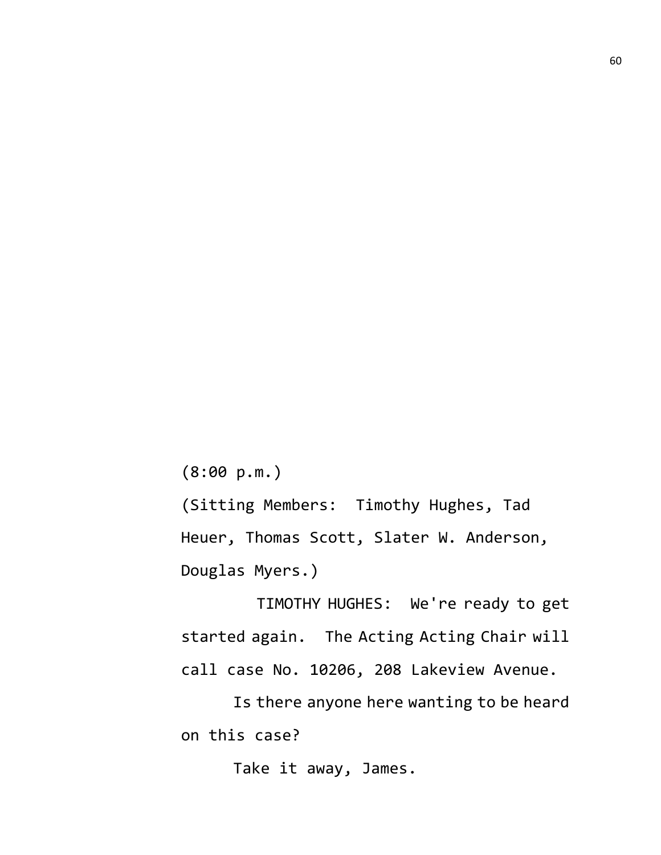(8:00 p.m.)

(Sitting Members: Timothy Hughes, Tad Heuer, Thomas Scott, Slater W. Anderson, Douglas Myers.)

TIMOTHY HUGHES: We're ready to get started again. The Acting Acting Chair will call case No. 10206, 208 Lakeview Avenue.

Is there anyone here wanting to be heard on this case?

Take it away, James.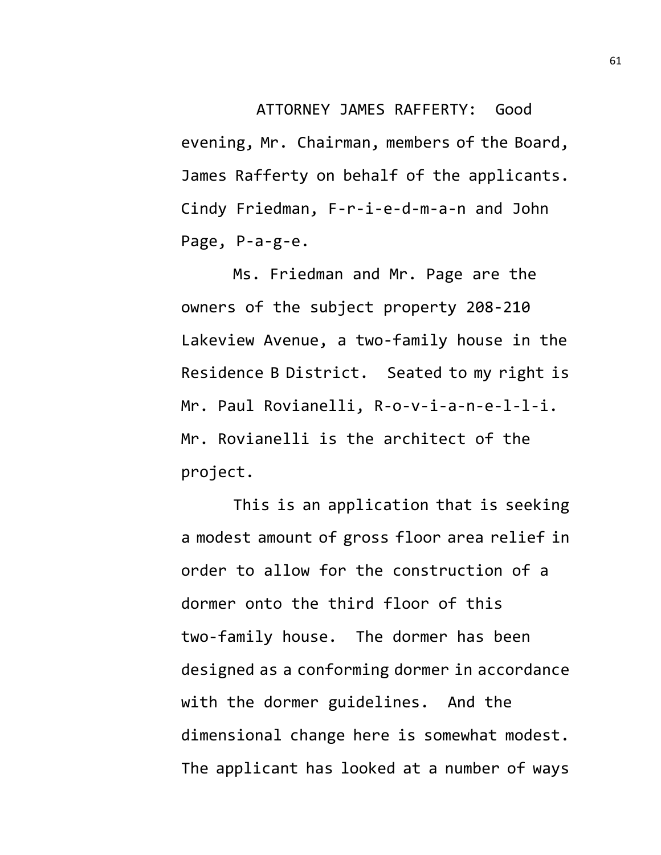ATTORNEY JAMES RAFFERTY: Good evening, Mr. Chairman, members of the Board, James Rafferty on behalf of the applicants. Cindy Friedman, F-r-i-e-d-m-a-n and John Page, P-a-g-e.

Ms. Friedman and Mr. Page are the owners of the subject property 208-210 Lakeview Avenue, a two-family house in the Residence B District. Seated to my right is Mr. Paul Rovianelli, R-o-v-i-a-n-e-l-l-i. Mr. Rovianelli is the architect of the project.

This is an application that is seeking a modest amount of gross floor area relief in order to allow for the construction of a dormer onto the third floor of this two-family house. The dormer has been designed as a conforming dormer in accordance with the dormer guidelines. And the dimensional change here is somewhat modest. The applicant has looked at a number of ways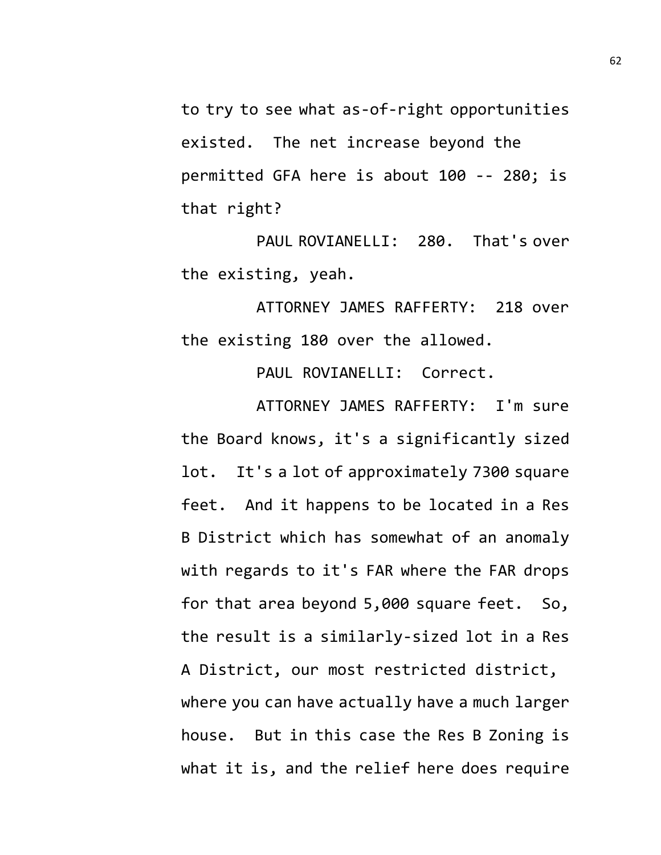to try to see what as-of-right opportunities existed. The net increase beyond the permitted GFA here is about 100 -- 280; is that right?

PAUL ROVIANELLI: 280. That's over the existing, yeah.

ATTORNEY JAMES RAFFERTY: 218 over the existing 180 over the allowed.

PAUL ROVIANELLI: Correct.

ATTORNEY JAMES RAFFERTY: I'm sure the Board knows, it's a significantly sized lot. It's a lot of approximately 7300 square feet. And it happens to be located in a Res B District which has somewhat of an anomaly with regards to it's FAR where the FAR drops for that area beyond 5,000 square feet. So, the result is a similarly-sized lot in a Res A District, our most restricted district, where you can have actually have a much larger house. But in this case the Res B Zoning is what it is, and the relief here does require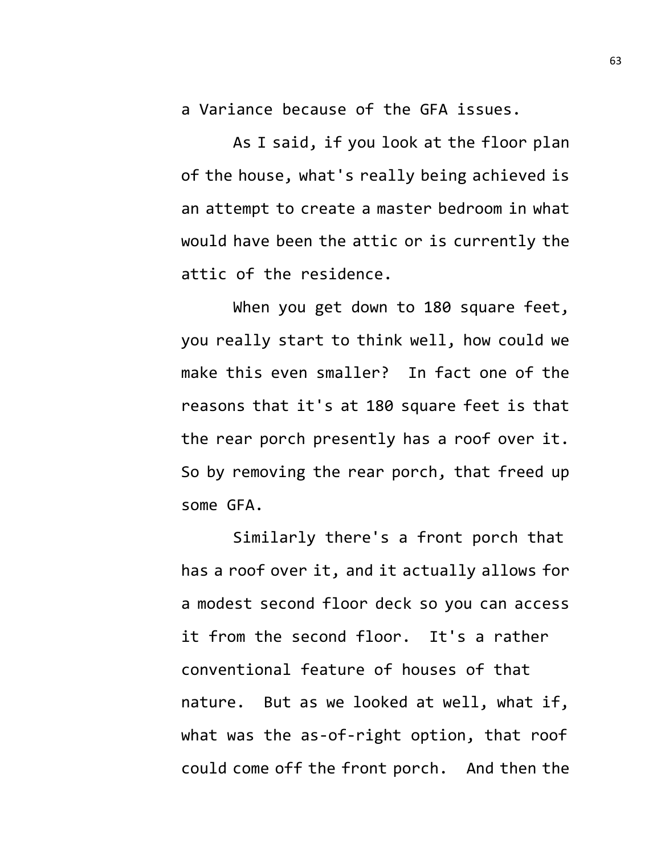a Variance because of the GFA issues.

As I said, if you look at the floor plan of the house, what's really being achieved is an attempt to create a master bedroom in what would have been the attic or is currently the attic of the residence.

When you get down to 180 square feet, you really start to think well, how could we make this even smaller? In fact one of the reasons that it's at 180 square feet is that the rear porch presently has a roof over it. So by removing the rear porch, that freed up some GFA.

Similarly there's a front porch that has a roof over it, and it actually allows for a modest second floor deck so you can access it from the second floor. It's a rather conventional feature of houses of that nature. But as we looked at well, what if, what was the as-of-right option, that roof could come off the front porch. And then the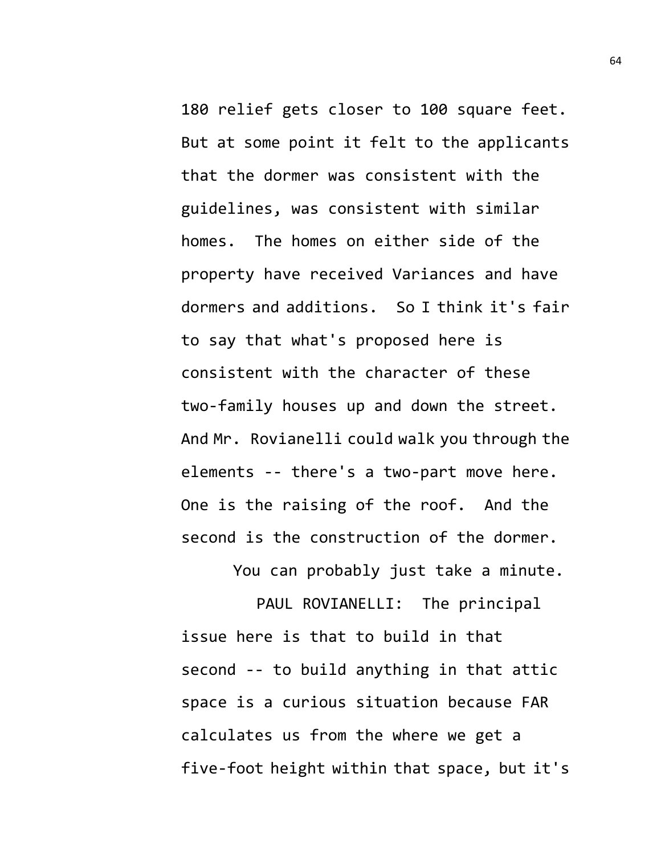180 relief gets closer to 100 square feet. But at some point it felt to the applicants that the dormer was consistent with the guidelines, was consistent with similar homes. The homes on either side of the property have received Variances and have dormers and additions. So I think it's fair to say that what's proposed here is consistent with the character of these two-family houses up and down the street. And Mr. Rovianelli could walk you through the elements -- there's a two-part move here. One is the raising of the roof. And the second is the construction of the dormer.

You can probably just take a minute.

PAUL ROVIANELLI: The principal issue here is that to build in that second -- to build anything in that attic space is a curious situation because FAR calculates us from the where we get a five-foot height within that space, but it's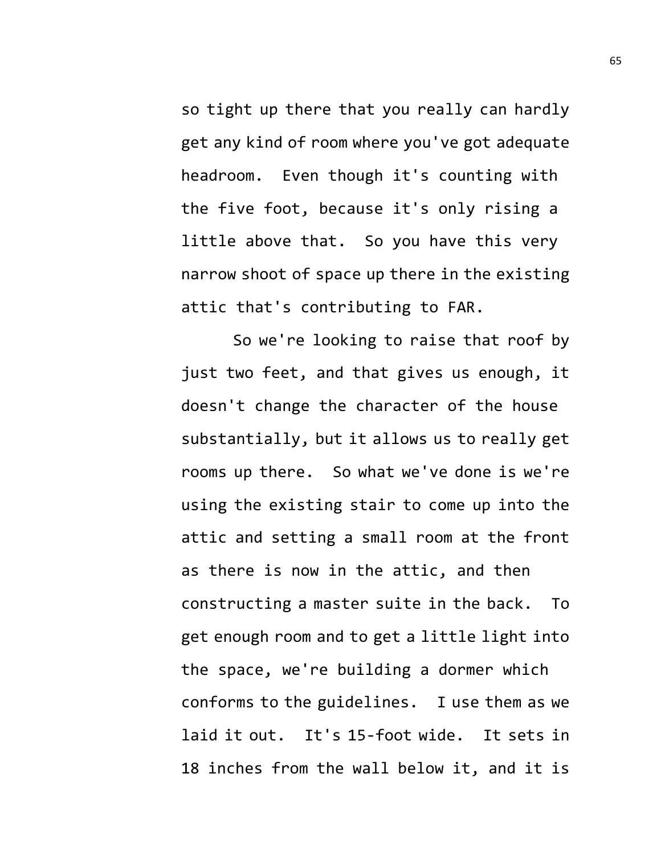so tight up there that you really can hardly get any kind of room where you've got adequate headroom. Even though it's counting with the five foot, because it's only rising a little above that. So you have this very narrow shoot of space up there in the existing attic that's contributing to FAR.

So we're looking to raise that roof by just two feet, and that gives us enough, it doesn't change the character of the house substantially, but it allows us to really get rooms up there. So what we've done is we're using the existing stair to come up into the attic and setting a small room at the front as there is now in the attic, and then constructing a master suite in the back. To get enough room and to get a little light into the space, we're building a dormer which conforms to the guidelines. I use them as we laid it out. It's 15-foot wide. It sets in 18 inches from the wall below it, and it is

65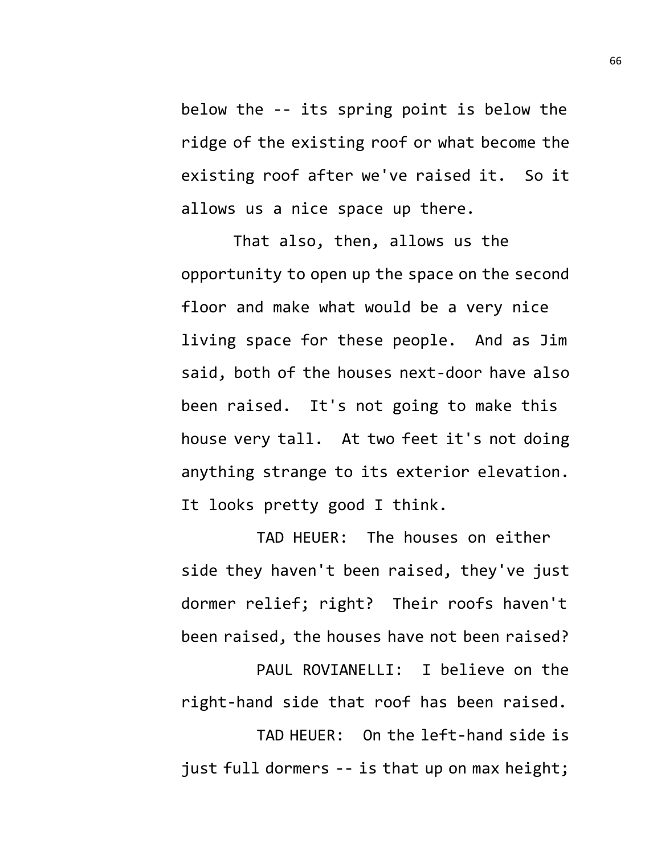below the -- its spring point is below the ridge of the existing roof or what become the existing roof after we've raised it. So it allows us a nice space up there.

That also, then, allows us the opportunity to open up the space on the second floor and make what would be a very nice living space for these people. And as Jim said, both of the houses next-door have also been raised. It's not going to make this house very tall. At two feet it's not doing anything strange to its exterior elevation. It looks pretty good I think.

TAD HEUER: The houses on either side they haven't been raised, they've just dormer relief; right? Their roofs haven't been raised, the houses have not been raised?

PAUL ROVIANELLI: I believe on the right-hand side that roof has been raised.

TAD HEUER: On the left-hand side is just full dormers -- is that up on max height;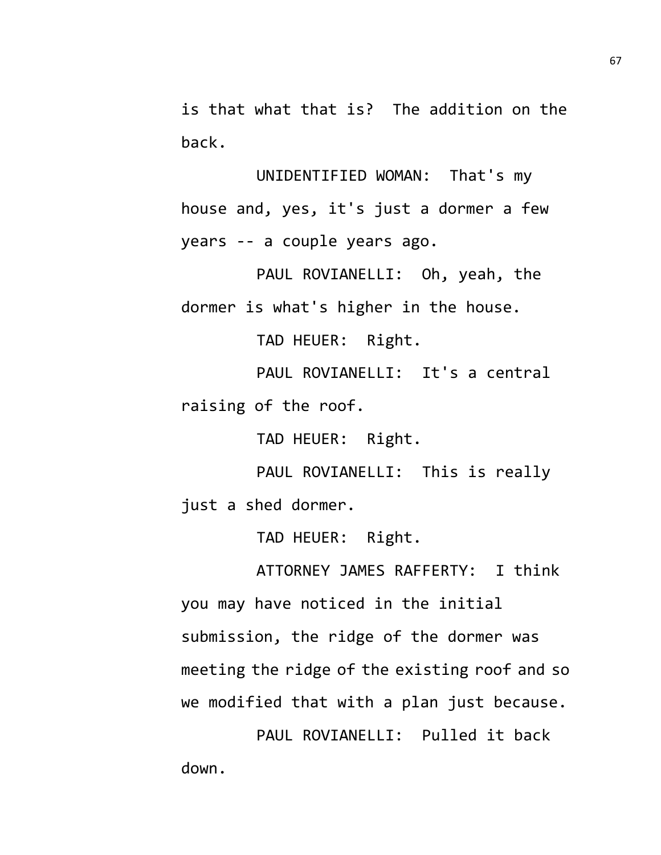is that what that is? The addition on the back.

UNIDENTIFIED WOMAN: That's my house and, yes, it's just a dormer a few years -- a couple years ago.

PAUL ROVIANELLI: Oh, yeah, the dormer is what's higher in the house.

TAD HEUER: Right.

PAUL ROVIANELLI: It's a central raising of the roof.

TAD HEUER: Right.

PAUL ROVIANELLI: This is really just a shed dormer.

TAD HEUER: Right.

ATTORNEY JAMES RAFFERTY: I think you may have noticed in the initial submission, the ridge of the dormer was meeting the ridge of the existing roof and so we modified that with a plan just because.

PAUL ROVIANELLI: Pulled it back down.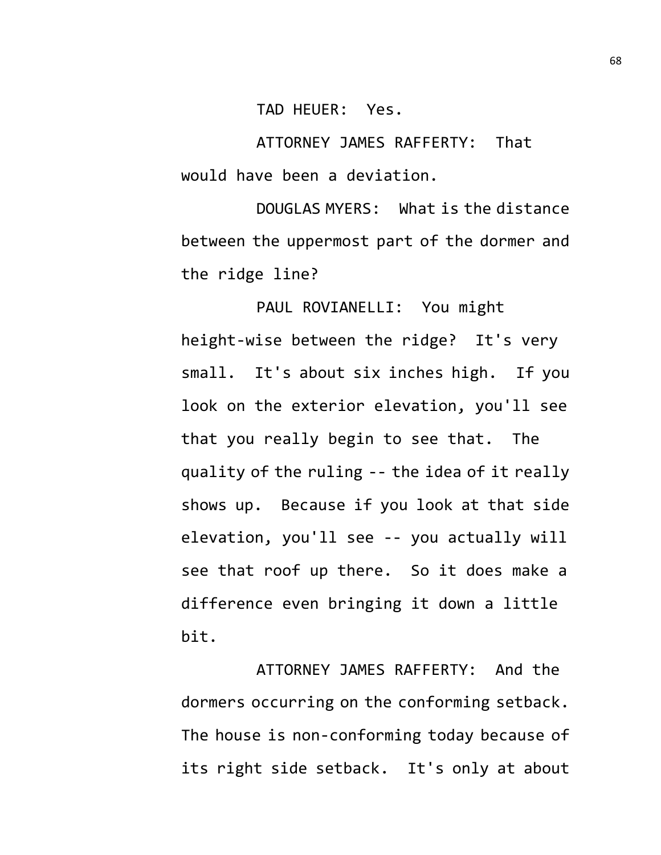TAD HEUER: Yes.

ATTORNEY JAMES RAFFERTY: That would have been a deviation.

DOUGLAS MYERS: What is the distance between the uppermost part of the dormer and the ridge line?

PAUL ROVIANELLI: You might height-wise between the ridge? It's very small. It's about six inches high. If you look on the exterior elevation, you'll see that you really begin to see that. The quality of the ruling -- the idea of it really shows up. Because if you look at that side elevation, you'll see -- you actually will see that roof up there. So it does make a difference even bringing it down a little bit.

ATTORNEY JAMES RAFFERTY: And the dormers occurring on the conforming setback. The house is non-conforming today because of its right side setback. It's only at about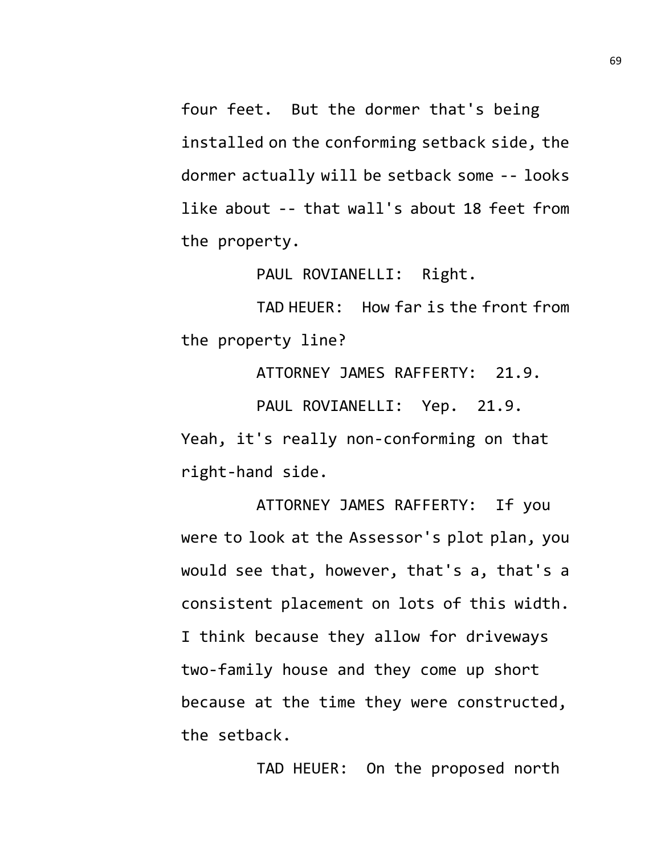four feet. But the dormer that's being installed on the conforming setback side, the dormer actually will be setback some -- looks like about -- that wall's about 18 feet from the property.

PAUL ROVIANELLI: Right.

TAD HEUER: How far is the front from the property line?

ATTORNEY JAMES RAFFERTY: 21.9.

PAUL ROVIANELLI: Yep. 21.9. Yeah, it's really non-conforming on that right-hand side.

ATTORNEY JAMES RAFFERTY: If you were to look at the Assessor's plot plan, you would see that, however, that's a, that's a consistent placement on lots of this width. I think because they allow for driveways two-family house and they come up short because at the time they were constructed, the setback.

TAD HEUER: On the proposed north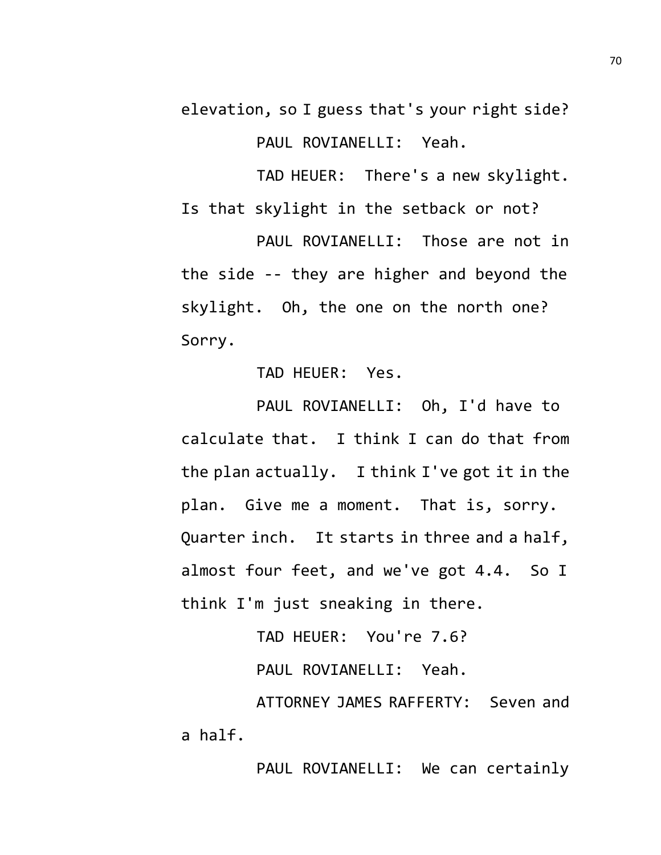elevation, so I guess that's your right side? PAUL ROVIANELLI: Yeah.

TAD HEUER: There's a new skylight.

Is that skylight in the setback or not?

PAUL ROVIANELLI: Those are not in the side -- they are higher and beyond the skylight. Oh, the one on the north one? Sorry.

TAD HEUER: Yes.

PAUL ROVIANELLI: Oh, I'd have to calculate that. I think I can do that from the plan actually. I think I've got it in the plan. Give me a moment. That is, sorry. Quarter inch. It starts in three and a half, almost four feet, and we've got 4.4. So I think I'm just sneaking in there.

TAD HEUER: You're 7.6?

PAUL ROVIANELLI: Yeah.

ATTORNEY JAMES RAFFERTY: Seven and a half.

PAUL ROVIANELLI: We can certainly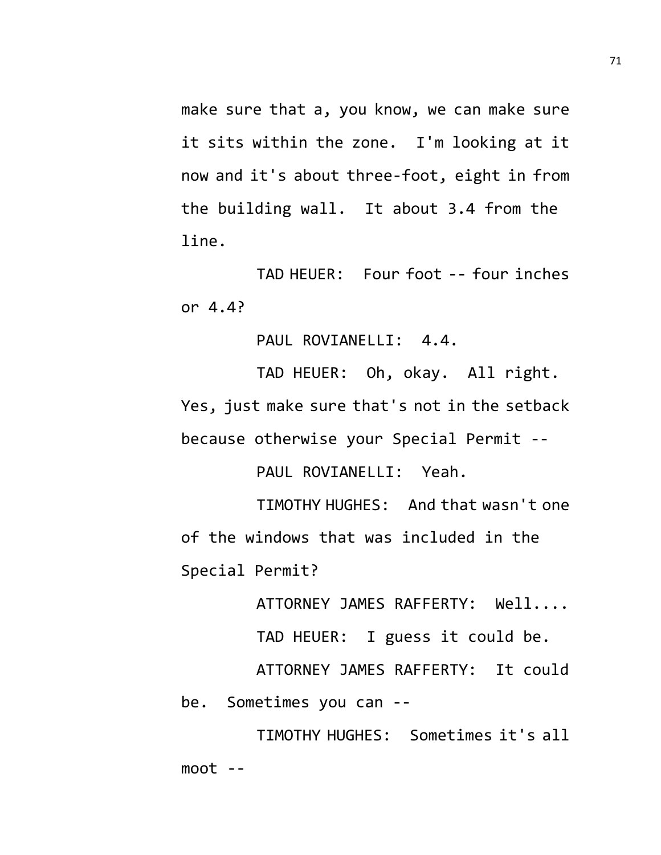make sure that a, you know, we can make sure it sits within the zone. I'm looking at it now and it's about three-foot, eight in from the building wall. It about 3.4 from the line.

TAD HEUER: Four foot -- four inches or 4.4?

PAUL ROVIANELLI: 4.4.

TAD HEUER: Oh, okay. All right. Yes, just make sure that's not in the setback because otherwise your Special Permit --

PAUL ROVIANELLI: Yeah.

TIMOTHY HUGHES: And that wasn't one of the windows that was included in the Special Permit?

ATTORNEY JAMES RAFFERTY: Well....

TAD HEUER: I guess it could be.

ATTORNEY JAMES RAFFERTY: It could be. Sometimes you can --

TIMOTHY HUGHES: Sometimes it's all  $moot - -$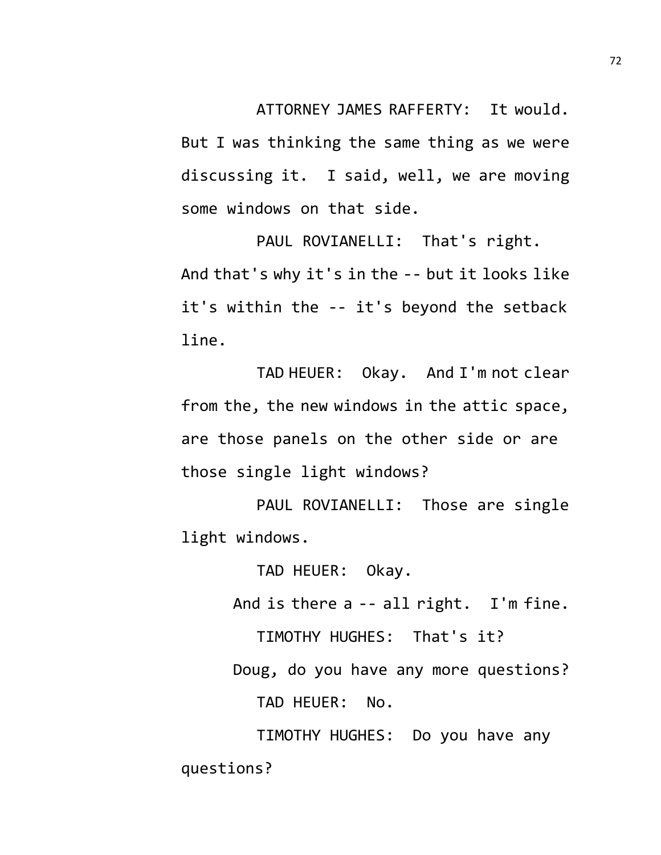ATTORNEY JAMES RAFFERTY: It would.

But I was thinking the same thing as we were discussing it. I said, well, we are moving some windows on that side.

PAUL ROVIANELLI: That's right. And that's why it's in the -- but it looks like it's within the -- it's beyond the setback line.

TAD HEUER: Okay. And I'm not clear from the, the new windows in the attic space, are those panels on the other side or are those single light windows?

PAUL ROVIANELLI: Those are single light windows.

TAD HEUER: Okay.

And is there a -- all right. I'm fine.

TIMOTHY HUGHES: That's it?

Doug, do you have any more questions?

TAD HEUER: No.

TIMOTHY HUGHES: Do you have any questions?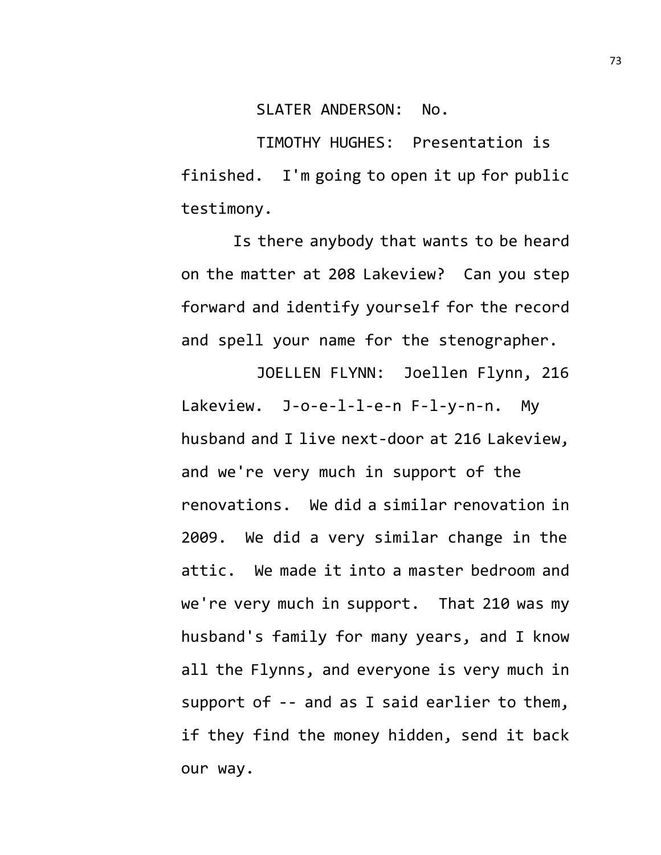SLATER ANDERSON: No.

TIMOTHY HUGHES: Presentation is finished. I'm going to open it up for public testimony.

Is there anybody that wants to be heard on the matter at 208 Lakeview? Can you step forward and identify yourself for the record and spell your name for the stenographer.

JOELLEN FLYNN: Joellen Flynn, 216

Lakeview. J-o-e-l-l-e-n F-l-y-n-n. My husband and I live next-door at 216 Lakeview, and we're very much in support of the renovations. We did a similar renovation in 2009. We did a very similar change in the attic. We made it into a master bedroom and we're very much in support. That 210 was my husband's family for many years, and I know all the Flynns, and everyone is very much in support of -- and as I said earlier to them, if they find the money hidden, send it back our way.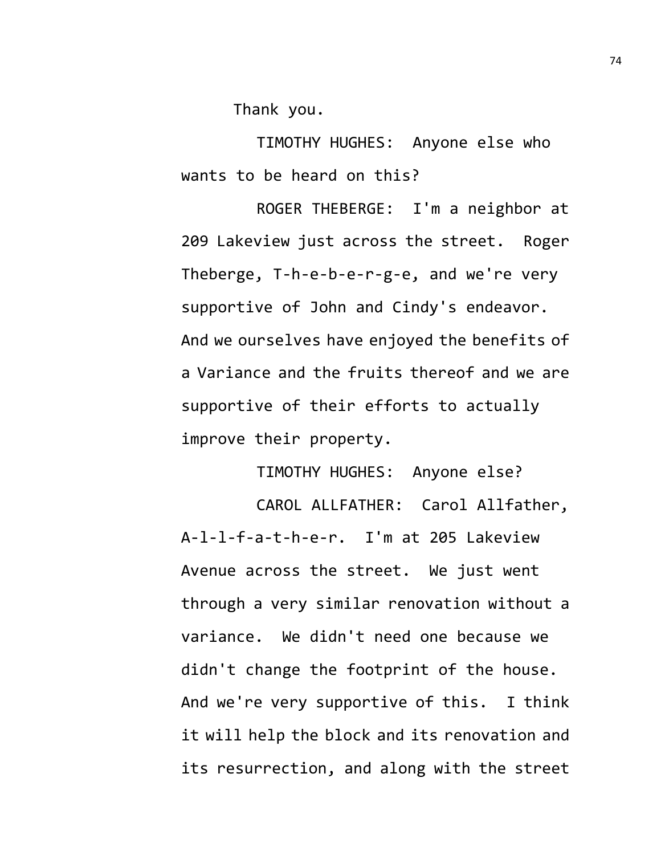Thank you.

TIMOTHY HUGHES: Anyone else who wants to be heard on this?

ROGER THEBERGE: I'm a neighbor at 209 Lakeview just across the street. Roger Theberge, T-h-e-b-e-r-g-e, and we're very supportive of John and Cindy's endeavor. And we ourselves have enjoyed the benefits of a Variance and the fruits thereof and we are supportive of their efforts to actually improve their property.

TIMOTHY HUGHES: Anyone else?

CAROL ALLFATHER: Carol Allfather, A-l-l-f-a-t-h-e-r. I'm at 205 Lakeview Avenue across the street. We just went through a very similar renovation without a variance. We didn't need one because we didn't change the footprint of the house. And we're very supportive of this. I think it will help the block and its renovation and its resurrection, and along with the street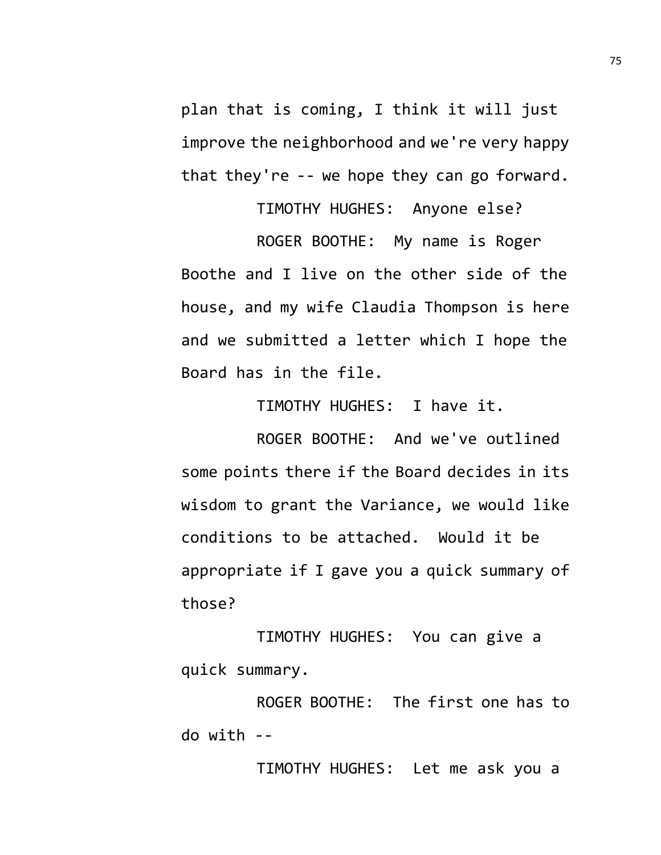plan that is coming, I think it will just improve the neighborhood and we're very happy that they're -- we hope they can go forward.

TIMOTHY HUGHES: Anyone else? ROGER BOOTHE: My name is Roger Boothe and I live on the other side of the house, and my wife Claudia Thompson is here and we submitted a letter which I hope the Board has in the file.

TIMOTHY HUGHES: I have it.

ROGER BOOTHE: And we've outlined some points there if the Board decides in its wisdom to grant the Variance, we would like conditions to be attached. Would it be appropriate if I gave you a quick summary of those?

TIMOTHY HUGHES: You can give a quick summary.

ROGER BOOTHE: The first one has to do with --

TIMOTHY HUGHES: Let me ask you a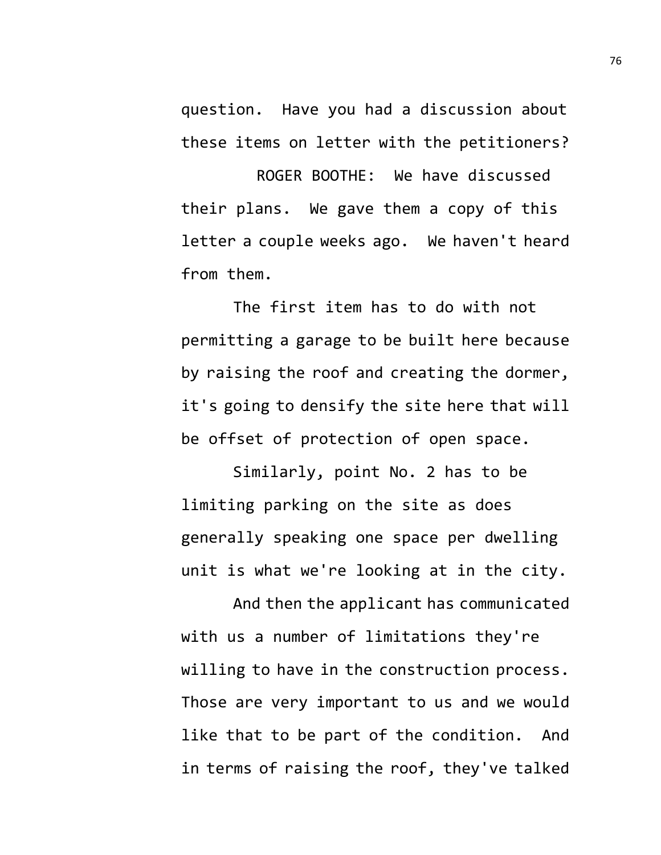question. Have you had a discussion about these items on letter with the petitioners?

ROGER BOOTHE: We have discussed their plans. We gave them a copy of this letter a couple weeks ago. We haven't heard from them.

The first item has to do with not permitting a garage to be built here because by raising the roof and creating the dormer, it's going to densify the site here that will be offset of protection of open space.

Similarly, point No. 2 has to be limiting parking on the site as does generally speaking one space per dwelling unit is what we're looking at in the city.

And then the applicant has communicated with us a number of limitations they're willing to have in the construction process. Those are very important to us and we would like that to be part of the condition. And in terms of raising the roof, they've talked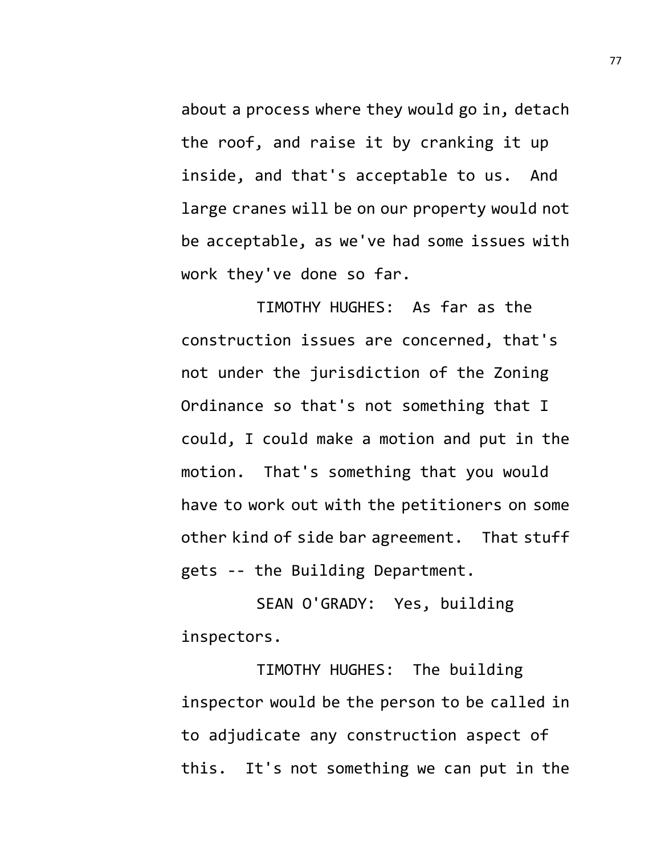about a process where they would go in, detach the roof, and raise it by cranking it up inside, and that's acceptable to us. And large cranes will be on our property would not be acceptable, as we've had some issues with work they've done so far.

TIMOTHY HUGHES: As far as the construction issues are concerned, that's not under the jurisdiction of the Zoning Ordinance so that's not something that I could, I could make a motion and put in the motion. That's something that you would have to work out with the petitioners on some other kind of side bar agreement. That stuff gets -- the Building Department.

SEAN O'GRADY: Yes, building inspectors.

TIMOTHY HUGHES: The building inspector would be the person to be called in to adjudicate any construction aspect of this. It's not something we can put in the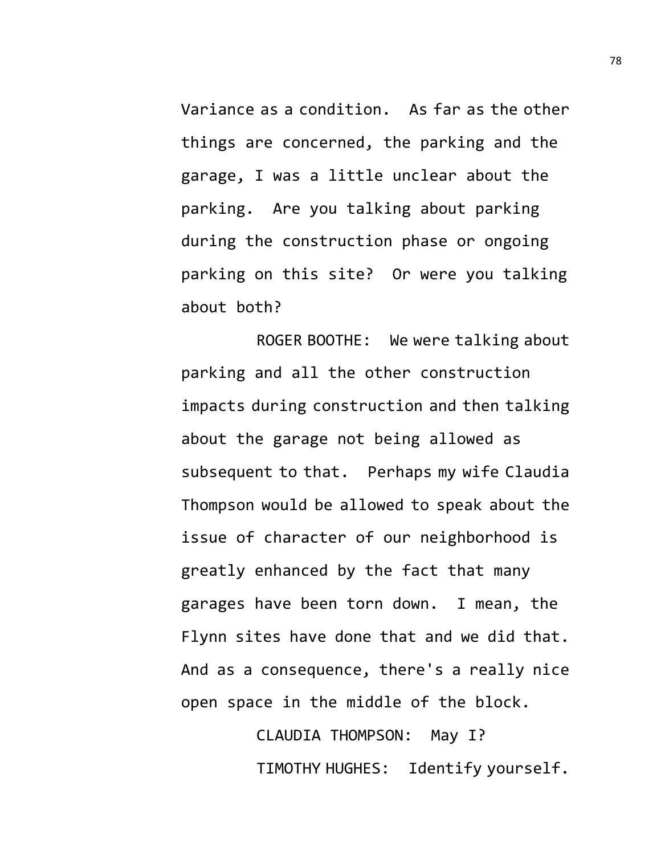Variance as a condition. As far as the other things are concerned, the parking and the garage, I was a little unclear about the parking. Are you talking about parking during the construction phase or ongoing parking on this site? Or were you talking about both?

ROGER BOOTHE: We were talking about parking and all the other construction impacts during construction and then talking about the garage not being allowed as subsequent to that. Perhaps my wife Claudia Thompson would be allowed to speak about the issue of character of our neighborhood is greatly enhanced by the fact that many garages have been torn down. I mean, the Flynn sites have done that and we did that. And as a consequence, there's a really nice open space in the middle of the block.

> CLAUDIA THOMPSON: May I? TIMOTHY HUGHES: Identify yourself.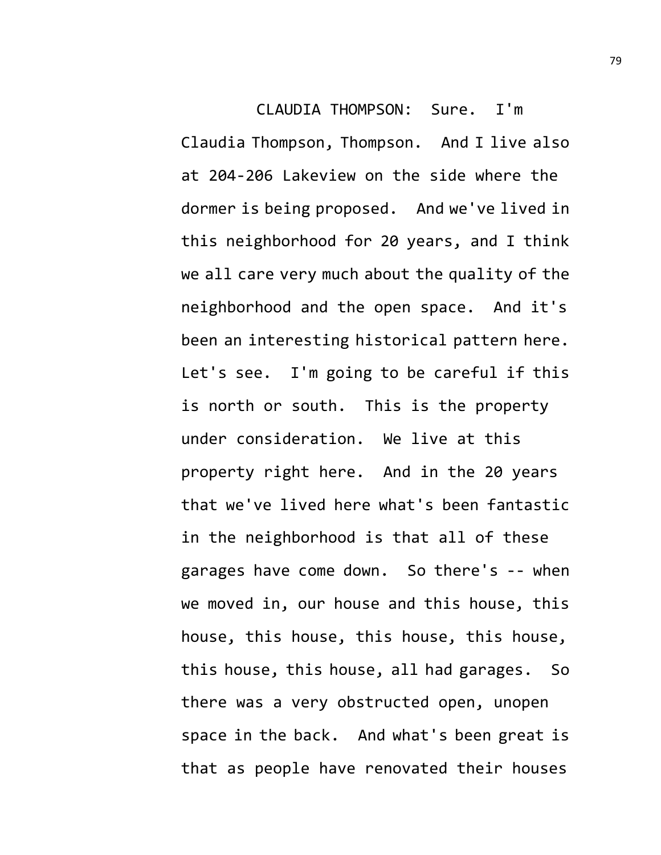CLAUDIA THOMPSON: Sure. I'm Claudia Thompson, Thompson. And I live also at 204-206 Lakeview on the side where the dormer is being proposed. And we've lived in this neighborhood for 20 years, and I think we all care very much about the quality of the neighborhood and the open space. And it's been an interesting historical pattern here. Let's see. I'm going to be careful if this is north or south. This is the property under consideration. We live at this property right here. And in the 20 years that we've lived here what's been fantastic in the neighborhood is that all of these garages have come down. So there's -- when we moved in, our house and this house, this house, this house, this house, this house, this house, this house, all had garages. So there was a very obstructed open, unopen space in the back. And what's been great is that as people have renovated their houses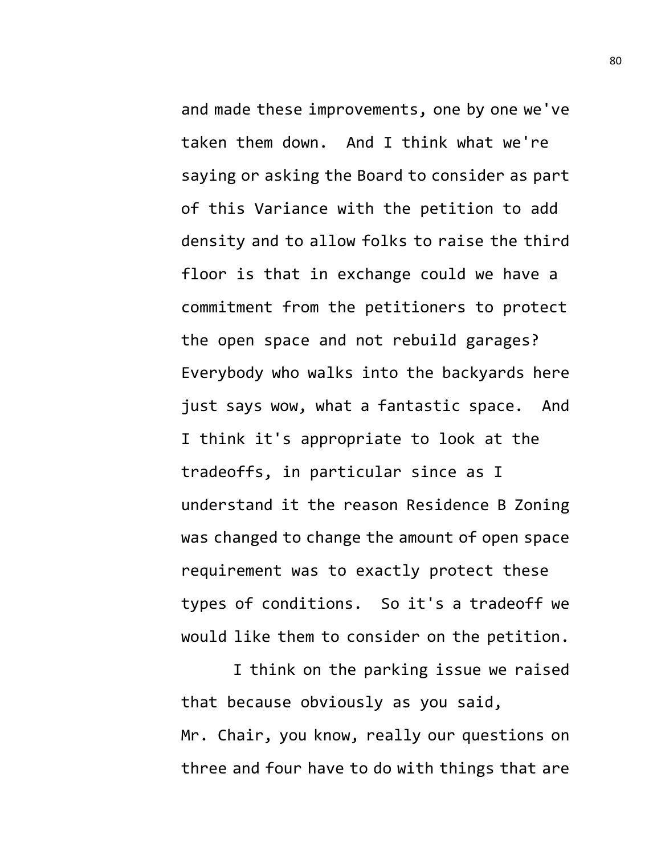and made these improvements, one by one we've taken them down. And I think what we're saying or asking the Board to consider as part of this Variance with the petition to add density and to allow folks to raise the third floor is that in exchange could we have a commitment from the petitioners to protect the open space and not rebuild garages? Everybody who walks into the backyards here just says wow, what a fantastic space. And I think it's appropriate to look at the tradeoffs, in particular since as I understand it the reason Residence B Zoning was changed to change the amount of open space requirement was to exactly protect these types of conditions. So it's a tradeoff we would like them to consider on the petition.

I think on the parking issue we raised that because obviously as you said, Mr. Chair, you know, really our questions on three and four have to do with things that are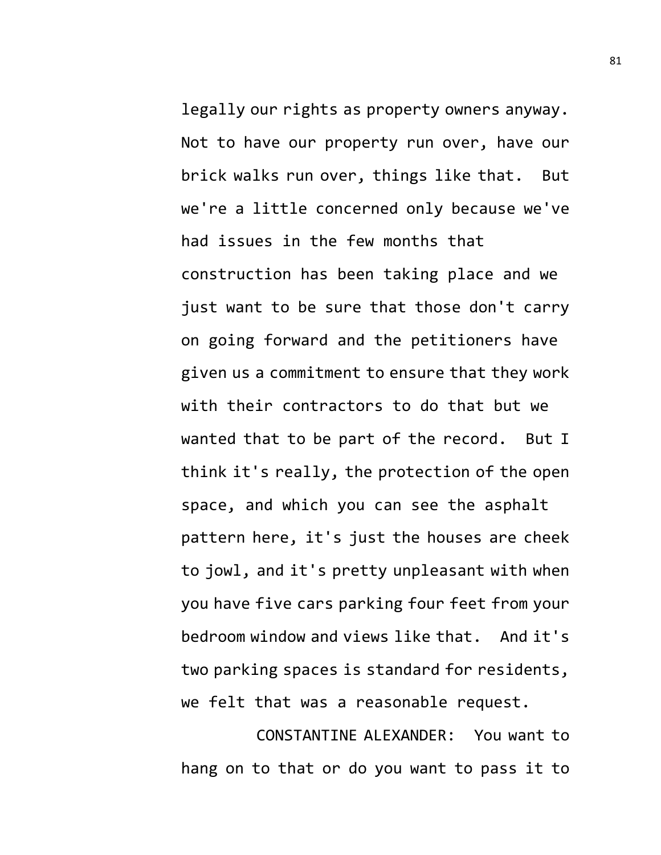legally our rights as property owners anyway. Not to have our property run over, have our brick walks run over, things like that. But we're a little concerned only because we've had issues in the few months that construction has been taking place and we just want to be sure that those don't carry on going forward and the petitioners have given us a commitment to ensure that they work with their contractors to do that but we wanted that to be part of the record. But I think it's really, the protection of the open space, and which you can see the asphalt pattern here, it's just the houses are cheek to jowl, and it's pretty unpleasant with when you have five cars parking four feet from your bedroom window and views like that. And it's two parking spaces is standard for residents, we felt that was a reasonable request.

CONSTANTINE ALEXANDER: You want to hang on to that or do you want to pass it to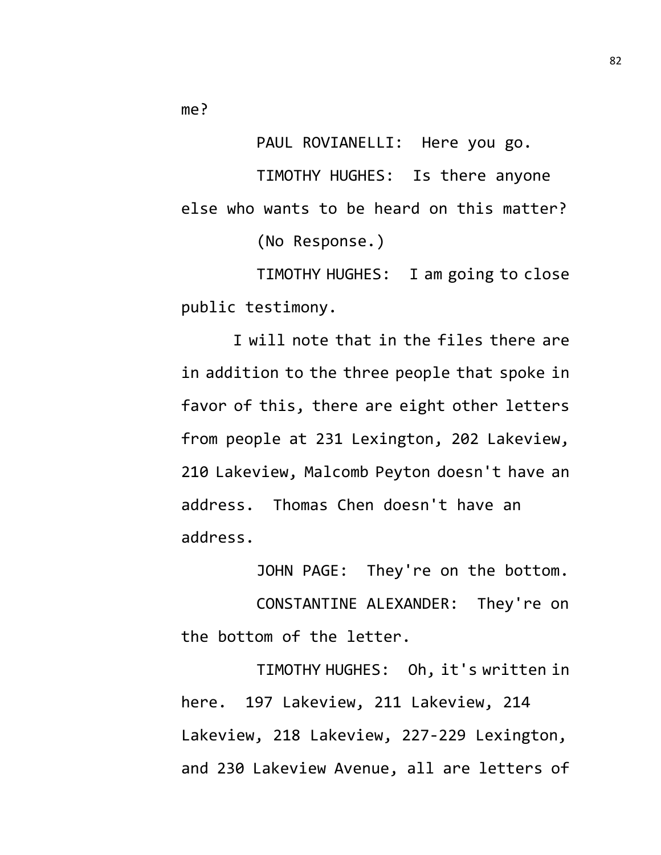me?

PAUL ROVIANELLI: Here you go.

TIMOTHY HUGHES: Is there anyone else who wants to be heard on this matter?

(No Response.)

TIMOTHY HUGHES: I am going to close public testimony.

I will note that in the files there are in addition to the three people that spoke in favor of this, there are eight other letters from people at 231 Lexington, 202 Lakeview, 210 Lakeview, Malcomb Peyton doesn't have an address. Thomas Chen doesn't have an address.

JOHN PAGE: They're on the bottom. CONSTANTINE ALEXANDER: They're on the bottom of the letter.

TIMOTHY HUGHES: Oh, it's written in here. 197 Lakeview, 211 Lakeview, 214 Lakeview, 218 Lakeview, 227-229 Lexington, and 230 Lakeview Avenue, all are letters of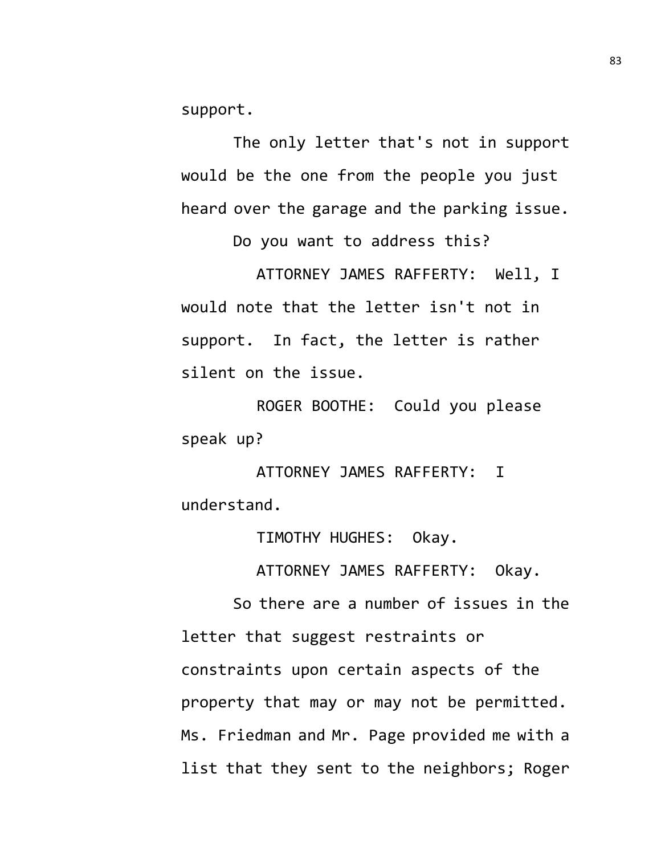support.

The only letter that's not in support would be the one from the people you just heard over the garage and the parking issue.

Do you want to address this?

ATTORNEY JAMES RAFFERTY: Well, I would note that the letter isn't not in support. In fact, the letter is rather silent on the issue.

ROGER BOOTHE: Could you please speak up?

ATTORNEY JAMES RAFFERTY: I understand.

TIMOTHY HUGHES: Okay.

ATTORNEY JAMES RAFFERTY: Okay.

So there are a number of issues in the letter that suggest restraints or constraints upon certain aspects of the property that may or may not be permitted. Ms. Friedman and Mr. Page provided me with a list that they sent to the neighbors; Roger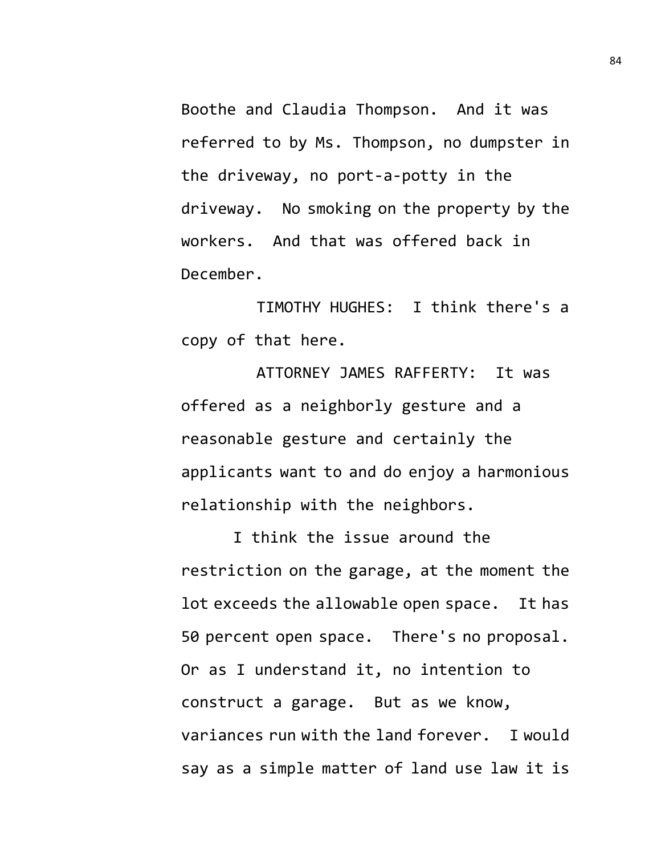Boothe and Claudia Thompson. And it was referred to by Ms. Thompson, no dumpster in the driveway, no port-a-potty in the driveway. No smoking on the property by the workers. And that was offered back in December.

TIMOTHY HUGHES: I think there's a copy of that here.

ATTORNEY JAMES RAFFERTY: It was offered as a neighborly gesture and a reasonable gesture and certainly the applicants want to and do enjoy a harmonious relationship with the neighbors.

I think the issue around the restriction on the garage, at the moment the lot exceeds the allowable open space. It has 50 percent open space. There's no proposal. Or as I understand it, no intention to construct a garage. But as we know, variances run with the land forever. I would say as a simple matter of land use law it is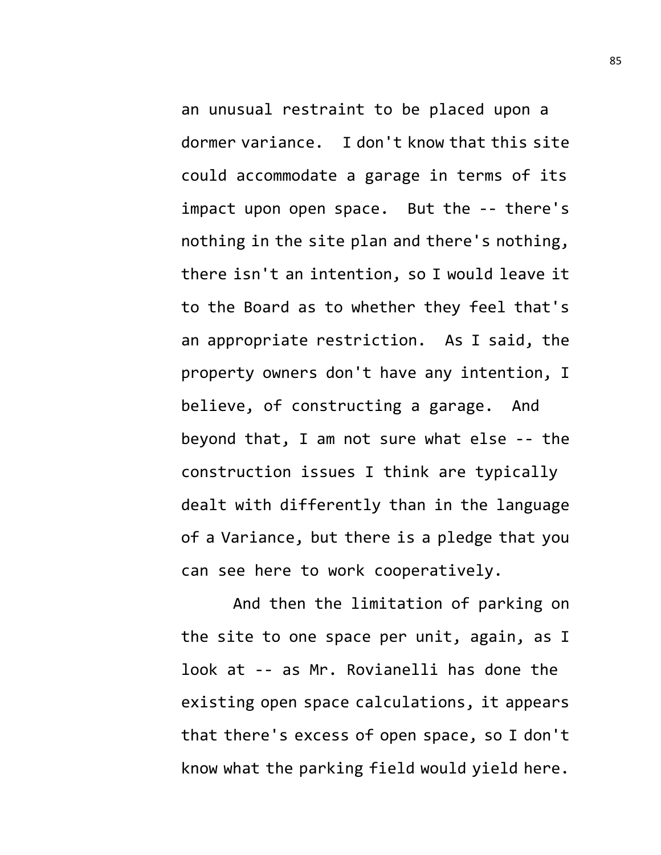an unusual restraint to be placed upon a dormer variance. I don't know that this site could accommodate a garage in terms of its impact upon open space. But the -- there's nothing in the site plan and there's nothing, there isn't an intention, so I would leave it to the Board as to whether they feel that's an appropriate restriction. As I said, the property owners don't have any intention, I believe, of constructing a garage. And beyond that, I am not sure what else -- the construction issues I think are typically dealt with differently than in the language of a Variance, but there is a pledge that you can see here to work cooperatively.

And then the limitation of parking on the site to one space per unit, again, as I look at -- as Mr. Rovianelli has done the existing open space calculations, it appears that there's excess of open space, so I don't know what the parking field would yield here.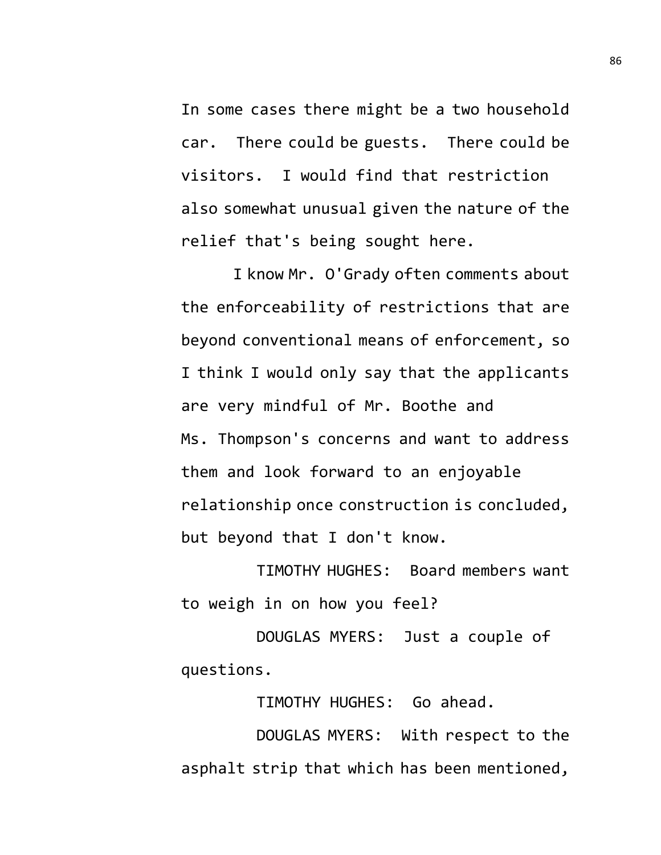In some cases there might be a two household car. There could be guests. There could be visitors. I would find that restriction also somewhat unusual given the nature of the relief that's being sought here.

I know Mr. O'Grady often comments about the enforceability of restrictions that are beyond conventional means of enforcement, so I think I would only say that the applicants are very mindful of Mr. Boothe and Ms. Thompson's concerns and want to address them and look forward to an enjoyable relationship once construction is concluded, but beyond that I don't know.

TIMOTHY HUGHES: Board members want to weigh in on how you feel?

DOUGLAS MYERS: Just a couple of questions.

TIMOTHY HUGHES: Go ahead.

DOUGLAS MYERS: With respect to the asphalt strip that which has been mentioned,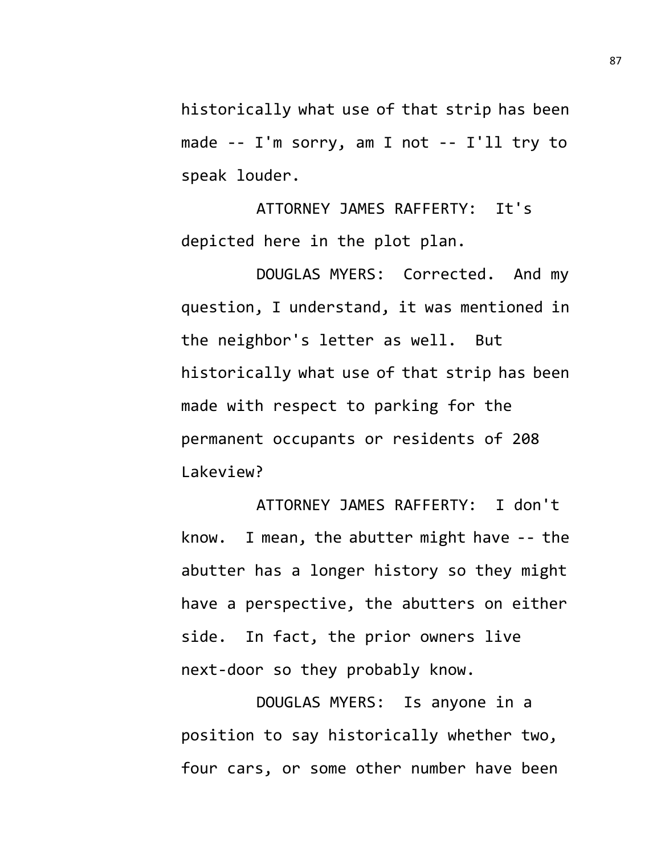historically what use of that strip has been made -- I'm sorry, am I not -- I'll try to speak louder.

ATTORNEY JAMES RAFFERTY: It's depicted here in the plot plan.

DOUGLAS MYERS: Corrected. And my question, I understand, it was mentioned in the neighbor's letter as well. But historically what use of that strip has been made with respect to parking for the permanent occupants or residents of 208 Lakeview?

ATTORNEY JAMES RAFFERTY: I don't know. I mean, the abutter might have -- the abutter has a longer history so they might have a perspective, the abutters on either side. In fact, the prior owners live next-door so they probably know.

DOUGLAS MYERS: Is anyone in a position to say historically whether two, four cars, or some other number have been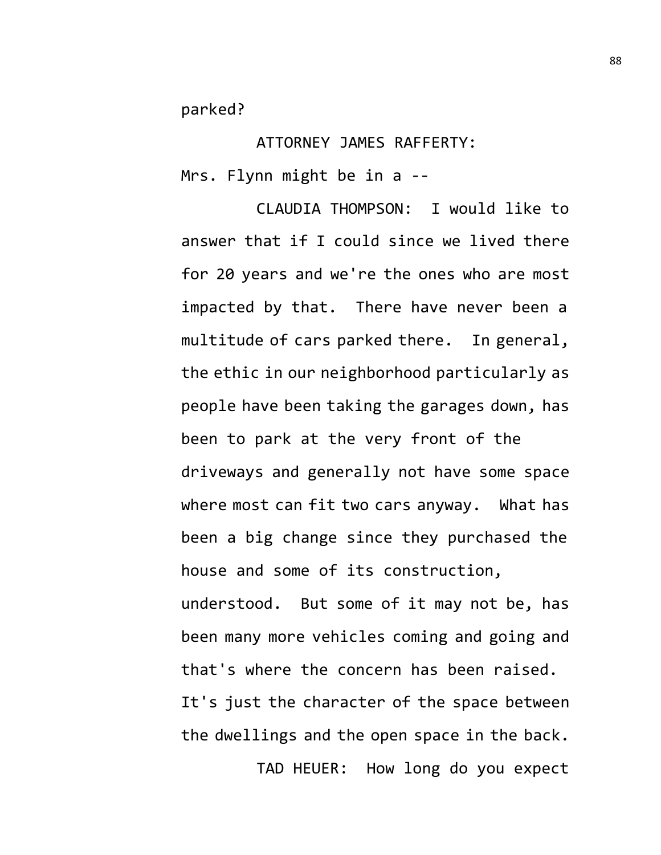parked?

ATTORNEY JAMES RAFFERTY: Mrs. Flynn might be in a --

CLAUDIA THOMPSON: I would like to answer that if I could since we lived there for 20 years and we're the ones who are most impacted by that. There have never been a multitude of cars parked there. In general, the ethic in our neighborhood particularly as people have been taking the garages down, has been to park at the very front of the driveways and generally not have some space where most can fit two cars anyway. What has been a big change since they purchased the house and some of its construction, understood. But some of it may not be, has been many more vehicles coming and going and that's where the concern has been raised. It's just the character of the space between the dwellings and the open space in the back. TAD HEUER: How long do you expect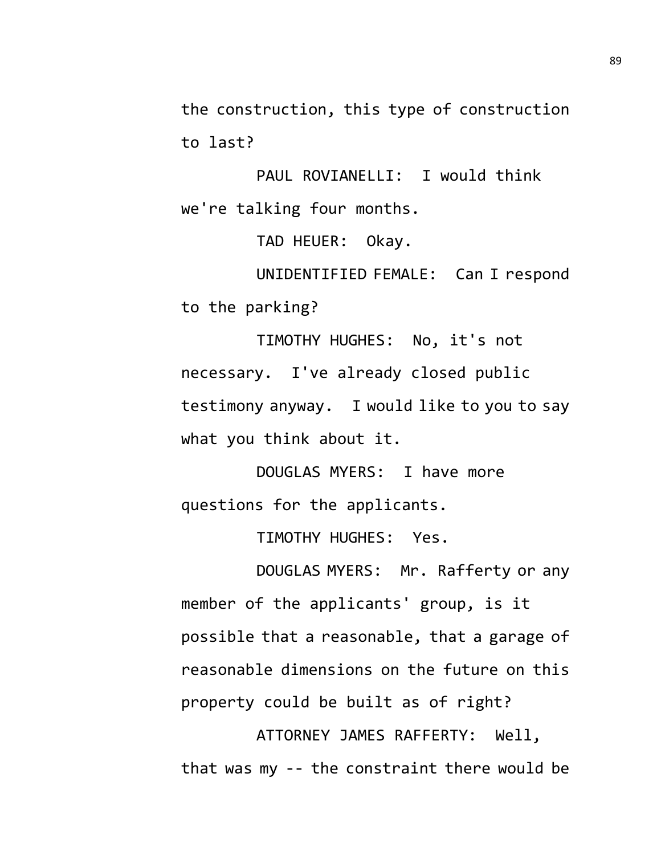the construction, this type of construction to last?

PAUL ROVIANELLI: I would think we're talking four months.

TAD HEUER: Okay.

UNIDENTIFIED FEMALE: Can I respond to the parking?

TIMOTHY HUGHES: No, it's not necessary. I've already closed public testimony anyway. I would like to you to say what you think about it.

DOUGLAS MYERS: I have more questions for the applicants.

TIMOTHY HUGHES: Yes.

DOUGLAS MYERS: Mr. Rafferty or any member of the applicants' group, is it possible that a reasonable, that a garage of reasonable dimensions on the future on this property could be built as of right?

ATTORNEY JAMES RAFFERTY: Well, that was my -- the constraint there would be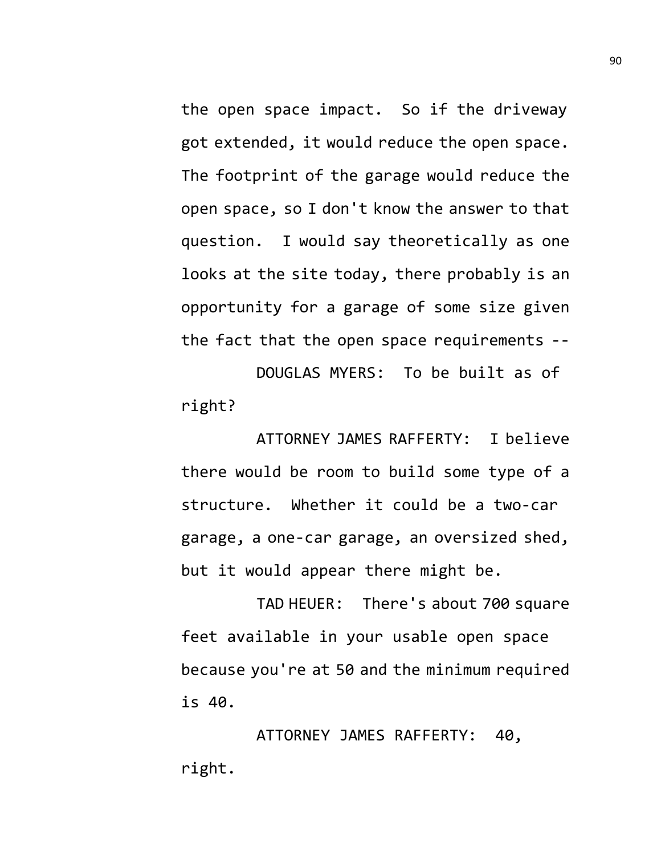the open space impact. So if the driveway got extended, it would reduce the open space. The footprint of the garage would reduce the open space, so I don't know the answer to that question. I would say theoretically as one looks at the site today, there probably is an opportunity for a garage of some size given the fact that the open space requirements --

DOUGLAS MYERS: To be built as of right?

ATTORNEY JAMES RAFFERTY: I believe there would be room to build some type of a structure. Whether it could be a two-car garage, a one-car garage, an oversized shed, but it would appear there might be.

TAD HEUER: There's about 700 square feet available in your usable open space because you're at 50 and the minimum required is 40.

ATTORNEY JAMES RAFFERTY: 40, right.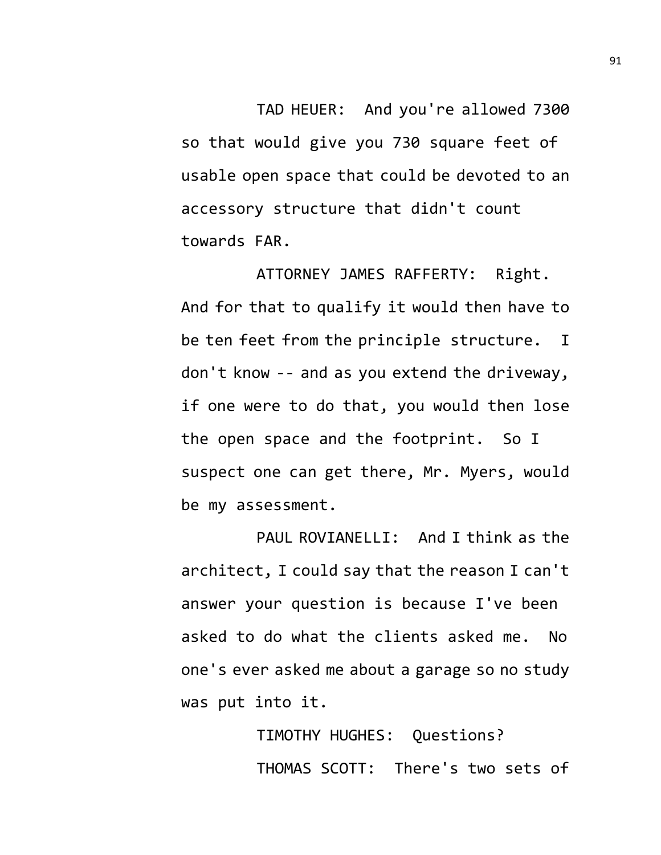TAD HEUER: And you're allowed 7300 so that would give you 730 square feet of usable open space that could be devoted to an accessory structure that didn't count towards FAR.

ATTORNEY JAMES RAFFERTY: Right. And for that to qualify it would then have to be ten feet from the principle structure. I don't know -- and as you extend the driveway, if one were to do that, you would then lose the open space and the footprint. So I suspect one can get there, Mr. Myers, would be my assessment.

PAUL ROVIANELLI: And I think as the architect, I could say that the reason I can't answer your question is because I've been asked to do what the clients asked me. No one's ever asked me about a garage so no study was put into it.

> TIMOTHY HUGHES: Questions? THOMAS SCOTT: There's two sets of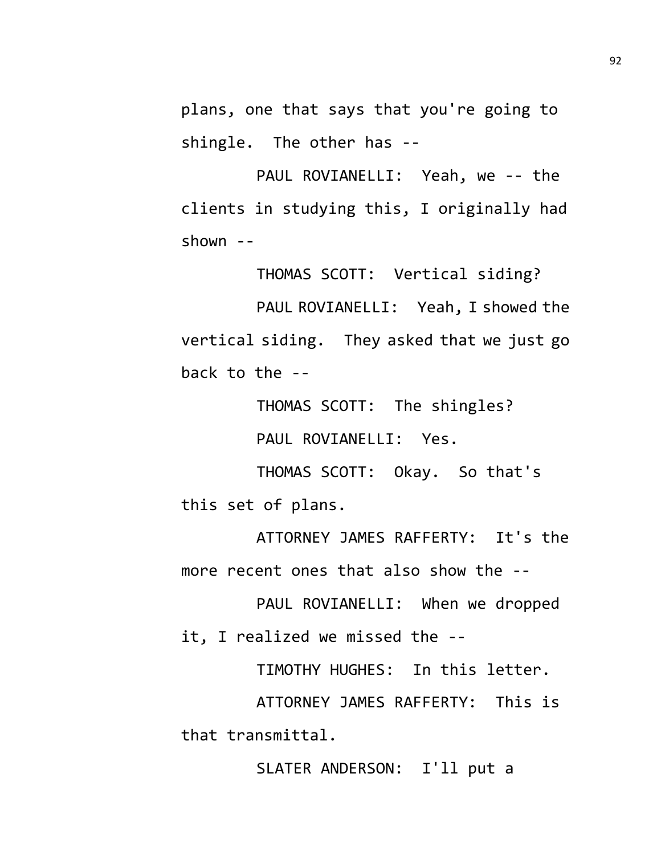plans, one that says that you're going to shingle. The other has --

PAUL ROVIANELLI: Yeah, we -- the clients in studying this, I originally had shown --

THOMAS SCOTT: Vertical siding?

PAUL ROVIANELLI: Yeah, I showed the vertical siding. They asked that we just go back to the --

THOMAS SCOTT: The shingles?

PAUL ROVIANELLI: Yes.

THOMAS SCOTT: Okay. So that's this set of plans.

ATTORNEY JAMES RAFFERTY: It's the more recent ones that also show the --

PAUL ROVIANELLI: When we dropped it, I realized we missed the --

TIMOTHY HUGHES: In this letter.

ATTORNEY JAMES RAFFERTY: This is that transmittal.

SLATER ANDERSON: I'll put a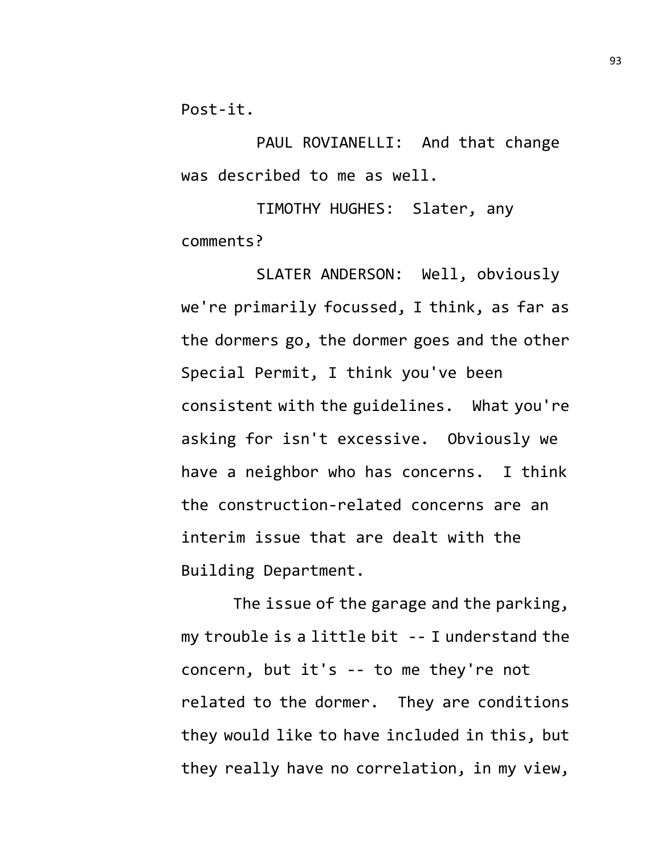Post-it.

PAUL ROVIANELLI: And that change was described to me as well.

TIMOTHY HUGHES: Slater, any comments?

SLATER ANDERSON: Well, obviously we're primarily focussed, I think, as far as the dormers go, the dormer goes and the other Special Permit, I think you've been consistent with the guidelines. What you're asking for isn't excessive. Obviously we have a neighbor who has concerns. I think the construction-related concerns are an interim issue that are dealt with the Building Department.

The issue of the garage and the parking, my trouble is a little bit -- I understand the concern, but it's -- to me they're not related to the dormer. They are conditions they would like to have included in this, but they really have no correlation, in my view,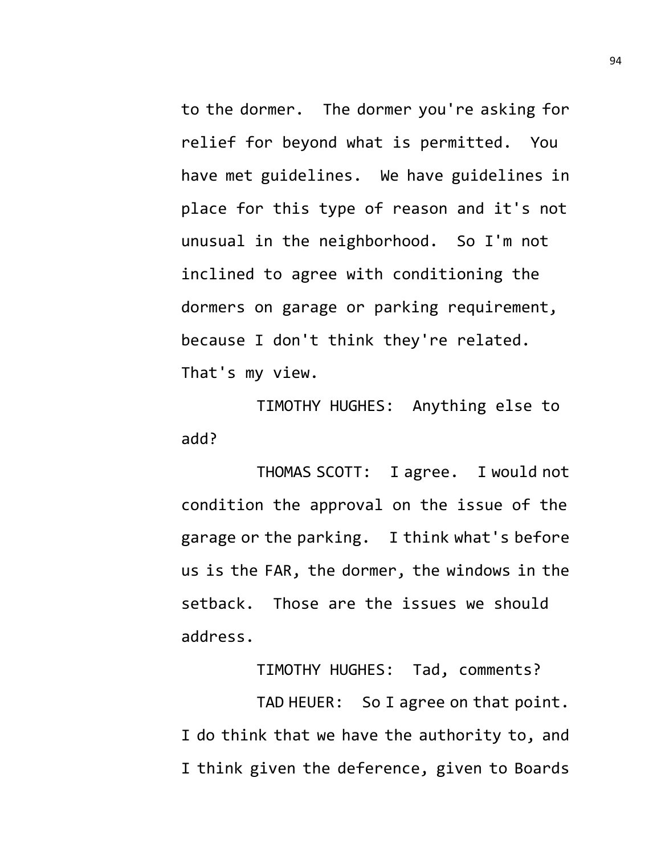to the dormer. The dormer you're asking for relief for beyond what is permitted. You have met guidelines. We have guidelines in place for this type of reason and it's not unusual in the neighborhood. So I'm not inclined to agree with conditioning the dormers on garage or parking requirement, because I don't think they're related. That's my view.

TIMOTHY HUGHES: Anything else to add?

THOMAS SCOTT: I agree. I would not condition the approval on the issue of the garage or the parking. I think what's before us is the FAR, the dormer, the windows in the setback. Those are the issues we should address.

TIMOTHY HUGHES: Tad, comments?

TAD HEUER: So I agree on that point. I do think that we have the authority to, and I think given the deference, given to Boards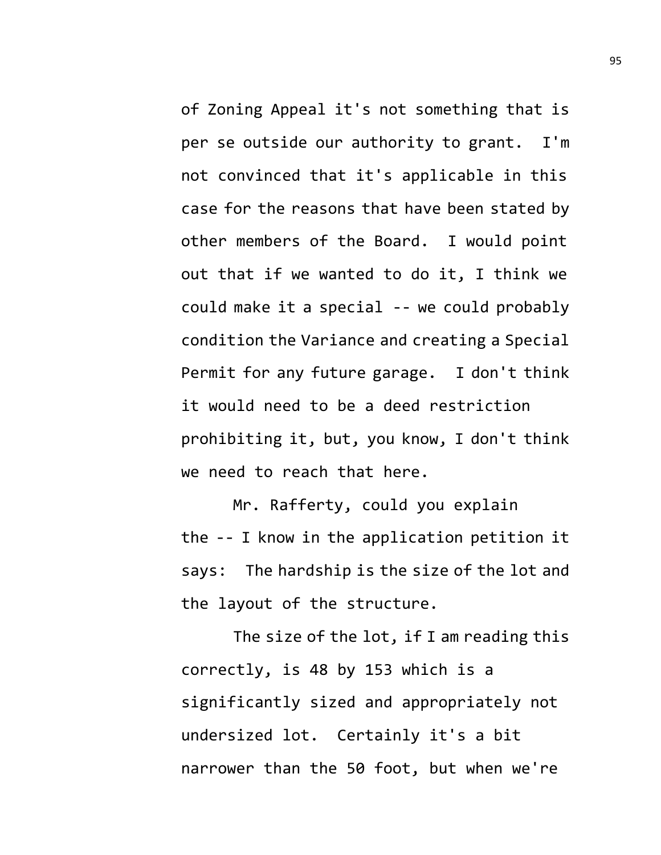of Zoning Appeal it's not something that is per se outside our authority to grant. I'm not convinced that it's applicable in this case for the reasons that have been stated by other members of the Board. I would point out that if we wanted to do it, I think we could make it a special -- we could probably condition the Variance and creating a Special Permit for any future garage. I don't think it would need to be a deed restriction prohibiting it, but, you know, I don't think we need to reach that here.

Mr. Rafferty, could you explain the -- I know in the application petition it says: The hardship is the size of the lot and the layout of the structure.

The size of the lot, if I am reading this correctly, is 48 by 153 which is a significantly sized and appropriately not undersized lot. Certainly it's a bit narrower than the 50 foot, but when we're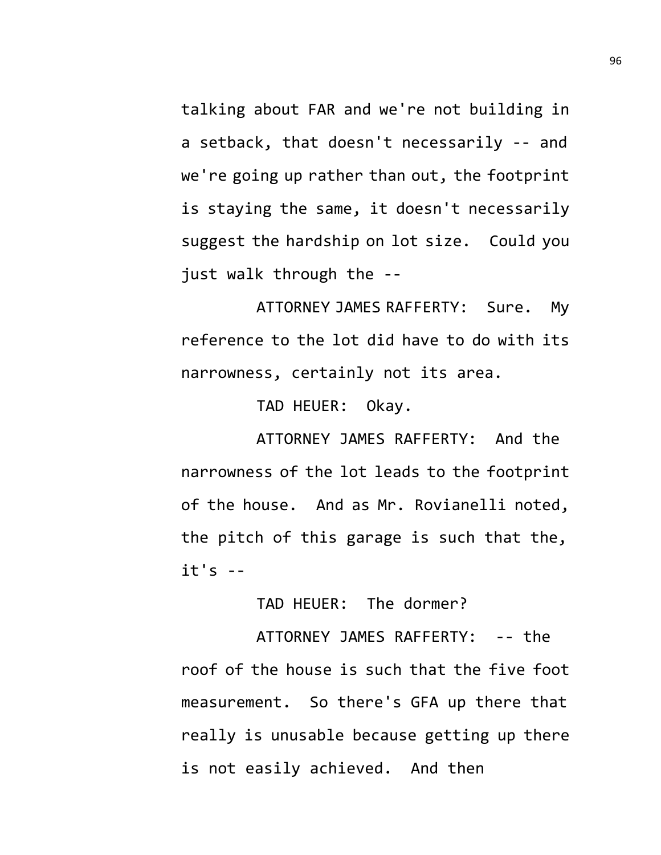talking about FAR and we're not building in a setback, that doesn't necessarily -- and we're going up rather than out, the footprint is staying the same, it doesn't necessarily suggest the hardship on lot size. Could you just walk through the --

ATTORNEY JAMES RAFFERTY: Sure. My reference to the lot did have to do with its narrowness, certainly not its area.

TAD HEUER: Okay.

ATTORNEY JAMES RAFFERTY: And the narrowness of the lot leads to the footprint of the house. And as Mr. Rovianelli noted, the pitch of this garage is such that the,  $it's - -$ 

TAD HEUER: The dormer?

ATTORNEY JAMES RAFFERTY: -- the roof of the house is such that the five foot measurement. So there's GFA up there that really is unusable because getting up there is not easily achieved. And then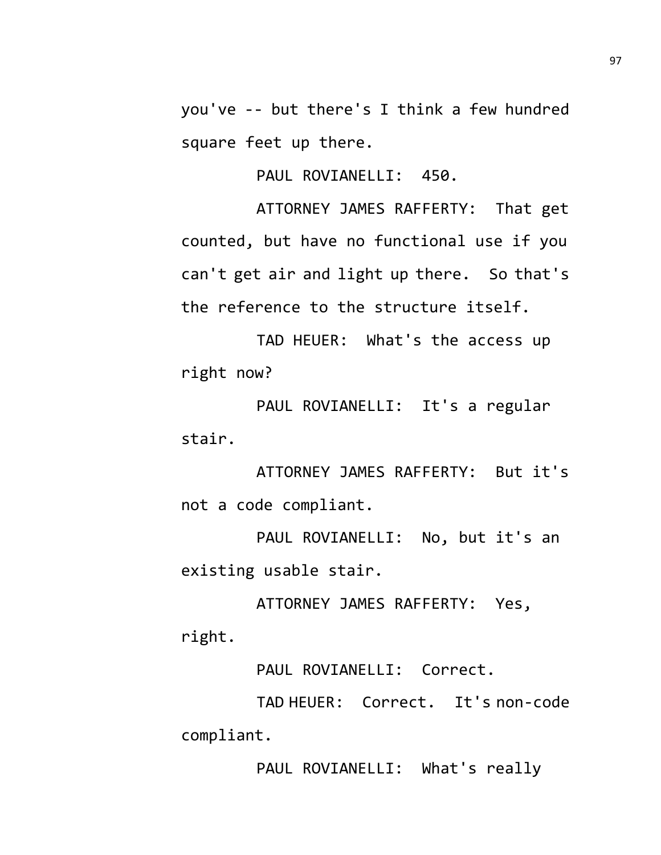you've -- but there's I think a few hundred square feet up there.

PAUL ROVIANELLI: 450.

ATTORNEY JAMES RAFFERTY: That get counted, but have no functional use if you can't get air and light up there. So that's the reference to the structure itself.

TAD HEUER: What's the access up right now?

PAUL ROVIANELLI: It's a regular stair.

ATTORNEY JAMES RAFFERTY: But it's not a code compliant.

PAUL ROVIANELLI: No, but it's an existing usable stair.

ATTORNEY JAMES RAFFERTY: Yes, right.

PAUL ROVIANELLI: Correct.

TAD HEUER: Correct. It's non-code compliant.

PAUL ROVIANELLI: What's really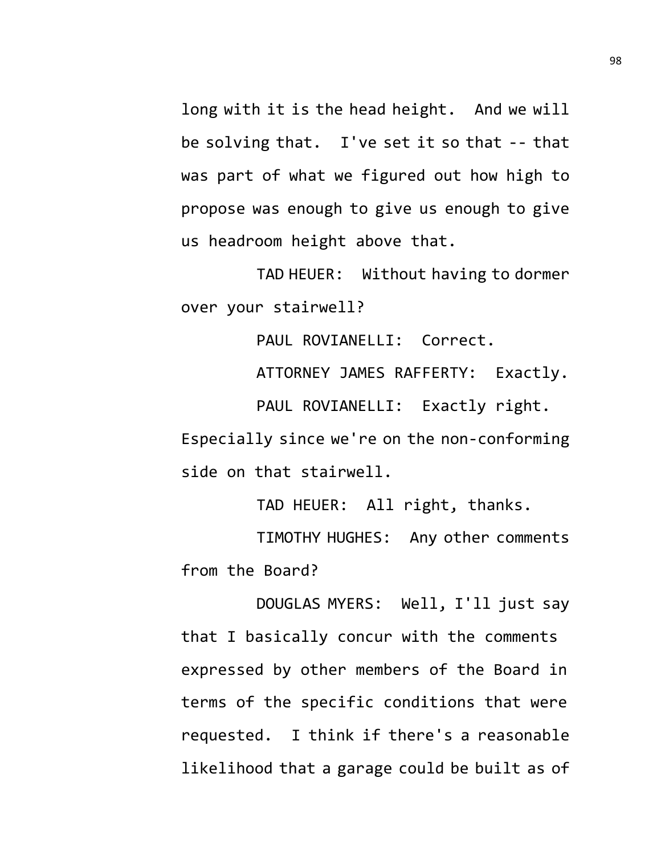long with it is the head height. And we will be solving that. I've set it so that -- that was part of what we figured out how high to propose was enough to give us enough to give us headroom height above that.

TAD HEUER: Without having to dormer over your stairwell?

PAUL ROVIANELLI: Correct.

ATTORNEY JAMES RAFFERTY: Exactly.

PAUL ROVIANELLI: Exactly right. Especially since we're on the non-conforming side on that stairwell.

TAD HEUER: All right, thanks.

TIMOTHY HUGHES: Any other comments from the Board?

DOUGLAS MYERS: Well, I'll just say that I basically concur with the comments expressed by other members of the Board in terms of the specific conditions that were requested. I think if there's a reasonable likelihood that a garage could be built as of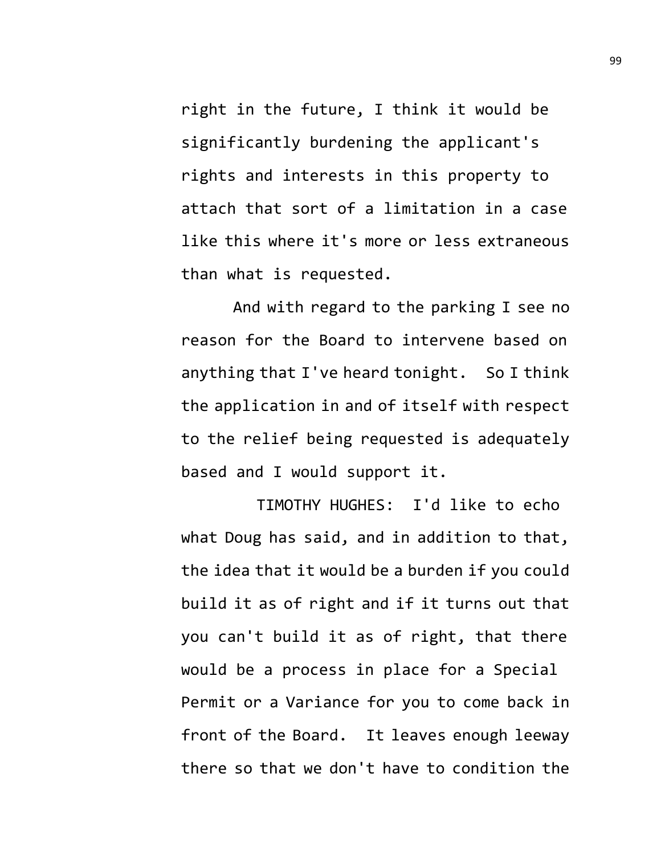right in the future, I think it would be significantly burdening the applicant's rights and interests in this property to attach that sort of a limitation in a case like this where it's more or less extraneous than what is requested.

And with regard to the parking I see no reason for the Board to intervene based on anything that I've heard tonight. So I think the application in and of itself with respect to the relief being requested is adequately based and I would support it.

TIMOTHY HUGHES: I'd like to echo what Doug has said, and in addition to that, the idea that it would be a burden if you could build it as of right and if it turns out that you can't build it as of right, that there would be a process in place for a Special Permit or a Variance for you to come back in front of the Board. It leaves enough leeway there so that we don't have to condition the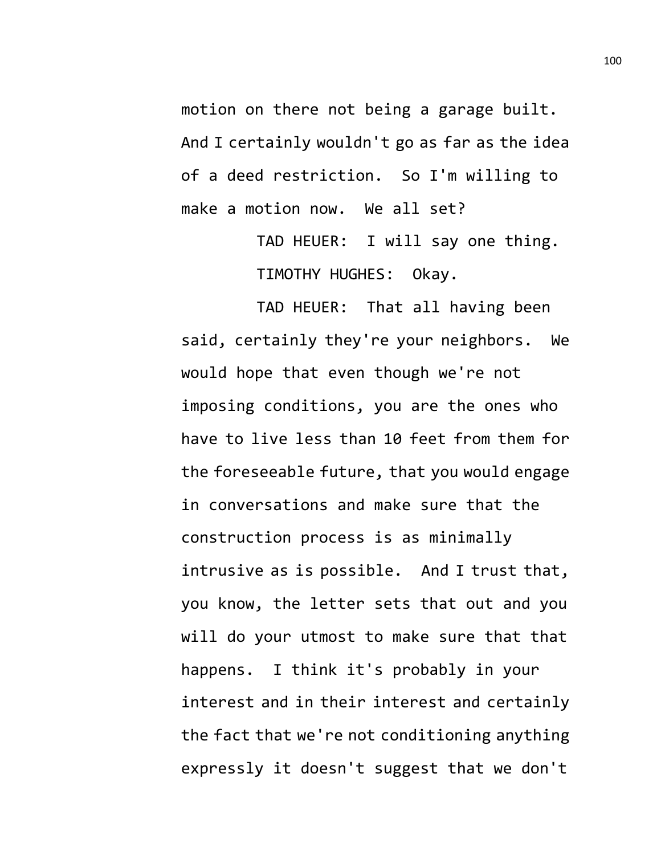motion on there not being a garage built. And I certainly wouldn't go as far as the idea of a deed restriction. So I'm willing to make a motion now. We all set?

> TAD HEUER: I will say one thing. TIMOTHY HUGHES: Okay.

TAD HEUER: That all having been said, certainly they're your neighbors. We would hope that even though we're not imposing conditions, you are the ones who have to live less than 10 feet from them for the foreseeable future, that you would engage in conversations and make sure that the construction process is as minimally intrusive as is possible. And I trust that, you know, the letter sets that out and you will do your utmost to make sure that that happens. I think it's probably in your interest and in their interest and certainly the fact that we're not conditioning anything expressly it doesn't suggest that we don't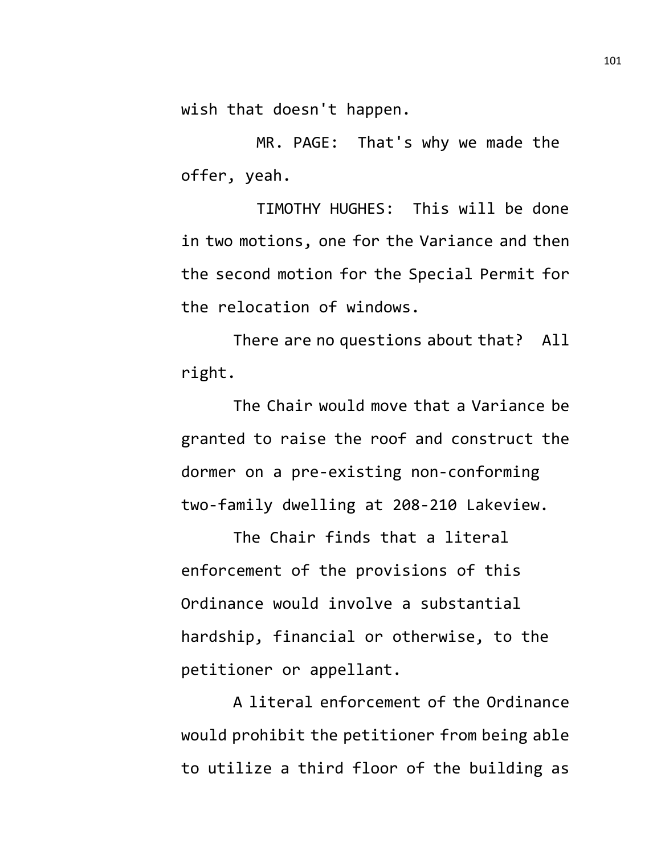wish that doesn't happen.

MR. PAGE: That's why we made the offer, yeah.

TIMOTHY HUGHES: This will be done in two motions, one for the Variance and then the second motion for the Special Permit for the relocation of windows.

There are no questions about that? All right.

The Chair would move that a Variance be granted to raise the roof and construct the dormer on a pre-existing non-conforming two-family dwelling at 208-210 Lakeview.

The Chair finds that a literal enforcement of the provisions of this Ordinance would involve a substantial hardship, financial or otherwise, to the petitioner or appellant.

A literal enforcement of the Ordinance would prohibit the petitioner from being able to utilize a third floor of the building as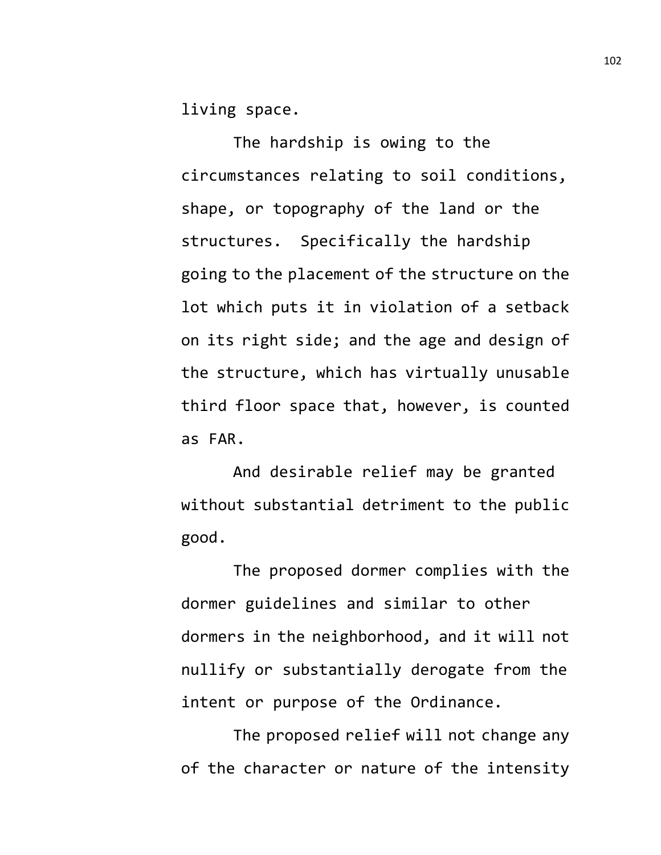living space.

The hardship is owing to the circumstances relating to soil conditions, shape, or topography of the land or the structures. Specifically the hardship going to the placement of the structure on the lot which puts it in violation of a setback on its right side; and the age and design of the structure, which has virtually unusable third floor space that, however, is counted as FAR.

And desirable relief may be granted without substantial detriment to the public good.

The proposed dormer complies with the dormer guidelines and similar to other dormers in the neighborhood, and it will not nullify or substantially derogate from the intent or purpose of the Ordinance.

The proposed relief will not change any of the character or nature of the intensity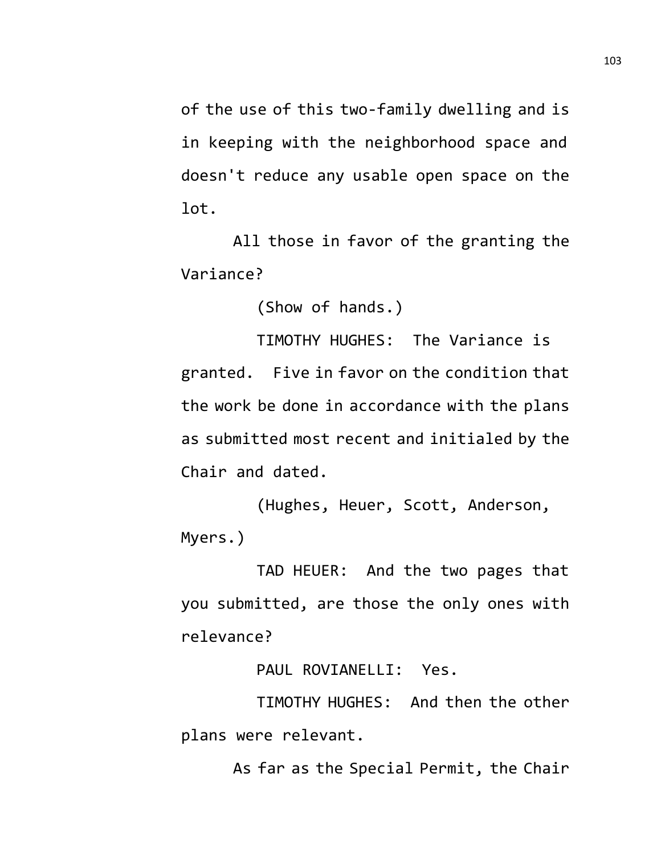of the use of this two-family dwelling and is in keeping with the neighborhood space and doesn't reduce any usable open space on the lot.

All those in favor of the granting the Variance?

(Show of hands.)

TIMOTHY HUGHES: The Variance is granted. Five in favor on the condition that the work be done in accordance with the plans as submitted most recent and initialed by the Chair and dated.

(Hughes, Heuer, Scott, Anderson, Myers.)

TAD HEUER: And the two pages that you submitted, are those the only ones with relevance?

PAUL ROVIANELLI: Yes.

TIMOTHY HUGHES: And then the other plans were relevant.

As far as the Special Permit, the Chair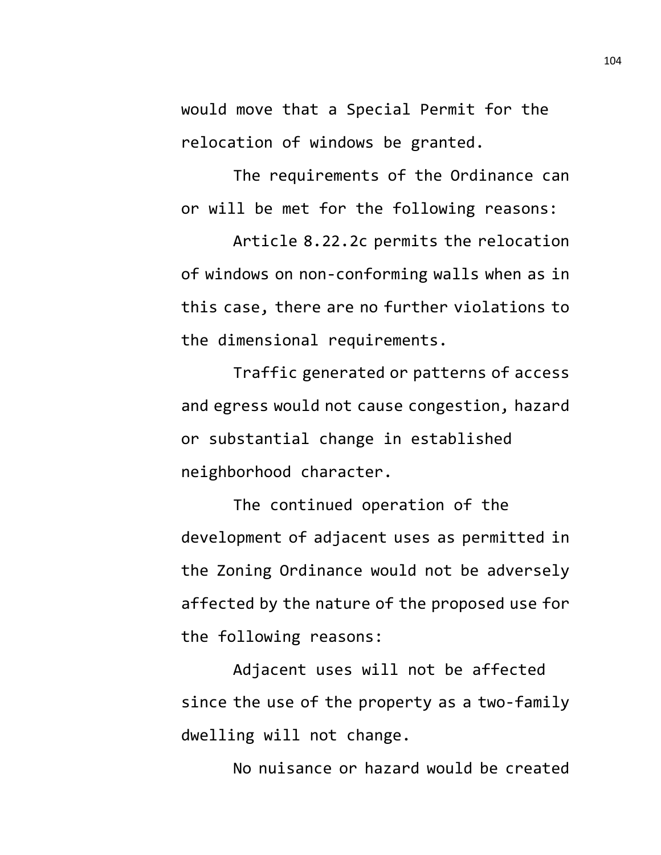would move that a Special Permit for the relocation of windows be granted.

The requirements of the Ordinance can or will be met for the following reasons:

Article 8.22.2c permits the relocation of windows on non-conforming walls when as in this case, there are no further violations to the dimensional requirements.

Traffic generated or patterns of access and egress would not cause congestion, hazard or substantial change in established neighborhood character.

The continued operation of the development of adjacent uses as permitted in the Zoning Ordinance would not be adversely affected by the nature of the proposed use for the following reasons:

Adjacent uses will not be affected since the use of the property as a two-family dwelling will not change.

No nuisance or hazard would be created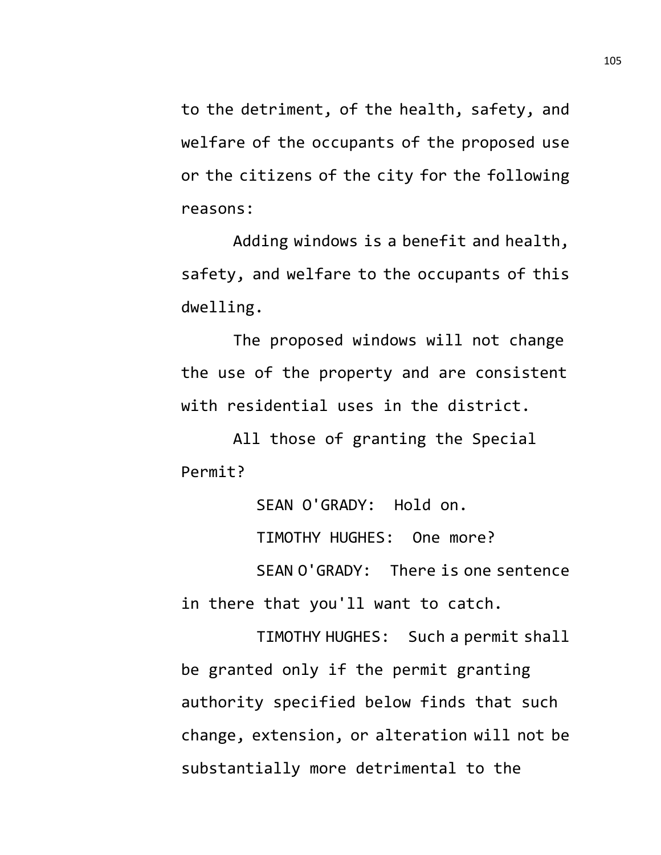to the detriment, of the health, safety, and welfare of the occupants of the proposed use or the citizens of the city for the following reasons:

Adding windows is a benefit and health, safety, and welfare to the occupants of this dwelling.

The proposed windows will not change the use of the property and are consistent with residential uses in the district.

All those of granting the Special Permit?

SEAN O'GRADY: Hold on.

TIMOTHY HUGHES: One more?

SEAN O'GRADY: There is one sentence in there that you'll want to catch.

TIMOTHY HUGHES: Such a permit shall be granted only if the permit granting authority specified below finds that such change, extension, or alteration will not be substantially more detrimental to the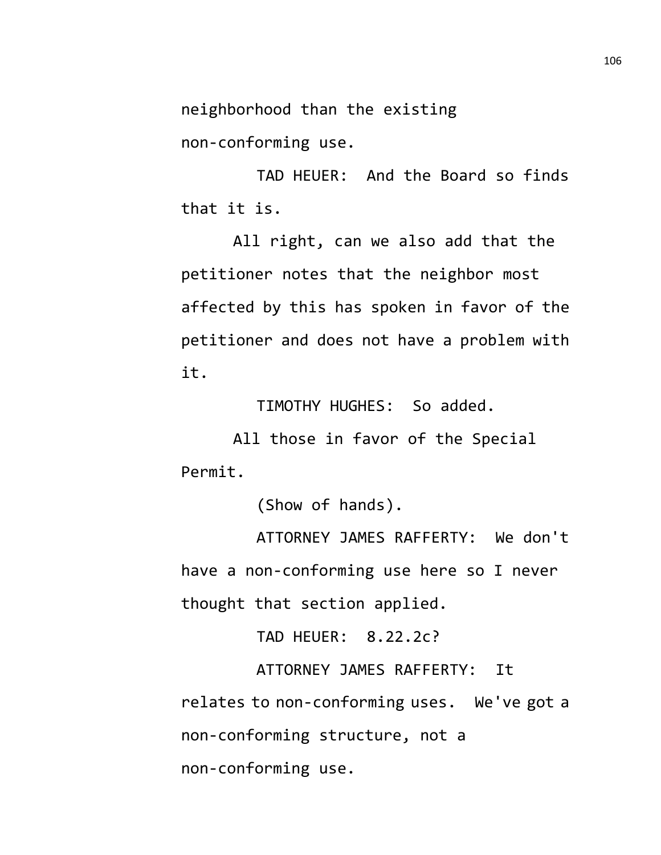neighborhood than the existing

non-conforming use.

TAD HEUER: And the Board so finds that it is.

All right, can we also add that the petitioner notes that the neighbor most affected by this has spoken in favor of the petitioner and does not have a problem with it.

TIMOTHY HUGHES: So added.

All those in favor of the Special Permit.

(Show of hands).

ATTORNEY JAMES RAFFERTY: We don't have a non-conforming use here so I never thought that section applied.

TAD HEUER: 8.22.2c?

ATTORNEY JAMES RAFFERTY: It relates to non-conforming uses. We've got a non-conforming structure, not a non-conforming use.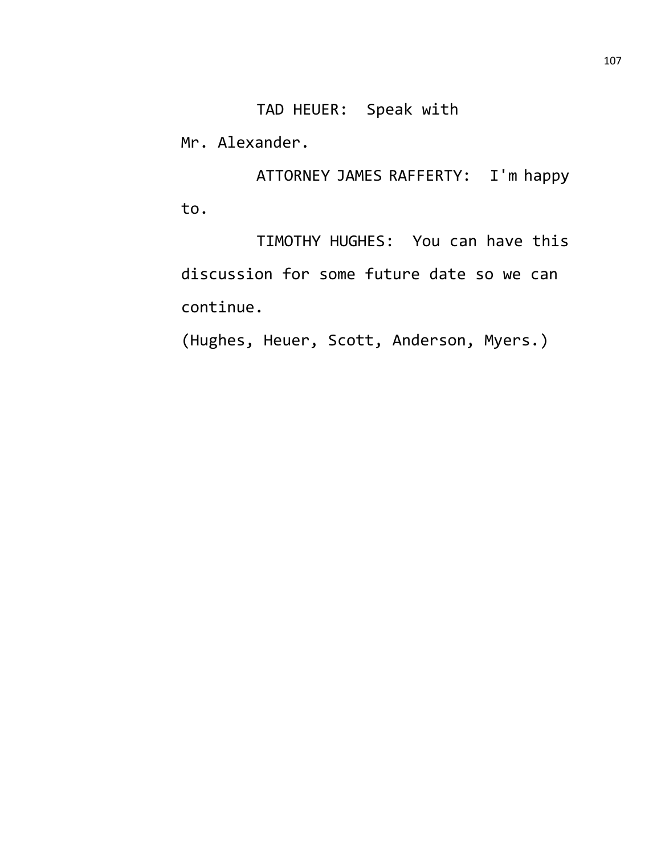Mr. Alexander.

ATTORNEY JAMES RAFFERTY: I'm happy to.

TIMOTHY HUGHES: You can have this discussion for some future date so we can continue.

(Hughes, Heuer, Scott, Anderson, Myers.)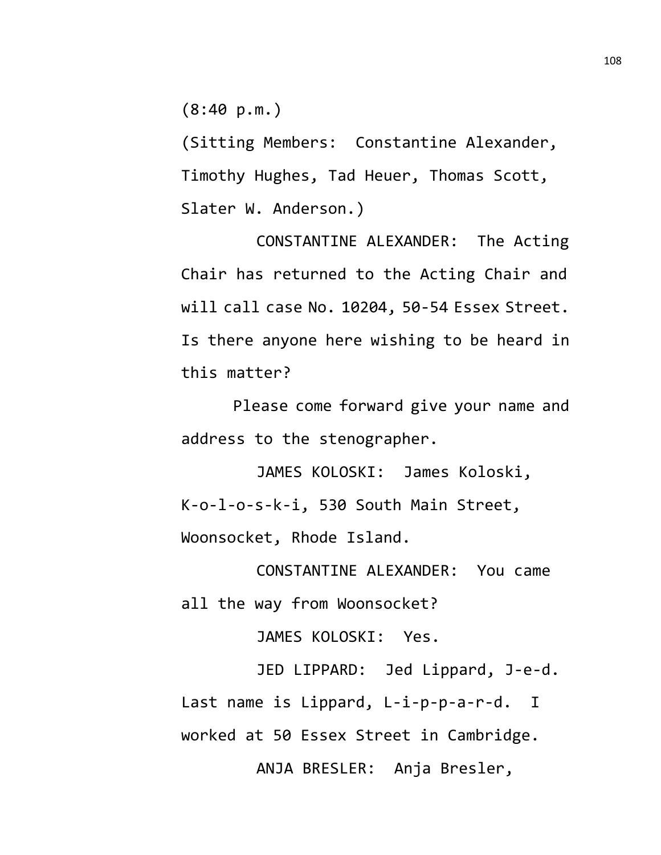(8:40 p.m.)

(Sitting Members: Constantine Alexander, Timothy Hughes, Tad Heuer, Thomas Scott, Slater W. Anderson.)

CONSTANTINE ALEXANDER: The Acting Chair has returned to the Acting Chair and will call case No. 10204, 50-54 Essex Street. Is there anyone here wishing to be heard in this matter?

Please come forward give your name and address to the stenographer.

JAMES KOLOSKI: James Koloski, K-o-l-o-s-k-i, 530 South Main Street, Woonsocket, Rhode Island.

CONSTANTINE ALEXANDER: You came all the way from Woonsocket?

JAMES KOLOSKI: Yes.

JED LIPPARD: Jed Lippard, J-e-d. Last name is Lippard, L-i-p-p-a-r-d. I worked at 50 Essex Street in Cambridge. ANJA BRESLER: Anja Bresler,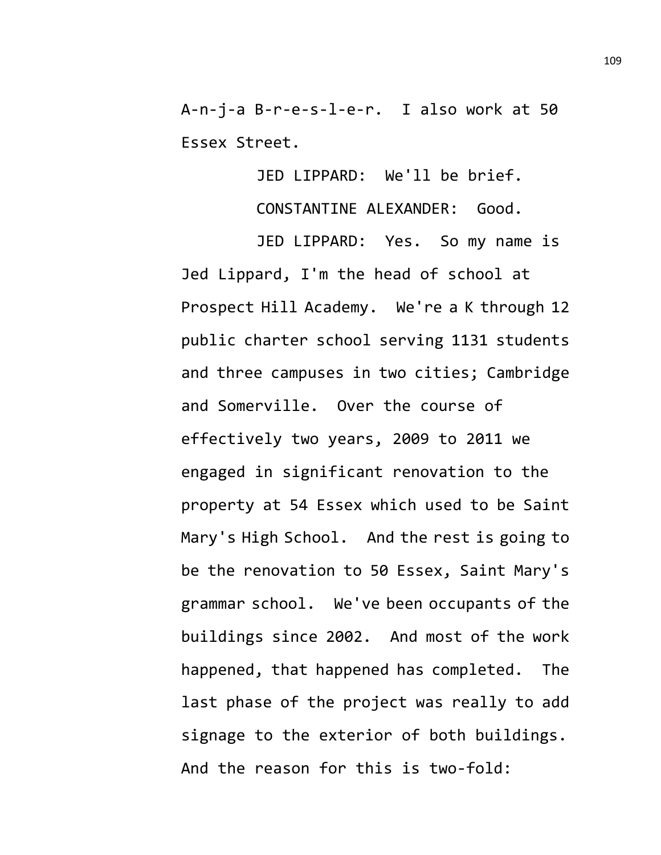A-n-j-a B-r-e-s-l-e-r. I also work at 50 Essex Street.

JED LIPPARD: We'll be brief.

CONSTANTINE ALEXANDER: Good.

JED LIPPARD: Yes. So my name is Jed Lippard, I'm the head of school at Prospect Hill Academy. We're a K through 12 public charter school serving 1131 students and three campuses in two cities; Cambridge and Somerville. Over the course of effectively two years, 2009 to 2011 we engaged in significant renovation to the property at 54 Essex which used to be Saint Mary's High School. And the rest is going to be the renovation to 50 Essex, Saint Mary's grammar school. We've been occupants of the buildings since 2002. And most of the work happened, that happened has completed. The last phase of the project was really to add signage to the exterior of both buildings. And the reason for this is two-fold: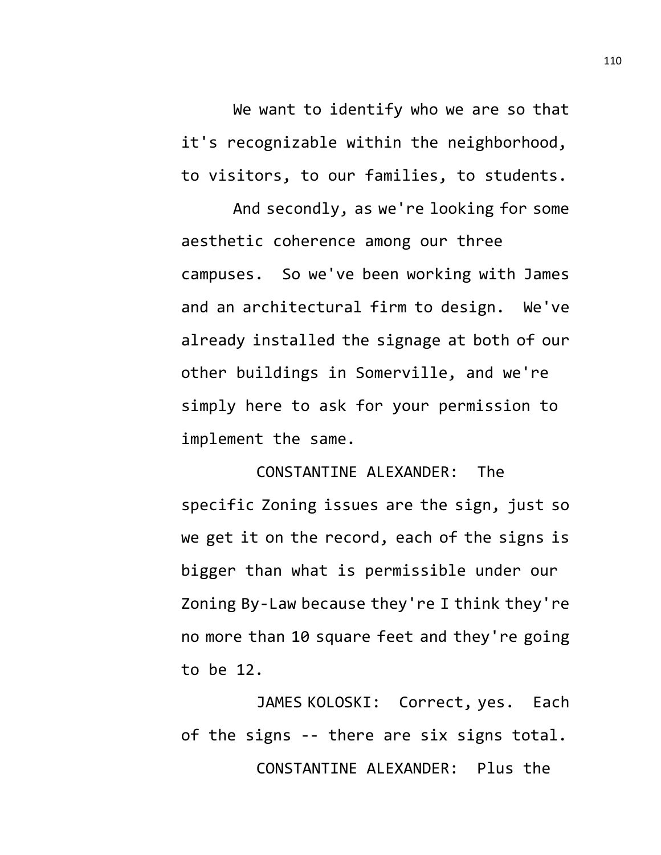We want to identify who we are so that it's recognizable within the neighborhood, to visitors, to our families, to students.

And secondly, as we're looking for some aesthetic coherence among our three campuses. So we've been working with James and an architectural firm to design. We've already installed the signage at both of our other buildings in Somerville, and we're simply here to ask for your permission to implement the same.

CONSTANTINE ALEXANDER: The specific Zoning issues are the sign, just so we get it on the record, each of the signs is bigger than what is permissible under our Zoning By-Law because they're I think they're no more than 10 square feet and they're going to be 12.

JAMES KOLOSKI: Correct, yes. Each of the signs -- there are six signs total. CONSTANTINE ALEXANDER: Plus the

110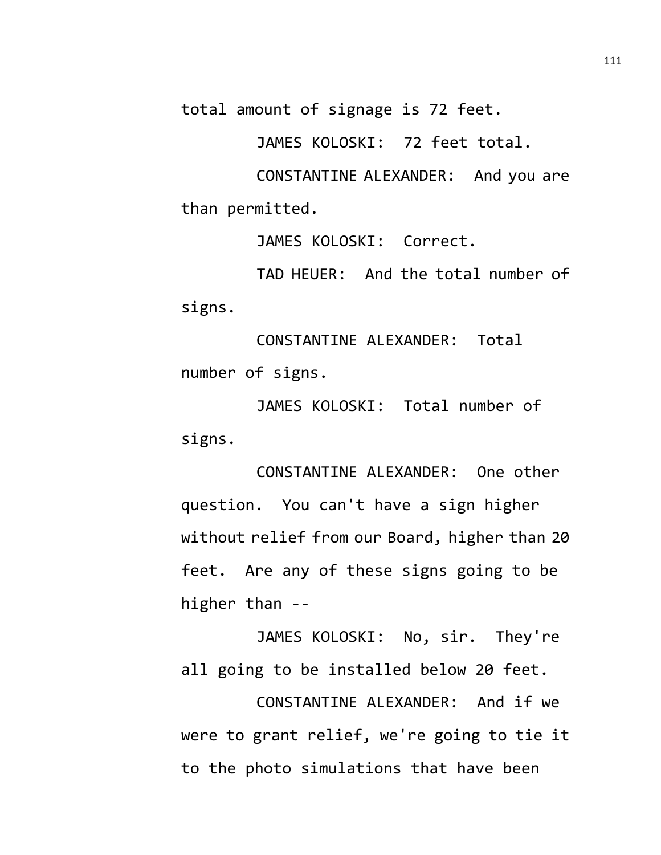total amount of signage is 72 feet.

JAMES KOLOSKI: 72 feet total.

CONSTANTINE ALEXANDER: And you are than permitted.

JAMES KOLOSKI: Correct.

TAD HEUER: And the total number of signs.

CONSTANTINE ALEXANDER: Total number of signs.

JAMES KOLOSKI: Total number of signs.

CONSTANTINE ALEXANDER: One other question. You can't have a sign higher without relief from our Board, higher than 20 feet. Are any of these signs going to be higher than --

JAMES KOLOSKI: No, sir. They're all going to be installed below 20 feet.

CONSTANTINE ALEXANDER: And if we were to grant relief, we're going to tie it to the photo simulations that have been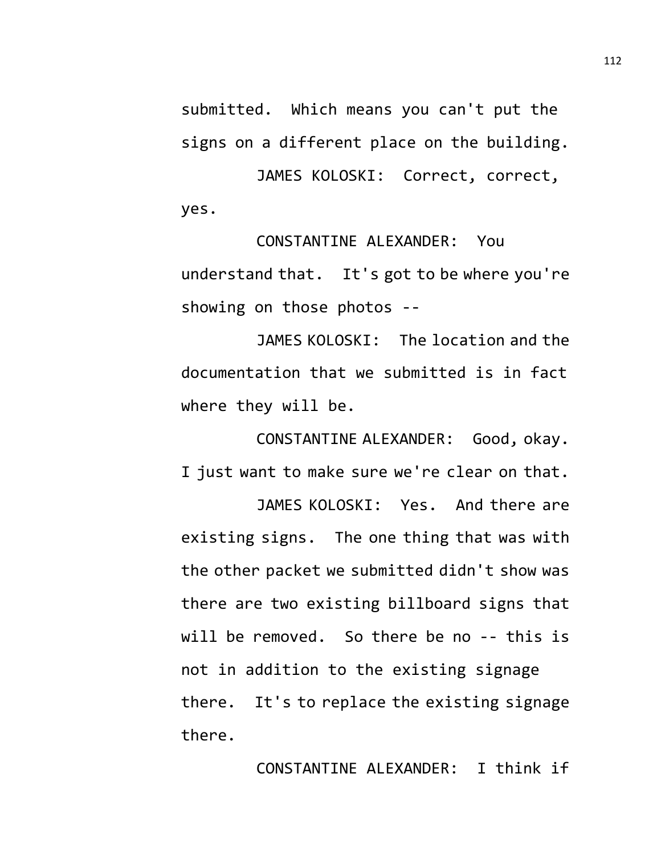submitted. Which means you can't put the signs on a different place on the building.

JAMES KOLOSKI: Correct, correct, yes.

CONSTANTINE ALEXANDER: You understand that. It's got to be where you're showing on those photos --

JAMES KOLOSKI: The location and the documentation that we submitted is in fact where they will be.

CONSTANTINE ALEXANDER: Good, okay. I just want to make sure we're clear on that. JAMES KOLOSKI: Yes. And there are

existing signs. The one thing that was with the other packet we submitted didn't show was there are two existing billboard signs that will be removed. So there be no -- this is not in addition to the existing signage there. It's to replace the existing signage there.

CONSTANTINE ALEXANDER: I think if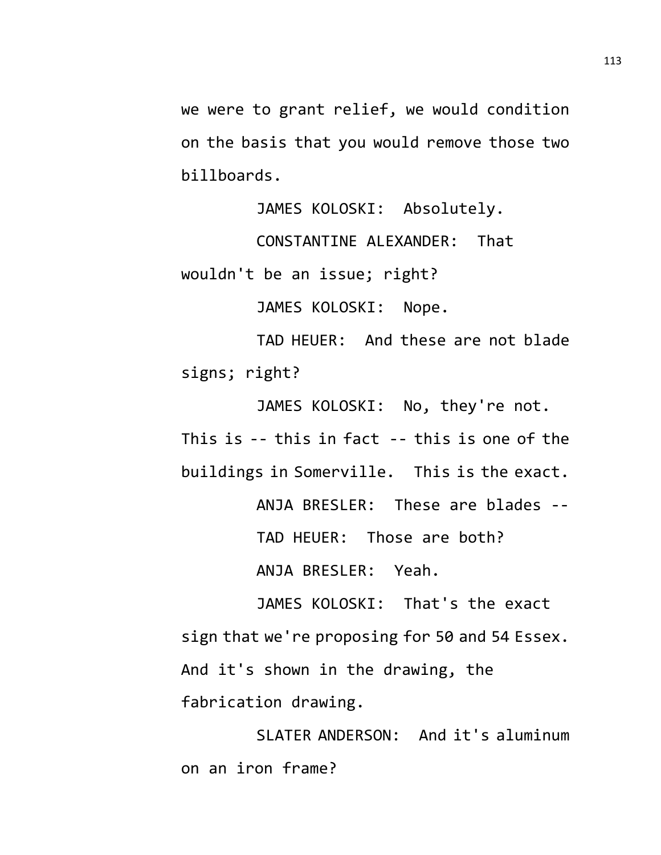we were to grant relief, we would condition on the basis that you would remove those two billboards.

JAMES KOLOSKI: Absolutely.

CONSTANTINE ALEXANDER: That wouldn't be an issue; right?

JAMES KOLOSKI: Nope.

TAD HEUER: And these are not blade signs; right?

JAMES KOLOSKI: No, they're not. This is -- this in fact -- this is one of the buildings in Somerville. This is the exact. ANJA BRESLER: These are blades -- TAD HEUER: Those are both?

ANJA BRESLER: Yeah.

JAMES KOLOSKI: That's the exact sign that we're proposing for 50 and 54 Essex. And it's shown in the drawing, the fabrication drawing.

SLATER ANDERSON: And it's aluminum on an iron frame?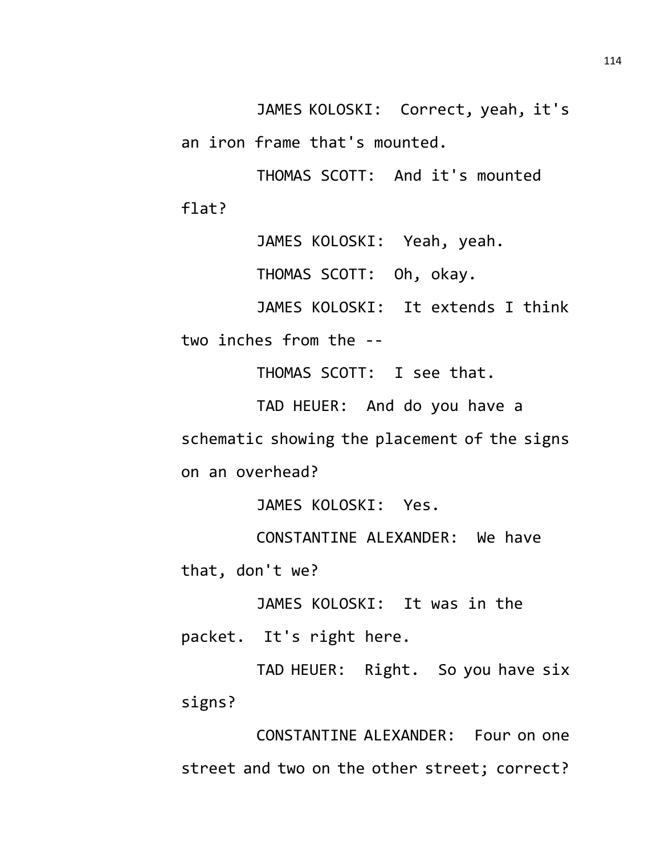JAMES KOLOSKI: Correct, yeah, it's an iron frame that's mounted.

THOMAS SCOTT: And it's mounted flat?

JAMES KOLOSKI: Yeah, yeah.

THOMAS SCOTT: Oh, okay.

JAMES KOLOSKI: It extends I think

two inches from the --

THOMAS SCOTT: I see that.

TAD HEUER: And do you have a schematic showing the placement of the signs on an overhead?

JAMES KOLOSKI: Yes.

CONSTANTINE ALEXANDER: We have that, don't we?

JAMES KOLOSKI: It was in the

packet. It's right here.

TAD HEUER: Right. So you have six signs?

CONSTANTINE ALEXANDER: Four on one street and two on the other street; correct?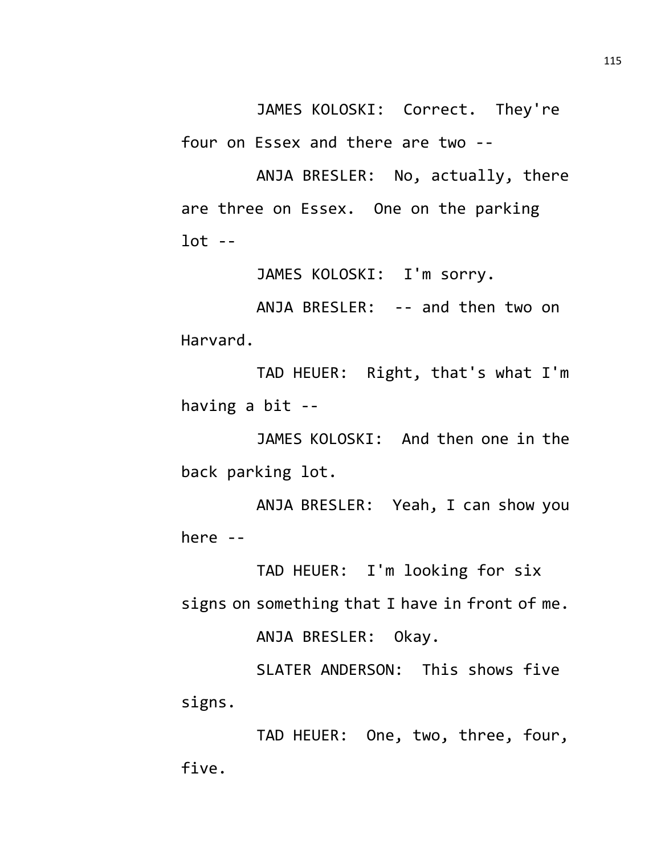JAMES KOLOSKI: Correct. They're four on Essex and there are two --

ANJA BRESLER: No, actually, there are three on Essex. One on the parking  $lot --$ 

JAMES KOLOSKI: I'm sorry.

ANJA BRESLER: -- and then two on Harvard.

TAD HEUER: Right, that's what I'm having a bit --

JAMES KOLOSKI: And then one in the back parking lot.

ANJA BRESLER: Yeah, I can show you here --

TAD HEUER: I'm looking for six signs on something that I have in front of me. ANJA BRESLER: Okay.

SLATER ANDERSON: This shows five signs.

TAD HEUER: One, two, three, four, five.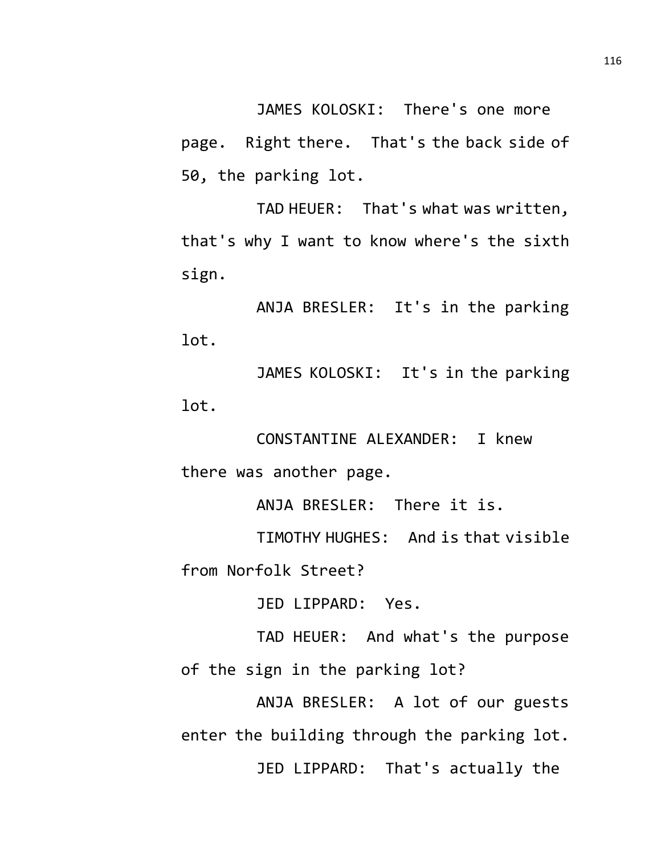JAMES KOLOSKI: There's one more page. Right there. That's the back side of 50, the parking lot.

TAD HEUER: That's what was written, that's why I want to know where's the sixth sign.

ANJA BRESLER: It's in the parking lot.

JAMES KOLOSKI: It's in the parking lot.

CONSTANTINE ALEXANDER: I knew there was another page.

ANJA BRESLER: There it is.

TIMOTHY HUGHES: And is that visible from Norfolk Street?

JED LIPPARD: Yes.

TAD HEUER: And what's the purpose of the sign in the parking lot?

ANJA BRESLER: A lot of our guests enter the building through the parking lot. JED LIPPARD: That's actually the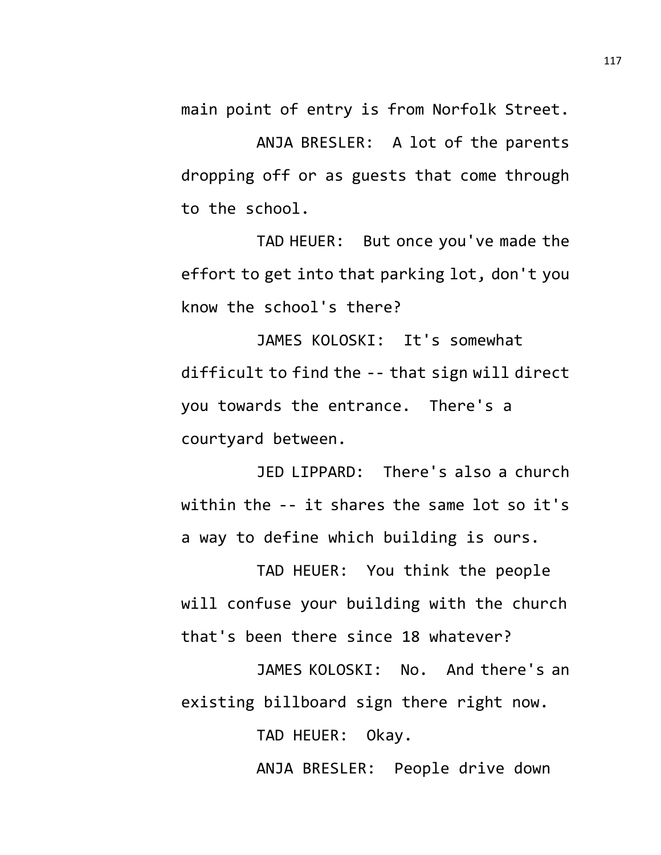main point of entry is from Norfolk Street.

ANJA BRESLER: A lot of the parents dropping off or as guests that come through to the school.

TAD HEUER: But once you've made the effort to get into that parking lot, don't you know the school's there?

JAMES KOLOSKI: It's somewhat difficult to find the -- that sign will direct you towards the entrance. There's a courtyard between.

JED LIPPARD: There's also a church within the -- it shares the same lot so it's a way to define which building is ours.

TAD HEUER: You think the people will confuse your building with the church that's been there since 18 whatever?

JAMES KOLOSKI: No. And there's an existing billboard sign there right now.

TAD HEUER: Okay.

ANJA BRESLER: People drive down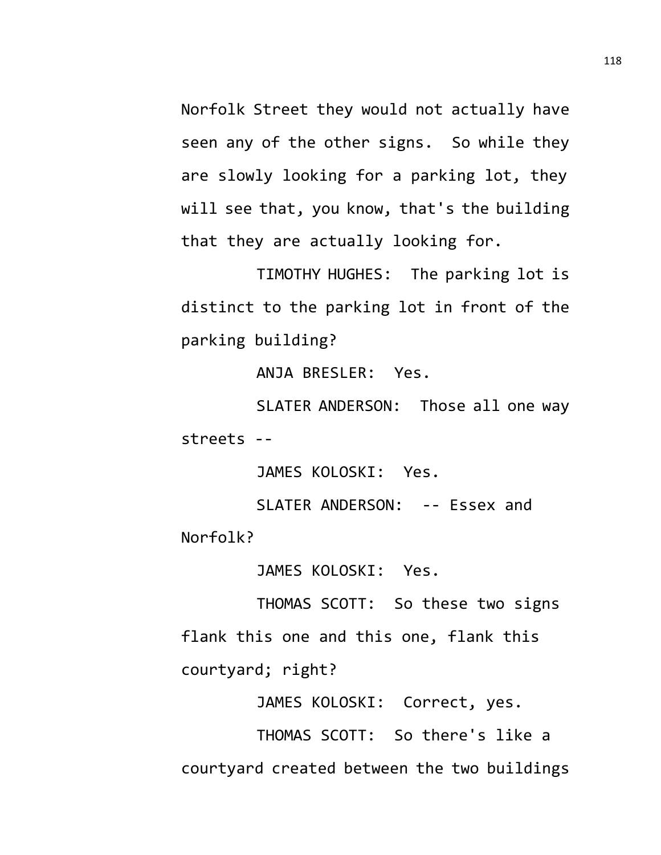Norfolk Street they would not actually have seen any of the other signs. So while they are slowly looking for a parking lot, they will see that, you know, that's the building that they are actually looking for.

TIMOTHY HUGHES: The parking lot is distinct to the parking lot in front of the parking building?

ANJA BRESLER: Yes.

SLATER ANDERSON: Those all one way streets --

JAMES KOLOSKI: Yes.

SLATER ANDERSON: -- Essex and Norfolk?

JAMES KOLOSKI: Yes.

THOMAS SCOTT: So these two signs flank this one and this one, flank this courtyard; right?

JAMES KOLOSKI: Correct, yes.

THOMAS SCOTT: So there's like a courtyard created between the two buildings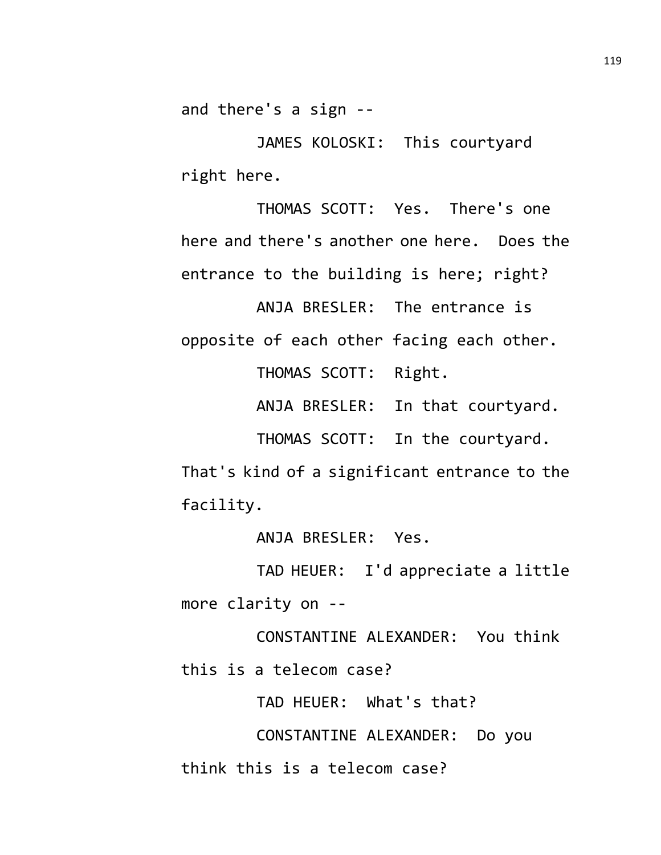and there's a sign --

JAMES KOLOSKI: This courtyard right here.

THOMAS SCOTT: Yes. There's one here and there's another one here. Does the entrance to the building is here; right?

ANJA BRESLER: The entrance is opposite of each other facing each other. THOMAS SCOTT: Right.

ANJA BRESLER: In that courtyard.

THOMAS SCOTT: In the courtyard.

That's kind of a significant entrance to the facility.

ANJA BRESLER: Yes.

TAD HEUER: I'd appreciate a little more clarity on --

CONSTANTINE ALEXANDER: You think this is a telecom case?

TAD HEUER: What's that?

CONSTANTINE ALEXANDER: Do you think this is a telecom case?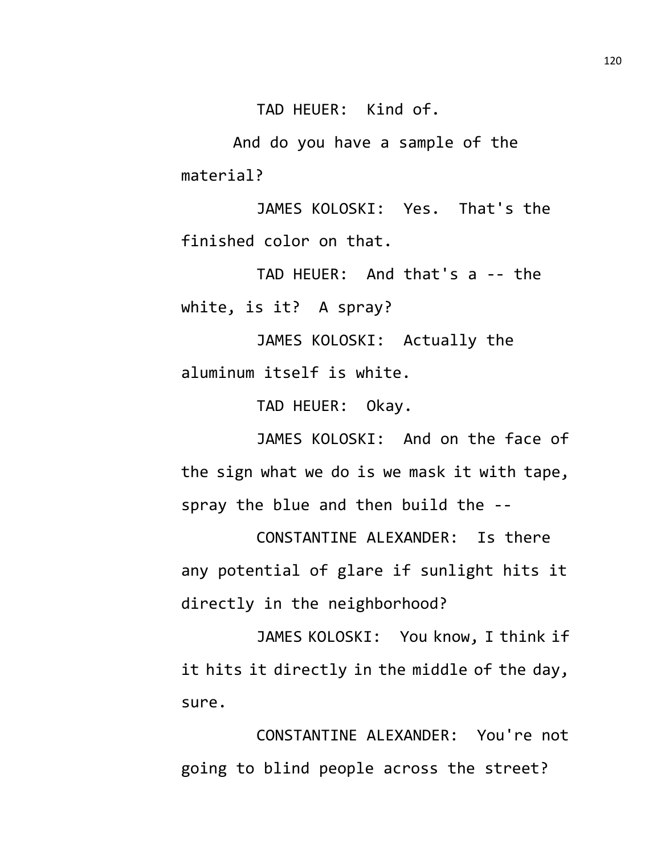TAD HEUER: Kind of.

And do you have a sample of the material?

JAMES KOLOSKI: Yes. That's the finished color on that.

TAD HEUER: And that's a -- the white, is it? A spray?

JAMES KOLOSKI: Actually the aluminum itself is white.

TAD HEUER: Okay.

JAMES KOLOSKI: And on the face of the sign what we do is we mask it with tape, spray the blue and then build the --

CONSTANTINE ALEXANDER: Is there any potential of glare if sunlight hits it directly in the neighborhood?

JAMES KOLOSKI: You know, I think if it hits it directly in the middle of the day, sure.

CONSTANTINE ALEXANDER: You're not going to blind people across the street?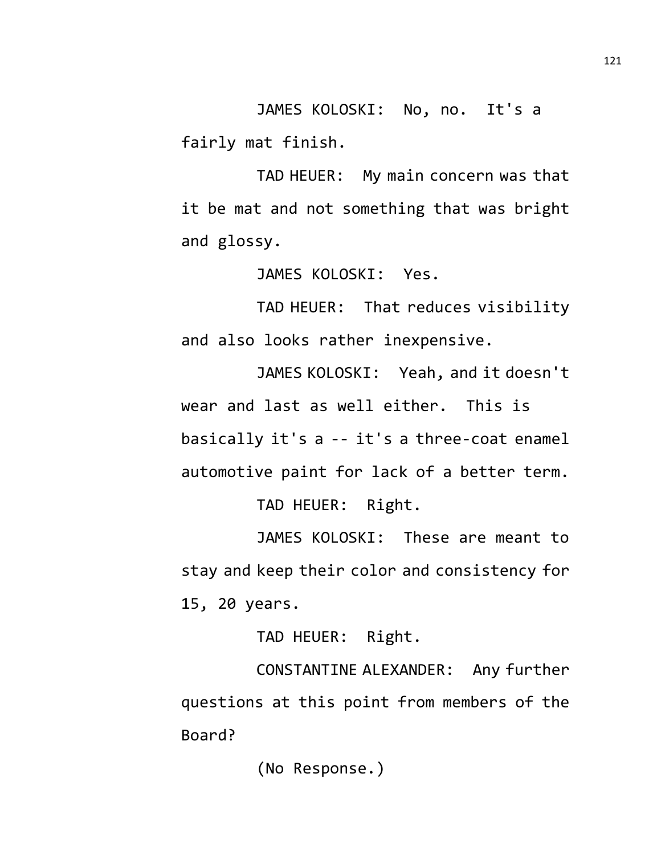JAMES KOLOSKI: No, no. It's a fairly mat finish.

TAD HEUER: My main concern was that it be mat and not something that was bright and glossy.

JAMES KOLOSKI: Yes.

TAD HEUER: That reduces visibility and also looks rather inexpensive.

JAMES KOLOSKI: Yeah, and it doesn't wear and last as well either. This is basically it's a -- it's a three-coat enamel automotive paint for lack of a better term. TAD HEUER: Right.

JAMES KOLOSKI: These are meant to stay and keep their color and consistency for 15, 20 years.

TAD HEUER: Right.

CONSTANTINE ALEXANDER: Any further questions at this point from members of the Board?

(No Response.)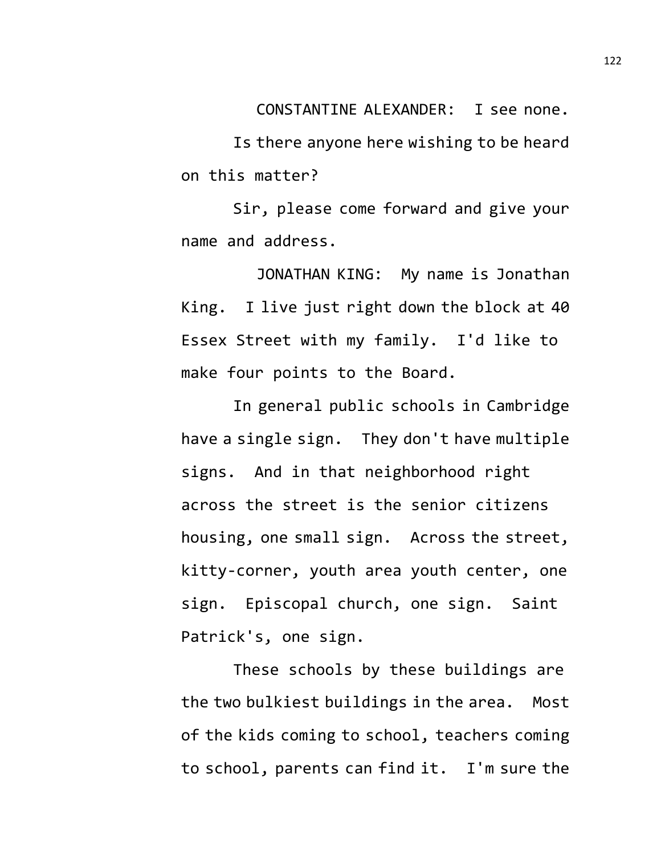CONSTANTINE ALEXANDER: I see none.

Is there anyone here wishing to be heard on this matter?

Sir, please come forward and give your name and address.

JONATHAN KING: My name is Jonathan King. I live just right down the block at 40 Essex Street with my family. I'd like to make four points to the Board.

In general public schools in Cambridge have a single sign. They don't have multiple signs. And in that neighborhood right across the street is the senior citizens housing, one small sign. Across the street, kitty-corner, youth area youth center, one sign. Episcopal church, one sign. Saint Patrick's, one sign.

These schools by these buildings are the two bulkiest buildings in the area. Most of the kids coming to school, teachers coming to school, parents can find it. I'm sure the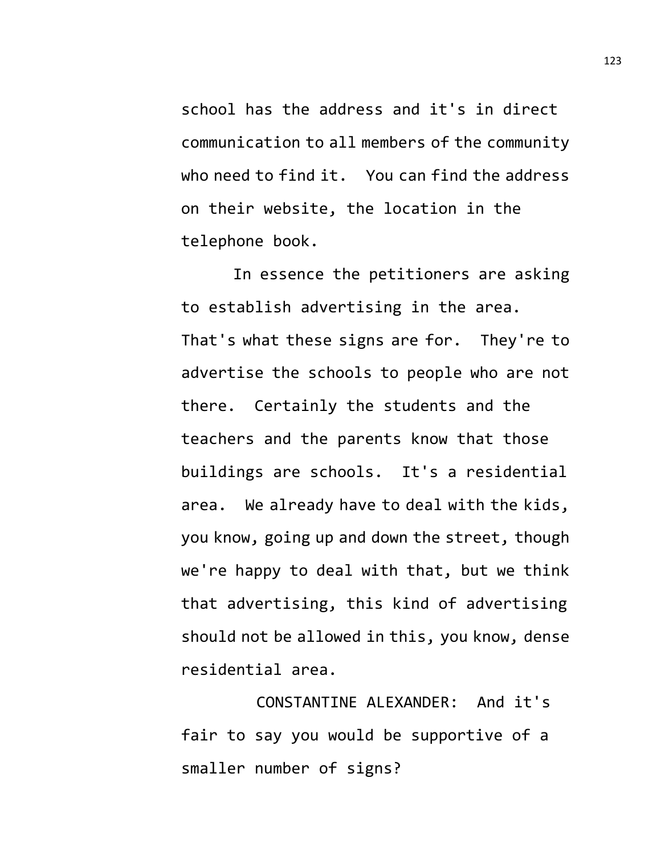school has the address and it's in direct communication to all members of the community who need to find it. You can find the address on their website, the location in the telephone book.

In essence the petitioners are asking to establish advertising in the area. That's what these signs are for. They're to advertise the schools to people who are not there. Certainly the students and the teachers and the parents know that those buildings are schools. It's a residential area. We already have to deal with the kids, you know, going up and down the street, though we're happy to deal with that, but we think that advertising, this kind of advertising should not be allowed in this, you know, dense residential area.

CONSTANTINE ALEXANDER: And it's fair to say you would be supportive of a smaller number of signs?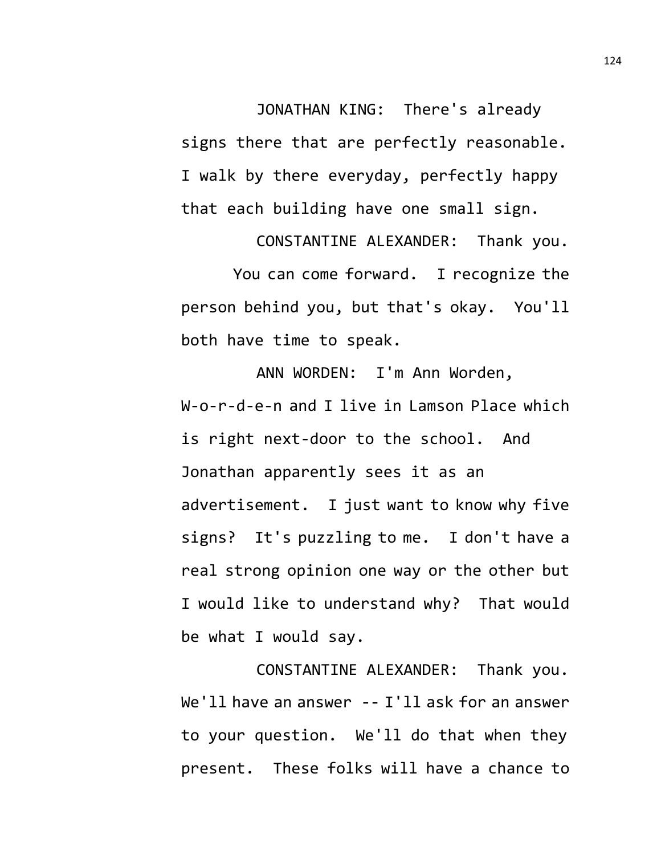JONATHAN KING: There's already signs there that are perfectly reasonable. I walk by there everyday, perfectly happy that each building have one small sign.

CONSTANTINE ALEXANDER: Thank you. You can come forward. I recognize the person behind you, but that's okay. You'll both have time to speak.

ANN WORDEN: I'm Ann Worden, W-o-r-d-e-n and I live in Lamson Place which is right next-door to the school. And Jonathan apparently sees it as an advertisement. I just want to know why five signs? It's puzzling to me. I don't have a real strong opinion one way or the other but I would like to understand why? That would be what I would say.

CONSTANTINE ALEXANDER: Thank you. We'll have an answer -- I'll ask for an answer to your question. We'll do that when they present. These folks will have a chance to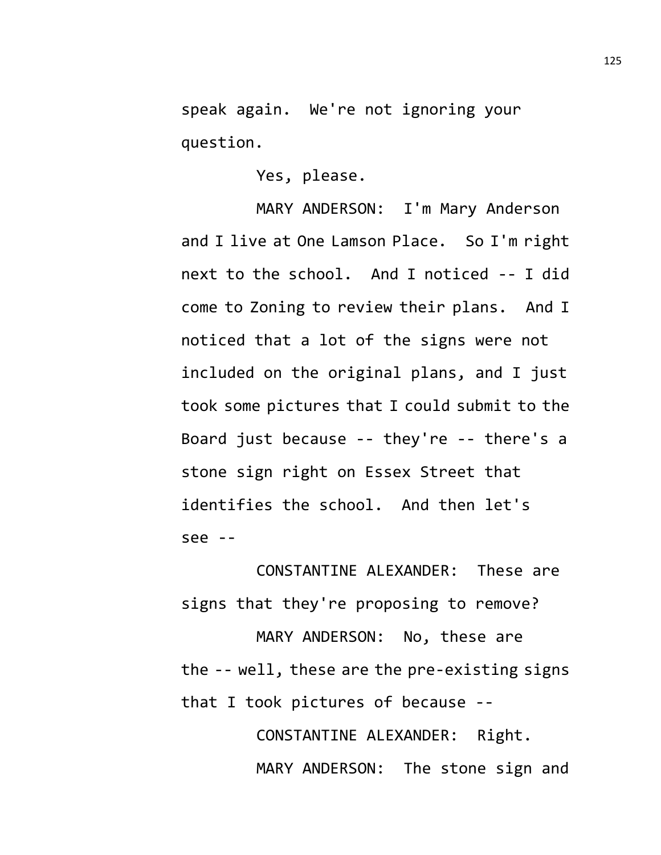speak again. We're not ignoring your question.

Yes, please.

MARY ANDERSON: I'm Mary Anderson and I live at One Lamson Place. So I'm right next to the school. And I noticed -- I did come to Zoning to review their plans. And I noticed that a lot of the signs were not included on the original plans, and I just took some pictures that I could submit to the Board just because -- they're -- there's a stone sign right on Essex Street that identifies the school. And then let's see --

CONSTANTINE ALEXANDER: These are signs that they're proposing to remove?

MARY ANDERSON: No, these are the -- well, these are the pre-existing signs that I took pictures of because --

> CONSTANTINE ALEXANDER: Right. MARY ANDERSON: The stone sign and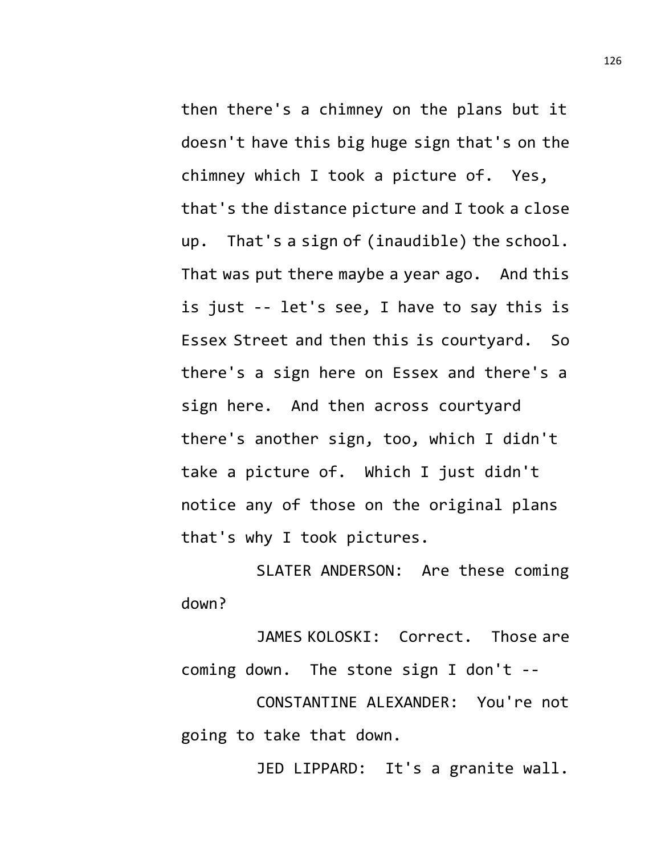then there's a chimney on the plans but it doesn't have this big huge sign that's on the chimney which I took a picture of. Yes, that's the distance picture and I took a close up. That's a sign of (inaudible) the school. That was put there maybe a year ago. And this is just -- let's see, I have to say this is Essex Street and then this is courtyard. So there's a sign here on Essex and there's a sign here. And then across courtyard there's another sign, too, which I didn't take a picture of. Which I just didn't notice any of those on the original plans that's why I took pictures.

SLATER ANDERSON: Are these coming down?

JAMES KOLOSKI: Correct. Those are coming down. The stone sign I don't --

CONSTANTINE ALEXANDER: You're not going to take that down.

JED LIPPARD: It's a granite wall.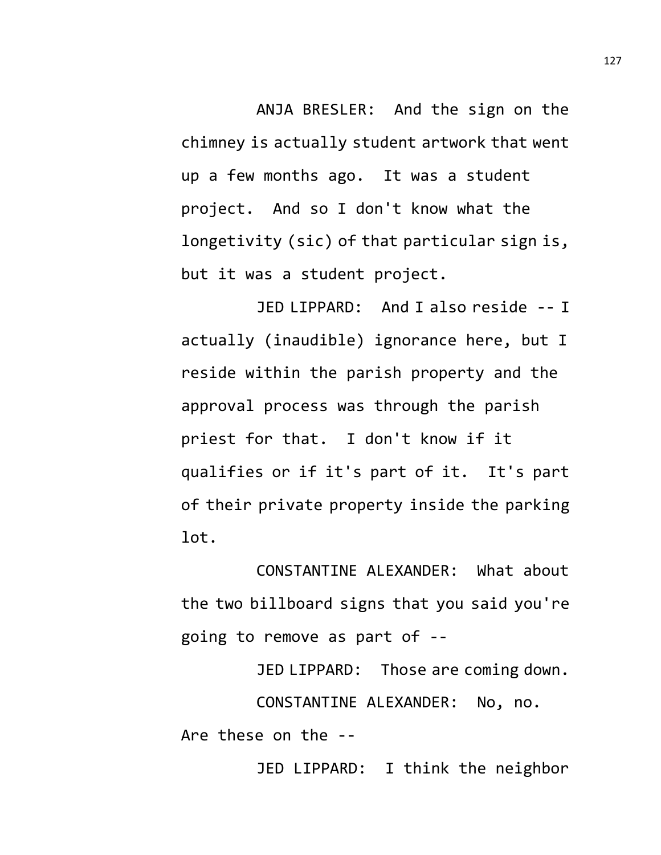ANJA BRESLER: And the sign on the chimney is actually student artwork that went up a few months ago. It was a student project. And so I don't know what the longetivity (sic) of that particular sign is, but it was a student project.

JED LIPPARD: And I also reside -- I actually (inaudible) ignorance here, but I reside within the parish property and the approval process was through the parish priest for that. I don't know if it qualifies or if it's part of it. It's part of their private property inside the parking lot.

CONSTANTINE ALEXANDER: What about the two billboard signs that you said you're going to remove as part of --

JED LIPPARD: Those are coming down. CONSTANTINE ALEXANDER: No, no. Are these on the -- JED LIPPARD: I think the neighbor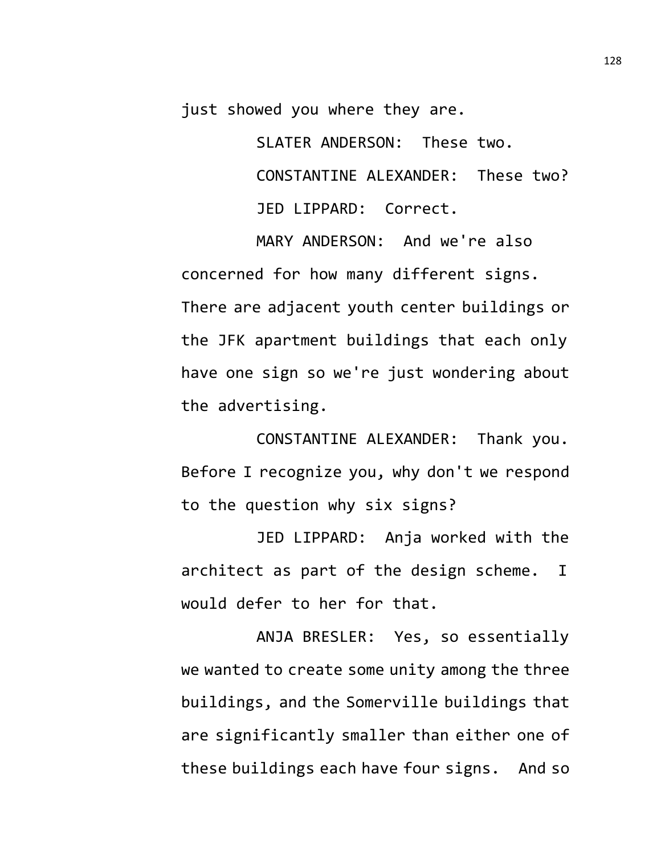just showed you where they are.

SLATER ANDERSON: These two. CONSTANTINE ALEXANDER: These two? JED LIPPARD: Correct.

MARY ANDERSON: And we're also concerned for how many different signs. There are adjacent youth center buildings or the JFK apartment buildings that each only have one sign so we're just wondering about the advertising.

CONSTANTINE ALEXANDER: Thank you. Before I recognize you, why don't we respond to the question why six signs?

JED LIPPARD: Anja worked with the architect as part of the design scheme. I would defer to her for that.

ANJA BRESLER: Yes, so essentially we wanted to create some unity among the three buildings, and the Somerville buildings that are significantly smaller than either one of these buildings each have four signs. And so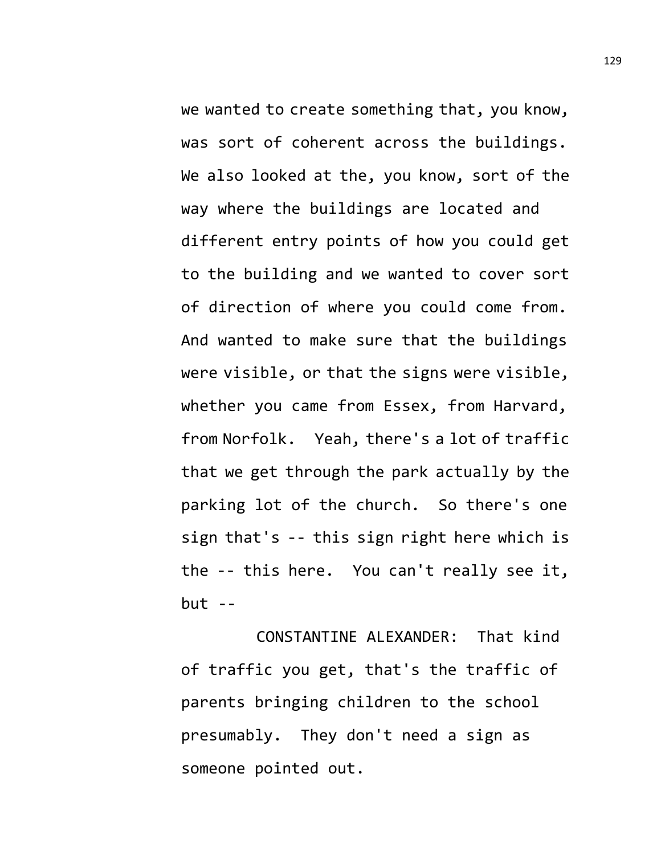we wanted to create something that, you know, was sort of coherent across the buildings. We also looked at the, you know, sort of the way where the buildings are located and different entry points of how you could get to the building and we wanted to cover sort of direction of where you could come from. And wanted to make sure that the buildings were visible, or that the signs were visible, whether you came from Essex, from Harvard, from Norfolk. Yeah, there's a lot of traffic that we get through the park actually by the parking lot of the church. So there's one sign that's -- this sign right here which is the -- this here. You can't really see it,  $but --$ 

CONSTANTINE ALEXANDER: That kind of traffic you get, that's the traffic of parents bringing children to the school presumably. They don't need a sign as someone pointed out.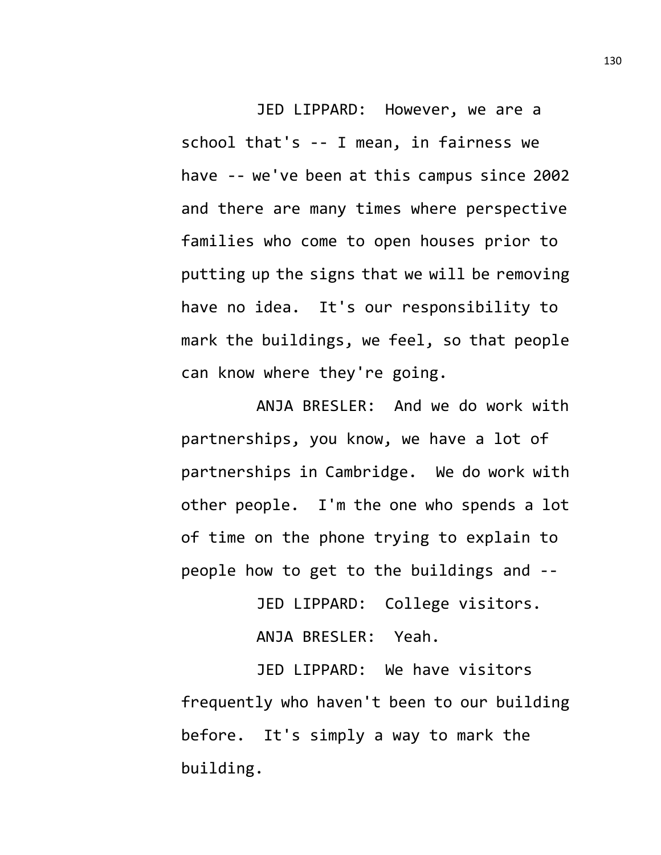JED LIPPARD: However, we are a school that's -- I mean, in fairness we have -- we've been at this campus since 2002 and there are many times where perspective families who come to open houses prior to putting up the signs that we will be removing have no idea. It's our responsibility to mark the buildings, we feel, so that people can know where they're going.

ANJA BRESLER: And we do work with partnerships, you know, we have a lot of partnerships in Cambridge. We do work with other people. I'm the one who spends a lot of time on the phone trying to explain to people how to get to the buildings and --

JED LIPPARD: College visitors.

ANJA BRESLER: Yeah.

JED LIPPARD: We have visitors frequently who haven't been to our building before. It's simply a way to mark the building.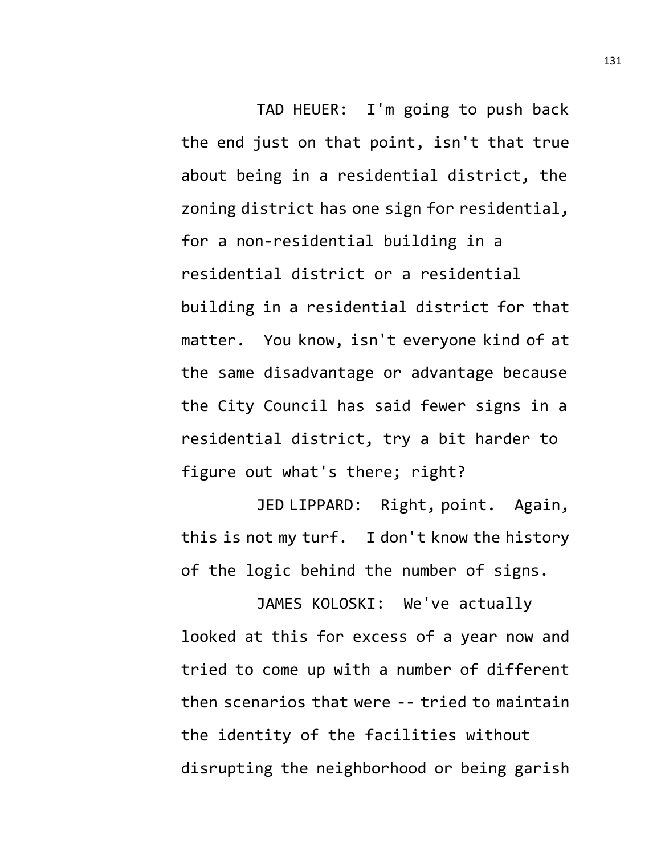TAD HEUER: I'm going to push back the end just on that point, isn't that true about being in a residential district, the zoning district has one sign for residential, for a non-residential building in a residential district or a residential building in a residential district for that matter. You know, isn't everyone kind of at the same disadvantage or advantage because the City Council has said fewer signs in a residential district, try a bit harder to figure out what's there; right?

JED LIPPARD: Right, point. Again, this is not my turf. I don't know the history of the logic behind the number of signs.

JAMES KOLOSKI: We've actually looked at this for excess of a year now and tried to come up with a number of different then scenarios that were -- tried to maintain the identity of the facilities without disrupting the neighborhood or being garish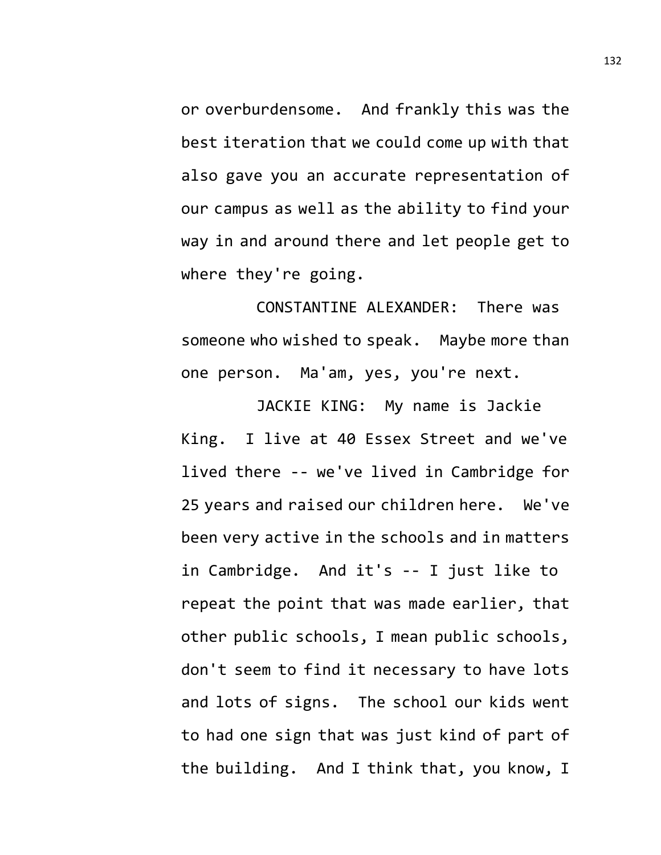or overburdensome. And frankly this was the best iteration that we could come up with that also gave you an accurate representation of our campus as well as the ability to find your way in and around there and let people get to where they're going.

CONSTANTINE ALEXANDER: There was someone who wished to speak. Maybe more than one person. Ma'am, yes, you're next.

JACKIE KING: My name is Jackie King. I live at 40 Essex Street and we've lived there -- we've lived in Cambridge for 25 years and raised our children here. We've been very active in the schools and in matters in Cambridge. And it's -- I just like to repeat the point that was made earlier, that other public schools, I mean public schools, don't seem to find it necessary to have lots and lots of signs. The school our kids went to had one sign that was just kind of part of the building. And I think that, you know, I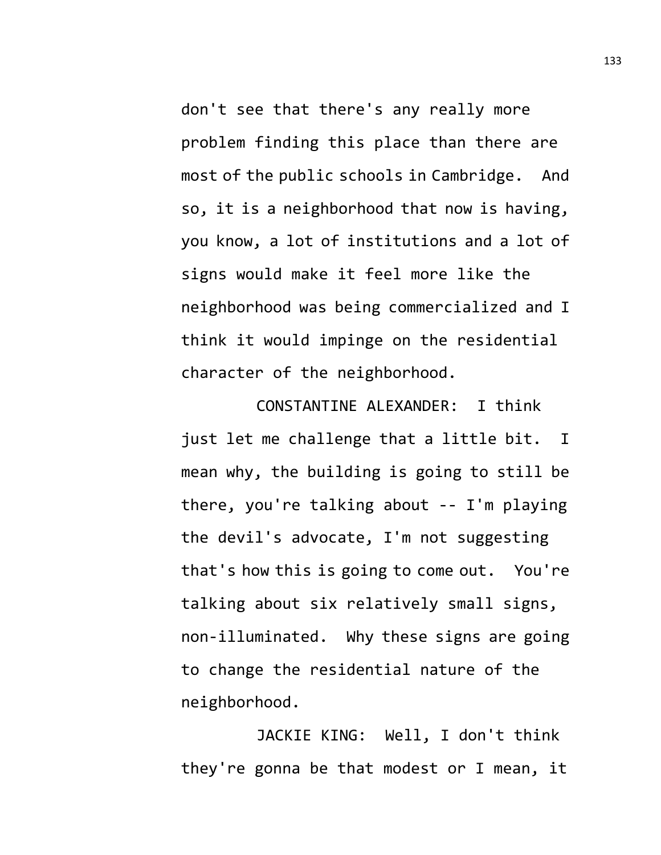don't see that there's any really more problem finding this place than there are most of the public schools in Cambridge. And so, it is a neighborhood that now is having, you know, a lot of institutions and a lot of signs would make it feel more like the neighborhood was being commercialized and I think it would impinge on the residential character of the neighborhood.

CONSTANTINE ALEXANDER: I think just let me challenge that a little bit. I mean why, the building is going to still be there, you're talking about -- I'm playing the devil's advocate, I'm not suggesting that's how this is going to come out. You're talking about six relatively small signs, non-illuminated. Why these signs are going to change the residential nature of the neighborhood.

JACKIE KING: Well, I don't think they're gonna be that modest or I mean, it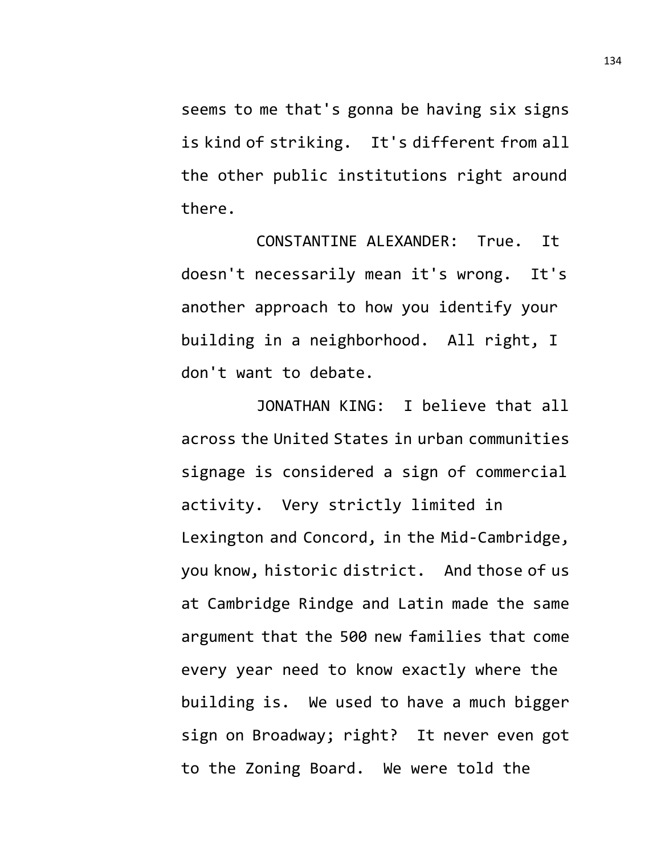seems to me that's gonna be having six signs is kind of striking. It's different from all the other public institutions right around there.

CONSTANTINE ALEXANDER: True. It doesn't necessarily mean it's wrong. It's another approach to how you identify your building in a neighborhood. All right, I don't want to debate.

JONATHAN KING: I believe that all across the United States in urban communities signage is considered a sign of commercial activity. Very strictly limited in Lexington and Concord, in the Mid-Cambridge, you know, historic district. And those of us at Cambridge Rindge and Latin made the same argument that the 500 new families that come every year need to know exactly where the building is. We used to have a much bigger sign on Broadway; right? It never even got to the Zoning Board. We were told the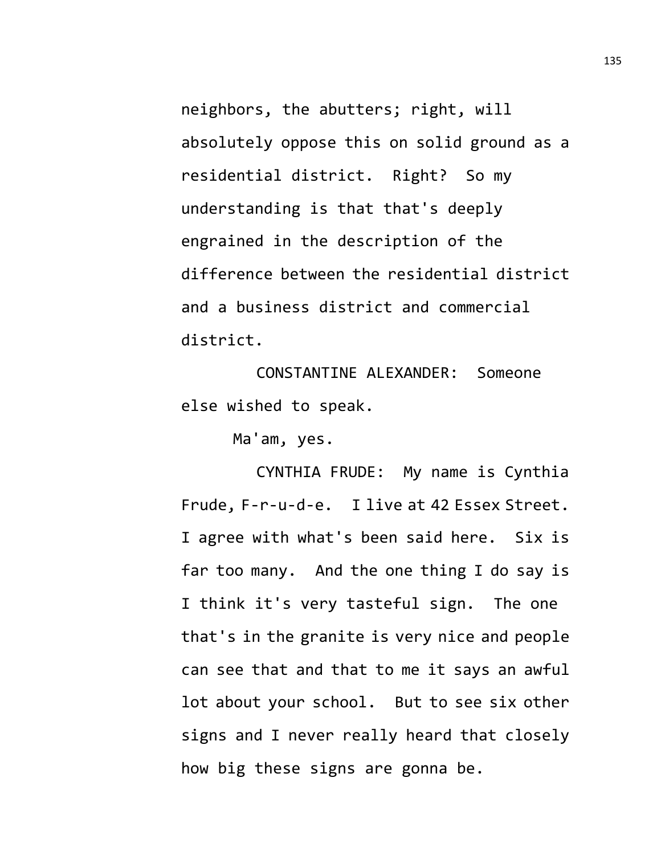neighbors, the abutters; right, will absolutely oppose this on solid ground as a residential district. Right? So my understanding is that that's deeply engrained in the description of the difference between the residential district and a business district and commercial district.

CONSTANTINE ALEXANDER: Someone else wished to speak.

Ma'am, yes.

CYNTHIA FRUDE: My name is Cynthia Frude, F-r-u-d-e. I live at 42 Essex Street. I agree with what's been said here. Six is far too many. And the one thing I do say is I think it's very tasteful sign. The one that's in the granite is very nice and people can see that and that to me it says an awful lot about your school. But to see six other signs and I never really heard that closely how big these signs are gonna be.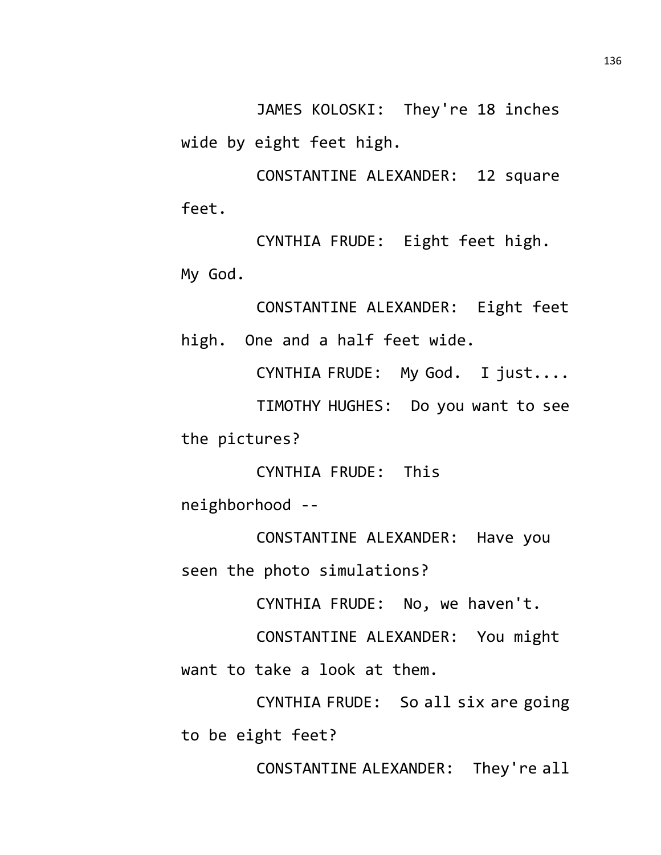JAMES KOLOSKI: They're 18 inches wide by eight feet high.

CONSTANTINE ALEXANDER: 12 square feet.

CYNTHIA FRUDE: Eight feet high. My God.

CONSTANTINE ALEXANDER: Eight feet high. One and a half feet wide.

CYNTHIA FRUDE: My God. I just.... TIMOTHY HUGHES: Do you want to see the pictures?

CYNTHIA FRUDE: This neighborhood --

CONSTANTINE ALEXANDER: Have you seen the photo simulations?

CYNTHIA FRUDE: No, we haven't.

CONSTANTINE ALEXANDER: You might want to take a look at them.

CYNTHIA FRUDE: So all six are going to be eight feet?

CONSTANTINE ALEXANDER: They're all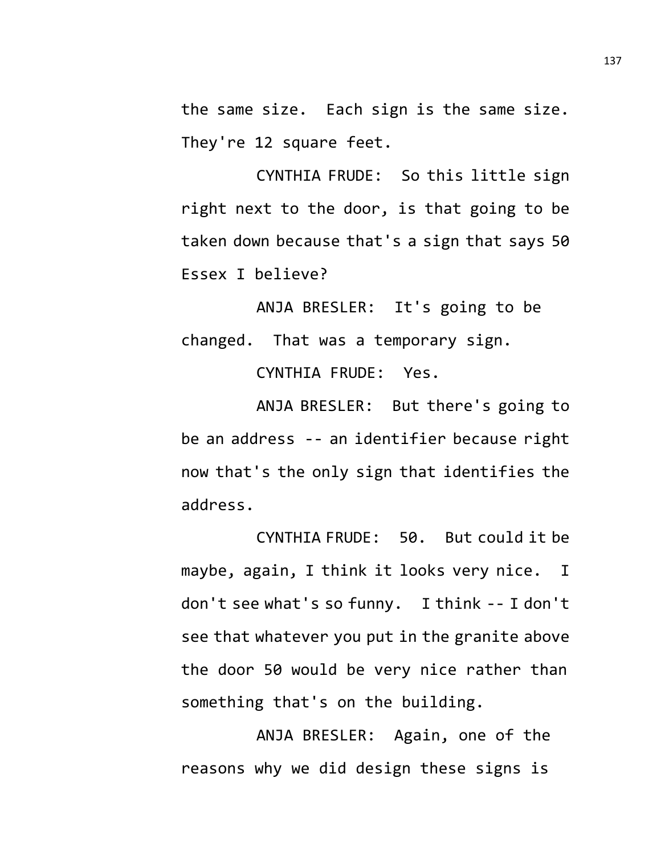the same size. Each sign is the same size. They're 12 square feet.

CYNTHIA FRUDE: So this little sign right next to the door, is that going to be taken down because that's a sign that says 50 Essex I believe?

ANJA BRESLER: It's going to be changed. That was a temporary sign.

CYNTHIA FRUDE: Yes.

ANJA BRESLER: But there's going to be an address -- an identifier because right now that's the only sign that identifies the address.

CYNTHIA FRUDE: 50. But could it be maybe, again, I think it looks very nice. I don't see what's so funny. I think -- I don't see that whatever you put in the granite above the door 50 would be very nice rather than something that's on the building.

ANJA BRESLER: Again, one of the reasons why we did design these signs is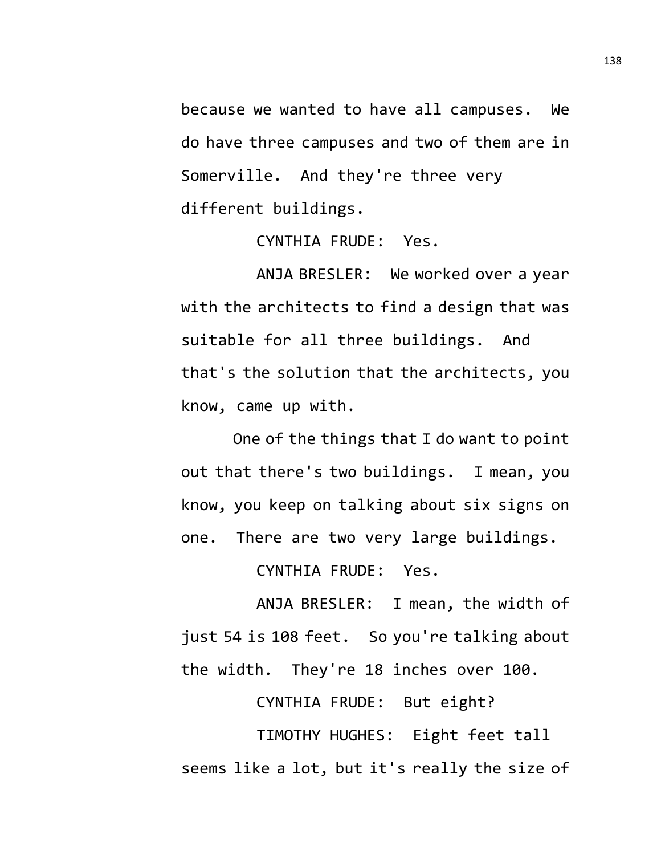because we wanted to have all campuses. We do have three campuses and two of them are in Somerville. And they're three very different buildings.

CYNTHIA FRUDE: Yes.

ANJA BRESLER: We worked over a year with the architects to find a design that was suitable for all three buildings. And that's the solution that the architects, you know, came up with.

One of the things that I do want to point out that there's two buildings. I mean, you know, you keep on talking about six signs on one. There are two very large buildings.

CYNTHIA FRUDE: Yes.

ANJA BRESLER: I mean, the width of just 54 is 108 feet. So you're talking about the width. They're 18 inches over 100.

CYNTHIA FRUDE: But eight?

TIMOTHY HUGHES: Eight feet tall seems like a lot, but it's really the size of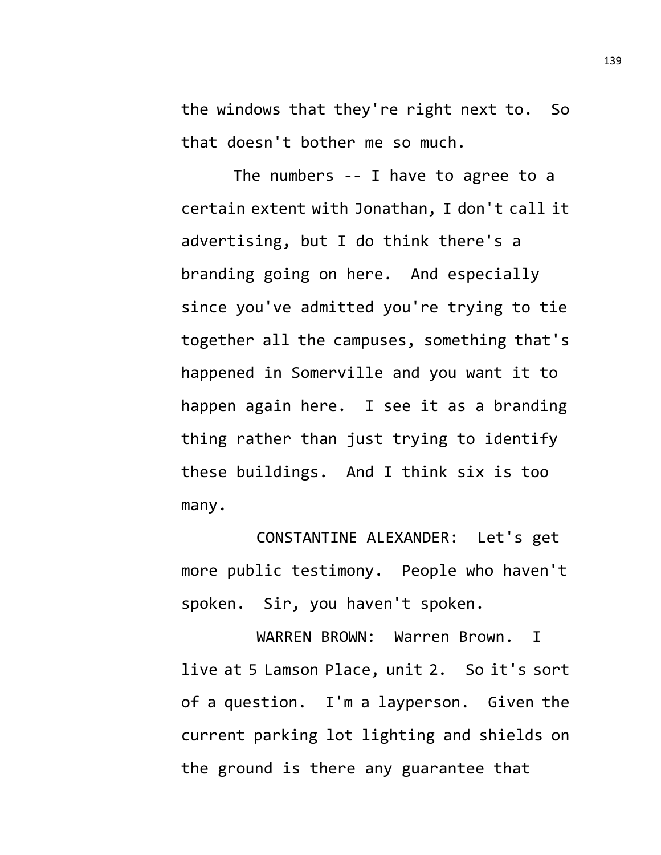the windows that they're right next to. So that doesn't bother me so much.

The numbers -- I have to agree to a certain extent with Jonathan, I don't call it advertising, but I do think there's a branding going on here. And especially since you've admitted you're trying to tie together all the campuses, something that's happened in Somerville and you want it to happen again here. I see it as a branding thing rather than just trying to identify these buildings. And I think six is too many.

CONSTANTINE ALEXANDER: Let's get more public testimony. People who haven't spoken. Sir, you haven't spoken.

WARREN BROWN: Warren Brown. I live at 5 Lamson Place, unit 2. So it's sort of a question. I'm a layperson. Given the current parking lot lighting and shields on the ground is there any guarantee that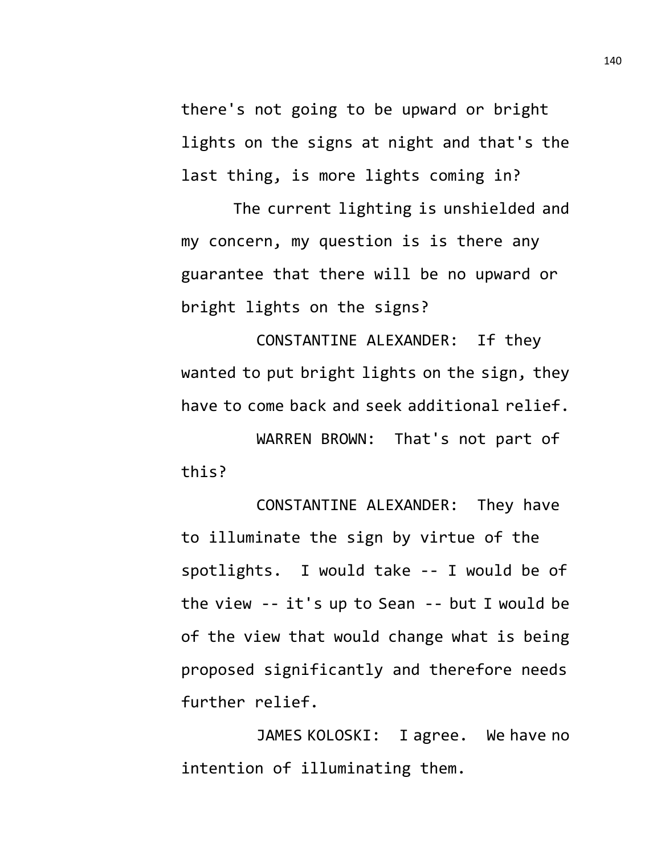there's not going to be upward or bright lights on the signs at night and that's the last thing, is more lights coming in?

The current lighting is unshielded and my concern, my question is is there any guarantee that there will be no upward or bright lights on the signs?

CONSTANTINE ALEXANDER: If they wanted to put bright lights on the sign, they have to come back and seek additional relief.

WARREN BROWN: That's not part of this?

CONSTANTINE ALEXANDER: They have to illuminate the sign by virtue of the spotlights. I would take -- I would be of the view -- it's up to Sean -- but I would be of the view that would change what is being proposed significantly and therefore needs further relief.

JAMES KOLOSKI: I agree. We have no intention of illuminating them.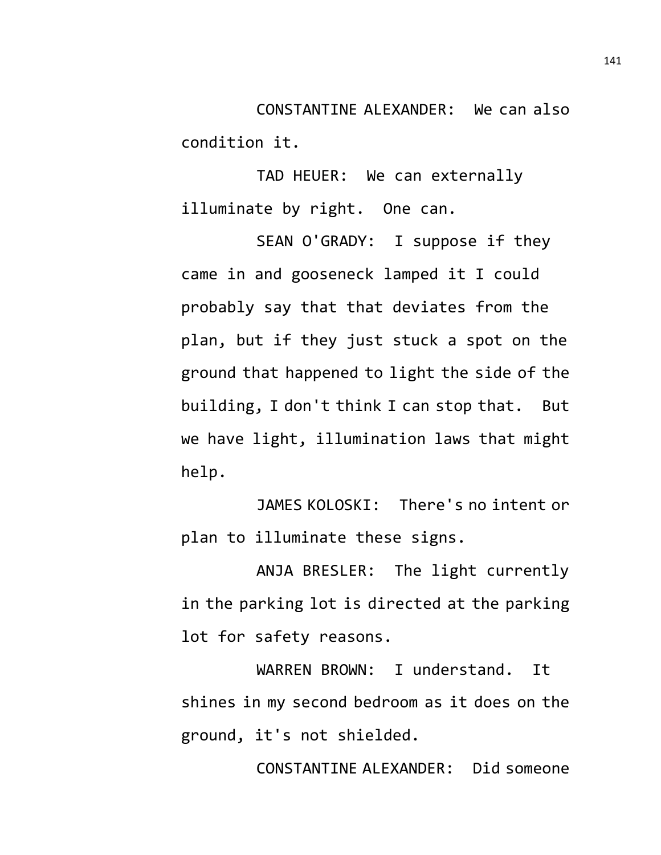CONSTANTINE ALEXANDER: We can also condition it.

TAD HEUER: We can externally illuminate by right. One can.

SEAN O'GRADY: I suppose if they came in and gooseneck lamped it I could probably say that that deviates from the plan, but if they just stuck a spot on the ground that happened to light the side of the building, I don't think I can stop that. But we have light, illumination laws that might help.

JAMES KOLOSKI: There's no intent or plan to illuminate these signs.

ANJA BRESLER: The light currently in the parking lot is directed at the parking lot for safety reasons.

WARREN BROWN: I understand. It shines in my second bedroom as it does on the ground, it's not shielded.

CONSTANTINE ALEXANDER: Did someone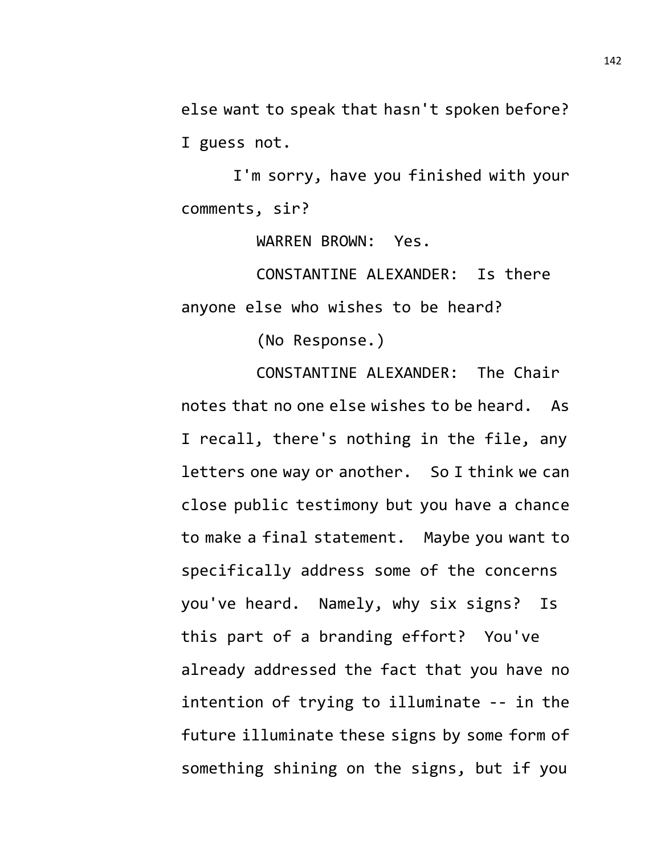else want to speak that hasn't spoken before? I guess not.

I'm sorry, have you finished with your comments, sir?

WARREN BROWN: Yes.

CONSTANTINE ALEXANDER: Is there anyone else who wishes to be heard?

(No Response.)

CONSTANTINE ALEXANDER: The Chair notes that no one else wishes to be heard. As I recall, there's nothing in the file, any letters one way or another. So I think we can close public testimony but you have a chance to make a final statement. Maybe you want to specifically address some of the concerns you've heard. Namely, why six signs? Is this part of a branding effort? You've already addressed the fact that you have no intention of trying to illuminate -- in the future illuminate these signs by some form of something shining on the signs, but if you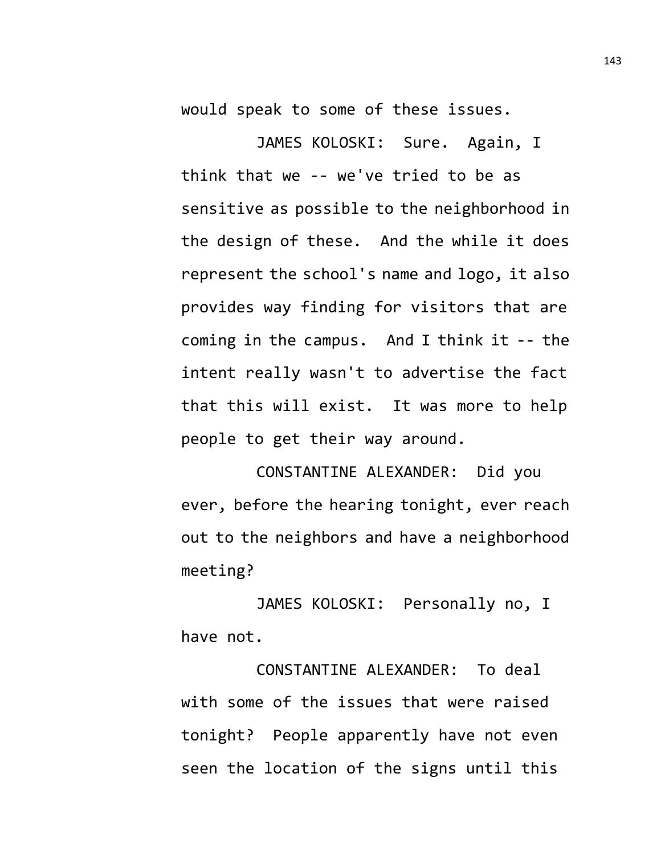would speak to some of these issues.

JAMES KOLOSKI: Sure. Again, I think that we -- we've tried to be as sensitive as possible to the neighborhood in the design of these. And the while it does represent the school's name and logo, it also provides way finding for visitors that are coming in the campus. And I think it -- the intent really wasn't to advertise the fact that this will exist. It was more to help people to get their way around.

CONSTANTINE ALEXANDER: Did you ever, before the hearing tonight, ever reach out to the neighbors and have a neighborhood meeting?

JAMES KOLOSKI: Personally no, I have not.

CONSTANTINE ALEXANDER: To deal with some of the issues that were raised tonight? People apparently have not even seen the location of the signs until this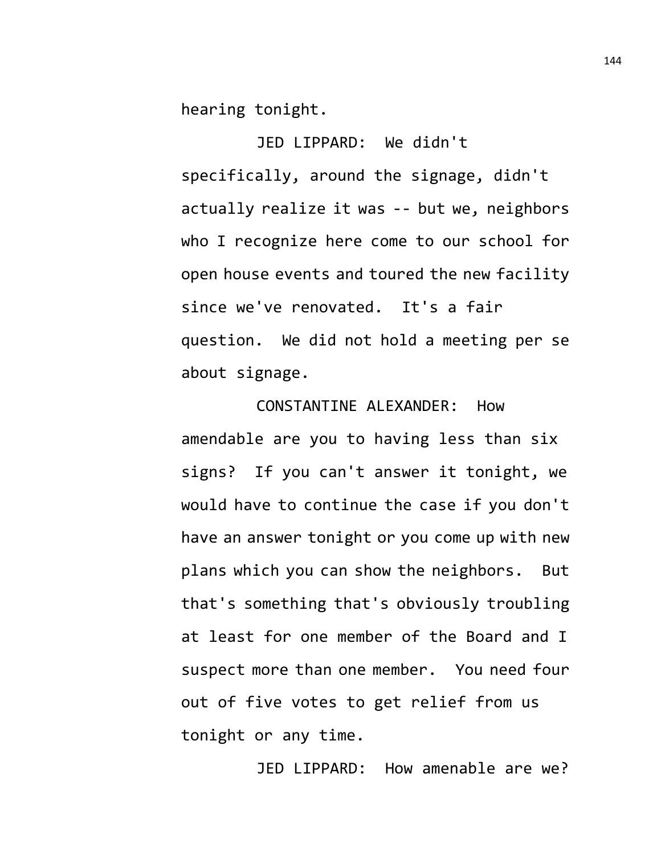hearing tonight.

JED LIPPARD: We didn't specifically, around the signage, didn't actually realize it was -- but we, neighbors who I recognize here come to our school for open house events and toured the new facility since we've renovated. It's a fair question. We did not hold a meeting per se about signage.

CONSTANTINE ALEXANDER: How amendable are you to having less than six signs? If you can't answer it tonight, we would have to continue the case if you don't have an answer tonight or you come up with new plans which you can show the neighbors. But that's something that's obviously troubling at least for one member of the Board and I suspect more than one member. You need four out of five votes to get relief from us tonight or any time.

JED LIPPARD: How amenable are we?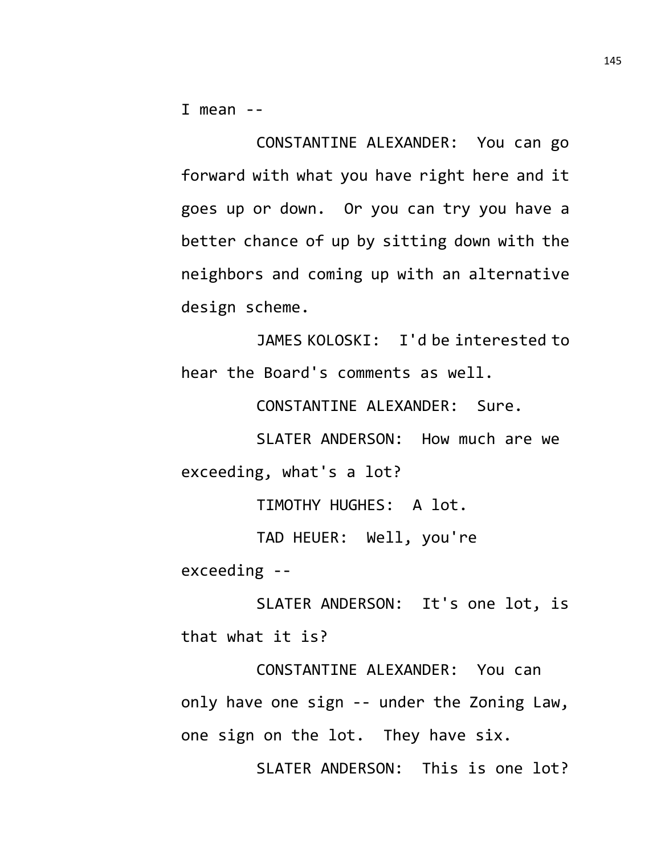I mean  $-$ 

CONSTANTINE ALEXANDER: You can go forward with what you have right here and it goes up or down. Or you can try you have a better chance of up by sitting down with the neighbors and coming up with an alternative design scheme.

JAMES KOLOSKI: I'd be interested to hear the Board's comments as well.

CONSTANTINE ALEXANDER: Sure.

SLATER ANDERSON: How much are we exceeding, what's a lot?

TIMOTHY HUGHES: A lot.

TAD HEUER: Well, you're exceeding --

SLATER ANDERSON: It's one lot, is that what it is?

CONSTANTINE ALEXANDER: You can only have one sign -- under the Zoning Law, one sign on the lot. They have six.

SLATER ANDERSON: This is one lot?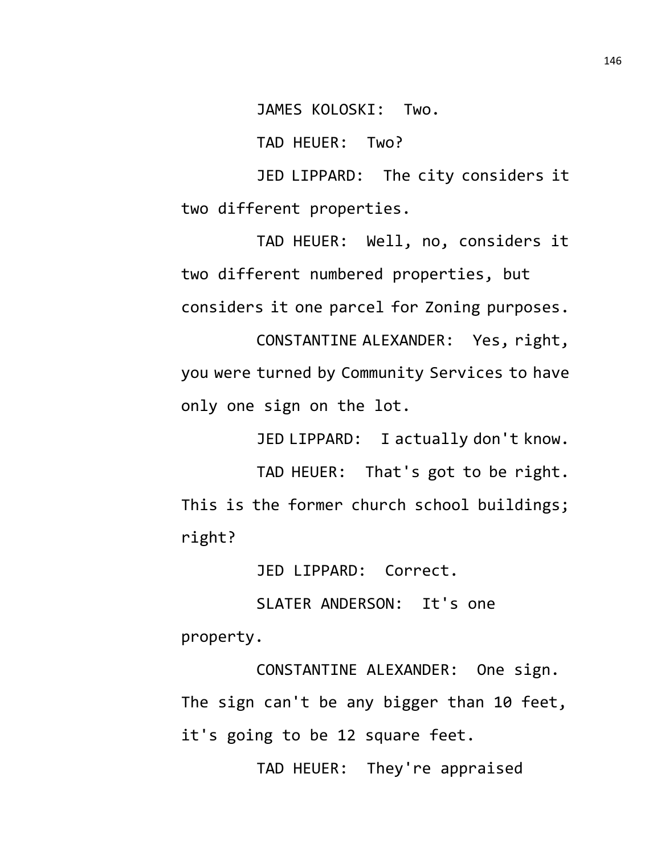JAMES KOLOSKI: Two.

TAD HEUER: Two?

JED LIPPARD: The city considers it two different properties.

TAD HEUER: Well, no, considers it two different numbered properties, but considers it one parcel for Zoning purposes. CONSTANTINE ALEXANDER: Yes, right, you were turned by Community Services to have

only one sign on the lot.

JED LIPPARD: I actually don't know.

TAD HEUER: That's got to be right. This is the former church school buildings; right?

JED LIPPARD: Correct.

SLATER ANDERSON: It's one property.

CONSTANTINE ALEXANDER: One sign. The sign can't be any bigger than 10 feet, it's going to be 12 square feet.

TAD HEUER: They're appraised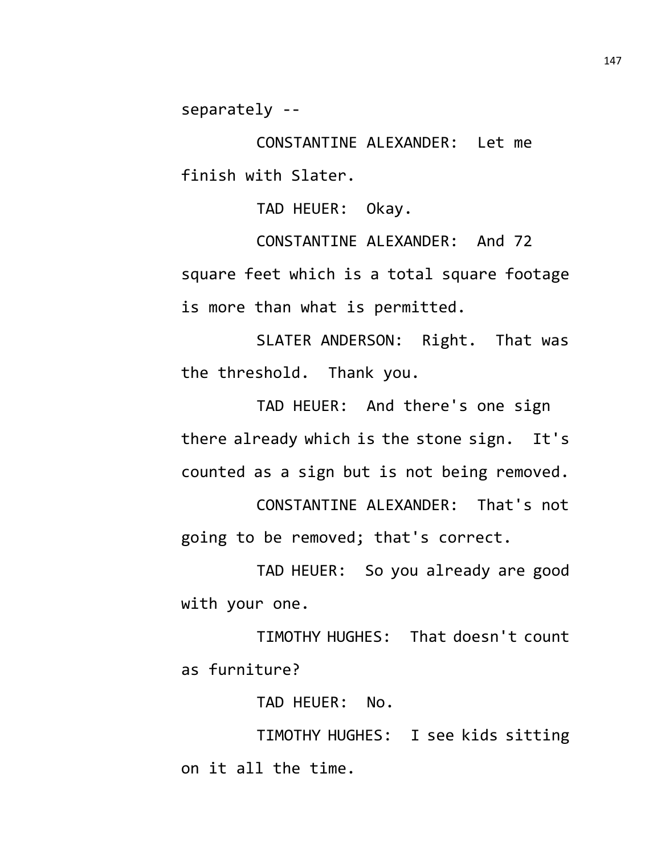separately --

CONSTANTINE ALEXANDER: Let me finish with Slater.

TAD HEUER: Okay.

CONSTANTINE ALEXANDER: And 72 square feet which is a total square footage is more than what is permitted.

SLATER ANDERSON: Right. That was the threshold. Thank you.

TAD HEUER: And there's one sign there already which is the stone sign. It's counted as a sign but is not being removed.

CONSTANTINE ALEXANDER: That's not going to be removed; that's correct.

TAD HEUER: So you already are good with your one.

TIMOTHY HUGHES: That doesn't count as furniture?

TAD HEUER: No.

TIMOTHY HUGHES: I see kids sitting on it all the time.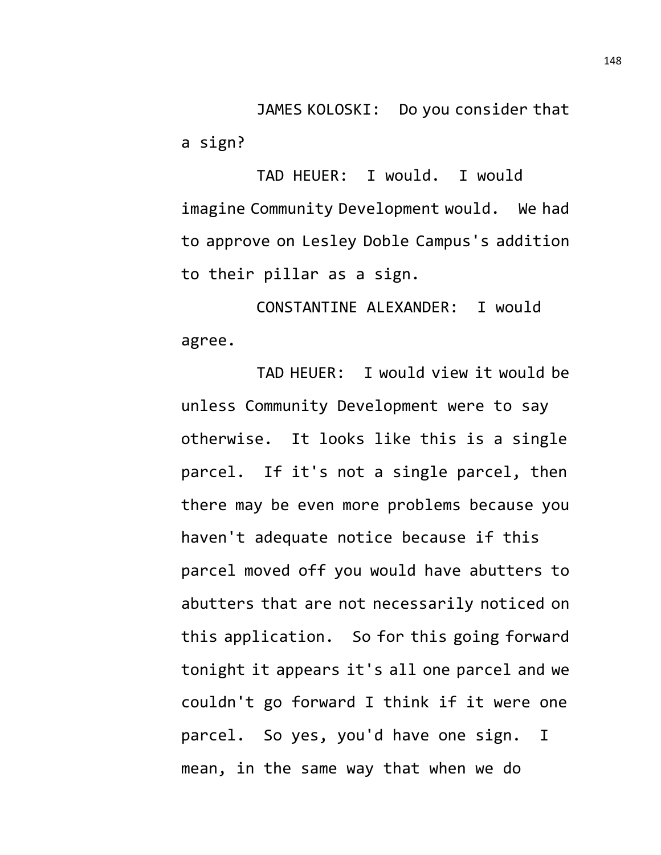JAMES KOLOSKI: Do you consider that a sign?

TAD HEUER: I would. I would imagine Community Development would. We had to approve on Lesley Doble Campus's addition to their pillar as a sign.

CONSTANTINE ALEXANDER: I would agree.

TAD HEUER: I would view it would be unless Community Development were to say otherwise. It looks like this is a single parcel. If it's not a single parcel, then there may be even more problems because you haven't adequate notice because if this parcel moved off you would have abutters to abutters that are not necessarily noticed on this application. So for this going forward tonight it appears it's all one parcel and we couldn't go forward I think if it were one parcel. So yes, you'd have one sign. I mean, in the same way that when we do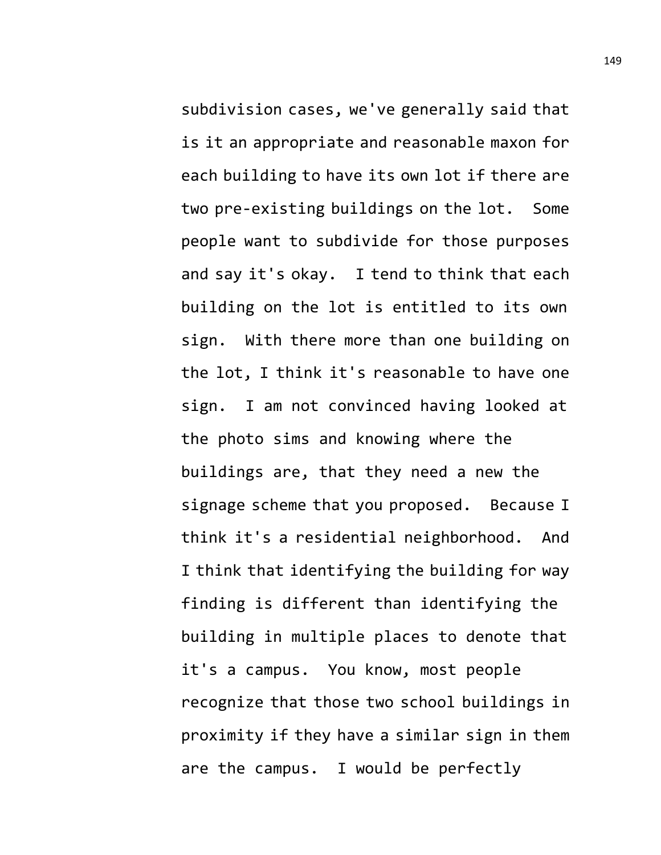subdivision cases, we've generally said that is it an appropriate and reasonable maxon for each building to have its own lot if there are two pre-existing buildings on the lot. Some people want to subdivide for those purposes and say it's okay. I tend to think that each building on the lot is entitled to its own sign. With there more than one building on the lot, I think it's reasonable to have one sign. I am not convinced having looked at the photo sims and knowing where the buildings are, that they need a new the signage scheme that you proposed. Because I think it's a residential neighborhood. And I think that identifying the building for way finding is different than identifying the building in multiple places to denote that it's a campus. You know, most people recognize that those two school buildings in proximity if they have a similar sign in them are the campus. I would be perfectly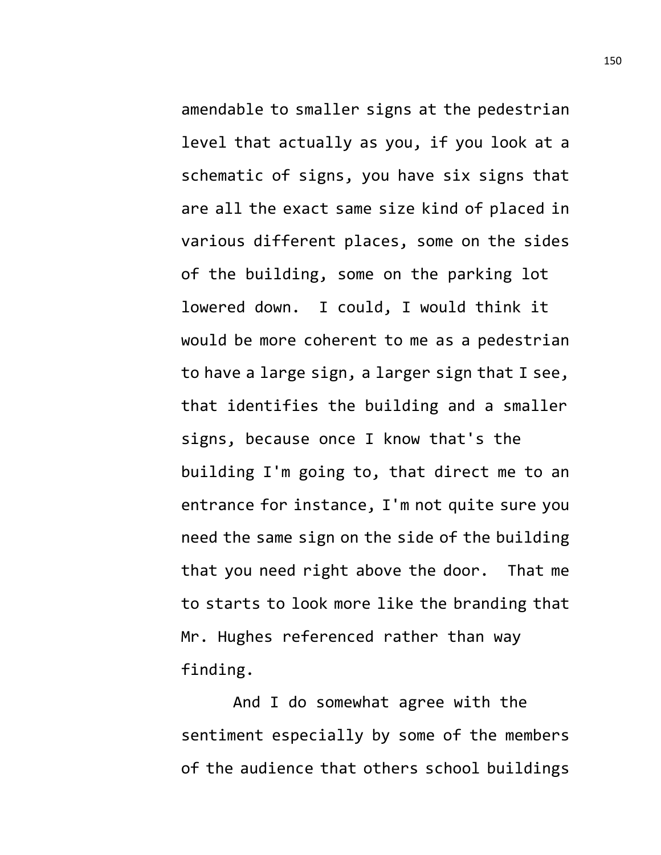amendable to smaller signs at the pedestrian level that actually as you, if you look at a schematic of signs, you have six signs that are all the exact same size kind of placed in various different places, some on the sides of the building, some on the parking lot lowered down. I could, I would think it would be more coherent to me as a pedestrian to have a large sign, a larger sign that I see, that identifies the building and a smaller signs, because once I know that's the building I'm going to, that direct me to an entrance for instance, I'm not quite sure you need the same sign on the side of the building that you need right above the door. That me to starts to look more like the branding that Mr. Hughes referenced rather than way finding.

And I do somewhat agree with the sentiment especially by some of the members of the audience that others school buildings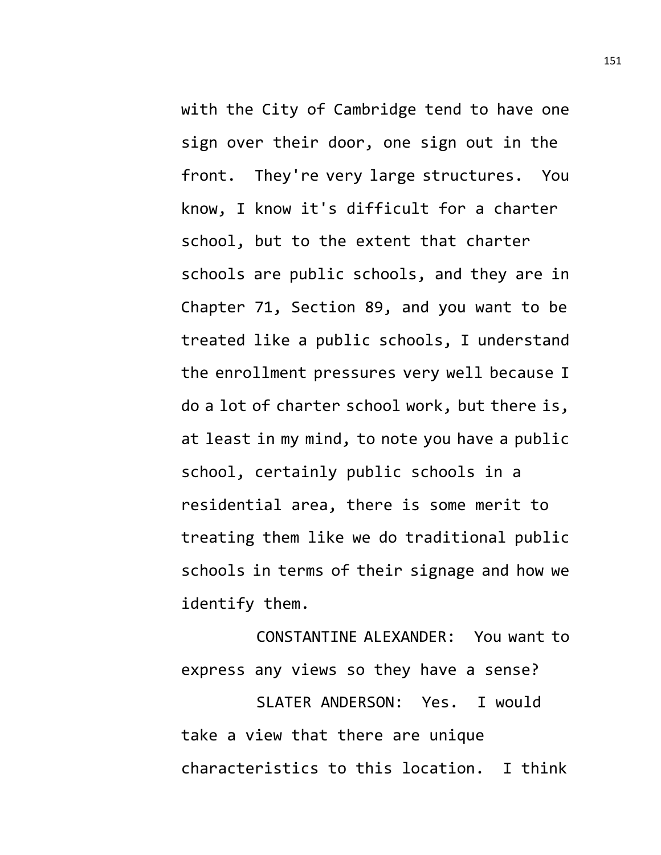with the City of Cambridge tend to have one sign over their door, one sign out in the front. They're very large structures. You know, I know it's difficult for a charter school, but to the extent that charter schools are public schools, and they are in Chapter 71, Section 89, and you want to be treated like a public schools, I understand the enrollment pressures very well because I do a lot of charter school work, but there is, at least in my mind, to note you have a public school, certainly public schools in a residential area, there is some merit to treating them like we do traditional public schools in terms of their signage and how we identify them.

CONSTANTINE ALEXANDER: You want to express any views so they have a sense? SLATER ANDERSON: Yes. I would

take a view that there are unique characteristics to this location. I think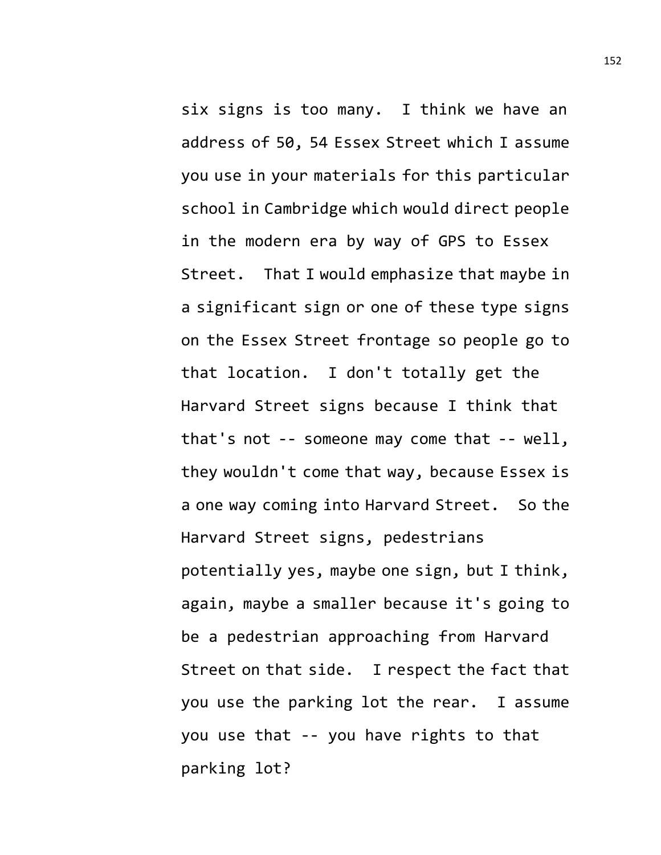six signs is too many. I think we have an address of 50, 54 Essex Street which I assume you use in your materials for this particular school in Cambridge which would direct people in the modern era by way of GPS to Essex Street. That I would emphasize that maybe in a significant sign or one of these type signs on the Essex Street frontage so people go to that location. I don't totally get the Harvard Street signs because I think that that's not -- someone may come that -- well, they wouldn't come that way, because Essex is a one way coming into Harvard Street. So the Harvard Street signs, pedestrians potentially yes, maybe one sign, but I think, again, maybe a smaller because it's going to be a pedestrian approaching from Harvard Street on that side. I respect the fact that you use the parking lot the rear. I assume you use that -- you have rights to that parking lot?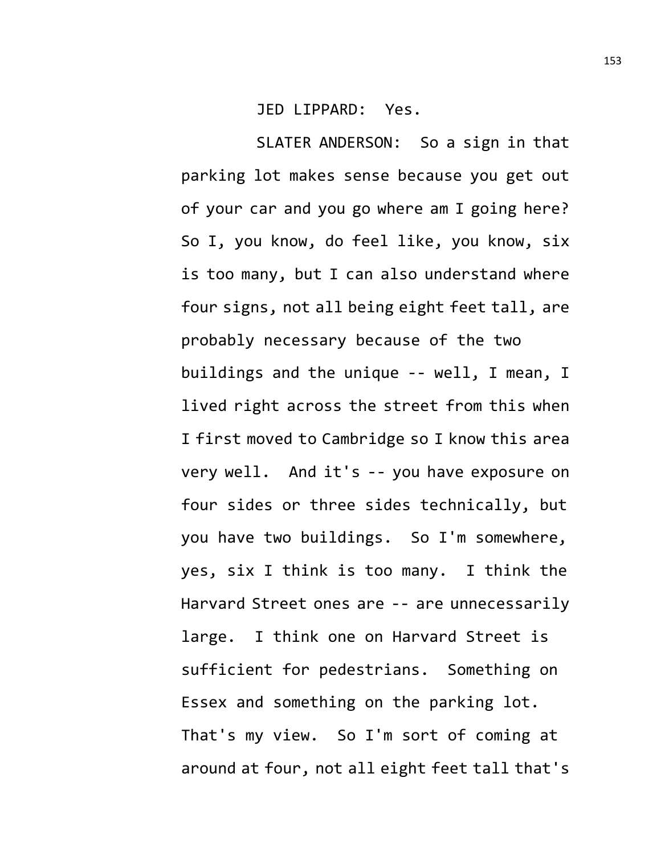JED LIPPARD: Yes.

SLATER ANDERSON: So a sign in that parking lot makes sense because you get out of your car and you go where am I going here? So I, you know, do feel like, you know, six is too many, but I can also understand where four signs, not all being eight feet tall, are probably necessary because of the two buildings and the unique -- well, I mean, I lived right across the street from this when I first moved to Cambridge so I know this area very well. And it's -- you have exposure on four sides or three sides technically, but you have two buildings. So I'm somewhere, yes, six I think is too many. I think the Harvard Street ones are -- are unnecessarily large. I think one on Harvard Street is sufficient for pedestrians. Something on Essex and something on the parking lot. That's my view. So I'm sort of coming at around at four, not all eight feet tall that's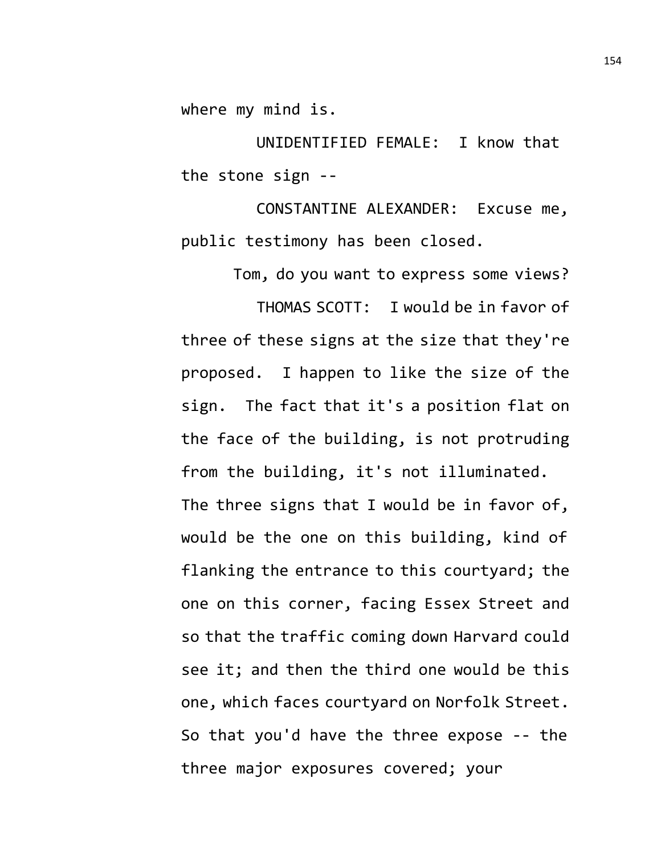where my mind is.

UNIDENTIFIED FEMALE: I know that the stone sign --

CONSTANTINE ALEXANDER: Excuse me, public testimony has been closed.

Tom, do you want to express some views?

THOMAS SCOTT: I would be in favor of three of these signs at the size that they're proposed. I happen to like the size of the sign. The fact that it's a position flat on the face of the building, is not protruding from the building, it's not illuminated. The three signs that I would be in favor of, would be the one on this building, kind of flanking the entrance to this courtyard; the one on this corner, facing Essex Street and so that the traffic coming down Harvard could see it; and then the third one would be this one, which faces courtyard on Norfolk Street. So that you'd have the three expose -- the three major exposures covered; your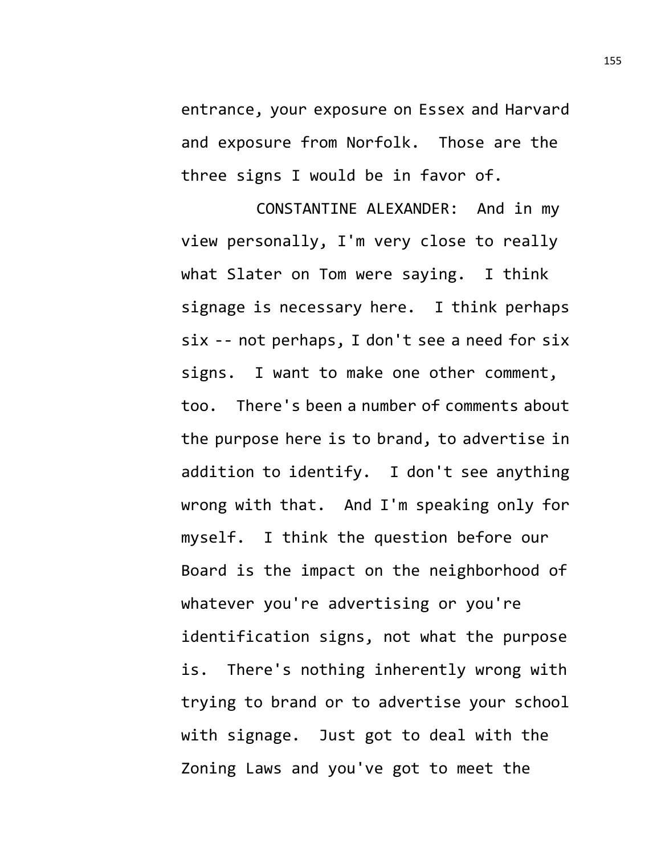entrance, your exposure on Essex and Harvard and exposure from Norfolk. Those are the three signs I would be in favor of.

CONSTANTINE ALEXANDER: And in my view personally, I'm very close to really what Slater on Tom were saying. I think signage is necessary here. I think perhaps six -- not perhaps, I don't see a need for six signs. I want to make one other comment, too. There's been a number of comments about the purpose here is to brand, to advertise in addition to identify. I don't see anything wrong with that. And I'm speaking only for myself. I think the question before our Board is the impact on the neighborhood of whatever you're advertising or you're identification signs, not what the purpose is. There's nothing inherently wrong with trying to brand or to advertise your school with signage. Just got to deal with the Zoning Laws and you've got to meet the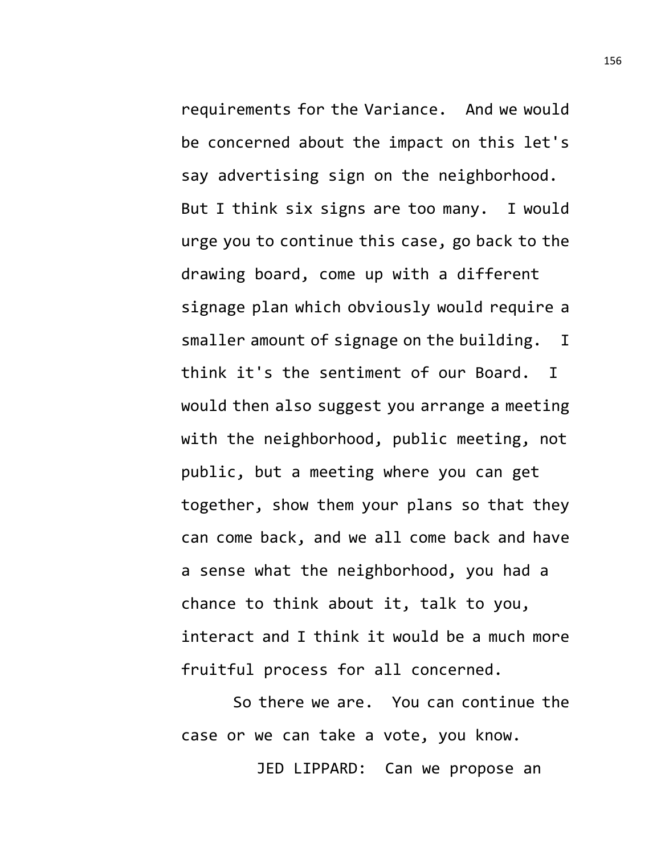requirements for the Variance. And we would be concerned about the impact on this let's say advertising sign on the neighborhood. But I think six signs are too many. I would urge you to continue this case, go back to the drawing board, come up with a different signage plan which obviously would require a smaller amount of signage on the building. I think it's the sentiment of our Board. I would then also suggest you arrange a meeting with the neighborhood, public meeting, not public, but a meeting where you can get together, show them your plans so that they can come back, and we all come back and have a sense what the neighborhood, you had a chance to think about it, talk to you, interact and I think it would be a much more fruitful process for all concerned.

So there we are. You can continue the case or we can take a vote, you know.

JED LIPPARD: Can we propose an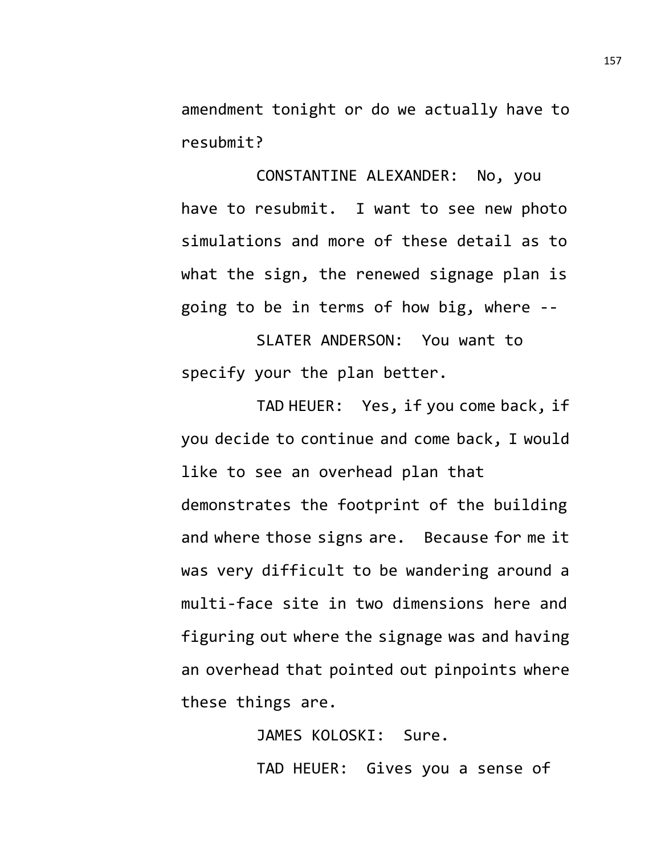amendment tonight or do we actually have to resubmit?

CONSTANTINE ALEXANDER: No, you have to resubmit. I want to see new photo simulations and more of these detail as to what the sign, the renewed signage plan is going to be in terms of how big, where --

SLATER ANDERSON: You want to specify your the plan better.

TAD HEUER: Yes, if you come back, if you decide to continue and come back, I would like to see an overhead plan that demonstrates the footprint of the building and where those signs are. Because for me it was very difficult to be wandering around a multi-face site in two dimensions here and figuring out where the signage was and having an overhead that pointed out pinpoints where these things are.

> JAMES KOLOSKI: Sure. TAD HEUER: Gives you a sense of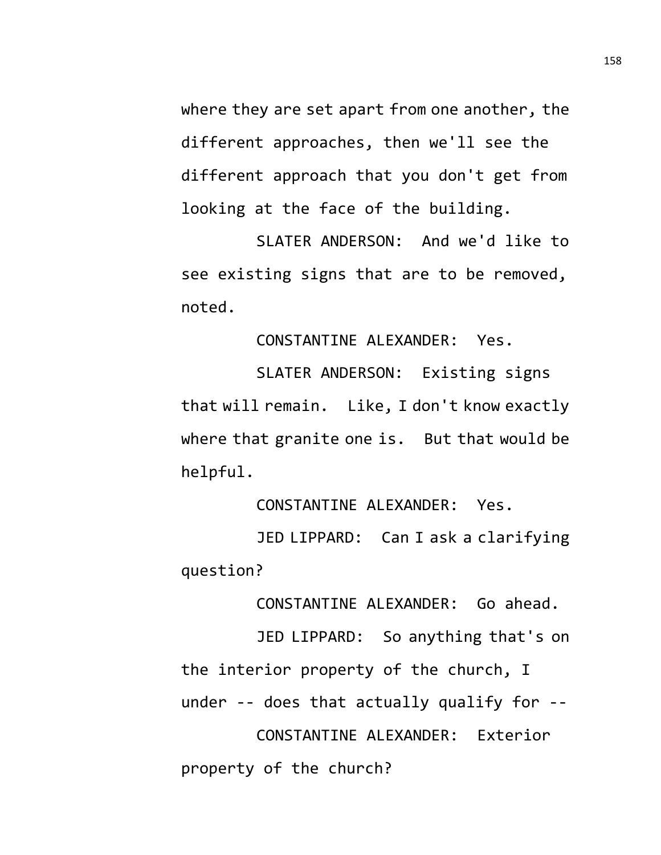where they are set apart from one another, the different approaches, then we'll see the different approach that you don't get from looking at the face of the building.

SLATER ANDERSON: And we'd like to see existing signs that are to be removed, noted.

CONSTANTINE ALEXANDER: Yes.

SLATER ANDERSON: Existing signs that will remain. Like, I don't know exactly where that granite one is. But that would be helpful.

CONSTANTINE ALEXANDER: Yes.

JED LIPPARD: Can I ask a clarifying question?

CONSTANTINE ALEXANDER: Go ahead.

JED LIPPARD: So anything that's on the interior property of the church, I under -- does that actually qualify for -- CONSTANTINE ALEXANDER: Exterior property of the church?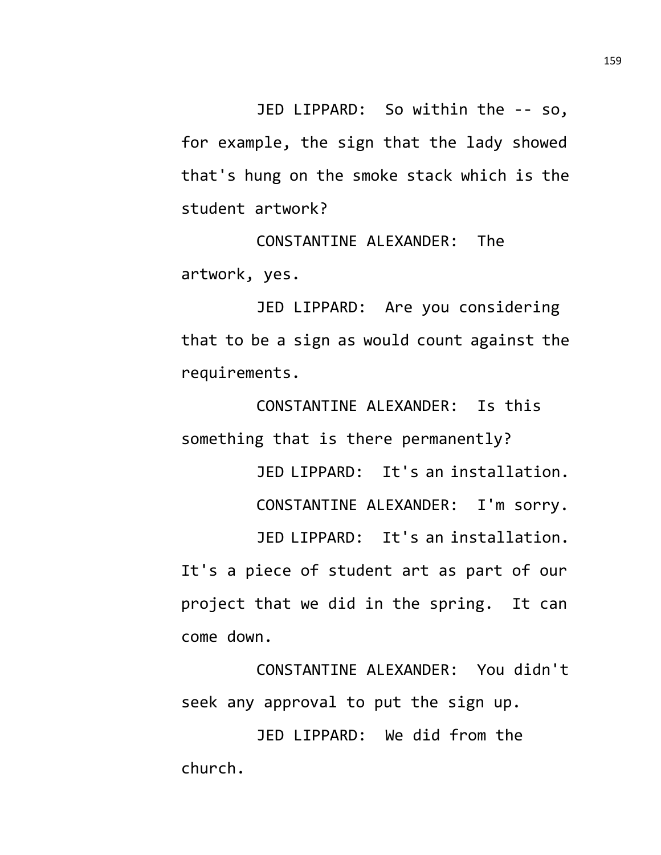JED LIPPARD: So within the -- so, for example, the sign that the lady showed that's hung on the smoke stack which is the student artwork?

CONSTANTINE ALEXANDER: The artwork, yes.

JED LIPPARD: Are you considering that to be a sign as would count against the requirements.

CONSTANTINE ALEXANDER: Is this something that is there permanently?

> JED LIPPARD: It's an installation. CONSTANTINE ALEXANDER: I'm sorry.

JED LIPPARD: It's an installation. It's a piece of student art as part of our project that we did in the spring. It can come down.

CONSTANTINE ALEXANDER: You didn't seek any approval to put the sign up.

JED LIPPARD: We did from the church.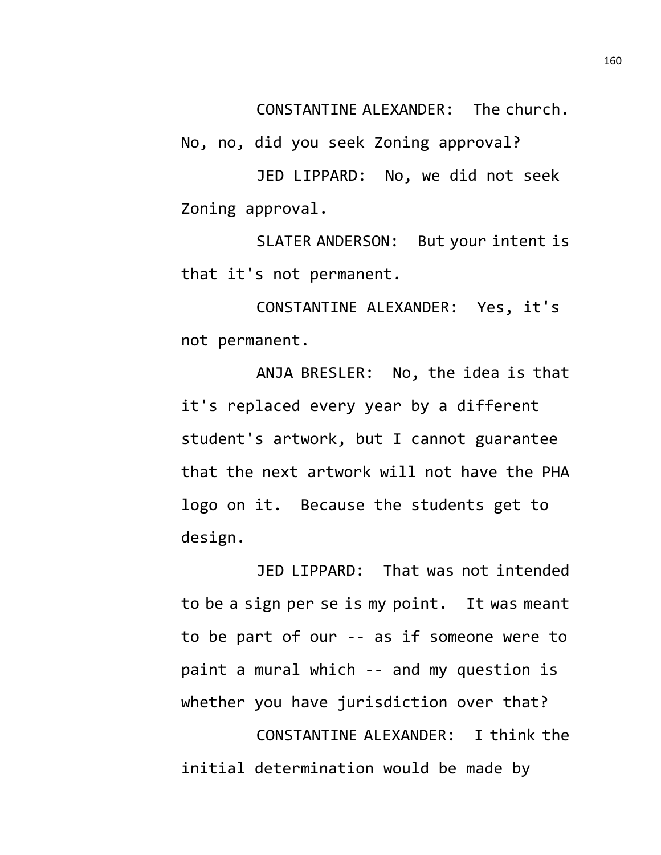CONSTANTINE ALEXANDER: The church.

No, no, did you seek Zoning approval?

JED LIPPARD: No, we did not seek Zoning approval.

SLATER ANDERSON: But your intent is that it's not permanent.

CONSTANTINE ALEXANDER: Yes, it's not permanent.

ANJA BRESLER: No, the idea is that it's replaced every year by a different student's artwork, but I cannot guarantee that the next artwork will not have the PHA logo on it. Because the students get to design.

JED LIPPARD: That was not intended to be a sign per se is my point. It was meant to be part of our -- as if someone were to paint a mural which -- and my question is whether you have jurisdiction over that? CONSTANTINE ALEXANDER: I think the initial determination would be made by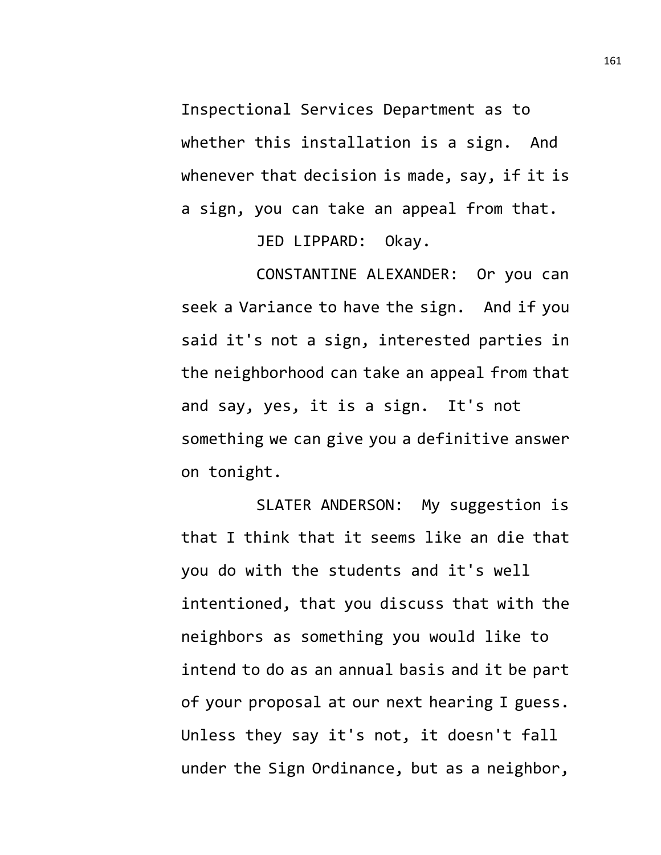Inspectional Services Department as to whether this installation is a sign. And whenever that decision is made, say, if it is a sign, you can take an appeal from that.

JED LIPPARD: Okay.

CONSTANTINE ALEXANDER: Or you can seek a Variance to have the sign. And if you said it's not a sign, interested parties in the neighborhood can take an appeal from that and say, yes, it is a sign. It's not something we can give you a definitive answer on tonight.

SLATER ANDERSON: My suggestion is that I think that it seems like an die that you do with the students and it's well intentioned, that you discuss that with the neighbors as something you would like to intend to do as an annual basis and it be part of your proposal at our next hearing I guess. Unless they say it's not, it doesn't fall under the Sign Ordinance, but as a neighbor,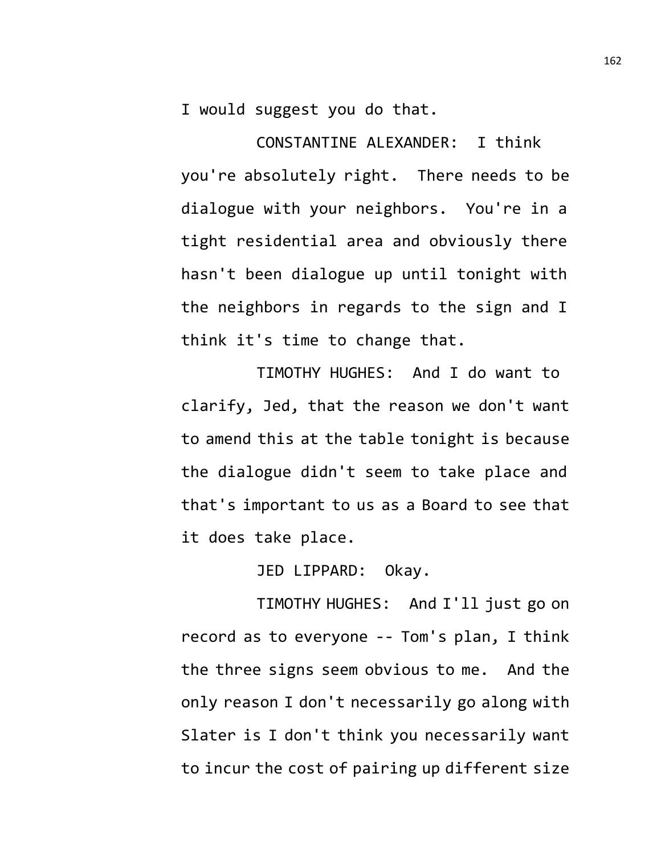I would suggest you do that.

CONSTANTINE ALEXANDER: I think you're absolutely right. There needs to be dialogue with your neighbors. You're in a tight residential area and obviously there hasn't been dialogue up until tonight with the neighbors in regards to the sign and I think it's time to change that.

TIMOTHY HUGHES: And I do want to clarify, Jed, that the reason we don't want to amend this at the table tonight is because the dialogue didn't seem to take place and that's important to us as a Board to see that it does take place.

JED LIPPARD: Okay.

TIMOTHY HUGHES: And I'll just go on record as to everyone -- Tom's plan, I think the three signs seem obvious to me. And the only reason I don't necessarily go along with Slater is I don't think you necessarily want to incur the cost of pairing up different size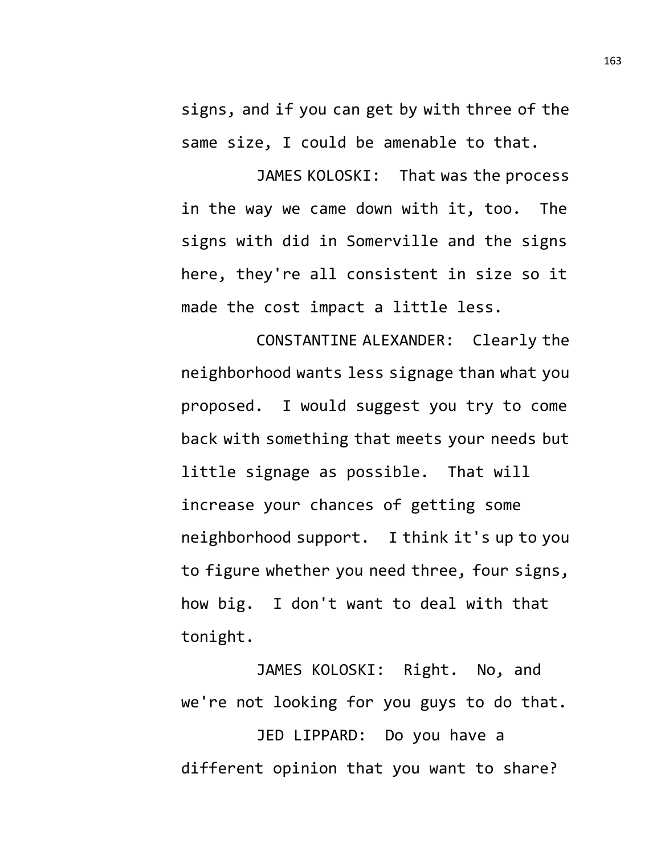signs, and if you can get by with three of the same size, I could be amenable to that.

JAMES KOLOSKI: That was the process in the way we came down with it, too. The signs with did in Somerville and the signs here, they're all consistent in size so it made the cost impact a little less.

CONSTANTINE ALEXANDER: Clearly the neighborhood wants less signage than what you proposed. I would suggest you try to come back with something that meets your needs but little signage as possible. That will increase your chances of getting some neighborhood support. I think it's up to you to figure whether you need three, four signs, how big. I don't want to deal with that tonight.

JAMES KOLOSKI: Right. No, and we're not looking for you guys to do that.

JED LIPPARD: Do you have a different opinion that you want to share?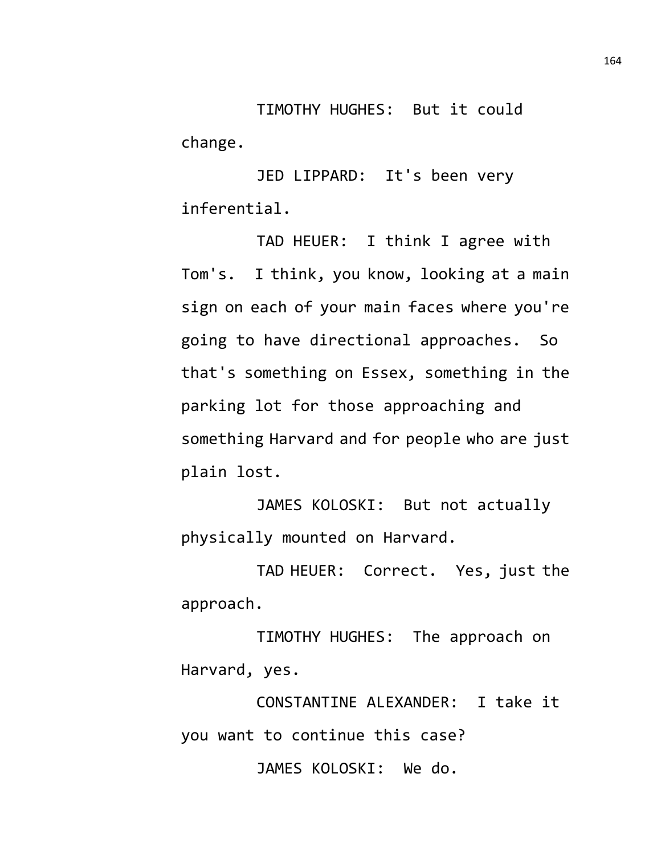TIMOTHY HUGHES: But it could change.

JED LIPPARD: It's been very inferential.

TAD HEUER: I think I agree with Tom's. I think, you know, looking at a main sign on each of your main faces where you're going to have directional approaches. So that's something on Essex, something in the parking lot for those approaching and something Harvard and for people who are just plain lost.

JAMES KOLOSKI: But not actually physically mounted on Harvard.

TAD HEUER: Correct. Yes, just the approach.

TIMOTHY HUGHES: The approach on Harvard, yes.

CONSTANTINE ALEXANDER: I take it you want to continue this case?

JAMES KOLOSKI: We do.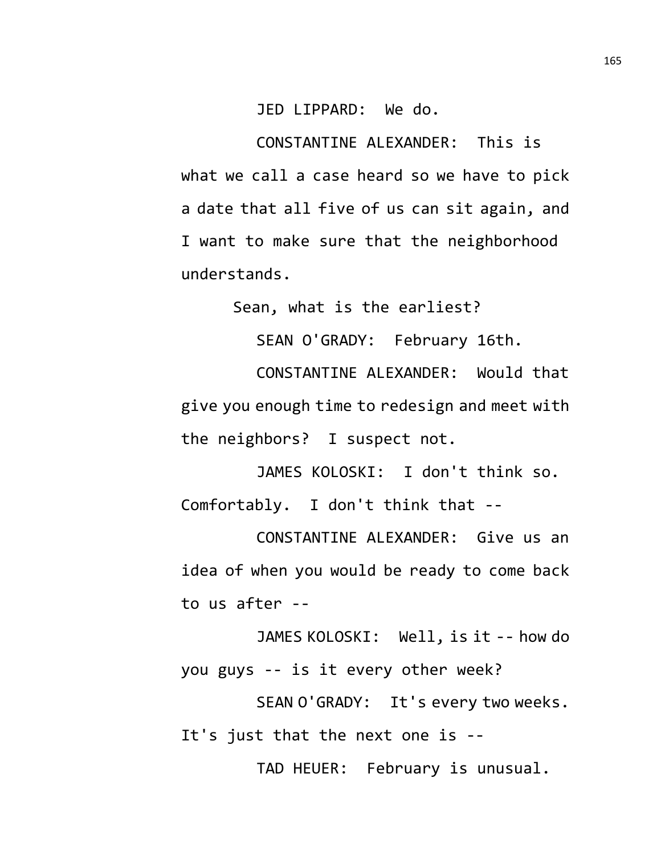## JED LIPPARD: We do.

CONSTANTINE ALEXANDER: This is what we call a case heard so we have to pick a date that all five of us can sit again, and I want to make sure that the neighborhood understands.

Sean, what is the earliest?

SEAN O'GRADY: February 16th.

CONSTANTINE ALEXANDER: Would that give you enough time to redesign and meet with the neighbors? I suspect not.

JAMES KOLOSKI: I don't think so. Comfortably. I don't think that --

CONSTANTINE ALEXANDER: Give us an idea of when you would be ready to come back to us after --

JAMES KOLOSKI: Well, is it -- how do you guys -- is it every other week?

SEAN O'GRADY: It's every two weeks. It's just that the next one is --

TAD HEUER: February is unusual.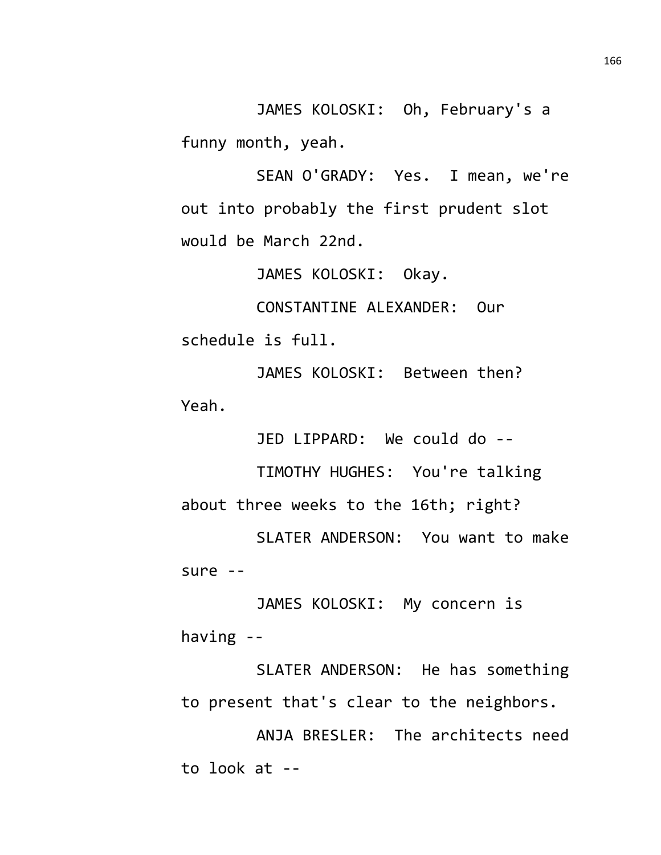JAMES KOLOSKI: Oh, February's a funny month, yeah.

SEAN O'GRADY: Yes. I mean, we're out into probably the first prudent slot would be March 22nd.

JAMES KOLOSKI: Okay.

CONSTANTINE ALEXANDER: Our schedule is full.

JAMES KOLOSKI: Between then? Yeah.

JED LIPPARD: We could do --

TIMOTHY HUGHES: You're talking about three weeks to the 16th; right?

SLATER ANDERSON: You want to make sure --

JAMES KOLOSKI: My concern is having --

SLATER ANDERSON: He has something to present that's clear to the neighbors.

ANJA BRESLER: The architects need to look at --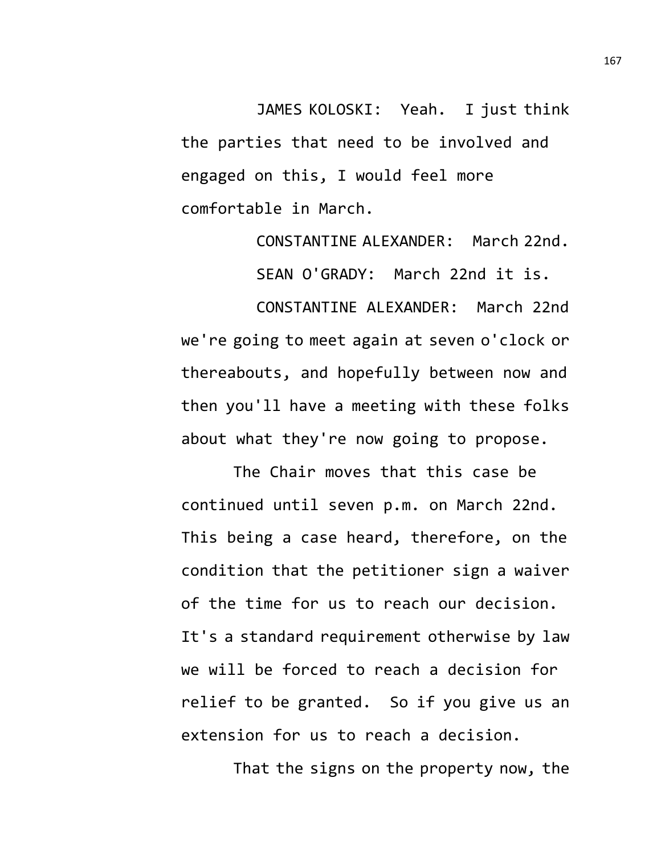JAMES KOLOSKI: Yeah. I just think the parties that need to be involved and engaged on this, I would feel more comfortable in March.

> CONSTANTINE ALEXANDER: March 22nd. SEAN O'GRADY: March 22nd it is.

CONSTANTINE ALEXANDER: March 22nd we're going to meet again at seven o'clock or thereabouts, and hopefully between now and then you'll have a meeting with these folks about what they're now going to propose.

The Chair moves that this case be continued until seven p.m. on March 22nd. This being a case heard, therefore, on the condition that the petitioner sign a waiver of the time for us to reach our decision. It's a standard requirement otherwise by law we will be forced to reach a decision for relief to be granted. So if you give us an extension for us to reach a decision.

That the signs on the property now, the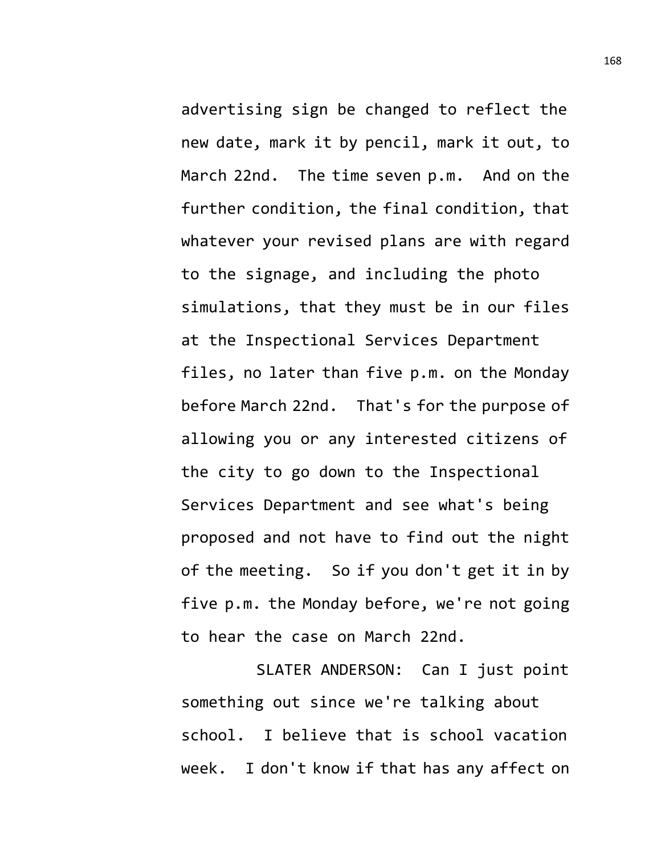advertising sign be changed to reflect the new date, mark it by pencil, mark it out, to March 22nd. The time seven p.m. And on the further condition, the final condition, that whatever your revised plans are with regard to the signage, and including the photo simulations, that they must be in our files at the Inspectional Services Department files, no later than five p.m. on the Monday before March 22nd. That's for the purpose of allowing you or any interested citizens of the city to go down to the Inspectional Services Department and see what's being proposed and not have to find out the night of the meeting. So if you don't get it in by five p.m. the Monday before, we're not going to hear the case on March 22nd.

SLATER ANDERSON: Can I just point something out since we're talking about school. I believe that is school vacation week. I don't know if that has any affect on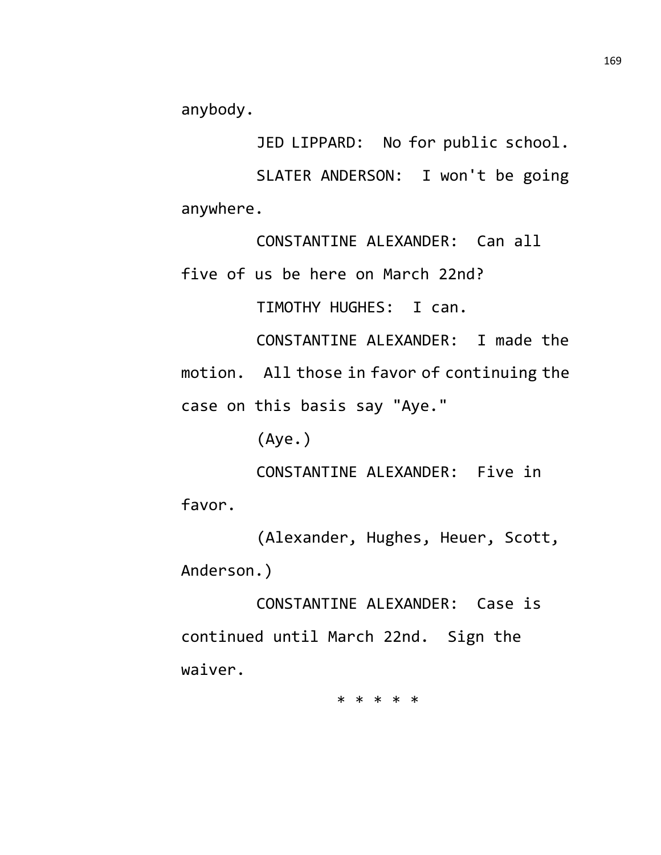anybody.

JED LIPPARD: No for public school.

SLATER ANDERSON: I won't be going anywhere.

CONSTANTINE ALEXANDER: Can all five of us be here on March 22nd?

TIMOTHY HUGHES: I can.

CONSTANTINE ALEXANDER: I made the motion. All those in favor of continuing the case on this basis say "Aye."

(Aye.)

CONSTANTINE ALEXANDER: Five in favor.

(Alexander, Hughes, Heuer, Scott, Anderson.)

CONSTANTINE ALEXANDER: Case is continued until March 22nd. Sign the waiver.

\* \* \* \* \*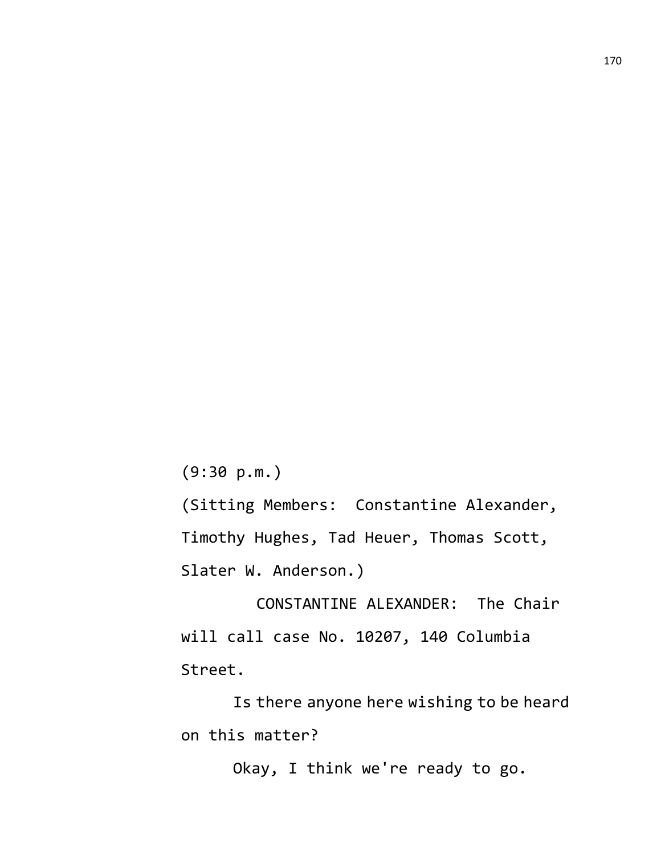(9:30 p.m.)

(Sitting Members: Constantine Alexander, Timothy Hughes, Tad Heuer, Thomas Scott, Slater W. Anderson.)

CONSTANTINE ALEXANDER: The Chair will call case No. 10207, 140 Columbia Street.

Is there anyone here wishing to be heard on this matter?

Okay, I think we're ready to go.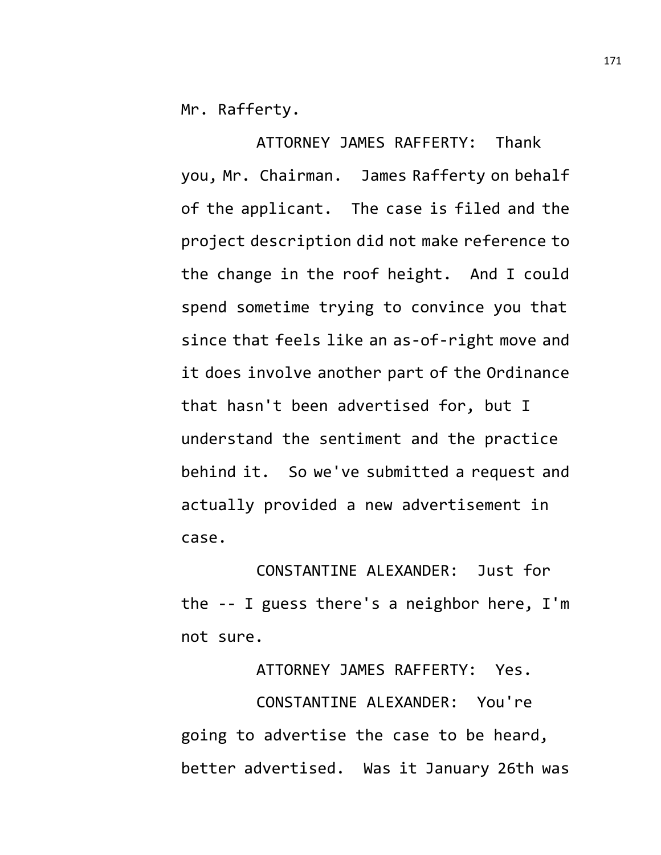Mr. Rafferty.

ATTORNEY JAMES RAFFERTY: Thank you, Mr. Chairman. James Rafferty on behalf of the applicant. The case is filed and the project description did not make reference to the change in the roof height. And I could spend sometime trying to convince you that since that feels like an as-of-right move and it does involve another part of the Ordinance that hasn't been advertised for, but I understand the sentiment and the practice behind it. So we've submitted a request and actually provided a new advertisement in case.

CONSTANTINE ALEXANDER: Just for the -- I guess there's a neighbor here, I'm not sure.

ATTORNEY JAMES RAFFERTY: Yes. CONSTANTINE ALEXANDER: You're going to advertise the case to be heard, better advertised. Was it January 26th was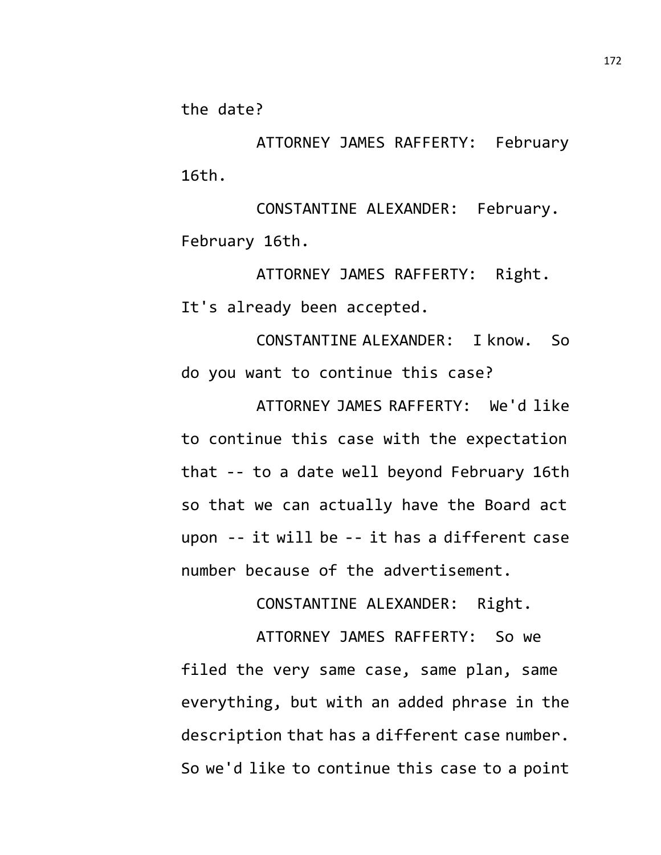the date?

ATTORNEY JAMES RAFFERTY: February 16th.

CONSTANTINE ALEXANDER: February. February 16th.

ATTORNEY JAMES RAFFERTY: Right. It's already been accepted.

CONSTANTINE ALEXANDER: I know. So do you want to continue this case?

ATTORNEY JAMES RAFFERTY: We'd like to continue this case with the expectation that -- to a date well beyond February 16th so that we can actually have the Board act upon -- it will be -- it has a different case number because of the advertisement.

CONSTANTINE ALEXANDER: Right.

ATTORNEY JAMES RAFFERTY: So we filed the very same case, same plan, same everything, but with an added phrase in the description that has a different case number. So we'd like to continue this case to a point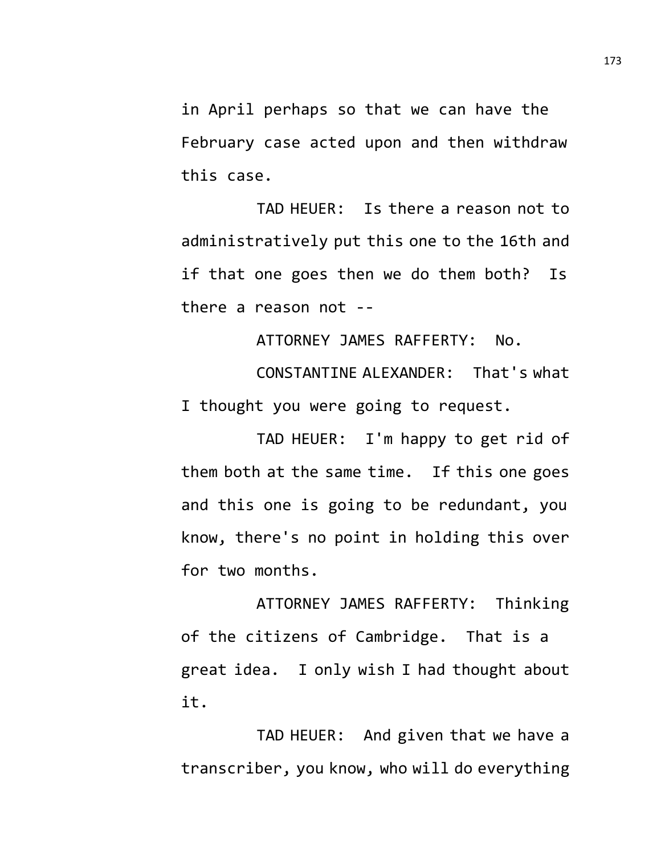in April perhaps so that we can have the February case acted upon and then withdraw this case.

TAD HEUER: Is there a reason not to administratively put this one to the 16th and if that one goes then we do them both? Is there a reason not --

ATTORNEY JAMES RAFFERTY: No.

CONSTANTINE ALEXANDER: That's what I thought you were going to request.

TAD HEUER: I'm happy to get rid of them both at the same time. If this one goes and this one is going to be redundant, you know, there's no point in holding this over for two months.

ATTORNEY JAMES RAFFERTY: Thinking of the citizens of Cambridge. That is a great idea. I only wish I had thought about it.

TAD HEUER: And given that we have a transcriber, you know, who will do everything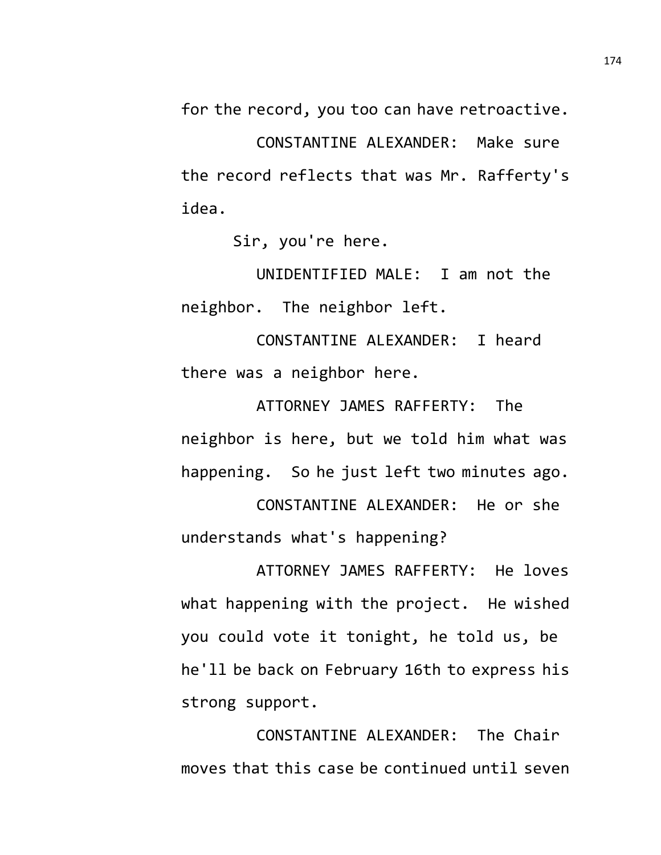for the record, you too can have retroactive.

CONSTANTINE ALEXANDER: Make sure the record reflects that was Mr. Rafferty's idea.

Sir, you're here.

UNIDENTIFIED MALE: I am not the neighbor. The neighbor left.

CONSTANTINE ALEXANDER: I heard there was a neighbor here.

ATTORNEY JAMES RAFFERTY: The neighbor is here, but we told him what was happening. So he just left two minutes ago.

CONSTANTINE ALEXANDER: He or she understands what's happening?

ATTORNEY JAMES RAFFERTY: He loves what happening with the project. He wished you could vote it tonight, he told us, be he'll be back on February 16th to express his strong support.

CONSTANTINE ALEXANDER: The Chair moves that this case be continued until seven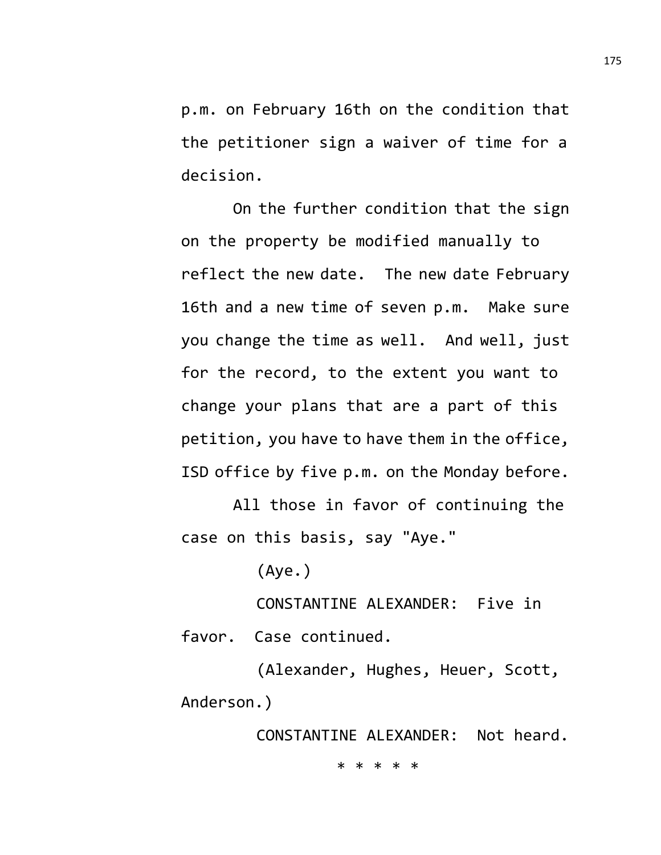p.m. on February 16th on the condition that the petitioner sign a waiver of time for a decision.

On the further condition that the sign on the property be modified manually to reflect the new date. The new date February 16th and a new time of seven p.m. Make sure you change the time as well. And well, just for the record, to the extent you want to change your plans that are a part of this petition, you have to have them in the office, ISD office by five p.m. on the Monday before.

All those in favor of continuing the case on this basis, say "Aye."

(Aye.)

CONSTANTINE ALEXANDER: Five in favor. Case continued.

(Alexander, Hughes, Heuer, Scott, Anderson.)

CONSTANTINE ALEXANDER: Not heard.

\* \* \* \* \*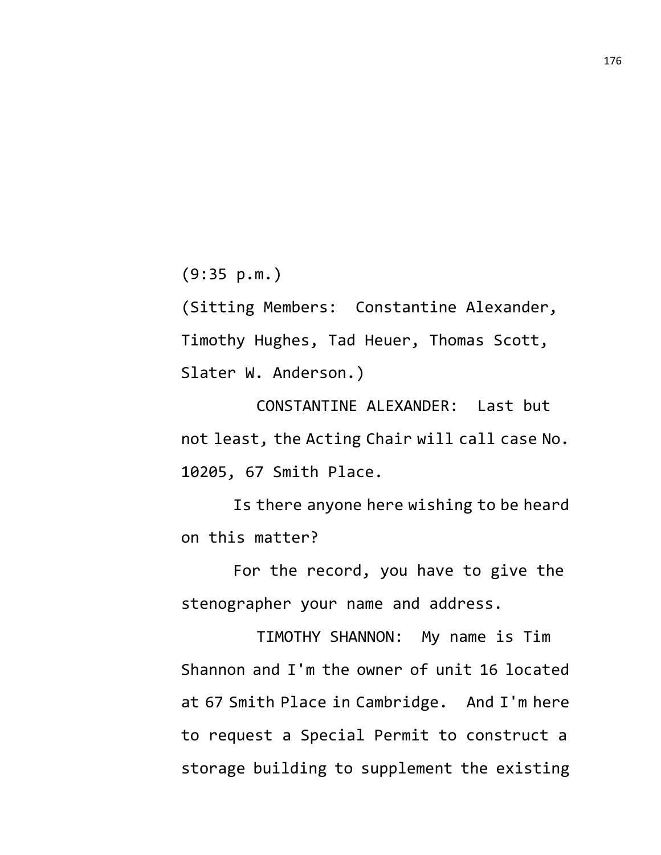(9:35 p.m.)

(Sitting Members: Constantine Alexander, Timothy Hughes, Tad Heuer, Thomas Scott, Slater W. Anderson.)

CONSTANTINE ALEXANDER: Last but not least, the Acting Chair will call case No. 10205, 67 Smith Place.

Is there anyone here wishing to be heard on this matter?

For the record, you have to give the stenographer your name and address.

TIMOTHY SHANNON: My name is Tim Shannon and I'm the owner of unit 16 located at 67 Smith Place in Cambridge. And I'm here to request a Special Permit to construct a storage building to supplement the existing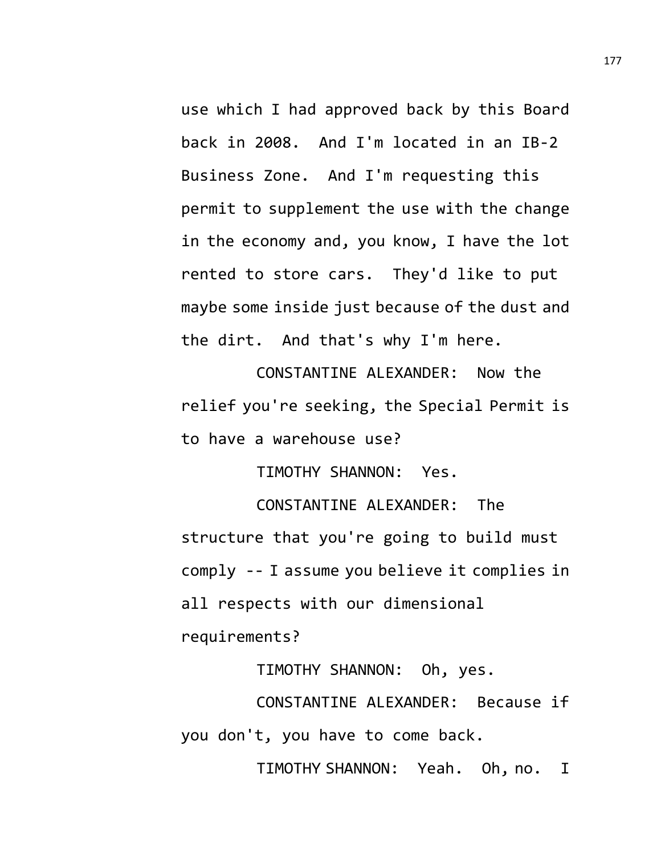use which I had approved back by this Board back in 2008. And I'm located in an IB-2 Business Zone. And I'm requesting this permit to supplement the use with the change in the economy and, you know, I have the lot rented to store cars. They'd like to put maybe some inside just because of the dust and the dirt. And that's why I'm here.

CONSTANTINE ALEXANDER: Now the relief you're seeking, the Special Permit is to have a warehouse use?

TIMOTHY SHANNON: Yes.

CONSTANTINE ALEXANDER: The structure that you're going to build must comply -- I assume you believe it complies in all respects with our dimensional requirements?

TIMOTHY SHANNON: Oh, yes.

CONSTANTINE ALEXANDER: Because if you don't, you have to come back.

TIMOTHY SHANNON: Yeah. Oh, no. I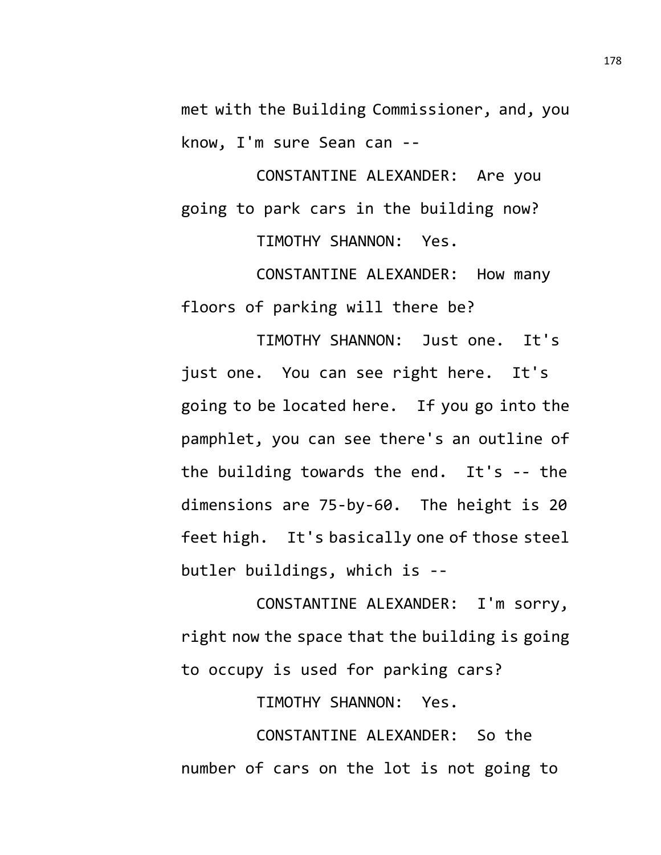met with the Building Commissioner, and, you know, I'm sure Sean can --

CONSTANTINE ALEXANDER: Are you going to park cars in the building now?

TIMOTHY SHANNON: Yes.

CONSTANTINE ALEXANDER: How many floors of parking will there be?

TIMOTHY SHANNON: Just one. It's just one. You can see right here. It's going to be located here. If you go into the pamphlet, you can see there's an outline of the building towards the end. It's -- the dimensions are 75-by-60. The height is 20 feet high. It's basically one of those steel butler buildings, which is --

CONSTANTINE ALEXANDER: I'm sorry, right now the space that the building is going to occupy is used for parking cars?

TIMOTHY SHANNON: Yes.

CONSTANTINE ALEXANDER: So the number of cars on the lot is not going to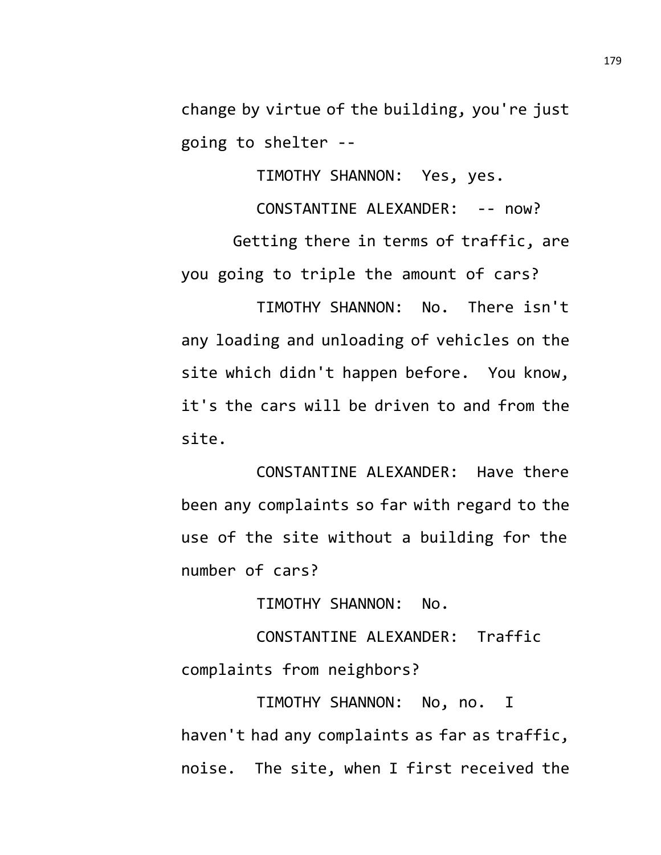change by virtue of the building, you're just going to shelter --

TIMOTHY SHANNON: Yes, yes.

CONSTANTINE ALEXANDER: -- now?

Getting there in terms of traffic, are you going to triple the amount of cars?

TIMOTHY SHANNON: No. There isn't any loading and unloading of vehicles on the site which didn't happen before. You know, it's the cars will be driven to and from the site.

CONSTANTINE ALEXANDER: Have there been any complaints so far with regard to the use of the site without a building for the number of cars?

TIMOTHY SHANNON: No.

CONSTANTINE ALEXANDER: Traffic complaints from neighbors?

TIMOTHY SHANNON: No, no. I haven't had any complaints as far as traffic, noise. The site, when I first received the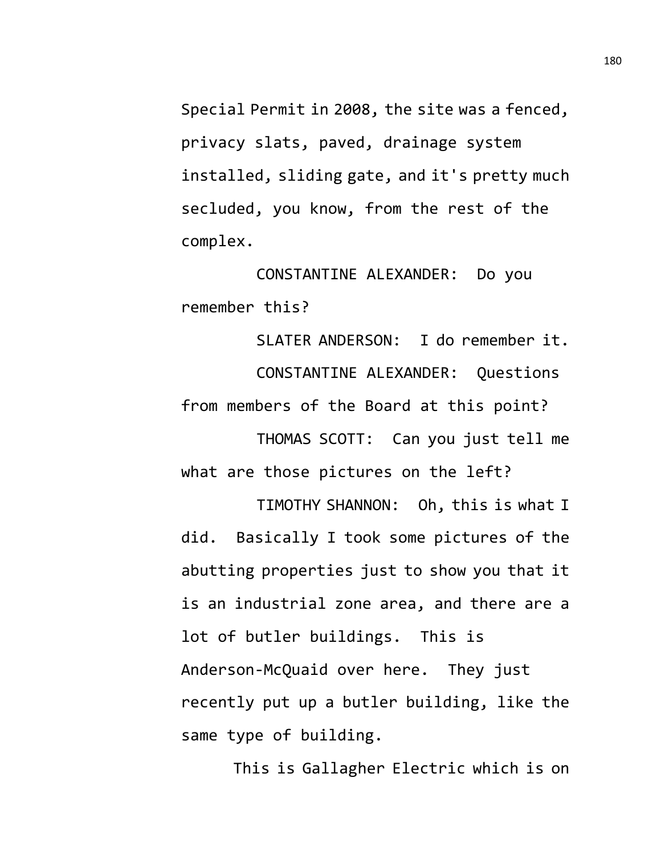Special Permit in 2008, the site was a fenced, privacy slats, paved, drainage system installed, sliding gate, and it's pretty much secluded, you know, from the rest of the complex.

CONSTANTINE ALEXANDER: Do you remember this?

SLATER ANDERSON: I do remember it. CONSTANTINE ALEXANDER: Questions from members of the Board at this point?

THOMAS SCOTT: Can you just tell me what are those pictures on the left?

TIMOTHY SHANNON: Oh, this is what I did. Basically I took some pictures of the abutting properties just to show you that it is an industrial zone area, and there are a lot of butler buildings. This is Anderson-McQuaid over here. They just recently put up a butler building, like the same type of building.

This is Gallagher Electric which is on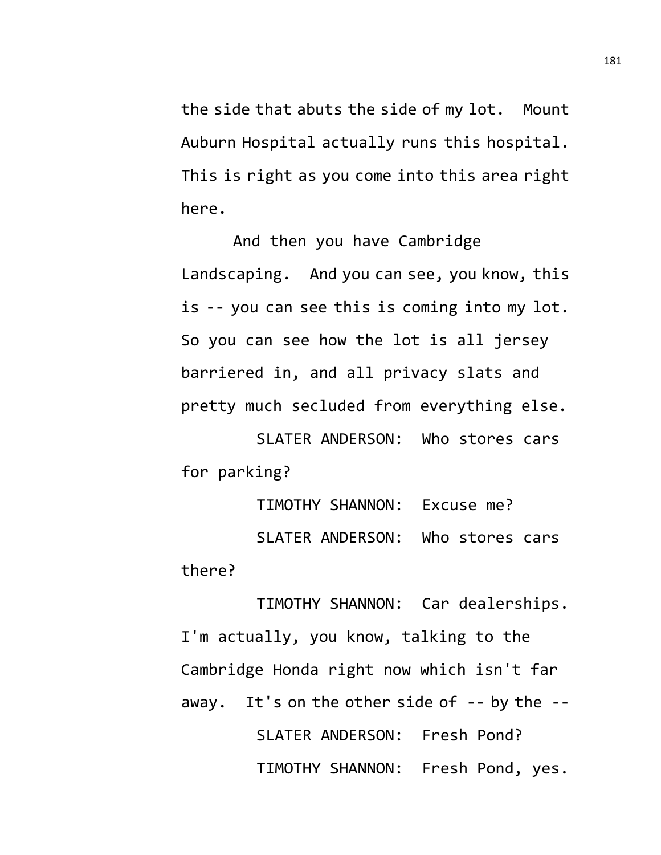the side that abuts the side of my lot. Mount Auburn Hospital actually runs this hospital. This is right as you come into this area right here.

And then you have Cambridge Landscaping. And you can see, you know, this is -- you can see this is coming into my lot. So you can see how the lot is all jersey barriered in, and all privacy slats and pretty much secluded from everything else.

SLATER ANDERSON: Who stores cars for parking?

TIMOTHY SHANNON: Excuse me? SLATER ANDERSON: Who stores cars there?

TIMOTHY SHANNON: Car dealerships. I'm actually, you know, talking to the Cambridge Honda right now which isn't far away. It's on the other side of  $-$ - by the  $-$ -SLATER ANDERSON: Fresh Pond? TIMOTHY SHANNON: Fresh Pond, yes.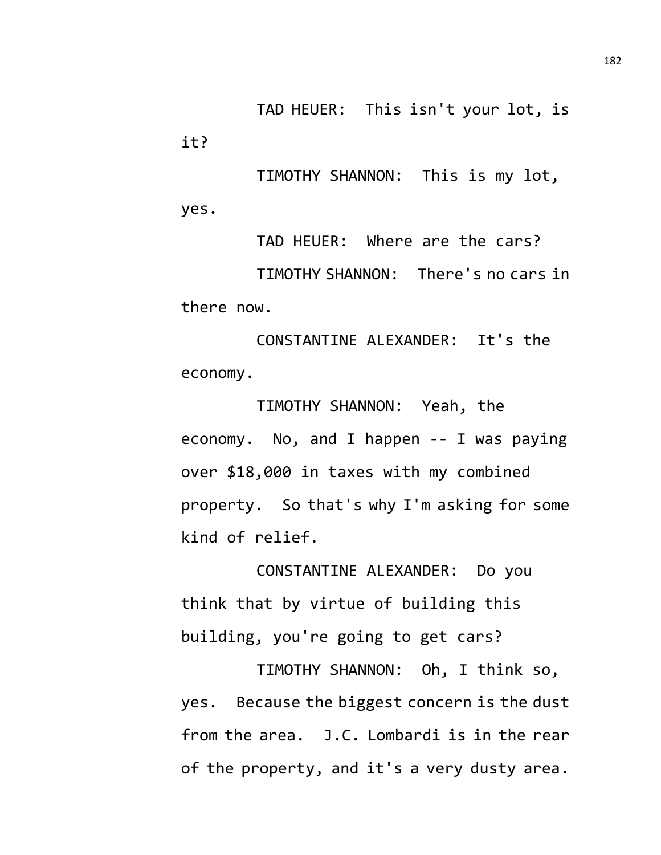TAD HEUER: This isn't your lot, is it?

TIMOTHY SHANNON: This is my lot, yes.

TAD HEUER: Where are the cars? TIMOTHY SHANNON: There's no cars in there now.

CONSTANTINE ALEXANDER: It's the economy.

TIMOTHY SHANNON: Yeah, the economy. No, and I happen -- I was paying over \$18,000 in taxes with my combined property. So that's why I'm asking for some kind of relief.

CONSTANTINE ALEXANDER: Do you think that by virtue of building this building, you're going to get cars?

TIMOTHY SHANNON: Oh, I think so, yes. Because the biggest concern is the dust from the area. J.C. Lombardi is in the rear of the property, and it's a very dusty area.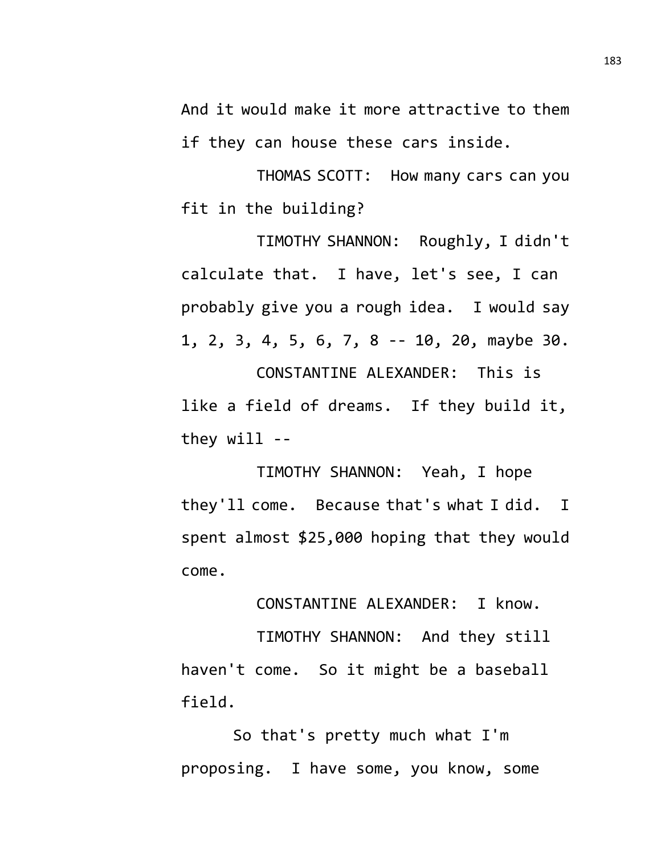And it would make it more attractive to them if they can house these cars inside.

THOMAS SCOTT: How many cars can you fit in the building?

TIMOTHY SHANNON: Roughly, I didn't calculate that. I have, let's see, I can probably give you a rough idea. I would say 1, 2, 3, 4, 5, 6, 7, 8 -- 10, 20, maybe 30.

CONSTANTINE ALEXANDER: This is like a field of dreams. If they build it, they will --

TIMOTHY SHANNON: Yeah, I hope they'll come. Because that's what I did. I spent almost \$25,000 hoping that they would come.

CONSTANTINE ALEXANDER: I know.

TIMOTHY SHANNON: And they still haven't come. So it might be a baseball field.

So that's pretty much what I'm proposing. I have some, you know, some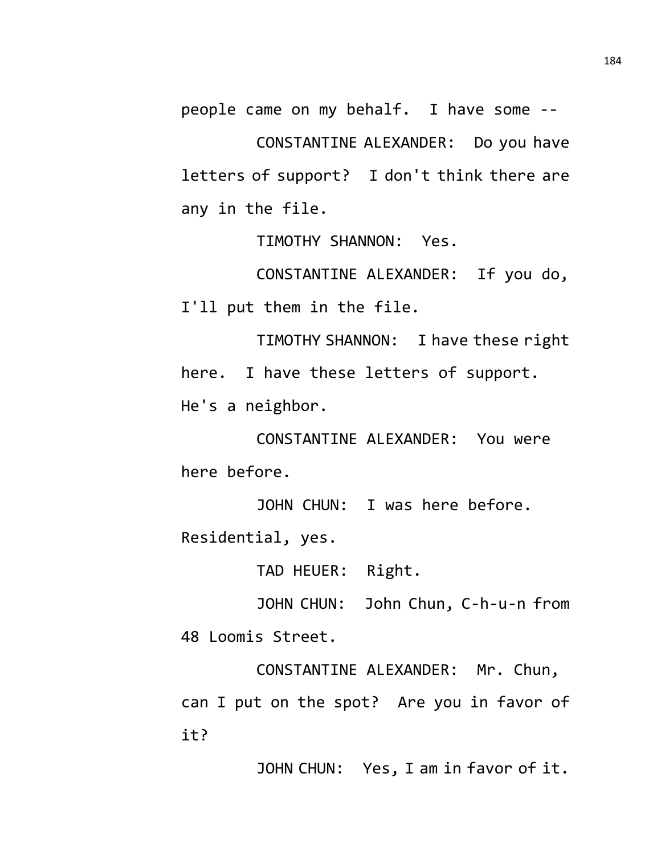people came on my behalf. I have some --

CONSTANTINE ALEXANDER: Do you have letters of support? I don't think there are any in the file.

TIMOTHY SHANNON: Yes.

CONSTANTINE ALEXANDER: If you do, I'll put them in the file.

TIMOTHY SHANNON: I have these right here. I have these letters of support. He's a neighbor.

CONSTANTINE ALEXANDER: You were here before.

JOHN CHUN: I was here before.

Residential, yes.

TAD HEUER: Right.

JOHN CHUN: John Chun, C-h-u-n from 48 Loomis Street.

CONSTANTINE ALEXANDER: Mr. Chun, can I put on the spot? Are you in favor of it?

JOHN CHUN: Yes, I am in favor of it.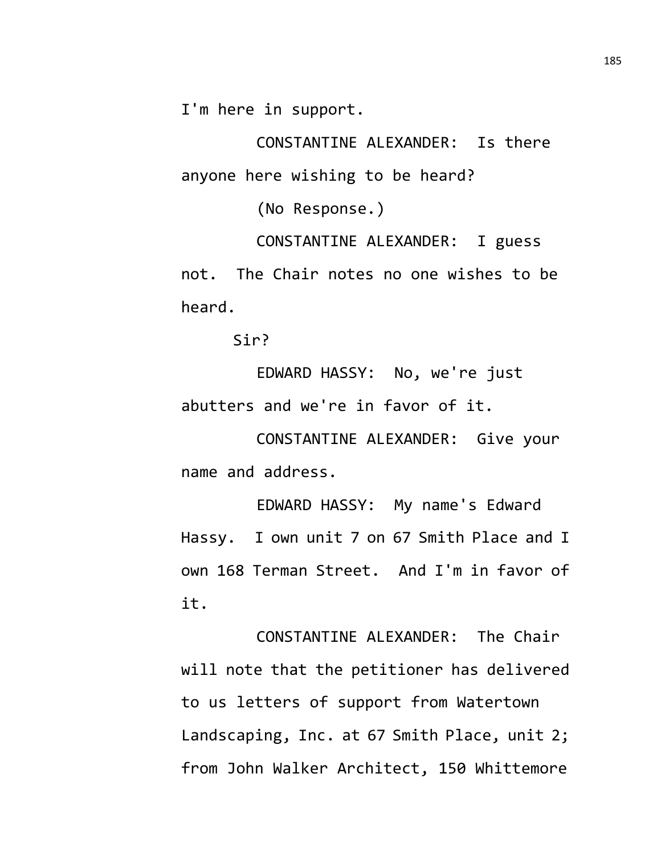I'm here in support.

CONSTANTINE ALEXANDER: Is there anyone here wishing to be heard?

(No Response.)

CONSTANTINE ALEXANDER: I guess not. The Chair notes no one wishes to be heard.

Sir?

EDWARD HASSY: No, we're just abutters and we're in favor of it.

CONSTANTINE ALEXANDER: Give your name and address.

EDWARD HASSY: My name's Edward Hassy. I own unit 7 on 67 Smith Place and I own 168 Terman Street. And I'm in favor of it.

CONSTANTINE ALEXANDER: The Chair will note that the petitioner has delivered to us letters of support from Watertown Landscaping, Inc. at 67 Smith Place, unit 2; from John Walker Architect, 150 Whittemore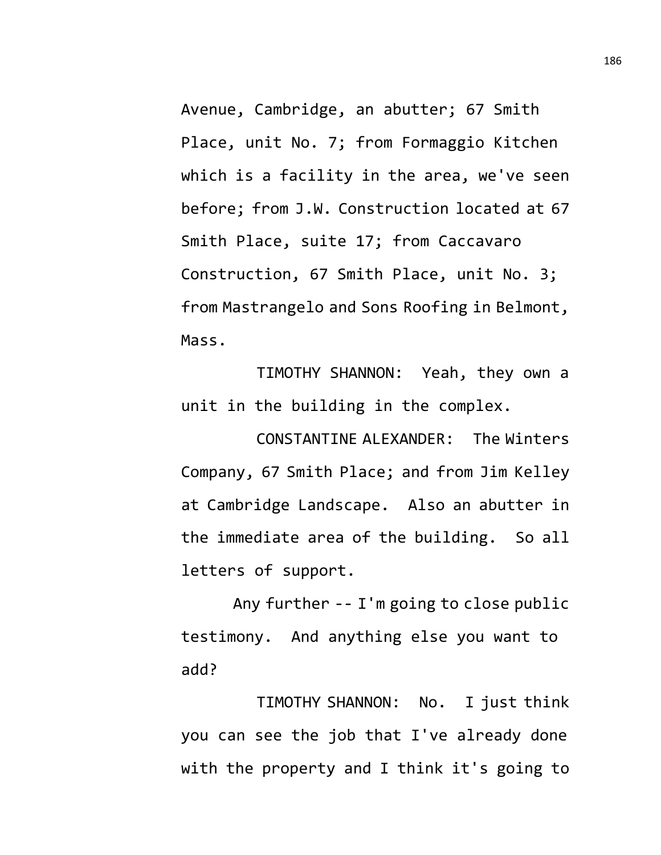Avenue, Cambridge, an abutter; 67 Smith Place, unit No. 7; from Formaggio Kitchen which is a facility in the area, we've seen before; from J.W. Construction located at 67 Smith Place, suite 17; from Caccavaro Construction, 67 Smith Place, unit No. 3; from Mastrangelo and Sons Roofing in Belmont, Mass.

TIMOTHY SHANNON: Yeah, they own a unit in the building in the complex.

CONSTANTINE ALEXANDER: The Winters Company, 67 Smith Place; and from Jim Kelley at Cambridge Landscape. Also an abutter in the immediate area of the building. So all letters of support.

Any further -- I'm going to close public testimony. And anything else you want to add?

TIMOTHY SHANNON: No. I just think you can see the job that I've already done with the property and I think it's going to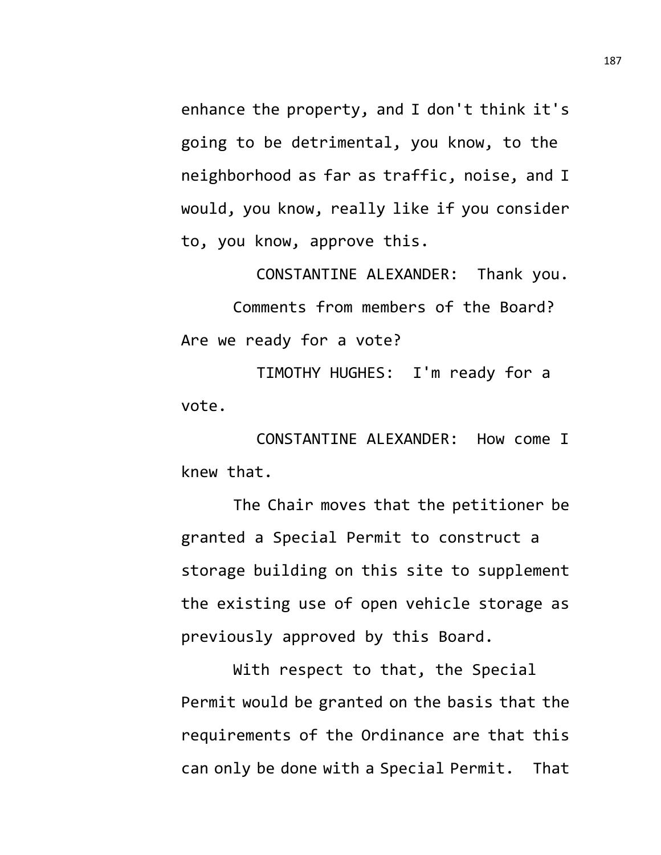enhance the property, and I don't think it's going to be detrimental, you know, to the neighborhood as far as traffic, noise, and I would, you know, really like if you consider to, you know, approve this.

CONSTANTINE ALEXANDER: Thank you. Comments from members of the Board? Are we ready for a vote?

TIMOTHY HUGHES: I'm ready for a vote.

CONSTANTINE ALEXANDER: How come I knew that.

The Chair moves that the petitioner be granted a Special Permit to construct a storage building on this site to supplement the existing use of open vehicle storage as previously approved by this Board.

With respect to that, the Special Permit would be granted on the basis that the requirements of the Ordinance are that this can only be done with a Special Permit. That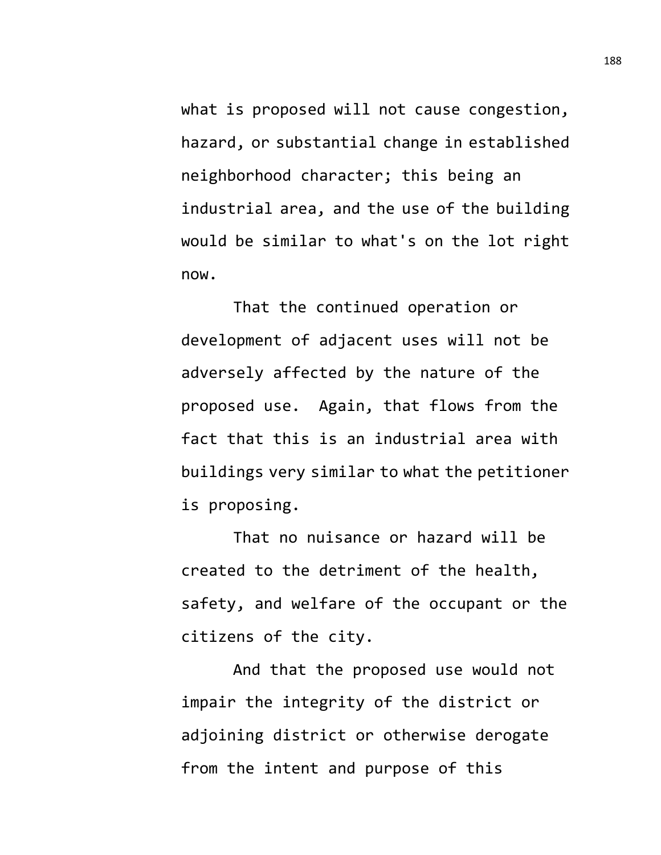what is proposed will not cause congestion, hazard, or substantial change in established neighborhood character; this being an industrial area, and the use of the building would be similar to what's on the lot right now.

That the continued operation or development of adjacent uses will not be adversely affected by the nature of the proposed use. Again, that flows from the fact that this is an industrial area with buildings very similar to what the petitioner is proposing.

That no nuisance or hazard will be created to the detriment of the health, safety, and welfare of the occupant or the citizens of the city.

And that the proposed use would not impair the integrity of the district or adjoining district or otherwise derogate from the intent and purpose of this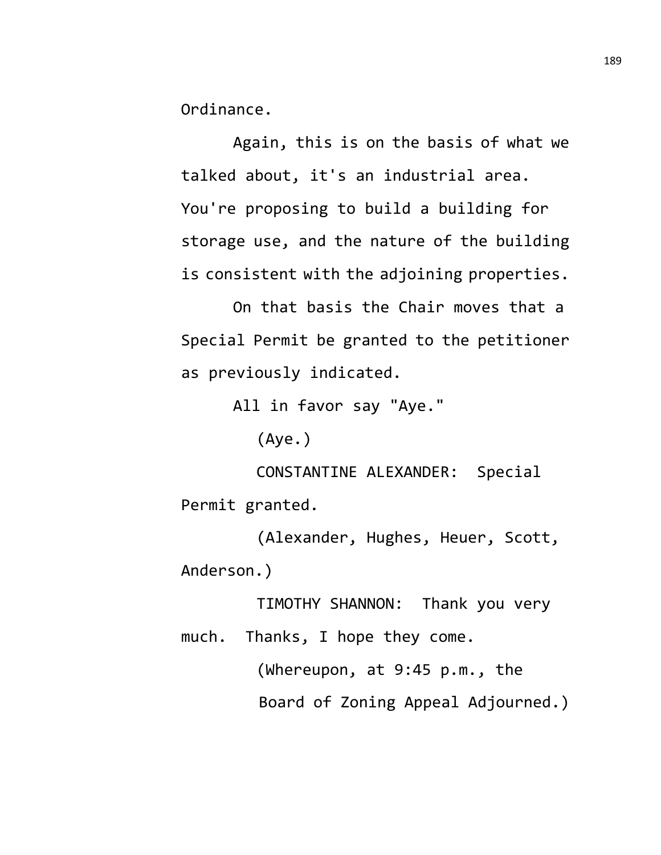Ordinance.

Again, this is on the basis of what we talked about, it's an industrial area. You're proposing to build a building for storage use, and the nature of the building is consistent with the adjoining properties.

On that basis the Chair moves that a Special Permit be granted to the petitioner as previously indicated.

All in favor say "Aye."

(Aye.)

CONSTANTINE ALEXANDER: Special Permit granted.

(Alexander, Hughes, Heuer, Scott, Anderson.)

TIMOTHY SHANNON: Thank you very much. Thanks, I hope they come.

> (Whereupon, at 9:45 p.m., the Board of Zoning Appeal Adjourned.)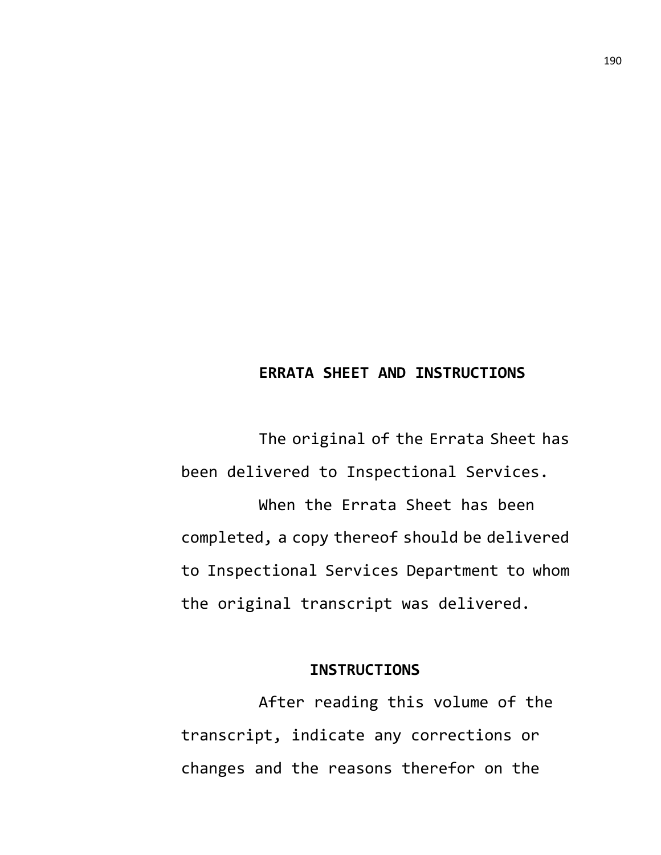## **ERRATA SHEET AND INSTRUCTIONS**

The original of the Errata Sheet has been delivered to Inspectional Services. When the Errata Sheet has been completed, a copy thereof should be delivered to Inspectional Services Department to whom the original transcript was delivered.

#### **INSTRUCTIONS**

After reading this volume of the transcript, indicate any corrections or changes and the reasons therefor on the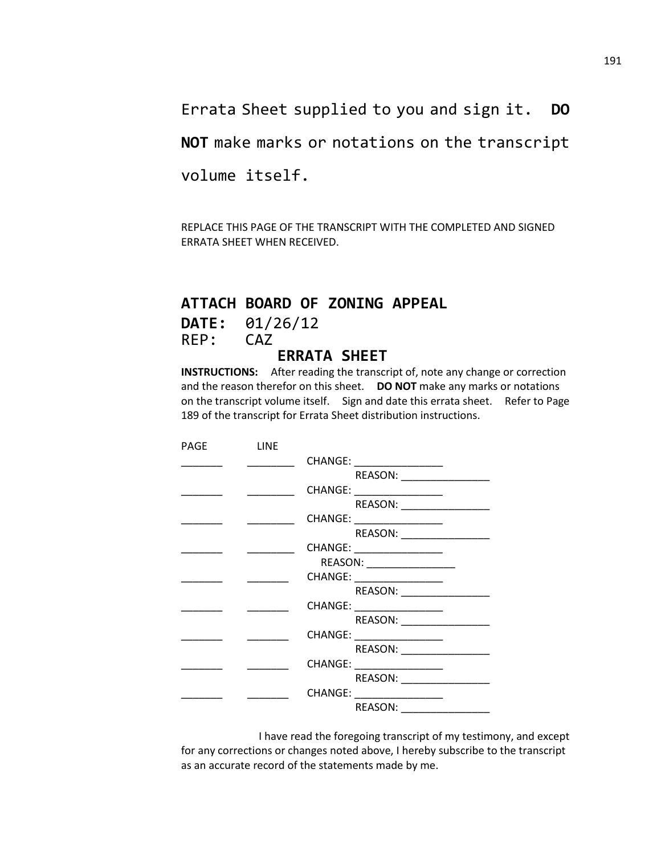Errata Sheet supplied to you and sign it. **DO** 

**NOT** make marks or notations on the transcript

volume itself.

REPLACE THIS PAGE OF THE TRANSCRIPT WITH THE COMPLETED AND SIGNED ERRATA SHEET WHEN RECEIVED.

## **ATTACH BOARD OF ZONING APPEAL**

**DATE:** 01/26/12 REP: CAZ

# **ERRATA SHEET**

**INSTRUCTIONS:** After reading the transcript of, note any change or correction and the reason therefor on this sheet. **DO NOT** make any marks or notations on the transcript volume itself. Sign and date this errata sheet. Refer to Page 189 of the transcript for Errata Sheet distribution instructions.

| <b>PAGE</b> | LINE |                             |
|-------------|------|-----------------------------|
|             |      | CHANGE: _________________   |
|             |      | REASON:                     |
|             |      | CHANGE: __________________  |
|             |      | REASON:                     |
|             |      | CHANGE: ___________________ |
|             |      | REASON:                     |
|             |      | CHANGE: __________________  |
|             |      | REASON: ___________________ |
|             |      | CHANGE: __________________  |
|             |      | REASON:                     |
|             |      | CHANGE: __________________  |
|             |      | REASON:                     |
|             |      |                             |
|             |      | REASON:                     |
|             |      |                             |
|             |      | REASON:                     |
|             |      | CHANGE: _______________     |
|             |      | REASON:                     |

I have read the foregoing transcript of my testimony, and except for any corrections or changes noted above, I hereby subscribe to the transcript as an accurate record of the statements made by me.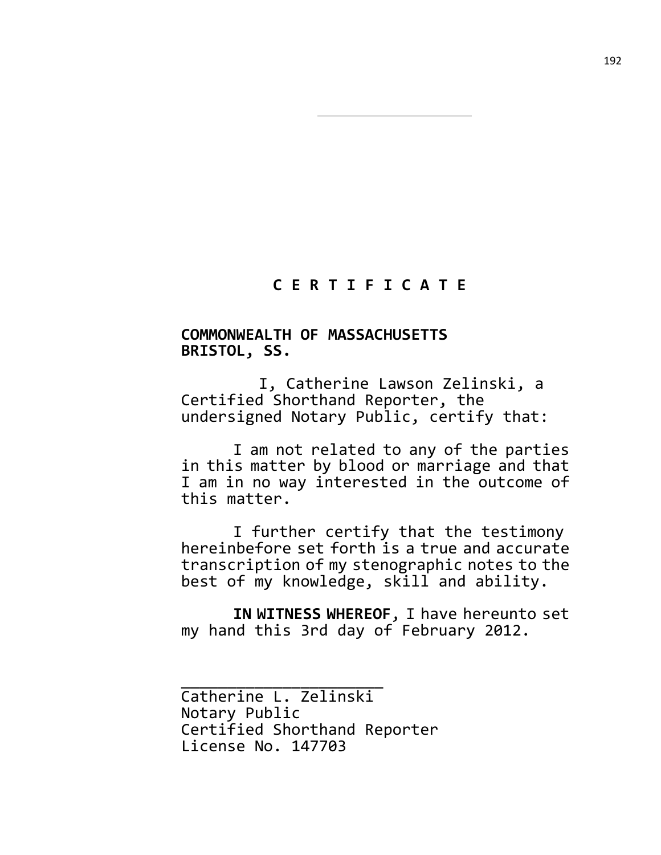## **C E R T I F I C A T E**

### **COMMONWEALTH OF MASSACHUSETTS BRISTOL, SS.**

I, Catherine Lawson Zelinski, a Certified Shorthand Reporter, the undersigned Notary Public, certify that:

I am not related to any of the parties in this matter by blood or marriage and that I am in no way interested in the outcome of this matter.

I further certify that the testimony hereinbefore set forth is a true and accurate transcription of my stenographic notes to the best of my knowledge, skill and ability.

**IN WITNESS WHEREOF**, I have hereunto set my hand this 3rd day of February 2012.

\_\_\_\_\_\_\_\_\_\_\_\_\_\_\_\_\_\_\_\_\_\_ Catherine L. Zelinski Notary Public Certified Shorthand Reporter License No. 147703